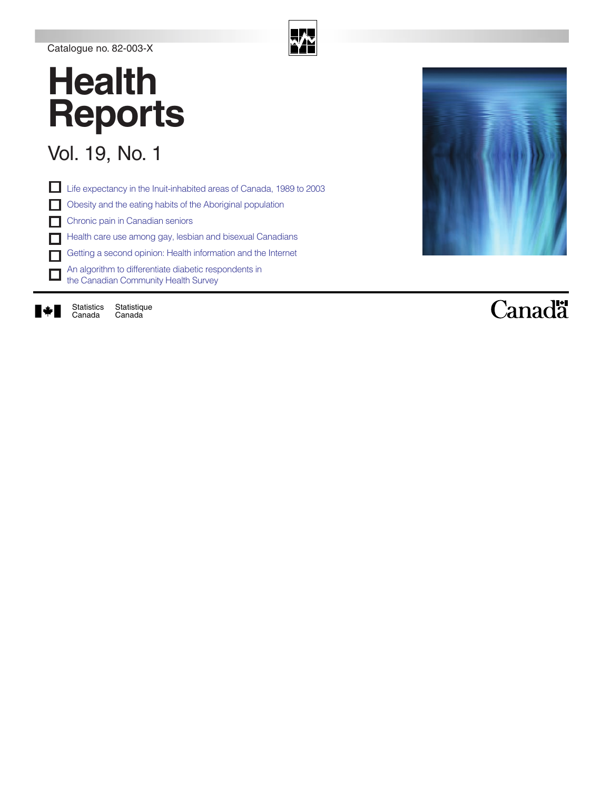#### Catalogue no. 82-003-X

### **Health Reports**

### Vol. 19, No. 1

Life expectancy in the Inuit-inhabited areas of Canada, 1989 to 2003 П. Obesity and the eating habits of the Aboriginal population Chronic pain in Canadian seniors Health care use among gay, lesbian and bisexual Canadians Getting a second opinion: Health information and the Internet An algorithm to differentiate diabetic respondents in  $\Box$ the Canadian Community Health Survey

N.

**Statistique** Canada Statistics Canada



### Canadä

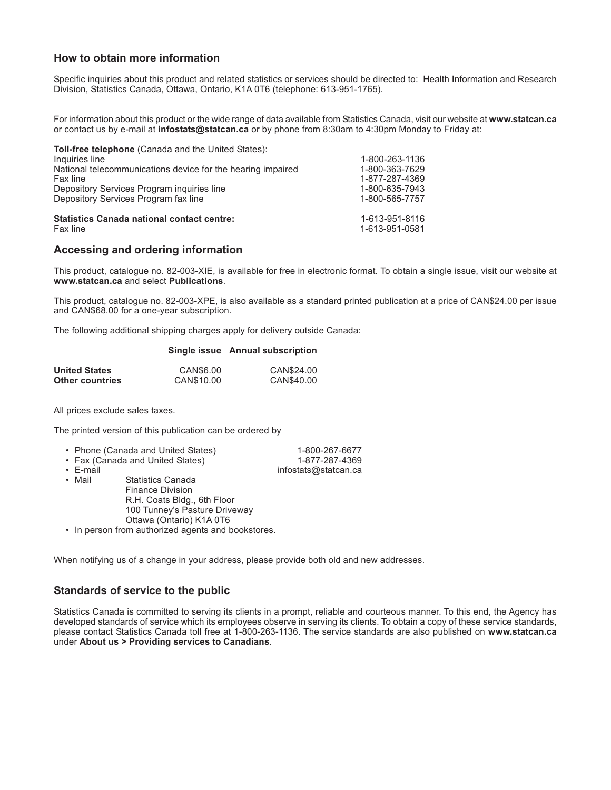#### **How to obtain more information**

Specific inquiries about this product and related statistics or services should be directed to: Health Information and Research Division, Statistics Canada, Ottawa, Ontario, K1A 0T6 (telephone: 613-951-1765).

For information about this product or the wide range of data available from Statistics Canada, visit our website at **www.statcan.ca** or contact us by e-mail at **infostats@statcan.ca** or by phone from 8:30am to 4:30pm Monday to Friday at:

| <b>Toll-free telephone</b> (Canada and the United States):  |                |
|-------------------------------------------------------------|----------------|
| Inquiries line                                              | 1-800-263-1136 |
| National telecommunications device for the hearing impaired | 1-800-363-7629 |
| Fax line                                                    | 1-877-287-4369 |
| Depository Services Program inquiries line                  | 1-800-635-7943 |
| Depository Services Program fax line                        | 1-800-565-7757 |
| <b>Statistics Canada national contact centre:</b>           | 1-613-951-8116 |
| Fax line                                                    | 1-613-951-0581 |

#### **Accessing and ordering information**

This product, catalogue no. 82-003-XIE, is available for free in electronic format. To obtain a single issue, visit our website at **www.statcan.ca** and select **Publications**.

This product, catalogue no. 82-003-XPE, is also available as a standard printed publication at a price of CAN\$24.00 per issue and CAN\$68.00 for a one-year subscription.

The following additional shipping charges apply for delivery outside Canada:

|                      |            | Single issue Annual subscription |  |  |
|----------------------|------------|----------------------------------|--|--|
| <b>United States</b> | CAN\$6.00  | CAN\$24.00                       |  |  |
| Other countries      | CAN\$10.00 | CAN\$40.00                       |  |  |

All prices exclude sales taxes.

The printed version of this publication can be ordered by

|                | • Phone (Canada and United States) | 1-800-267-6677       |
|----------------|------------------------------------|----------------------|
|                | • Fax (Canada and United States)   | 1-877-287-4369       |
| $\cdot$ E-mail |                                    | infostats@statcan.ca |
| • Mail         | Statistics Canada                  |                      |

Statistics Canada Finance Division R.H. Coats Bldg., 6th Floor 100 Tunney's Pasture Driveway Ottawa (Ontario) K1A 0T6

• In person from authorized agents and bookstores.

When notifying us of a change in your address, please provide both old and new addresses.

#### **Standards of service to the public**

Statistics Canada is committed to serving its clients in a prompt, reliable and courteous manner. To this end, the Agency has developed standards of service which its employees observe in serving its clients. To obtain a copy of these service standards, please contact Statistics Canada toll free at 1-800-263-1136. The service standards are also published on **www.statcan.ca** under **About us > Providing services to Canadians**.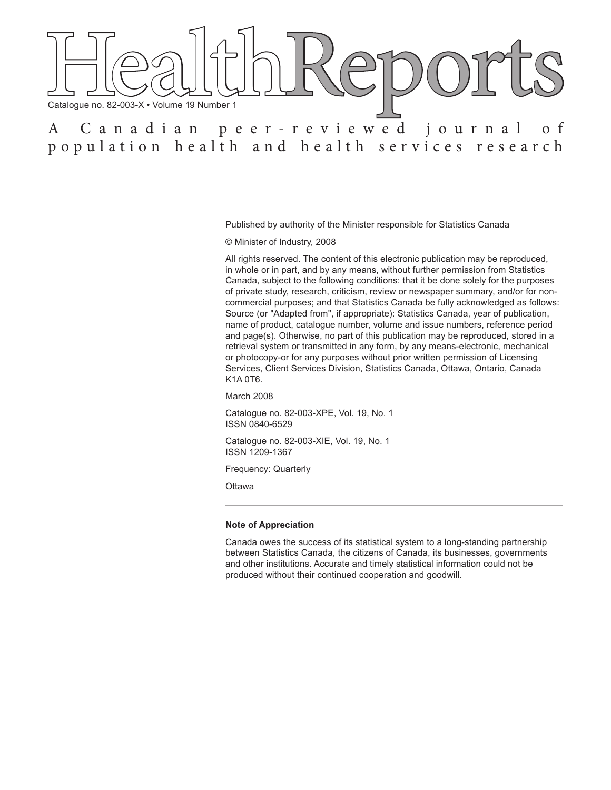

Published by authority of the Minister responsible for Statistics Canada

© Minister of Industry, 2008

All rights reserved. The content of this electronic publication may be reproduced, in whole or in part, and by any means, without further permission from Statistics Canada, subject to the following conditions: that it be done solely for the purposes of private study, research, criticism, review or newspaper summary, and/or for noncommercial purposes; and that Statistics Canada be fully acknowledged as follows: Source (or "Adapted from", if appropriate): Statistics Canada, year of publication, name of product, catalogue number, volume and issue numbers, reference period and page(s). Otherwise, no part of this publication may be reproduced, stored in a retrieval system or transmitted in any form, by any means-electronic, mechanical or photocopy-or for any purposes without prior written permission of Licensing Services, Client Services Division, Statistics Canada, Ottawa, Ontario, Canada K1A 0T6.

March 2008

Catalogue no. 82-003-XPE, Vol. 19, No. 1 ISSN 0840-6529

Catalogue no. 82-003-XIE, Vol. 19, No. 1 ISSN 1209-1367

Frequency: Quarterly

**Ottawa** 

#### **Note of Appreciation**

Canada owes the success of its statistical system to a long-standing partnership between Statistics Canada, the citizens of Canada, its businesses, governments and other institutions. Accurate and timely statistical information could not be produced without their continued cooperation and goodwill.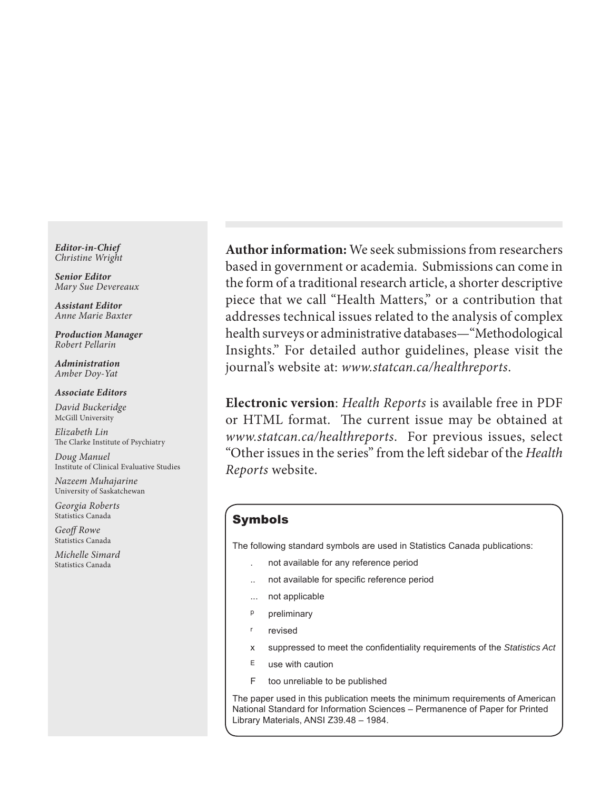*Editor-in-Chief Christine Wright*

*Senior Editor Mary Sue Devereaux*

*Assistant Editor Anne Marie Baxter*

*Production Manager Robert Pellarin*

*Administration Amber Doy-Yat*

*Associate Editors*

*David Buckeridge* McGill University

*Elizabeth Lin* The Clarke Institute of Psychiatry

*Doug Manuel* Institute of Clinical Evaluative Studies

*Nazeem Muhajarine* University of Saskatchewan

*Georgia Roberts* Statistics Canada

*Geoff Rowe* Statistics Canada

*Michelle Simard* Statistics Canada

**Author information:** We seek submissions from researchers based in government or academia. Submissions can come in the form of a traditional research article, a shorter descriptive piece that we call "Health Matters," or a contribution that addresses technical issues related to the analysis of complex health surveys or administrative databases—"Methodological Insights." For detailed author guidelines, please visit the journal's website at: *www.statcan.ca/healthreports*.

**Electronic version**: *Health Reports* is available free in PDF or HTML format. The current issue may be obtained at *www.statcan.ca/healthreports*. For previous issues, select "Other issues in the series" from the left sidebar of the *Health Reports* website.

#### Symbols

The following standard symbols are used in Statistics Canada publications:

- . not available for any reference period
- not available for specific reference period
- ... not applicable
- p preliminary
- r revised
- x suppressed to meet the confidentiality requirements of the Statistics Act
- $E$  use with caution
- F too unreliable to be published

The paper used in this publication meets the minimum requirements of American National Standard for Information Sciences – Permanence of Paper for Printed Library Materials, ANSI Z39.48 – 1984.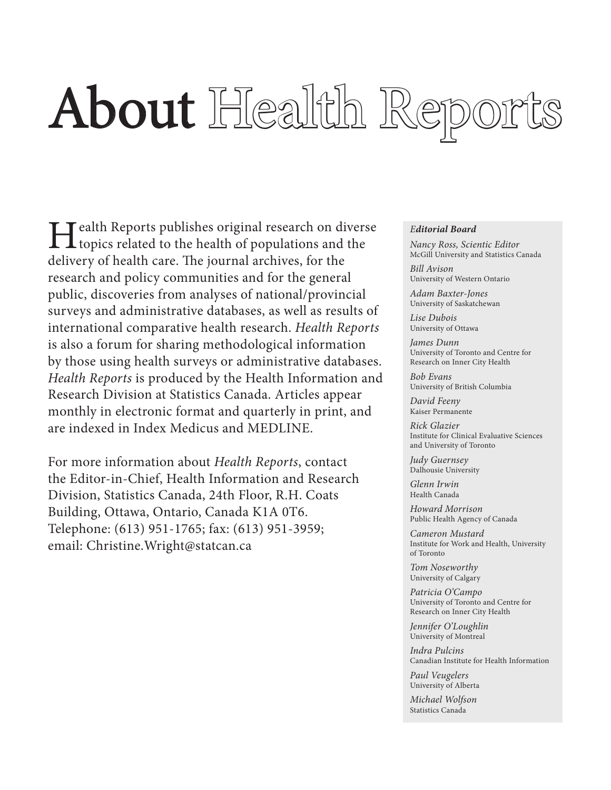# About Health Report

**Health Reports publishes original research on diverse**<br>topics related to the health of populations and the delivery of health care. The journal archives, for the research and policy communities and for the general public, discoveries from analyses of national/provincial surveys and administrative databases, as well as results of international comparative health research. *Health Reports* is also a forum for sharing methodological information by those using health surveys or administrative databases. *Health Reports* is produced by the Health Information and Research Division at Statistics Canada. Articles appear monthly in electronic format and quarterly in print, and are indexed in Index Medicus and MEDLINE.

For more information about *Health Reports*, contact the Editor-in-Chief, Health Information and Research Division, Statistics Canada, 24th Floor, R.H. Coats Building, Ottawa, Ontario, Canada K1A 0T6. Telephone: (613) 951-1765; fax: (613) 951-3959; email: Christine.Wright@statcan.ca

#### *Editorial Board*

*Nancy Ross, Scientic Editor* McGill University and Statistics Canada

*Bill Avison* University of Western Ontario

*Adam Baxter-Jones* University of Saskatchewan

*Lise Dubois* University of Ottawa

*James Dunn* University of Toronto and Centre for Research on Inner City Health

*Bob Evans* University of British Columbia

*David Feeny* Kaiser Permanente

*Rick Glazier* Institute for Clinical Evaluative Sciences and University of Toronto 

*Judy Guernsey* Dalhousie University

*Glenn Irwin* Health Canada

*Howard Morrison* Public Health Agency of Canada

*Cameron Mustard* Institute for Work and Health, University of Toronto

*Tom Noseworthy* University of Calgary

*Patricia O'Campo* University of Toronto and Centre for Research on Inner City Health

*Jennifer O'Loughlin* University of Montreal

*Indra Pulcins* Canadian Institute for Health Information

*Paul Veugelers* University of Alberta

*Michael Wolfson* Statistics Canada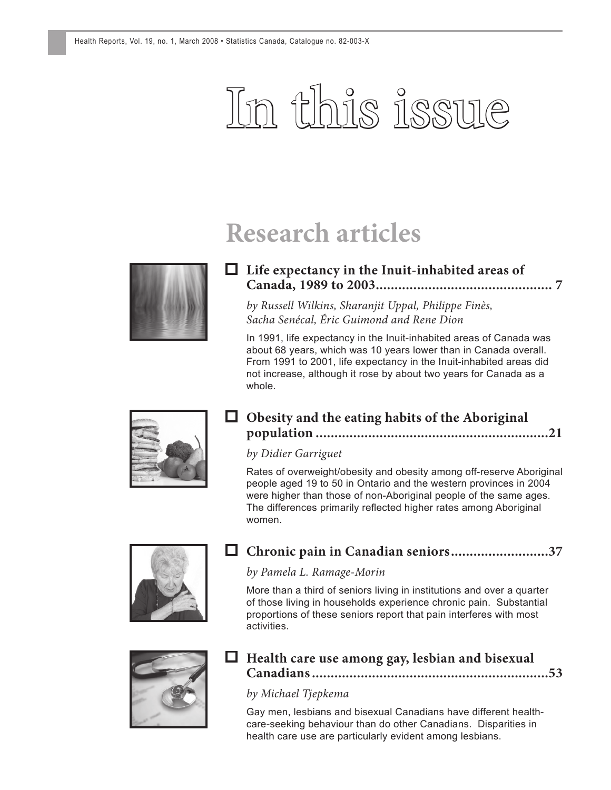## In this issue

### **Research articles**



#### **Life expectancy in the Inuit-inhabited areas of [Canada, 1989 to 2003 ............................................... 7](#page-8-0)**

*by Russell Wilkins, Sharanjit Uppal, Philippe Finès, Sacha Senécal, Éric Guimond and Rene Dion*

In 1991, life expectancy in the Inuit-inhabited areas of Canada was about 68 years, which was 10 years lower than in Canada overall. From 1991 to 2001, life expectancy in the Inuit-inhabited areas did not increase, although it rose by about two years for Canada as a whole.



#### **Obesity and the eating habits of the Aboriginal [population ..............................................................21](#page-22-0)**

#### *by Didier Garriguet*

Rates of overweight/obesity and obesity among off-reserve Aboriginal people aged 19 to 50 in Ontario and the western provinces in 2004 were higher than those of non-Aboriginal people of the same ages. The differences primarily reflected higher rates among Aboriginal women.



#### **[Chronic pain in Canadian seniors ..........................37](#page-38-0)**

#### *by Pamela L. Ramage-Morin*

More than a third of seniors living in institutions and over a quarter of those living in households experience chronic pain. Substantial proportions of these seniors report that pain interferes with most activities.



#### **Health care use among gay, lesbian and bisexual [Canadians ...............................................................53](#page-54-0)**

#### *by Michael Tjepkema*

Gay men, lesbians and bisexual Canadians have different healthcare-seeking behaviour than do other Canadians. Disparities in health care use are particularly evident among lesbians.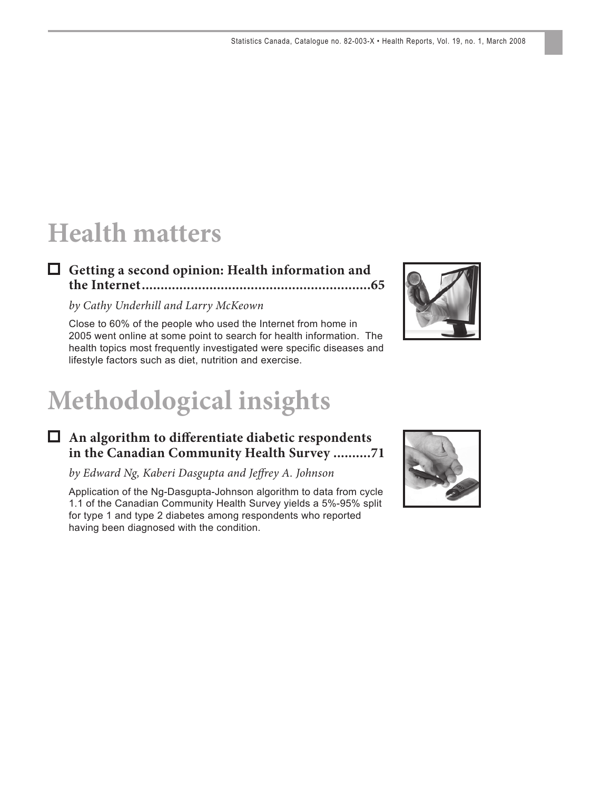### **Health matters**

#### **Getting a second opinion: Health information and [the Internet .............................................................65](#page-66-0)**

#### *by Cathy Underhill and Larry McKeown*

Close to 60% of the people who used the Internet from home in 2005 went online at some point to search for health information. The health topics most frequently investigated were specific diseases and lifestyle factors such as diet, nutrition and exercise.

### **Methodological insights**

#### □ An algorithm to differentiate diabetic respondents **[in the Canadian Community Health Survey ..........71](#page-72-0)**

*by Edward Ng, Kaberi Dasgupta and Jeff rey A. Johnson*

Application of the Ng-Dasgupta-Johnson algorithm to data from cycle 1.1 of the Canadian Community Health Survey yields a 5%-95% split for type 1 and type 2 diabetes among respondents who reported having been diagnosed with the condition.



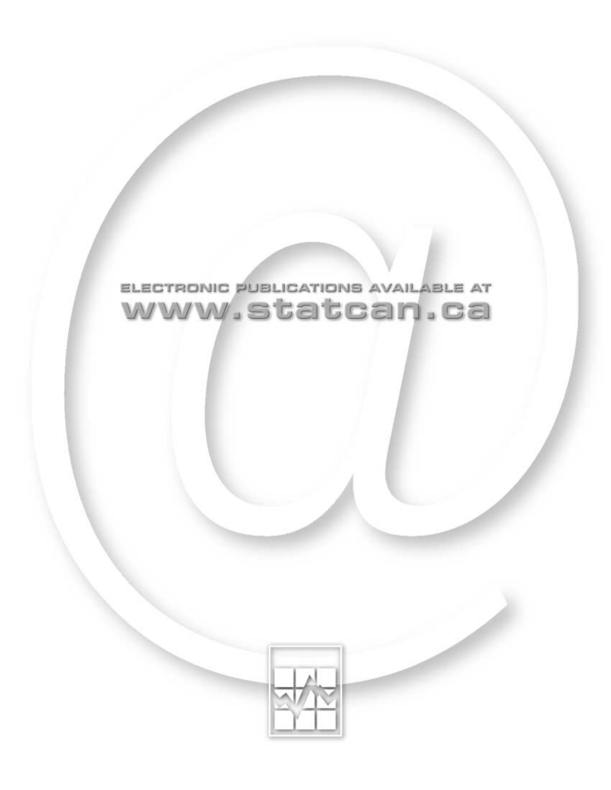

### ELECTRONIC PUBLICATIONS AVAILABLE AT www.statcan.ca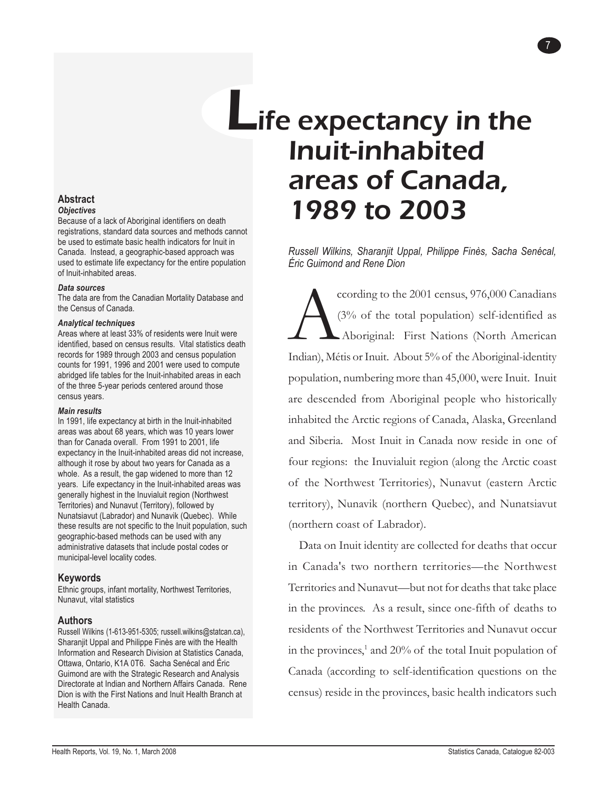### **L**ife expectancy in the Inuit-inhabited areas of Canada, 1989 to 2003

*Russell Wilkins, Sharanjit Uppal, Philippe Finès, Sacha Senécal, Éric Guimond and Rene Dion*

7

ccording to the 2001 census, 976,000 Canadians (3% of the total population) self-identified as Aboriginal: First Nations (North American Indian), Métis or Inuit. About 5% of the Aboriginal-identity population, numbering more than 45,000, were Inuit. Inuit are descended from Aboriginal people who historically inhabited the Arctic regions of Canada, Alaska, Greenland and Siberia. Most Inuit in Canada now reside in one of four regions: the Inuvialuit region (along the Arctic coast of the Northwest Territories), Nunavut (eastern Arctic territory), Nunavik (northern Quebec), and Nunatsiavut (northern coast of Labrador).

Data on Inuit identity are collected for deaths that occur in Canada's two northern territories—the Northwest Territories and Nunavut—but not for deaths that take place in the provinces. As a result, since one-fifth of deaths to residents of the Northwest Territories and Nunavut occur in the provinces,<sup>1</sup> and 20% of the total Inuit population of Canada (according to self-identification questions on the census) reside in the provinces, basic health indicators such

#### <span id="page-8-0"></span>**Abstract** *Objectives*

Because of a lack of Aboriginal identifiers on death registrations, standard data sources and methods cannot be used to estimate basic health indicators for Inuit in Canada. Instead, a geographic-based approach was used to estimate life expectancy for the entire population of Inuit-inhabited areas.

#### *Data sources*

The data are from the Canadian Mortality Database and the Census of Canada.

#### *Analytical techniques*

Areas where at least 33% of residents were Inuit were identified, based on census results. Vital statistics death records for 1989 through 2003 and census population counts for 1991, 1996 and 2001 were used to compute abridged life tables for the Inuit-inhabited areas in each of the three 5-year periods centered around those census years.

#### *Main results*

In 1991, life expectancy at birth in the Inuit-inhabited areas was about 68 years, which was 10 years lower than for Canada overall. From 1991 to 2001, life expectancy in the Inuit-inhabited areas did not increase, although it rose by about two years for Canada as a whole. As a result, the gap widened to more than 12 years. Life expectancy in the Inuit-inhabited areas was generally highest in the Inuvialuit region (Northwest Territories) and Nunavut (Territory), followed by Nunatsiavut (Labrador) and Nunavik (Quebec). While these results are not specific to the Inuit population, such geographic-based methods can be used with any administrative datasets that include postal codes or municipal-level locality codes.

#### **Keywords**

Ethnic groups, infant mortality, Northwest Territories, Nunavut, vital statistics

#### **Authors**

Russell Wilkins (1-613-951-5305; russell.wilkins@statcan.ca), Sharanjit Uppal and Philippe Finès are with the Health Information and Research Division at Statistics Canada, Ottawa, Ontario, K1A 0T6. Sacha Senécal and Éric Guimond are with the Strategic Research and Analysis Directorate at Indian and Northern Affairs Canada. Rene Dion is with the First Nations and Inuit Health Branch at Health Canada.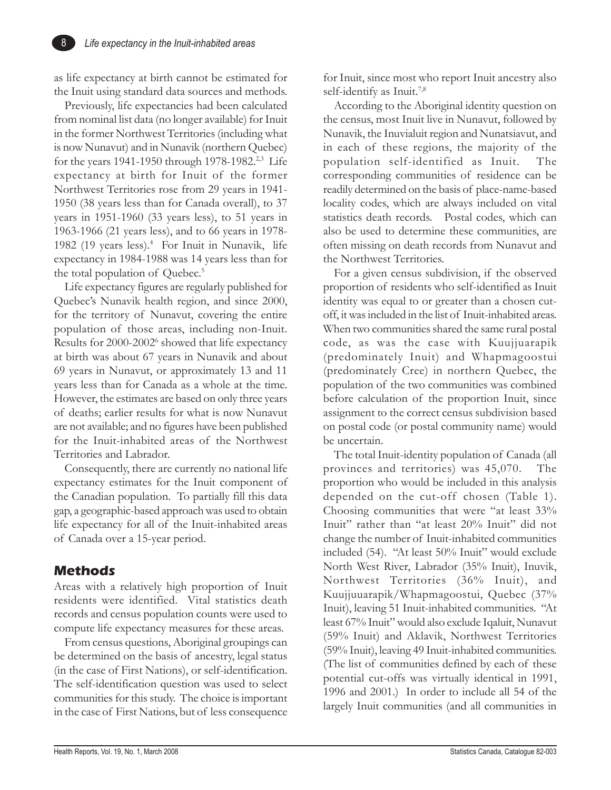as life expectancy at birth cannot be estimated for the Inuit using standard data sources and methods.

Previously, life expectancies had been calculated from nominal list data (no longer available) for Inuit in the former Northwest Territories (including what is now Nunavut) and in Nunavik (northern Quebec) for the years 1941-1950 through 1978-1982.2,3 Life expectancy at birth for Inuit of the former Northwest Territories rose from 29 years in 1941- 1950 (38 years less than for Canada overall), to 37 years in 1951-1960 (33 years less), to 51 years in 1963-1966 (21 years less), and to 66 years in 1978- 1982 (19 years less).<sup>4</sup> For Inuit in Nunavik, life expectancy in 1984-1988 was 14 years less than for the total population of Quebec.<sup>5</sup>

Life expectancy figures are regularly published for Quebec's Nunavik health region, and since 2000, for the territory of Nunavut, covering the entire population of those areas, including non-Inuit. Results for 2000-2002<sup>6</sup> showed that life expectancy at birth was about 67 years in Nunavik and about 69 years in Nunavut, or approximately 13 and 11 years less than for Canada as a whole at the time. However, the estimates are based on only three years of deaths; earlier results for what is now Nunavut are not available; and no figures have been published for the Inuit-inhabited areas of the Northwest Territories and Labrador.

Consequently, there are currently no national life expectancy estimates for the Inuit component of the Canadian population. To partially fill this data gap, a geographic-based approach was used to obtain life expectancy for all of the Inuit-inhabited areas of Canada over a 15-year period.

#### **Methods**

Areas with a relatively high proportion of Inuit residents were identified. Vital statistics death records and census population counts were used to compute life expectancy measures for these areas.

From census questions, Aboriginal groupings can be determined on the basis of ancestry, legal status (in the case of First Nations), or self-identification. The self-identification question was used to select communities for this study. The choice is important in the case of First Nations, but of less consequence for Inuit, since most who report Inuit ancestry also self-identify as Inuit.<sup>7,8</sup>

According to the Aboriginal identity question on the census, most Inuit live in Nunavut, followed by Nunavik, the Inuvialuit region and Nunatsiavut, and in each of these regions, the majority of the population self-identified as Inuit. The corresponding communities of residence can be readily determined on the basis of place-name-based locality codes, which are always included on vital statistics death records. Postal codes, which can also be used to determine these communities, are often missing on death records from Nunavut and the Northwest Territories.

For a given census subdivision, if the observed proportion of residents who self-identified as Inuit identity was equal to or greater than a chosen cutoff, it was included in the list of Inuit-inhabited areas. When two communities shared the same rural postal code, as was the case with Kuujjuarapik (predominately Inuit) and Whapmagoostui (predominately Cree) in northern Quebec, the population of the two communities was combined before calculation of the proportion Inuit, since assignment to the correct census subdivision based on postal code (or postal community name) would be uncertain.

The total Inuit-identity population of Canada (all provinces and territories) was 45,070. The proportion who would be included in this analysis depended on the cut-off chosen (Table 1). Choosing communities that were "at least 33% Inuit" rather than "at least 20% Inuit" did not change the number of Inuit-inhabited communities included (54). "At least 50% Inuit" would exclude North West River, Labrador (35% Inuit), Inuvik, Northwest Territories (36% Inuit), and Kuujjuuarapik/Whapmagoostui, Quebec (37% Inuit), leaving 51 Inuit-inhabited communities. "At least 67% Inuit" would also exclude Iqaluit, Nunavut (59% Inuit) and Aklavik, Northwest Territories (59% Inuit), leaving 49 Inuit-inhabited communities. (The list of communities defined by each of these potential cut-offs was virtually identical in 1991, 1996 and 2001.) In order to include all 54 of the largely Inuit communities (and all communities in

8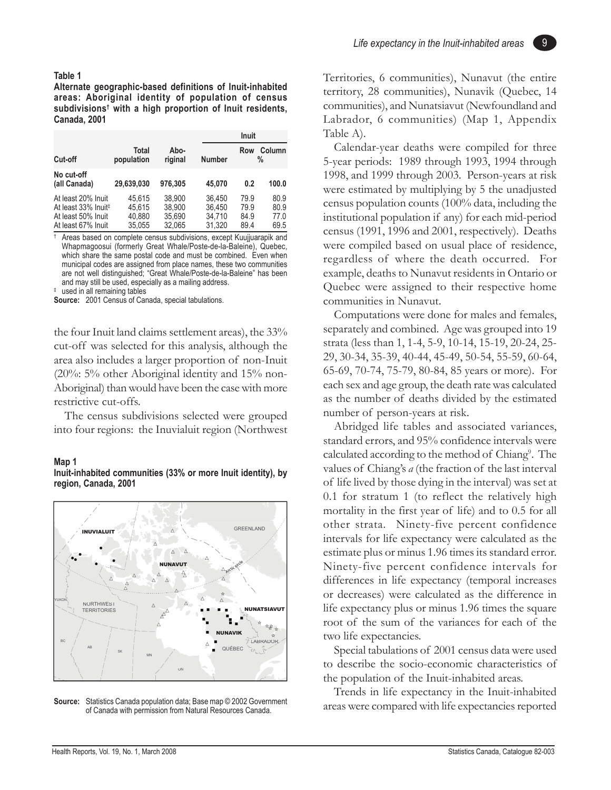#### **Table 1**

**Alternate geographic-based definitions of Inuit-inhabited areas: Aboriginal identity of population of census subdivisions† with a high proportion of Inuit residents, Canada, 2001**

|                                 |                     |                 |               | <b>Inuit</b> |                |
|---------------------------------|---------------------|-----------------|---------------|--------------|----------------|
| Cut-off                         | Total<br>population | Abo-<br>riginal | <b>Number</b> | Row          | Column<br>$\%$ |
| No cut-off<br>(all Canada)      | 29.639.030          | 976.305         | 45.070        | 0.2          | 100.0          |
| At least 20% Inuit              | 45.615              | 38.900          | 36.450        | 79.9         | 80.9           |
| At least 33% Inuit <sup>#</sup> | 45.615              | 38.900          | 36.450        | 79.9         | 80.9           |
| At least 50% Inuit              | 40,880              | 35.690          | 34.710        | 84.9         | 77.0           |
| At least 67% Inuit              | 35.055              | 32.065          | 31.320        | 89.4         | 69.5           |

† Areas based on complete census subdivisions, except Kuujjuarapik and Whapmagoosui (formerly Great Whale/Poste-de-la-Baleine), Quebec, which share the same postal code and must be combined. Even when municipal codes are assigned from place names, these two communities are not well distinguished; "Great Whale/Poste-de-la-Baleine" has been and may still be used, especially as a mailing address.

‡ used in all remaining tables

**Source:** 2001 Census of Canada, special tabulations.

the four Inuit land claims settlement areas), the 33% cut-off was selected for this analysis, although the area also includes a larger proportion of non-Inuit (20%: 5% other Aboriginal identity and 15% non-Aboriginal) than would have been the case with more restrictive cut-offs.

The census subdivisions selected were grouped into four regions: the Inuvialuit region (Northwest

#### **Map 1**

**Inuit-inhabited communities (33% or more Inuit identity), by region, Canada, 2001**



**Source:** Statistics Canada population data; Base map © 2002 Government of Canada with permission from Natural Resources Canada.

9

Territories, 6 communities), Nunavut (the entire territory, 28 communities), Nunavik (Quebec, 14 communities), and Nunatsiavut (Newfoundland and Labrador, 6 communities) (Map 1, Appendix Table A).

Calendar-year deaths were compiled for three 5-year periods: 1989 through 1993, 1994 through 1998, and 1999 through 2003. Person-years at risk were estimated by multiplying by 5 the unadjusted census population counts (100% data, including the institutional population if any) for each mid-period census (1991, 1996 and 2001, respectively). Deaths were compiled based on usual place of residence, regardless of where the death occurred. For example, deaths to Nunavut residents in Ontario or Quebec were assigned to their respective home communities in Nunavut.

Computations were done for males and females, separately and combined. Age was grouped into 19 strata (less than 1, 1-4, 5-9, 10-14, 15-19, 20-24, 25- 29, 30-34, 35-39, 40-44, 45-49, 50-54, 55-59, 60-64, 65-69, 70-74, 75-79, 80-84, 85 years or more). For each sex and age group, the death rate was calculated as the number of deaths divided by the estimated number of person-years at risk.

Abridged life tables and associated variances, standard errors, and 95% confidence intervals were calculated according to the method of Chiang<sup>9</sup>. The values of Chiang's *a* (the fraction of the last interval of life lived by those dying in the interval) was set at 0.1 for stratum 1 (to reflect the relatively high mortality in the first year of life) and to 0.5 for all other strata. Ninety-five percent confidence intervals for life expectancy were calculated as the estimate plus or minus 1.96 times its standard error. Ninety-five percent confidence intervals for differences in life expectancy (temporal increases or decreases) were calculated as the difference in life expectancy plus or minus 1.96 times the square root of the sum of the variances for each of the two life expectancies.

Special tabulations of 2001 census data were used to describe the socio-economic characteristics of the population of the Inuit-inhabited areas.

Trends in life expectancy in the Inuit-inhabited areas were compared with life expectancies reported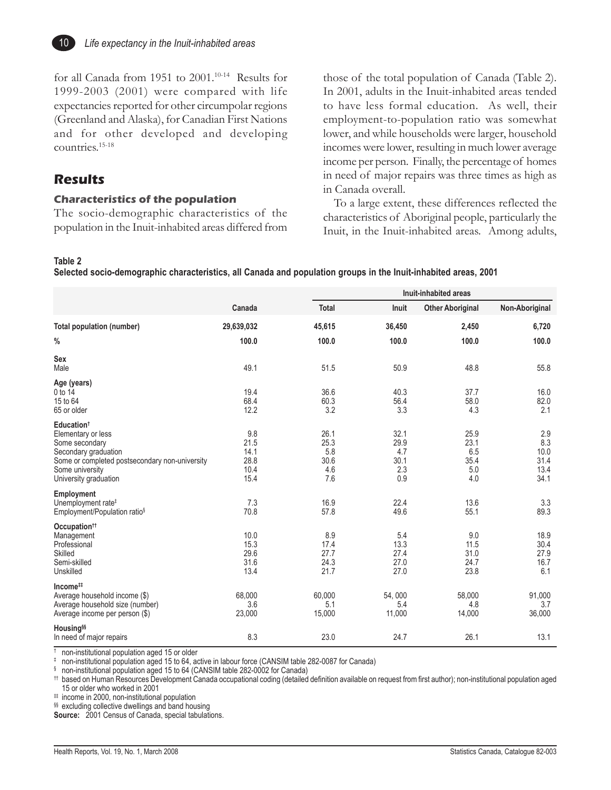

for all Canada from 1951 to 2001.<sup>10-14</sup> Results for 1999-2003 (2001) were compared with life expectancies reported for other circumpolar regions (Greenland and Alaska), for Canadian First Nations and for other developed and developing countries.15-18

#### **Results**

#### **Characteristics of the population**

The socio-demographic characteristics of the population in the Inuit-inhabited areas differed from those of the total population of Canada (Table 2). In 2001, adults in the Inuit-inhabited areas tended to have less formal education. As well, their employment-to-population ratio was somewhat lower, and while households were larger, household incomes were lower, resulting in much lower average income per person. Finally, the percentage of homes in need of major repairs was three times as high as in Canada overall.

To a large extent, these differences reflected the characteristics of Aboriginal people, particularly the Inuit, in the Inuit-inhabited areas. Among adults,

#### **Table 2**

**Selected socio-demographic characteristics, all Canada and population groups in the Inuit-inhabited areas, 2001**

|                                                                                                                                                                                      |                                             |                                           | Inuit-inhabited areas                     |                                           |                                            |  |  |
|--------------------------------------------------------------------------------------------------------------------------------------------------------------------------------------|---------------------------------------------|-------------------------------------------|-------------------------------------------|-------------------------------------------|--------------------------------------------|--|--|
|                                                                                                                                                                                      | Canada                                      | <b>Total</b>                              | Inuit                                     | <b>Other Aboriginal</b>                   | Non-Aboriginal                             |  |  |
| <b>Total population (number)</b>                                                                                                                                                     | 29,639,032                                  | 45,615                                    | 36,450                                    | 2,450                                     | 6,720                                      |  |  |
| $\%$                                                                                                                                                                                 | 100.0                                       | 100.0                                     | 100.0                                     | 100.0                                     | 100.0                                      |  |  |
| <b>Sex</b><br>Male                                                                                                                                                                   | 49.1                                        | 51.5                                      | 50.9                                      | 48.8                                      | 55.8                                       |  |  |
| Age (years)<br>0 to 14<br>15 to 64<br>65 or older                                                                                                                                    | 19.4<br>68.4<br>12.2                        | 36.6<br>60.3<br>3.2                       | 40.3<br>56.4<br>3.3                       | 37.7<br>58.0<br>4.3                       | 16.0<br>82.0<br>2.1                        |  |  |
| Education <sup>†</sup><br>Elementary or less<br>Some secondary<br>Secondary graduation<br>Some or completed postsecondary non-university<br>Some university<br>University graduation | 9.8<br>21.5<br>14.1<br>28.8<br>10.4<br>15.4 | 26.1<br>25.3<br>5.8<br>30.6<br>4.6<br>7.6 | 32.1<br>29.9<br>4.7<br>30.1<br>2.3<br>0.9 | 25.9<br>23.1<br>6.5<br>35.4<br>5.0<br>4.0 | 2.9<br>8.3<br>10.0<br>31.4<br>13.4<br>34.1 |  |  |
| Employment<br>Unemployment rate <sup>#</sup><br>Employment/Population ratio <sup>§</sup>                                                                                             | 7.3<br>70.8                                 | 16.9<br>57.8                              | 22.4<br>49.6                              | 13.6<br>55.1                              | 3.3<br>89.3                                |  |  |
| Occupation <sup>††</sup><br>Management<br>Professional<br>Skilled<br>Semi-skilled<br>Unskilled                                                                                       | 10.0<br>15.3<br>29.6<br>31.6<br>13.4        | 8.9<br>17.4<br>27.7<br>24.3<br>21.7       | 5.4<br>13.3<br>27.4<br>27.0<br>27.0       | 9.0<br>11.5<br>31.0<br>24.7<br>23.8       | 18.9<br>30.4<br>27.9<br>16.7<br>6.1        |  |  |
| Income <sup>##</sup><br>Average household income (\$)<br>Average household size (number)<br>Average income per person (\$)                                                           | 68,000<br>3.6<br>23,000                     | 60,000<br>5.1<br>15,000                   | 54,000<br>5.4<br>11,000                   | 58,000<br>4.8<br>14,000                   | 91,000<br>3.7<br>36,000                    |  |  |
| Housing <sup>§§</sup><br>In need of major repairs                                                                                                                                    | 8.3                                         | 23.0                                      | 24.7                                      | 26.1                                      | 13.1                                       |  |  |

 $\frac{1}{1}$  non-institutional population aged 15 or older

 $\frac{1}{2}$  non-institutional population aged 15 to 64, active in labour force (CANSIM table 282-0087 for Canada)

§ non-institutional population aged 15 to 64 (CANSIM table 282-0002 for Canada)

†† based on Human Resources Development Canada occupational coding (detailed definition available on request from first author); non-institutional population aged 15 or older who worked in 2001

# income in 2000, non-institutional population

§§ excluding collective dwellings and band housing

**Source:** 2001 Census of Canada, special tabulations.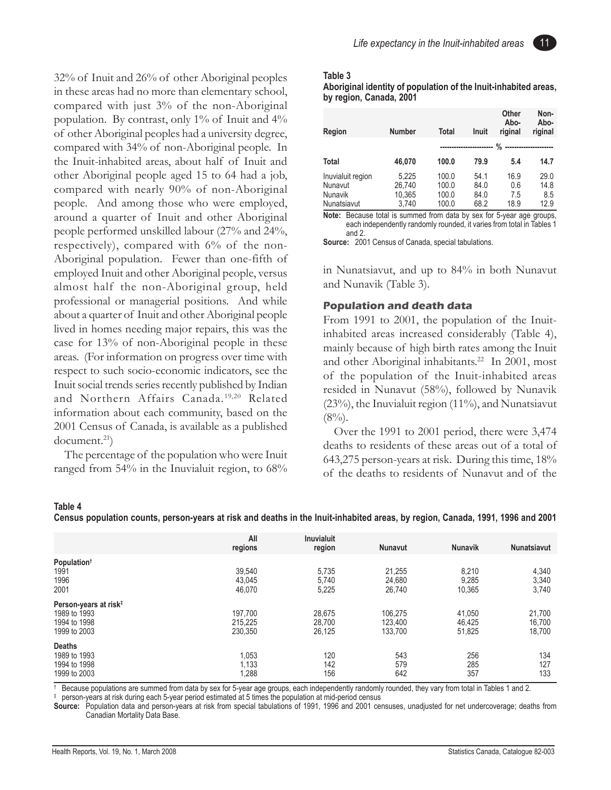32% of Inuit and 26% of other Aboriginal peoples in these areas had no more than elementary school, compared with just 3% of the non-Aboriginal population. By contrast, only 1% of Inuit and 4% of other Aboriginal peoples had a university degree, compared with 34% of non-Aboriginal people. In the Inuit-inhabited areas, about half of Inuit and other Aboriginal people aged 15 to 64 had a job, compared with nearly 90% of non-Aboriginal people. And among those who were employed, around a quarter of Inuit and other Aboriginal people performed unskilled labour (27% and 24%, respectively), compared with 6% of the non-Aboriginal population. Fewer than one-fifth of employed Inuit and other Aboriginal people, versus almost half the non-Aboriginal group, held professional or managerial positions. And while about a quarter of Inuit and other Aboriginal people lived in homes needing major repairs, this was the case for 13% of non-Aboriginal people in these areas. (For information on progress over time with respect to such socio-economic indicators, see the Inuit social trends series recently published by Indian and Northern Affairs Canada.<sup>19,20</sup> Related information about each community, based on the 2001 Census of Canada, is available as a published document.<sup>21</sup>)

The percentage of the population who were Inuit ranged from 54% in the Inuvialuit region, to 68%



#### **Table 3**

**Aboriginal identity of population of the Inuit-inhabited areas, by region, Canada, 2001**

| Region                                                 | <b>Number</b>                      | <b>Total</b>                     | <b>Inuit</b>                 | Other<br>Abo-<br>riginal   | Non-<br>Abo-<br>riginal     |
|--------------------------------------------------------|------------------------------------|----------------------------------|------------------------------|----------------------------|-----------------------------|
|                                                        |                                    |                                  |                              | %                          |                             |
| <b>Total</b>                                           | 46,070                             | 100.0                            | 79.9                         | 5.4                        | 14.7                        |
| Inuvialuit region<br>Nunavut<br>Nunavik<br>Nunatsiavut | 5,225<br>26.740<br>10,365<br>3.740 | 100.0<br>100.0<br>100.0<br>100.0 | 54.1<br>84.0<br>84.0<br>68.2 | 16.9<br>0.6<br>7.5<br>18.9 | 29.0<br>14.8<br>8.5<br>12.9 |

**Note:** Because total is summed from data by sex for 5-year age groups, each independently randomly rounded, it varies from total in Tables 1 and 2.

**Source:** 2001 Census of Canada, special tabulations.

in Nunatsiavut, and up to 84% in both Nunavut and Nunavik (Table 3).

#### **Population and death data**

From 1991 to 2001, the population of the Inuitinhabited areas increased considerably (Table 4), mainly because of high birth rates among the Inuit and other Aboriginal inhabitants.<sup>22</sup> In 2001, most of the population of the Inuit-inhabited areas resided in Nunavut (58%), followed by Nunavik (23%), the Inuvialuit region (11%), and Nunatsiavut  $(8\%)$ .

Over the 1991 to 2001 period, there were 3,474 deaths to residents of these areas out of a total of 643,275 person-years at risk. During this time, 18% of the deaths to residents of Nunavut and of the

#### **Table 4**

**Census population counts, person-years at risk and deaths in the Inuit-inhabited areas, by region, Canada, 1991, 1996 and 2001**

|                                                                                   | All<br>regions                | <b>Inuvialuit</b><br>region | <b>Nunavut</b>                | <b>Nunavik</b>             | <b>Nunatsiavut</b>         |
|-----------------------------------------------------------------------------------|-------------------------------|-----------------------------|-------------------------------|----------------------------|----------------------------|
| Population <sup>†</sup><br>1991<br>1996<br>2001                                   | 39,540<br>43,045<br>46,070    | 5,735<br>5,740<br>5,225     | 21,255<br>24,680<br>26,740    | 8,210<br>9,285<br>10,365   | 4,340<br>3,340<br>3,740    |
| Person-years at risk <sup>‡</sup><br>1989 to 1993<br>1994 to 1998<br>1999 to 2003 | 197,700<br>215,225<br>230.350 | 28,675<br>28,700<br>26.125  | 106.275<br>123,400<br>133.700 | 41.050<br>46,425<br>51.825 | 21,700<br>16,700<br>18.700 |
| <b>Deaths</b><br>1989 to 1993<br>1994 to 1998<br>1999 to 2003                     | 1,053<br>1,133<br>1,288       | 120<br>142<br>156           | 543<br>579<br>642             | 256<br>285<br>357          | 134<br>127<br>133          |

Because populations are summed from data by sex for 5-year age groups, each independently randomly rounded, they vary from total in Tables 1 and 2.

‡ person-years at risk during each 5-year period estimated at 5 times the population at mid-period census

**Source:** Population data and person-years at risk from special tabulations of 1991, 1996 and 2001 censuses, unadjusted for net undercoverage; deaths from Canadian Mortality Data Base.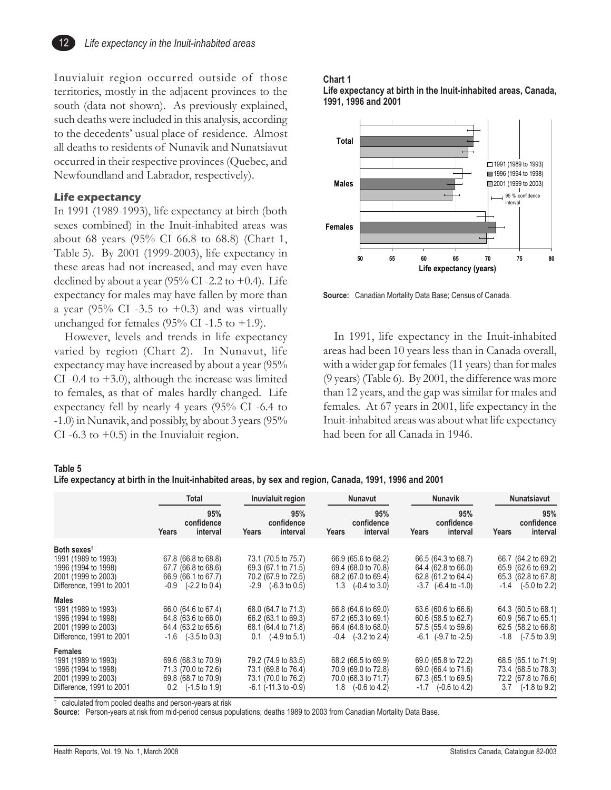Inuvialuit region occurred outside of those territories, mostly in the adjacent provinces to the south (data not shown). As previously explained, such deaths were included in this analysis, according to the decedents' usual place of residence. Almost all deaths to residents of Nunavik and Nunatsiavut occurred in their respective provinces (Quebec, and Newfoundland and Labrador, respectively).

#### **Life expectancy**

12

In 1991 (1989-1993), life expectancy at birth (both sexes combined) in the Inuit-inhabited areas was about 68 years (95% CI 66.8 to 68.8) (Chart 1, Table 5). By 2001 (1999-2003), life expectancy in these areas had not increased, and may even have declined by about a year  $(95\%$  CI-2.2 to +0.4). Life expectancy for males may have fallen by more than a year (95% CI -3.5 to +0.3) and was virtually unchanged for females  $(95\% \text{ CI} - 1.5 \text{ to } +1.9)$ .

However, levels and trends in life expectancy varied by region (Chart 2). In Nunavut, life expectancy may have increased by about a year (95% CI -0.4 to  $+3.0$ ), although the increase was limited to females, as that of males hardly changed. Life expectancy fell by nearly 4 years (95% CI -6.4 to -1.0) in Nunavik, and possibly, by about 3 years (95% CI  $-6.3$  to  $+0.5$ ) in the Inuvialuit region.

#### **Chart 1**





**Source:** Canadian Mortality Data Base; Census of Canada.

In 1991, life expectancy in the Inuit-inhabited areas had been 10 years less than in Canada overall, with a wider gap for females (11 years) than for males (9 years) (Table 6). By 2001, the difference was more than 12 years, and the gap was similar for males and females. At 67 years in 2001, life expectancy in the Inuit-inhabited areas was about what life expectancy had been for all Canada in 1946.

#### **Table 5**

**Life expectancy at birth in the Inuit-inhabited areas, by sex and region, Canada, 1991, 1996 and 2001**

|                                                                                                                          | Total                                                                                                | Inuvialuit region                                                                                    | <b>Nunavut</b>                                                                                       | <b>Nunavik</b>                                                                                        | Nunatsiavut                                                                                          |
|--------------------------------------------------------------------------------------------------------------------------|------------------------------------------------------------------------------------------------------|------------------------------------------------------------------------------------------------------|------------------------------------------------------------------------------------------------------|-------------------------------------------------------------------------------------------------------|------------------------------------------------------------------------------------------------------|
|                                                                                                                          | 95%<br>confidence<br>interval<br>Years                                                               | 95%<br>confidence<br>interval<br>Years                                                               | 95%<br>confidence<br>interval<br>Years                                                               | 95%<br>confidence<br><b>Years</b><br>interval                                                         | 95%<br>confidence<br>interval<br>Years                                                               |
| Both sexes <sup>t</sup><br>1991 (1989 to 1993)<br>1996 (1994 to 1998)<br>2001 (1999 to 2003)<br>Difference, 1991 to 2001 | 67.8 (66.8 to 68.8)<br>67.7 (66.8 to 68.6)<br>66.9 (66.1 to 67.7)<br>$-0.9$ $(-2.2 \text{ to } 0.4)$ | 73.1 (70.5 to 75.7)<br>69.3 (67.1 to 71.5)<br>70.2 (67.9 to 72.5)<br>$-2.9$ $(-6.3 \text{ to } 0.5)$ | 66.9 (65.6 to 68.2)<br>69.4 (68.0 to 70.8)<br>68.2 (67.0 to 69.4)<br>$1.3$ $(-0.4 \text{ to } 3.0)$  | 66.5 (64.3 to 68.7)<br>64.4 (62.8 to 66.0)<br>62.8 (61.2 to 64.4)<br>$-3.7$ $(-6.4 \text{ to } -1.0)$ | 66.7 (64.2 to 69.2)<br>65.9 (62.6 to 69.2)<br>65.3 (62.8 to 67.8)<br>$-1.4$ $(-5.0 \text{ to } 2.2)$ |
| Males<br>1991 (1989 to 1993)<br>1996 (1994 to 1998)<br>2001 (1999 to 2003)<br>Difference, 1991 to 2001                   | 66.0 (64.6 to 67.4)<br>64.8 (63.6 to 66.0)<br>64.4 (63.2 to 65.6)<br>$-1.6$ $(-3.5 \text{ to } 0.3)$ | 68.0 (64.7 to 71.3)<br>66.2 (63.1 to 69.3)<br>68.1 (64.4 to 71.8)<br>$0.1$ $(-4.9 \text{ to } 5.1)$  | 66.8 (64.6 to 69.0)<br>67.2 (65.3 to 69.1)<br>66.4 (64.8 to 68.0)<br>$-0.4$ $(-3.2 \text{ to } 2.4)$ | 63.6 (60.6 to 66.6)<br>60.6 (58.5 to 62.7)<br>57.5 (55.4 to 59.6)<br>$-6.1$ $(-9.7 \text{ to } -2.5)$ | 64.3 (60.5 to 68.1)<br>60.9 (56.7 to 65.1)<br>62.5 (58.2 to 66.8)<br>$-1.8$ $(-7.5 \text{ to } 3.9)$ |
| <b>Females</b><br>1991 (1989 to 1993)<br>1996 (1994 to 1998)<br>2001 (1999 to 2003)<br>Difference, 1991 to 2001          | 69.6 (68.3 to 70.9)<br>71.3 (70.0 to 72.6)<br>69.8 (68.7 to 70.9)<br>$0.2$ $(-1.5 \text{ to } 1.9)$  | 79.2 (74.9 to 83.5)<br>73.1 (69.8 to 76.4)<br>73.1 (70.0 to 76.2)<br>$-6.1$ ( $-11.3$ to $-0.9$ )    | 68.2 (66.5 to 69.9)<br>70.9 (69.0 to 72.8)<br>70.0 (68.3 to 71.7)<br>$1.8$ $(-0.6 \text{ to } 4.2)$  | 69.0 (65.8 to 72.2)<br>69.0 (66.4 to 71.6)<br>67.3 (65.1 to 69.5)<br>$-1.7$ $(-0.6 \text{ to } 4.2)$  | 68.5 (65.1 to 71.9)<br>73.4 (68.5 to 78.3)<br>72.2 (67.8 to 76.6)<br>$3.7$ $(-1.8 \text{ to } 9.2)$  |

† calculated from pooled deaths and person-years at risk

**Source:** Person-years at risk from mid-period census populations; deaths 1989 to 2003 from Canadian Mortality Data Base.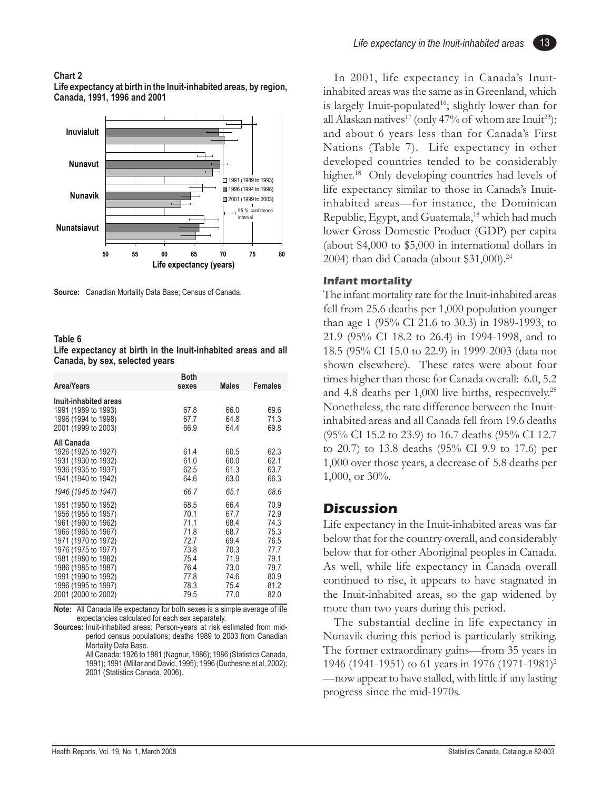#### **Chart 2**

**Life expectancy at birth in the Inuit-inhabited areas, by region, Canada, 1991, 1996 and 2001**



**Source:** Canadian Mortality Data Base; Census of Canada.

#### **Table 6**

**Life expectancy at birth in the Inuit-inhabited areas and all Canada, by sex, selected years**

| Area/Years                                                                                                                                                    | <b>Both</b><br>sexes                                 | <b>Males</b>                                         | <b>Females</b>                                       |
|---------------------------------------------------------------------------------------------------------------------------------------------------------------|------------------------------------------------------|------------------------------------------------------|------------------------------------------------------|
| Inuit-inhabited areas<br>1991 (1989 to 1993)<br>1996 (1994 to 1998)<br>2001 (1999 to 2003)                                                                    | 67.8<br>67.7<br>66.9                                 | 66.0<br>64.8<br>64.4                                 | 69.6<br>71.3<br>69.8                                 |
| All Canada<br>1926 (1925 to 1927)<br>1931 (1930 to 1932)<br>1936 (1935 to 1937)<br>1941 (1940 to 1942)                                                        | 61.4<br>61.0<br>62.5<br>64.6                         | 60.5<br>60.0<br>61.3<br>63.0                         | 62.3<br>62.1<br>63.7<br>66.3                         |
| 1946 (1945 to 1947)<br>1951 (1950 to 1952)<br>1956 (1955 to 1957)<br>1961 (1960 to 1962)<br>1966 (1965 to 1967)<br>1971 (1970 to 1972)<br>1976 (1975 to 1977) | 66.7<br>68.5<br>70.1<br>71.1<br>71.8<br>72.7<br>73.8 | 65.1<br>66.4<br>67.7<br>68.4<br>68.7<br>69.4<br>70.3 | 68.6<br>70.9<br>72.9<br>74.3<br>75.3<br>76.5<br>77.7 |
| 1981 (1980 to 1982)<br>1986 (1985 to 1987)<br>1991 (1990 to 1992)<br>1996 (1995 to 1997)<br>2001 (2000 to 2002)                                               | 75.4<br>76.4<br>77.8<br>78.3<br>79.5                 | 71.9<br>73.0<br>74.6<br>75.4<br>77.0                 | 79.1<br>79.7<br>80.9<br>81.2<br>82.0                 |

**Note:** All Canada life expectancy for both sexes is a simple average of life expectancies calculated for each sex separately.

**Sources:** Inuit-inhabited areas: Person-years at risk estimated from midperiod census populations; deaths 1989 to 2003 from Canadian Mortality Data Base.

All Canada: 1926 to 1981 (Nagnur, 1986); 1986 (Statistics Canada, 1991); 1991 (Millar and David, 1995); 1996 (Duchesne et al, 2002); 2001 (Statistics Canada, 2006).

13

In 2001, life expectancy in Canada's Inuitinhabited areas was the same as in Greenland, which is largely Inuit-populated<sup>16</sup>; slightly lower than for all Alaskan natives<sup>17</sup> (only 47% of whom are Inuit<sup>23</sup>); and about 6 years less than for Canada's First Nations (Table 7). Life expectancy in other developed countries tended to be considerably higher.<sup>18</sup> Only developing countries had levels of life expectancy similar to those in Canada's Inuitinhabited areas—for instance, the Dominican Republic, Egypt, and Guatemala,<sup>18</sup> which had much lower Gross Domestic Product (GDP) per capita (about \$4,000 to \$5,000 in international dollars in 2004) than did Canada (about \$31,000).<sup>24</sup>

#### **Infant mortality**

The infant mortality rate for the Inuit-inhabited areas fell from 25.6 deaths per 1,000 population younger than age 1 (95% CI 21.6 to 30.3) in 1989-1993, to 21.9 (95% CI 18.2 to 26.4) in 1994-1998, and to 18.5 (95% CI 15.0 to 22.9) in 1999-2003 (data not shown elsewhere). These rates were about four times higher than those for Canada overall: 6.0, 5.2 and 4.8 deaths per 1,000 live births, respectively.25 Nonetheless, the rate difference between the Inuitinhabited areas and all Canada fell from 19.6 deaths (95% CI 15.2 to 23.9) to 16.7 deaths (95% CI 12.7 to 20.7) to 13.8 deaths (95% CI 9.9 to 17.6) per 1,000 over those years, a decrease of 5.8 deaths per 1,000, or 30%.

#### **Discussion**

Life expectancy in the Inuit-inhabited areas was far below that for the country overall, and considerably below that for other Aboriginal peoples in Canada. As well, while life expectancy in Canada overall continued to rise, it appears to have stagnated in the Inuit-inhabited areas, so the gap widened by more than two years during this period.

The substantial decline in life expectancy in Nunavik during this period is particularly striking. The former extraordinary gains—from 35 years in 1946 (1941-1951) to 61 years in 1976 (1971-1981)2 —now appear to have stalled, with little if any lasting progress since the mid-1970s.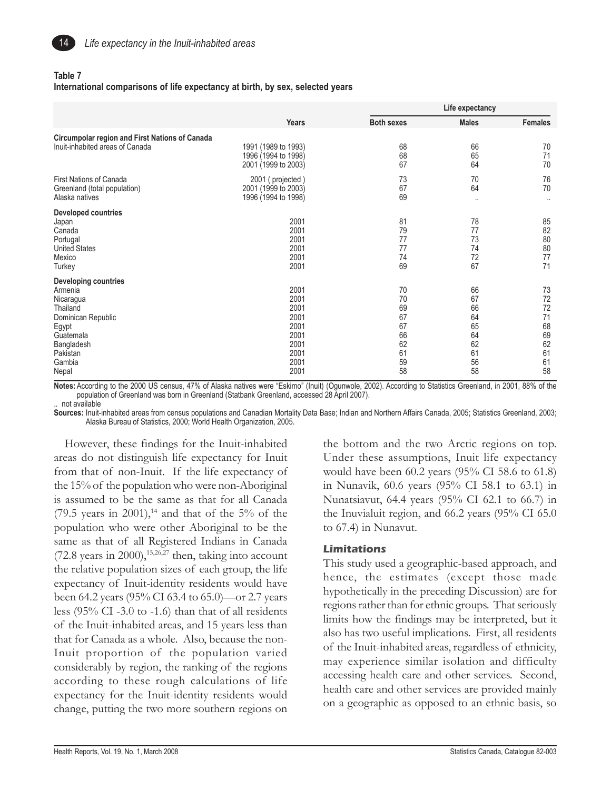

#### **Table 7**

#### **International comparisons of life expectancy at birth, by sex, selected years**

|                                                                                                                                                          |                                                                              | Life expectancy                                          |                                                          |                                                          |
|----------------------------------------------------------------------------------------------------------------------------------------------------------|------------------------------------------------------------------------------|----------------------------------------------------------|----------------------------------------------------------|----------------------------------------------------------|
|                                                                                                                                                          | <b>Years</b>                                                                 | <b>Both sexes</b>                                        | <b>Males</b>                                             | <b>Females</b>                                           |
| Circumpolar region and First Nations of Canada<br>Inuit-inhabited areas of Canada                                                                        | 1991 (1989 to 1993)<br>1996 (1994 to 1998)<br>2001 (1999 to 2003)            | 68<br>68<br>67                                           | 66<br>65<br>64                                           | 70<br>71<br>70                                           |
| First Nations of Canada<br>Greenland (total population)<br>Alaska natives                                                                                | 2001 (projected)<br>2001 (1999 to 2003)<br>1996 (1994 to 1998)               | 73<br>67<br>69                                           | 70<br>64<br>$\cdot$                                      | 76<br>70<br>$\ddot{\phantom{a}}$                         |
| <b>Developed countries</b><br>Japan<br>Canada<br>Portugal<br><b>United States</b><br>Mexico<br>Turkey                                                    | 2001<br>2001<br>2001<br>2001<br>2001<br>2001                                 | 81<br>79<br>77<br>77<br>74<br>69                         | 78<br>77<br>73<br>74<br>72<br>67                         | 85<br>82<br>$80\,$<br>80<br>77<br>71                     |
| <b>Developing countries</b><br>Armenia<br>Nicaragua<br>Thailand<br>Dominican Republic<br>Egypt<br>Guatemala<br>Bangladesh<br>Pakistan<br>Gambia<br>Nepal | 2001<br>2001<br>2001<br>2001<br>2001<br>2001<br>2001<br>2001<br>2001<br>2001 | 70<br>70<br>69<br>67<br>67<br>66<br>62<br>61<br>59<br>58 | 66<br>67<br>66<br>64<br>65<br>64<br>62<br>61<br>56<br>58 | 73<br>72<br>72<br>71<br>68<br>69<br>62<br>61<br>61<br>58 |

**Notes:** According to the 2000 US census, 47% of Alaska natives were "Eskimo" (Inuit) (Ogunwole, 2002). According to Statistics Greenland, in 2001, 88% of the population of Greenland was born in Greenland (Statbank Greenland, accessed 28 April 2007). .. not available

**Sources:** Inuit-inhabited areas from census populations and Canadian Mortality Data Base; Indian and Northern Affairs Canada, 2005; Statistics Greenland, 2003; Alaska Bureau of Statistics, 2000; World Health Organization, 2005.

However, these findings for the Inuit-inhabited areas do not distinguish life expectancy for Inuit from that of non-Inuit. If the life expectancy of the 15% of the population who were non-Aboriginal is assumed to be the same as that for all Canada  $(79.5 \text{ years in } 2001)$ ,<sup>14</sup> and that of the 5% of the population who were other Aboriginal to be the same as that of all Registered Indians in Canada  $(72.8 \text{ years in } 2000)$ , <sup>15,26,27</sup> then, taking into account the relative population sizes of each group, the life expectancy of Inuit-identity residents would have been 64.2 years (95% CI 63.4 to 65.0)—or 2.7 years less (95% CI -3.0 to -1.6) than that of all residents of the Inuit-inhabited areas, and 15 years less than that for Canada as a whole. Also, because the non-Inuit proportion of the population varied considerably by region, the ranking of the regions according to these rough calculations of life expectancy for the Inuit-identity residents would change, putting the two more southern regions on

the bottom and the two Arctic regions on top. Under these assumptions, Inuit life expectancy would have been 60.2 years (95% CI 58.6 to 61.8) in Nunavik, 60.6 years (95% CI 58.1 to 63.1) in Nunatsiavut, 64.4 years (95% CI 62.1 to 66.7) in the Inuvialuit region, and 66.2 years (95% CI 65.0 to 67.4) in Nunavut.

#### **Limitations**

This study used a geographic-based approach, and hence, the estimates (except those made hypothetically in the preceding Discussion) are for regions rather than for ethnic groups. That seriously limits how the findings may be interpreted, but it also has two useful implications.First, all residents of the Inuit-inhabited areas, regardless of ethnicity, may experience similar isolation and difficulty accessing health care and other services. Second, health care and other services are provided mainly on a geographic as opposed to an ethnic basis, so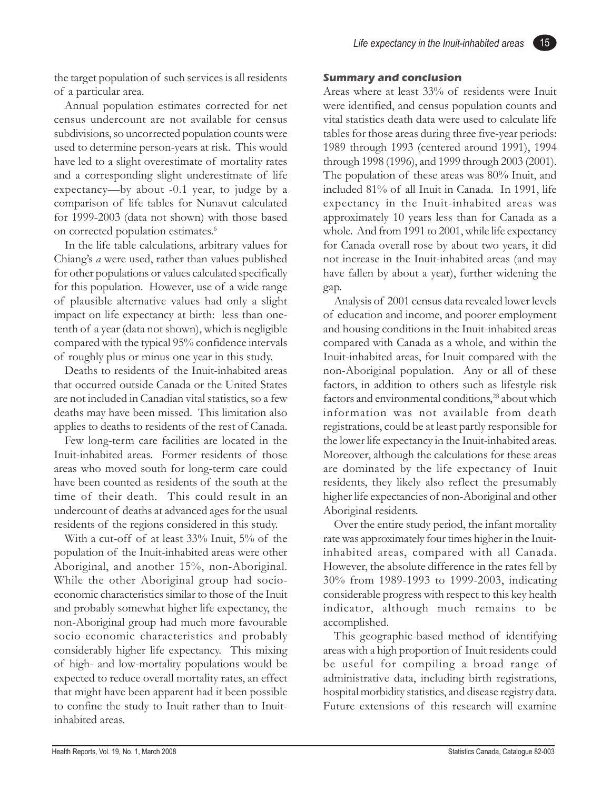15

the target population of such services is all residents of a particular area.

Annual population estimates corrected for net census undercount are not available for census subdivisions, so uncorrected population counts were used to determine person-years at risk. This would have led to a slight overestimate of mortality rates and a corresponding slight underestimate of life expectancy—by about -0.1 year, to judge by a comparison of life tables for Nunavut calculated for 1999-2003 (data not shown) with those based on corrected population estimates.<sup>6</sup>

In the life table calculations, arbitrary values for Chiang's *a* were used, rather than values published for other populations or values calculated specifically for this population. However, use of a wide range of plausible alternative values had only a slight impact on life expectancy at birth: less than onetenth of a year (data not shown), which is negligible compared with the typical 95% confidence intervals of roughly plus or minus one year in this study.

Deaths to residents of the Inuit-inhabited areas that occurred outside Canada or the United States are not included in Canadian vital statistics, so a few deaths may have been missed. This limitation also applies to deaths to residents of the rest of Canada.

Few long-term care facilities are located in the Inuit-inhabited areas. Former residents of those areas who moved south for long-term care could have been counted as residents of the south at the time of their death. This could result in an undercount of deaths at advanced ages for the usual residents of the regions considered in this study.

With a cut-off of at least 33% Inuit, 5% of the population of the Inuit-inhabited areas were other Aboriginal, and another 15%, non-Aboriginal. While the other Aboriginal group had socioeconomic characteristics similar to those of the Inuit and probably somewhat higher life expectancy, the non-Aboriginal group had much more favourable socio-economic characteristics and probably considerably higher life expectancy. This mixing of high- and low-mortality populations would be expected to reduce overall mortality rates, an effect that might have been apparent had it been possible to confine the study to Inuit rather than to Inuitinhabited areas.

#### **Summary and conclusion**

Areas where at least 33% of residents were Inuit were identified, and census population counts and vital statistics death data were used to calculate life tables for those areas during three five-year periods: 1989 through 1993 (centered around 1991), 1994 through 1998 (1996), and 1999 through 2003 (2001). The population of these areas was 80% Inuit, and included 81% of all Inuit in Canada. In 1991, life expectancy in the Inuit-inhabited areas was approximately 10 years less than for Canada as a whole. And from 1991 to 2001, while life expectancy for Canada overall rose by about two years, it did not increase in the Inuit-inhabited areas (and may have fallen by about a year), further widening the gap.

Analysis of 2001 census data revealed lower levels of education and income, and poorer employment and housing conditions in the Inuit-inhabited areas compared with Canada as a whole, and within the Inuit-inhabited areas, for Inuit compared with the non-Aboriginal population. Any or all of these factors, in addition to others such as lifestyle risk factors and environmental conditions,<sup>28</sup> about which information was not available from death registrations, could be at least partly responsible for the lower life expectancy in the Inuit-inhabited areas. Moreover, although the calculations for these areas are dominated by the life expectancy of Inuit residents, they likely also reflect the presumably higher life expectancies of non-Aboriginal and other Aboriginal residents.

Over the entire study period, the infant mortality rate was approximately four times higher in the Inuitinhabited areas, compared with all Canada. However, the absolute difference in the rates fell by 30% from 1989-1993 to 1999-2003, indicating considerable progress with respect to this key health indicator, although much remains to be accomplished.

This geographic-based method of identifying areas with a high proportion of Inuit residents could be useful for compiling a broad range of administrative data, including birth registrations, hospital morbidity statistics, and disease registry data. Future extensions of this research will examine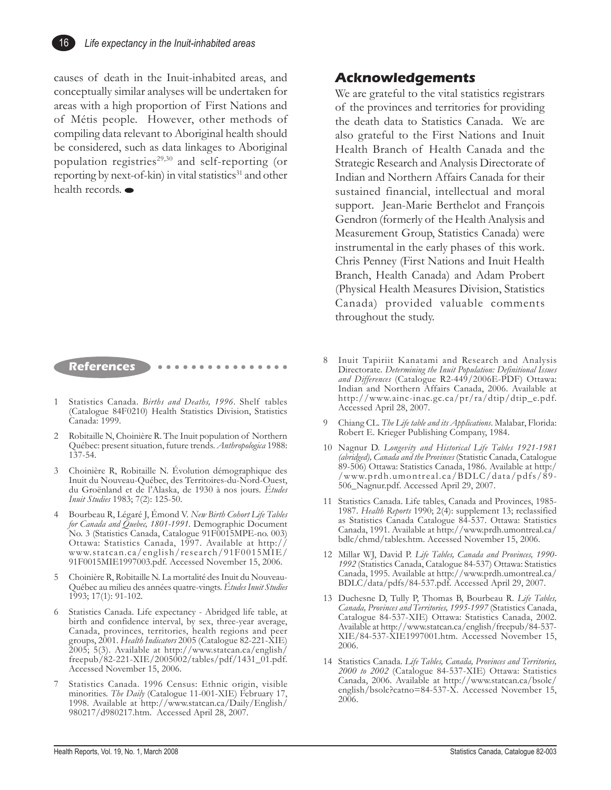

causes of death in the Inuit-inhabited areas, and conceptually similar analyses will be undertaken for areas with a high proportion of First Nations and of Métis people. However, other methods of compiling data relevant to Aboriginal health should be considered, such as data linkages to Aboriginal population registries<sup>29,30</sup> and self-reporting (or reporting by next-of-kin) in vital statistics<sup>31</sup> and other health records.

#### **References** ○○○○○○○○○○○○○○○○

- 1 Statistics Canada. *Births and Deaths, 1996*. Shelf tables (Catalogue 84F0210) Health Statistics Division, Statistics Canada: 1999.
- 2 Robitaille N, Choinière R. The Inuit population of Northern Québec: present situation, future trends. *Anthropologica* 1988: 137-54.
- 3 Choinière R, Robitaille N. Évolution démographique des Inuit du Nouveau-Québec, des Territoires-du-Nord-Ouest, du Groënland et de l'Alaska, de 1930 à nos jours*. Études Inuit Studies* 1983; 7(2): 125-50.
- 4 Bourbeau R, Légaré J, Émond V. *New Birth Cohort Life Tables for Canada and Quebec, 1801-1991.* Demographic Document No. 3 (Statistics Canada, Catalogue 91F0015MPE-no. 003) Ottawa: Statistics Canada, 1997. Available at http:// www.statcan.ca/english/research/91F0015MIE/ 91F0015MIE1997003.pdf. Accessed November 15, 2006.
- 5 Choinière R, Robitaille N. La mortalité des Inuit du Nouveau-Québec au milieu des années quatre-vingts. *Études Inuit Studies* 1993; 17(1): 91-102.
- 6 Statistics Canada. Life expectancy Abridged life table, at birth and confidence interval, by sex, three-year average, Canada, provinces, territories, health regions and peer groups, 2001. *Health Indicators* 2005 (Catalogue 82-221-XIE) 2005; 5(3). Available at http://www.statcan.ca/english/ freepub/82-221-XIE/2005002/tables/pdf/1431\_01.pdf. Accessed November 15, 2006.
- Statistics Canada. 1996 Census: Ethnic origin, visible minorities. *The Daily* (Catalogue 11-001-XIE) February 17, 1998. Available at http://www.statcan.ca/Daily/English/ 980217/d980217.htm. Accessed April 28, 2007.

#### **Acknowledgements**

We are grateful to the vital statistics registrars of the provinces and territories for providing the death data to Statistics Canada. We are also grateful to the First Nations and Inuit Health Branch of Health Canada and the Strategic Research and Analysis Directorate of Indian and Northern Affairs Canada for their sustained financial, intellectual and moral support. Jean-Marie Berthelot and François Gendron (formerly of the Health Analysis and Measurement Group, Statistics Canada) were instrumental in the early phases of this work. Chris Penney (First Nations and Inuit Health Branch, Health Canada) and Adam Probert (Physical Health Measures Division, Statistics Canada) provided valuable comments throughout the study.

- 8 Inuit Tapiriit Kanatami and Research and Analysis Directorate. *Determining the Inuit Population: Definitional Issues* and Differences (Catalogue R2-449/2006E-PDF) Ottawa: Indian and Northern Affairs Canada, 2006. Available at http://www.ainc-inac.gc.ca/pr/ra/dtip/dtip\_e.pdf. Accessed April 28, 2007.
- 9 Chiang CL. *The Life table and its Applications*. Malabar, Florida: Robert E. Krieger Publishing Company, 1984.
- 10 Nagnur D. *Longevity and Historical Life Tables 1921-1981 (abridged), Canada and the Provinces* (Statistic Canada, Catalogue 89-506) Ottawa: Statistics Canada, 1986. Available at http:/ /www.prdh.umontreal.ca/BDLC/data/pdfs/89- 506\_Nagnur.pdf. Accessed April 29, 2007.
- 11 Statistics Canada. Life tables, Canada and Provinces, 1985- 1987. *Health Reports* 1990; 2(4): supplement 13; reclassified as Statistics Canada Catalogue 84-537. Ottawa: Statistics Canada, 1991. Available at http://www.prdh.umontreal.ca/ bdlc/chmd/tables.htm. Accessed November 15, 2006.
- 12 Millar WJ, David P. *Life Tables, Canada and Provinces, 1990- 1992* (Statistics Canada, Catalogue 84-537) Ottawa: Statistics Canada, 1995. Available at http://www.prdh.umontreal.ca/ BDLC/data/pdfs/84-537.pdf. Accessed April 29, 2007.
- 13 Duchesne D, Tully P, Thomas B, Bourbeau R. *Life Tables, Canada, Provinces and Territories, 1995-1997* (Statistics Canada, Catalogue 84-537-XIE) Ottawa: Statistics Canada, 2002. Available at http://www.statcan.ca/english/freepub/84-537- XIE/84-537-XIE1997001.htm. Accessed November 15, 2006.
- 14 Statistics Canada. *Life Tables, Canada, Provinces and Territories, 2000 to 2002* (Catalogue 84-537-XIE) Ottawa: Statistics Canada, 2006. Available at http://www.statcan.ca/bsolc/ english/bsolc?catno=84-537-X. Accessed November 15, 2006.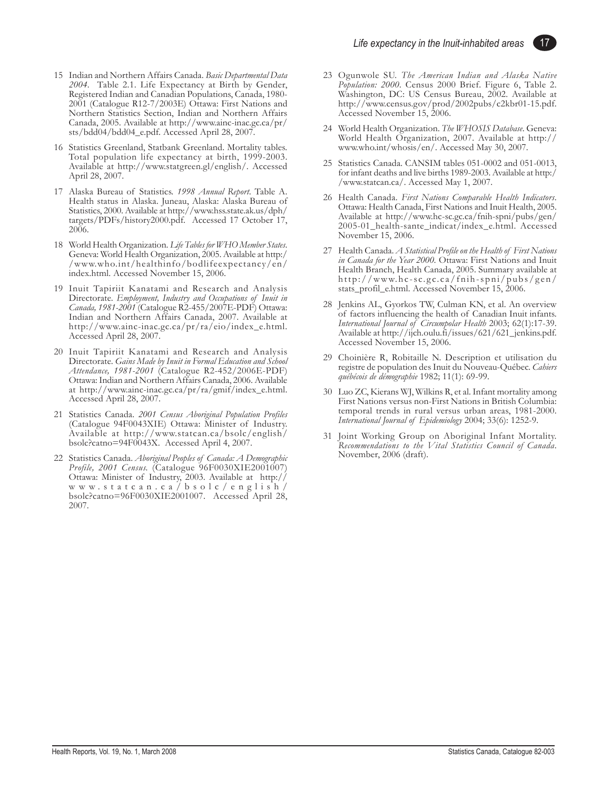17

- 15 Indian and Northern Affairs Canada. *Basic Departmental Data 2004.* Table 2.1. Life Expectancy at Birth by Gender, Registered Indian and Canadian Populations, Canada, 1980- 2001 (Catalogue R12-7/2003E) Ottawa: First Nations and Northern Statistics Section, Indian and Northern Affairs Canada, 2005. Available at http://www.ainc-inac.gc.ca/pr/ sts/bdd04/bdd04\_e.pdf. Accessed April 28, 2007.
- 16 Statistics Greenland, Statbank Greenland. Mortality tables. Total population life expectancy at birth, 1999-2003. Available at http://www.statgreen.gl/english/. Accessed April 28, 2007.
- 17 Alaska Bureau of Statistics. *1998 Annual Report*. Table A. Health status in Alaska. Juneau, Alaska: Alaska Bureau of Statistics, 2000. Available at http://www.hss.state.ak.us/dph/ targets/PDFs/history2000.pdf. Accessed 17 October 17, 2006.
- 18 World Health Organization. *Life Tables for WHO Member States*. Geneva: World Health Organization, 2005. Available at http:/ /www.who.int/healthinfo/bodlifeexpectancy/en/ index.html. Accessed November 15, 2006.
- 19 Inuit Tapiriit Kanatami and Research and Analysis Directorate. *Employment, Industry and Occupations of Inuit in Canada, 1981-2001* (Catalogue R2-455/2007E-PDF) Ottawa: Indian and Northern Affairs Canada, 2007. Available at http://www.ainc-inac.gc.ca/pr/ra/eio/index\_e.html. Accessed April 28, 2007.
- 20 Inuit Tapiriit Kanatami and Research and Analysis Directorate. *Gains Made by Inuit in Formal Education and School Attendance, 1981-2001* (Catalogue R2-452/2006E-PDF) Ottawa: Indian and Northern Affairs Canada, 2006. Available at http://www.ainc-inac.gc.ca/pr/ra/gmif/index\_e.html. Accessed April 28, 2007.
- 21 Statistics Canada. *2001 Census Aboriginal Population Profiles* (Catalogue 94F0043XIE) Ottawa: Minister of Industry. Available at http://www.statcan.ca/bsolc/english/ bsolc?catno=94F0043X. Accessed April 4, 2007.
- 22 Statistics Canada. *Aboriginal Peoples of Canada: A Demographic Profile, 2001 Census.* (Catalogue 96F0030XIE2001007) Ottawa: Minister of Industry, 2003. Available at http:// www.statcan.ca/bsolc/english/ bsolc?catno=96F0030XIE2001007. Accessed April 28, 2007.
- 23 Ogunwole SU. *The American Indian and Alaska Native Population: 2000.* Census 2000 Brief. Figure 6, Table 2. Washington, DC: US Census Bureau, 2002. Available at http://www.census.gov/prod/2002pubs/c2kbr01-15.pdf. Accessed November 15, 2006.
- 24 World Health Organization. *The WHOSIS Database*. Geneva: World Health Organization, 2007. Available at http:// www.who.int/whosis/en/. Accessed May 30, 2007.
- 25 Statistics Canada. CANSIM tables 051-0002 and 051-0013, for infant deaths and live births 1989-2003. Available at http:/ /www.statcan.ca/. Accessed May 1, 2007.
- 26 Health Canada. *First Nations Comparable Health Indicators*. Ottawa: Health Canada, First Nations and Inuit Health, 2005. Available at http://www.hc-sc.gc.ca/fnih-spni/pubs/gen/ 2005-01\_health-sante\_indicat/index\_e.html. Accessed November 15, 2006.
- 27 Health Canada. *A Statistical Profile on the Health of First Nations in Canada for the Year 2000.* Ottawa: First Nations and Inuit Health Branch, Health Canada, 2005. Summary available at http://www.hc-sc.gc.ca/fnih-spni/pubs/gen/ stats\_profil\_e.html. Accessed November 15, 2006.
- 28 Jenkins AL, Gyorkos TW, Culman KN, et al. An overview of factors influencing the health of Canadian Inuit infants. *International Journal of Circumpolar Health* 2003; 62(1):17-39. Available at http://ijch.oulu.fi/issues/621/621\_jenkins.pdf. Accessed November 15, 2006.
- 29 Choinière R, Robitaille N. Description et utilisation du registre de population des Inuit du Nouveau-Québec. *Cahiers québécois de démographie* 1982; 11(1): 69-99.
- 30 Luo ZC, Kierans WJ, Wilkins R, et al. Infant mortality among First Nations versus non-First Nations in British Columbia: temporal trends in rural versus urban areas, 1981-2000. *International Journal of Epidemiology* 2004; 33(6): 1252-9.
- 31 Joint Working Group on Aboriginal Infant Mortality. *Recommendations to the Vital Statistics Council of Canada*. November, 2006 (draft).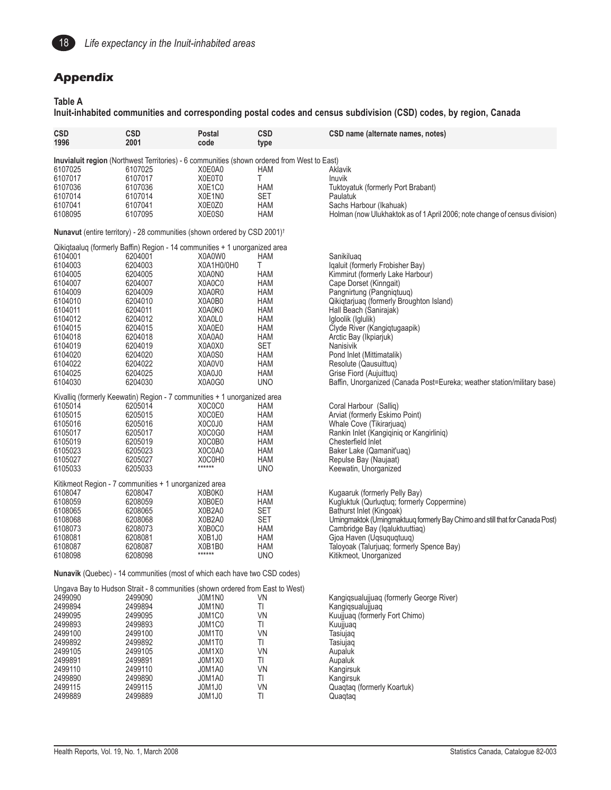

#### **Appendix**

#### **Table A**

**Inuit-inhabited communities and corresponding postal codes and census subdivision (CSD) codes, by region, Canada**

| <b>CSD</b>         | <b>CSD</b>                                                                                  | Postal           | <b>CSD</b> | CSD name (alternate names, notes)                                            |
|--------------------|---------------------------------------------------------------------------------------------|------------------|------------|------------------------------------------------------------------------------|
| 1996               | 2001                                                                                        | code             | type       |                                                                              |
|                    |                                                                                             |                  |            |                                                                              |
|                    | Inuvialuit region (Northwest Territories) - 6 communities (shown ordered from West to East) |                  |            |                                                                              |
| 6107025            | 6107025                                                                                     | X0E0A0           | HAM        | Aklavik                                                                      |
| 6107017            | 6107017                                                                                     | X0E0T0           | Τ          | <b>Inuvik</b>                                                                |
| 6107036            | 6107036                                                                                     | X0E1C0           | HAM        | Tuktoyatuk (formerly Port Brabant)                                           |
| 6107014            | 6107014                                                                                     | X0E1N0           | <b>SET</b> | Paulatuk                                                                     |
| 6107041            | 6107041                                                                                     | X0E0Z0           | HAM        | Sachs Harbour (Ikahuak)                                                      |
| 6108095            | 6107095                                                                                     | X0E0S0           | <b>HAM</b> | Holman (now Ulukhaktok as of 1 April 2006; note change of census division)   |
|                    | Nunavut (entire territory) - 28 communities (shown ordered by CSD 2001) <sup>†</sup>        |                  |            |                                                                              |
|                    | Qikiqtaaluq (formerly Baffin) Region - 14 communities + 1 unorganized area                  |                  |            |                                                                              |
| 6104001            | 6204001                                                                                     | X0A0W0           | <b>HAM</b> | Sanikiluaq                                                                   |
| 6104003            | 6204003                                                                                     | X0A1H0/0H0       | T.         | Iqaluit (formerly Frobisher Bay)                                             |
| 6104005            | 6204005                                                                                     | X0A0N0           | <b>HAM</b> | Kimmirut (formerly Lake Harbour)                                             |
| 6104007            | 6204007                                                                                     | X0A0C0           | HAM        | Cape Dorset (Kinngait)                                                       |
| 6104009            | 6204009                                                                                     | X0A0R0           | HAM        | Pangnirtung (Pangniqtuuq)                                                    |
| 6104010            | 6204010                                                                                     | X0A0B0           | HAM        | Qikiqtarjuaq (formerly Broughton Island)                                     |
| 6104011            | 6204011                                                                                     | X0A0K0           | <b>HAM</b> |                                                                              |
| 6104012            | 6204012                                                                                     | X0A0L0           | HAM        | Hall Beach (Sanirajak)                                                       |
| 6104015            |                                                                                             | X0A0E0           |            | Igloolik (Iglulik)                                                           |
|                    | 6204015                                                                                     |                  | HAM        | Clyde River (Kangiqtugaapik)                                                 |
| 6104018            | 6204018                                                                                     | X0A0A0           | HAM        | Arctic Bay (Ikpiarjuk)                                                       |
| 6104019            | 6204019                                                                                     | X0A0X0           | <b>SET</b> | Nanisivik                                                                    |
| 6104020            | 6204020                                                                                     | X0A0S0           | HAM        | Pond Inlet (Mittimatalik)                                                    |
| 6104022            | 6204022                                                                                     | X0A0V0           | HAM        | Resolute (Qausuittuq)                                                        |
| 6104025            | 6204025                                                                                     | X0A0J0           | HAM        | Grise Fiord (Aujuittug)                                                      |
| 6104030            | 6204030                                                                                     | X0A0G0           | <b>UNO</b> | Baffin, Unorganized (Canada Post=Eureka; weather station/military base)      |
|                    | Kivalliq (formerly Keewatin) Region - 7 communities + 1 unorganized area                    |                  |            |                                                                              |
| 6105014            | 6205014                                                                                     | X0C0C0           | HAM        | Coral Harbour (Salliq)                                                       |
| 6105015            | 6205015                                                                                     | X0C0E0           | HAM        | Arviat (formerly Eskimo Point)                                               |
| 6105016            | 6205016                                                                                     | X0C0J0           | HAM        | Whale Cove (Tikirarjuaq)                                                     |
| 6105017            | 6205017                                                                                     | X0C0G0           | HAM        | Rankin Inlet (Kangiqiniq or Kangirliniq)                                     |
| 6105019            | 6205019                                                                                     | X0C0B0           | <b>HAM</b> | Chesterfield Inlet                                                           |
| 6105023            | 6205023                                                                                     | X0C0A0           | HAM        | Baker Lake (Qamanit'uaq)                                                     |
| 6105027            | 6205027                                                                                     | X0C0H0           | HAM        | Repulse Bay (Naujaat)                                                        |
| 6105033            | 6205033                                                                                     | ******           | <b>UNO</b> | Keewatin, Unorganized                                                        |
|                    |                                                                                             |                  |            |                                                                              |
|                    | Kitikmeot Region - 7 communities + 1 unorganized area                                       |                  |            |                                                                              |
| 6108047            | 6208047                                                                                     | X0B0K0           | HAM        | Kugaaruk (formerly Pelly Bay)                                                |
| 6108059            | 6208059                                                                                     | X0B0E0           | <b>HAM</b> | Kugluktuk (Qurluqtuq; formerly Coppermine)                                   |
| 6108065            | 6208065                                                                                     | X0B2A0           | <b>SET</b> | Bathurst Inlet (Kingoak)                                                     |
| 6108068            | 6208068                                                                                     | X0B2A0           | <b>SET</b> | Umingmaktok (Umingmaktuuq formerly Bay Chimo and still that for Canada Post) |
| 6108073            | 6208073                                                                                     | X0B0C0           | HAM        | Cambridge Bay (Iqaluktuuttiaq)                                               |
| 6108081            | 6208081                                                                                     | X0B1J0           | <b>HAM</b> | Gjoa Haven (Uqsuquqtuuq)                                                     |
| 6108087            | 6208087                                                                                     | X0B1B0           | HAM        | Taloyoak (Talurjuaq; formerly Spence Bay)                                    |
| 6108098            | 6208098                                                                                     | ******           | <b>UNO</b> | Kitikmeot, Unorganized                                                       |
|                    | Nunavik (Quebec) - 14 communities (most of which each have two CSD codes)                   |                  |            |                                                                              |
|                    | Ungava Bay to Hudson Strait - 8 communities (shown ordered from East to West)               |                  |            |                                                                              |
| 2499090            | 2499090                                                                                     | JOM1NO           | VN         | Kangiqsualujjuaq (formerly George River)                                     |
|                    |                                                                                             |                  |            |                                                                              |
| 2499894<br>2499095 | 2499894<br>2499095                                                                          | J0M1N0           | TI<br>VN   | Kangigsualujjuag<br>Kuujjuaq (formerly Fort Chimo)                           |
| 2499893            | 2499893                                                                                     | J0M1C0<br>J0M1C0 | TI.        | Kuujjuaq                                                                     |
| 2499100            | 2499100                                                                                     |                  | VN         |                                                                              |
|                    |                                                                                             | JOM1T0           |            | Tasiujaq                                                                     |
| 2499892            | 2499892                                                                                     | J0M1T0           | TI.        | Tasiujaq                                                                     |
| 2499105            | 2499105                                                                                     | JOM1X0           | VN         | Aupaluk                                                                      |
| 2499891            | 2499891                                                                                     | J0M1X0           | TI.        | Aupaluk                                                                      |
| 2499110            | 2499110                                                                                     | J0M1A0           | VN         | Kangirsuk                                                                    |
| 2499890            | 2499890                                                                                     | J0M1A0           | TI.        | Kangirsuk                                                                    |
| 2499115            | 2499115                                                                                     | JOM1J0           | VN         | Quagtag (formerly Koartuk)                                                   |
| 2499889            | 2499889                                                                                     | J0M1J0           | TI         | Quaqtaq                                                                      |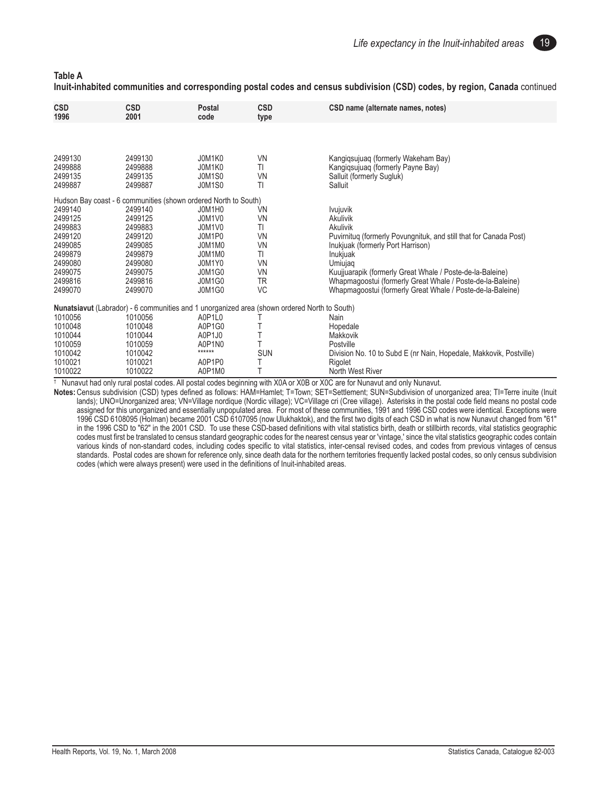19

| <b>Table A</b>                                                                                                             |  |  |
|----------------------------------------------------------------------------------------------------------------------------|--|--|
| Inuit-inhabited communities and corresponding postal codes and census subdivision (CSD) codes, by region, Canada continued |  |  |

| <b>CSD</b><br>1996                                                                                         | <b>CSD</b><br>2001                                                                                                                                                            | Postal<br>code                                                                                          | <b>CSD</b><br>type                                                                                 | CSD name (alternate names, notes)                                                                                                                                                                                                                                                                                                                                 |
|------------------------------------------------------------------------------------------------------------|-------------------------------------------------------------------------------------------------------------------------------------------------------------------------------|---------------------------------------------------------------------------------------------------------|----------------------------------------------------------------------------------------------------|-------------------------------------------------------------------------------------------------------------------------------------------------------------------------------------------------------------------------------------------------------------------------------------------------------------------------------------------------------------------|
|                                                                                                            |                                                                                                                                                                               |                                                                                                         |                                                                                                    |                                                                                                                                                                                                                                                                                                                                                                   |
| 2499130<br>2499888<br>2499135<br>2499887                                                                   | 2499130<br>2499888<br>2499135<br>2499887                                                                                                                                      | J0M1K0<br>J0M1K0<br><b>J0M1S0</b><br><b>J0M1S0</b>                                                      | <b>VN</b><br>TI<br><b>VN</b><br>TI                                                                 | Kangigsujuag (formerly Wakeham Bay)<br>Kangigsujuag (formerly Payne Bay)<br>Salluit (formerly Sugluk)<br>Salluit                                                                                                                                                                                                                                                  |
| 2499140<br>2499125<br>2499883<br>2499120<br>2499085<br>2499879<br>2499080<br>2499075<br>2499816<br>2499070 | Hudson Bay coast - 6 communities (shown ordered North to South)<br>2499140<br>2499125<br>2499883<br>2499120<br>2499085<br>2499879<br>2499080<br>2499075<br>2499816<br>2499070 | J0M1H0<br>J0M1V0<br>J0M1V0<br>J0M1P0<br>J0M1M0<br>J0M1M0<br>J0M1Y0<br>J0M1G0<br><b>J0M1G0</b><br>J0M1G0 | VN<br><b>VN</b><br>TI<br><b>VN</b><br><b>VN</b><br>TI<br><b>VN</b><br><b>VN</b><br>TR<br><b>VC</b> | <i>Ivujuvik</i><br>Akulivik<br>Akulivik<br>Puvirnitug (formerly Povungnituk, and still that for Canada Post)<br>Inukjuak (formerly Port Harrison)<br>Inukjuak<br>Umiujag<br>Kuujjuarapik (formerly Great Whale / Poste-de-la-Baleine)<br>Whapmagoostui (formerly Great Whale / Poste-de-la-Baleine)<br>Whapmagoostui (formerly Great Whale / Poste-de-la-Baleine) |
| 1010056<br>1010048<br>1010044<br>1010059<br>1010042<br>1010021<br>1010022                                  | Nunatsiavut (Labrador) - 6 communities and 1 unorganized area (shown ordered North to South)<br>1010056<br>1010048<br>1010044<br>1010059<br>1010042<br>1010021<br>1010022     | A0P1L0<br>A0P1G0<br>A0P1J0<br>A0P1N0<br>******<br>A0P1P0<br>A0P1M0                                      | <b>SUN</b><br>Т                                                                                    | Nain<br>Hopedale<br>Makkovik<br>Postville<br>Division No. 10 to Subd E (nr Nain, Hopedale, Makkovik, Postville)<br>Rigolet<br>North West River                                                                                                                                                                                                                    |

† Nunavut had only rural postal codes. All postal codes beginning with X0A or X0B or X0C are for Nunavut and only Nunavut.

**Notes:**Census subdivision (CSD) types defined as follows: HAM=Hamlet; T=Town; SET=Settlement; SUN=Subdivision of unorganized area; TI=Terre inuite (Inuit lands); UNO=Unorganized area; VN=Village nordique (Nordic village); VC=Village cri (Cree village). Asterisks in the postal code field means no postal code assigned for this unorganized and essentially unpopulated area. For most of these communities, 1991 and 1996 CSD codes were identical. Exceptions were 1996 CSD 6108095 (Holman) became 2001 CSD 6107095 (now Ulukhaktok), and the first two digits of each CSD in what is now Nunavut changed from "61" in the 1996 CSD to "62" in the 2001 CSD. To use these CSD-based definitions with vital statistics birth, death or stillbirth records, vital statistics geographic codes must first be translated to census standard geographic codes for the nearest census year or 'vintage,' since the vital statistics geographic codes contain various kinds of non-standard codes, including codes specific to vital statistics, inter-censal revised codes, and codes from previous vintages of census standards. Postal codes are shown for reference only, since death data for the northern territories frequently lacked postal codes, so only census subdivision codes (which were always present) were used in the definitions of Inuit-inhabited areas.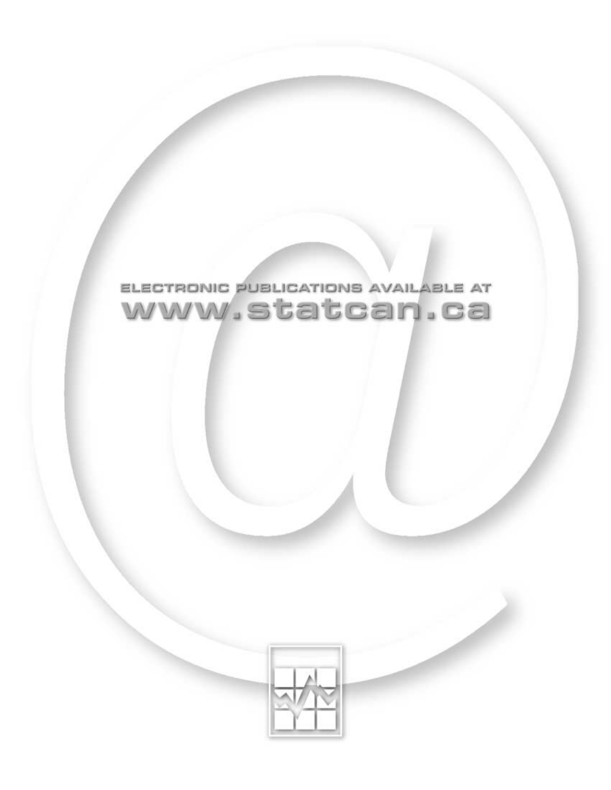

### ELECTRONIC PUBLICATIONS AVAILABLE AT www.statcan.ca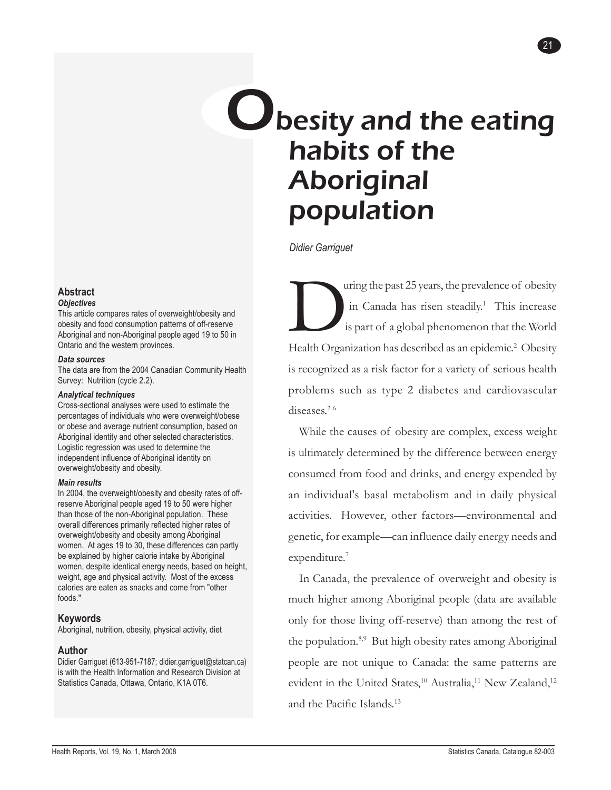### <span id="page-22-0"></span>**U** besity and the eating habits of the Aboriginal population

21

*Didier Garriguet*

This increase<br>is part of a global phenomenon that the World<br>Health Organization has described as an epidemic <sup>2</sup> Obesity in Canada has risen steadily.<sup>1</sup> This increase is part of a global phenomenon that the World Health Organization has described as an epidemic.<sup>2</sup> Obesity is recognized as a risk factor for a variety of serious health problems such as type 2 diabetes and cardiovascular diseases.<sup>2-6</sup>

While the causes of obesity are complex, excess weight is ultimately determined by the difference between energy consumed from food and drinks, and energy expended by an individual's basal metabolism and in daily physical activities. However, other factors—environmental and genetic, for example—can influence daily energy needs and expenditure.<sup>7</sup>

In Canada, the prevalence of overweight and obesity is much higher among Aboriginal people (data are available only for those living off-reserve) than among the rest of the population.8,9 But high obesity rates among Aboriginal people are not unique to Canada: the same patterns are evident in the United States,<sup>10</sup> Australia,<sup>11</sup> New Zealand,<sup>12</sup> and the Pacific Islands.13

#### **Abstract** *Objectives*

This article compares rates of overweight/obesity and obesity and food consumption patterns of off-reserve Aboriginal and non-Aboriginal people aged 19 to 50 in Ontario and the western provinces.

#### *Data sources*

The data are from the 2004 Canadian Community Health Survey: Nutrition (cycle 2.2).

#### *Analytical techniques*

Cross-sectional analyses were used to estimate the percentages of individuals who were overweight/obese or obese and average nutrient consumption, based on Aboriginal identity and other selected characteristics. Logistic regression was used to determine the independent influence of Aboriginal identity on overweight/obesity and obesity.

#### *Main results*

In 2004, the overweight/obesity and obesity rates of offreserve Aboriginal people aged 19 to 50 were higher than those of the non-Aboriginal population. These overall differences primarily reflected higher rates of overweight/obesity and obesity among Aboriginal women. At ages 19 to 30, these differences can partly be explained by higher calorie intake by Aboriginal women, despite identical energy needs, based on height, weight, age and physical activity. Most of the excess calories are eaten as snacks and come from "other foods."

#### **Keywords**

Aboriginal, nutrition, obesity, physical activity, diet

#### **Author**

Didier Garriguet (613-951-7187; didier.garriguet@statcan.ca) is with the Health Information and Research Division at Statistics Canada, Ottawa, Ontario, K1A 0T6.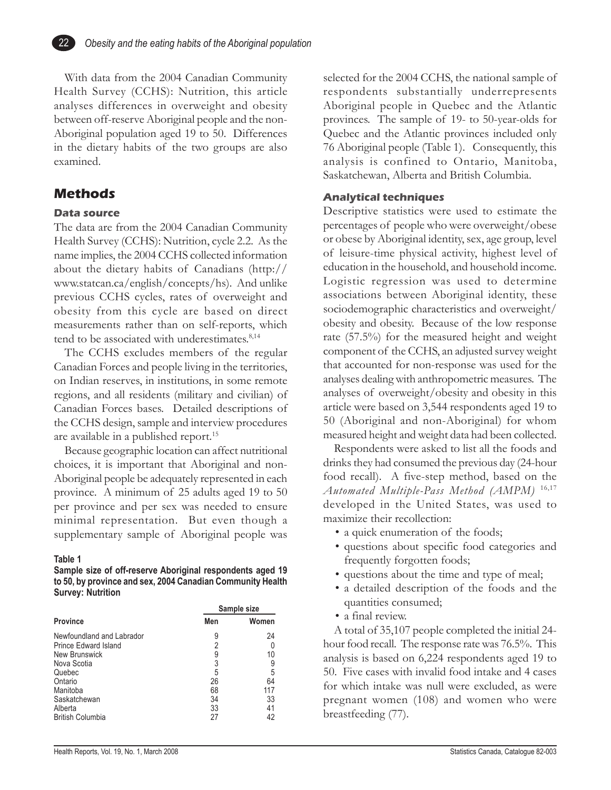

With data from the 2004 Canadian Community Health Survey (CCHS): Nutrition, this article analyses differences in overweight and obesity between off-reserve Aboriginal people and the non-Aboriginal population aged 19 to 50. Differences in the dietary habits of the two groups are also examined.

#### **Methods**

#### **Data source**

The data are from the 2004 Canadian Community Health Survey (CCHS): Nutrition, cycle 2.2. As the name implies, the 2004 CCHS collected information about the dietary habits of Canadians (http:// www.statcan.ca/english/concepts/hs). And unlike previous CCHS cycles, rates of overweight and obesity from this cycle are based on direct measurements rather than on self-reports, which tend to be associated with underestimates.<sup>8,14</sup>

The CCHS excludes members of the regular Canadian Forces and people living in the territories, on Indian reserves, in institutions, in some remote regions, and all residents (military and civilian) of Canadian Forces bases. Detailed descriptions of the CCHS design, sample and interview procedures are available in a published report.<sup>15</sup>

Because geographic location can affect nutritional choices, it is important that Aboriginal and non-Aboriginal people be adequately represented in each province. A minimum of 25 adults aged 19 to 50 per province and per sex was needed to ensure minimal representation. But even though a supplementary sample of Aboriginal people was

#### **Table 1**

**Sample size of off-reserve Aboriginal respondents aged 19 to 50, by province and sex, 2004 Canadian Community Health Survey: Nutrition**

|                                                          | Sample size |           |  |  |  |
|----------------------------------------------------------|-------------|-----------|--|--|--|
| <b>Province</b>                                          | Men         | Women     |  |  |  |
| Newfoundland and Labrador<br><b>Prince Edward Island</b> | 9<br>2      | 24<br>0   |  |  |  |
| New Brunswick                                            | 9           | 10        |  |  |  |
| Nova Scotia<br>Quebec                                    | 3<br>5      | 9<br>5    |  |  |  |
| Ontario                                                  | 26          | 64        |  |  |  |
| Manitoba<br>Saskatchewan                                 | 68<br>34    | 117<br>33 |  |  |  |
| Alberta                                                  | 33          | 41        |  |  |  |
| <b>British Columbia</b>                                  | 27          | 42        |  |  |  |

selected for the 2004 CCHS, the national sample of respondents substantially underrepresents Aboriginal people in Quebec and the Atlantic provinces. The sample of 19- to 50-year-olds for Quebec and the Atlantic provinces included only 76 Aboriginal people (Table 1). Consequently, this analysis is confined to Ontario, Manitoba, Saskatchewan, Alberta and British Columbia.

#### **Analytical techniques**

Descriptive statistics were used to estimate the percentages of people who were overweight/obese or obese by Aboriginal identity, sex, age group, level of leisure-time physical activity, highest level of education in the household, and household income. Logistic regression was used to determine associations between Aboriginal identity, these sociodemographic characteristics and overweight/ obesity and obesity. Because of the low response rate (57.5%) for the measured height and weight component of the CCHS, an adjusted survey weight that accounted for non-response was used for the analyses dealing with anthropometric measures. The analyses of overweight/obesity and obesity in this article were based on 3,544 respondents aged 19 to 50 (Aboriginal and non-Aboriginal) for whom measured height and weight data had been collected.

Respondents were asked to list all the foods and drinks they had consumed the previous day (24-hour food recall). A five-step method, based on the *Automated Multiple-Pass Method (AMPM)* 16,17 developed in the United States, was used to maximize their recollection:

- a quick enumeration of the foods;
- questions about specific food categories and frequently forgotten foods;
- questions about the time and type of meal;
- a detailed description of the foods and the quantities consumed;
- a final review.

A total of 35,107 people completed the initial 24 hour food recall. The response rate was 76.5%. This analysis is based on 6,224 respondents aged 19 to 50. Five cases with invalid food intake and 4 cases for which intake was null were excluded, as were pregnant women (108) and women who were breastfeeding (77).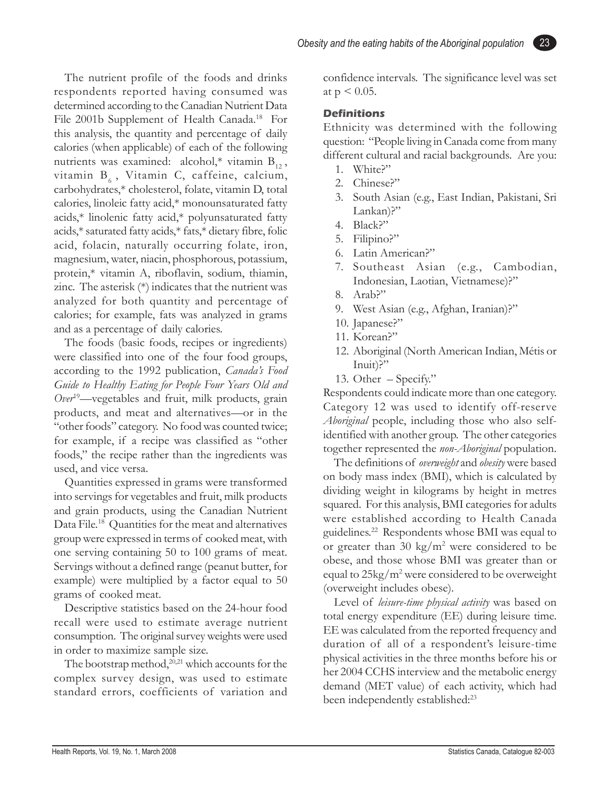The nutrient profile of the foods and drinks respondents reported having consumed was determined according to the Canadian Nutrient Data File 2001b Supplement of Health Canada.<sup>18</sup> For this analysis, the quantity and percentage of daily calories (when applicable) of each of the following nutrients was examined: alcohol,\* vitamin  $B_{12}$ , vitamin  $B_6$ , Vitamin C, caffeine, calcium, carbohydrates,\* cholesterol, folate, vitamin D, total calories, linoleic fatty acid,\* monounsaturated fatty acids,\* linolenic fatty acid,\* polyunsaturated fatty acids,\* saturated fatty acids,\* fats,\* dietary fibre, folic acid, folacin, naturally occurring folate, iron, magnesium, water, niacin, phosphorous, potassium, protein,\* vitamin A, riboflavin, sodium, thiamin, zinc. The asterisk (\*) indicates that the nutrient was analyzed for both quantity and percentage of calories; for example, fats was analyzed in grams and as a percentage of daily calories.

The foods (basic foods, recipes or ingredients) were classified into one of the four food groups, according to the 1992 publication, *Canada's Food Guide to Healthy Eating for People Four Years Old and Over*19—vegetables and fruit, milk products, grain products, and meat and alternatives—or in the "other foods" category. No food was counted twice; for example, if a recipe was classified as "other foods," the recipe rather than the ingredients was used, and vice versa.

Quantities expressed in grams were transformed into servings for vegetables and fruit, milk products and grain products, using the Canadian Nutrient Data File.<sup>18</sup> Quantities for the meat and alternatives group were expressed in terms of cooked meat, with one serving containing 50 to 100 grams of meat. Servings without a defined range (peanut butter, for example) were multiplied by a factor equal to 50 grams of cooked meat.

Descriptive statistics based on the 24-hour food recall were used to estimate average nutrient consumption. The original survey weights were used in order to maximize sample size.

The bootstrap method, $^{20,21}$  which accounts for the complex survey design, was used to estimate standard errors, coefficients of variation and confidence intervals. The significance level was set at  $p < 0.05$ .

23

#### **Definitions**

Ethnicity was determined with the following question: "People living in Canada come from many different cultural and racial backgrounds. Are you:

- 1. White?"
- 2. Chinese?"
- 3. South Asian (e.g., East Indian, Pakistani, Sri Lankan)?"
- 4. Black?"
- 5. Filipino?"
- 6. Latin American?"
- 7. Southeast Asian (e.g., Cambodian, Indonesian, Laotian, Vietnamese)?"
- 8. Arab?"
- 9. West Asian (e.g., Afghan, Iranian)?"
- 10. Japanese?"
- 11. Korean?"
- 12. Aboriginal (North American Indian, Métis or Inuit)?"
- 13. Other Specify."

Respondents could indicate more than one category. Category 12 was used to identify off-reserve *Aboriginal* people, including those who also selfidentified with another group. The other categories together represented the *non-Aboriginal* population.

The definitions of *overweight* and *obesity* were based on body mass index (BMI), which is calculated by dividing weight in kilograms by height in metres squared. For this analysis, BMI categories for adults were established according to Health Canada guidelines.22 Respondents whose BMI was equal to or greater than 30  $\text{kg/m}^2$  were considered to be obese, and those whose BMI was greater than or equal to 25kg/m<sup>2</sup> were considered to be overweight (overweight includes obese).

Level of *leisure-time physical activity* was based on total energy expenditure (EE) during leisure time. EE was calculated from the reported frequency and duration of all of a respondent's leisure-time physical activities in the three months before his or her 2004 CCHS interview and the metabolic energy demand (MET value) of each activity, which had been independently established:<sup>23</sup>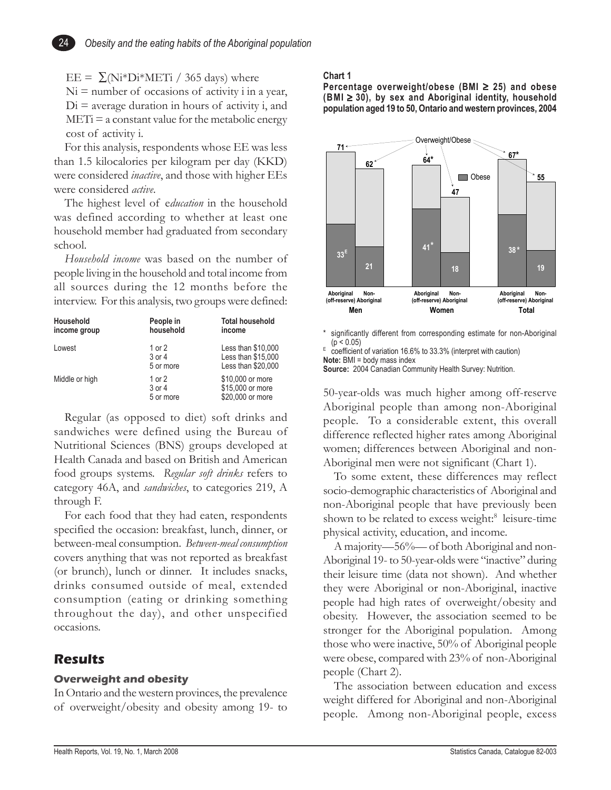EE =  $\Sigma(Ni*Di*METi / 365 \text{ days})$  where

24

 $Ni =$  number of occasions of activity i in a year,  $Di =$  average duration in hours of activity i, and  $METi = a constant value for the metabolic energy$ cost of activity i.

For this analysis, respondents whose EE was less than 1.5 kilocalories per kilogram per day (KKD) were considered *inactive*, and those with higher EEs were considered *active*.

The highest level of e*ducation* in the household was defined according to whether at least one household member had graduated from secondary school.

*Household income* was based on the number of people living in the household and total income from all sources during the 12 months before the interview. For this analysis, two groups were defined:

| Household<br>income group | People in<br>household        | <b>Total household</b><br>income                               |
|---------------------------|-------------------------------|----------------------------------------------------------------|
| Lowest                    | 1 or 2<br>3 or 4<br>5 or more | Less than \$10,000<br>Less than \$15,000<br>Less than \$20,000 |
| Middle or high            | 1 or 2<br>3 or 4<br>5 or more | \$10,000 or more<br>\$15,000 or more<br>\$20,000 or more       |

Regular (as opposed to diet) soft drinks and sandwiches were defined using the Bureau of Nutritional Sciences (BNS) groups developed at Health Canada and based on British and American food groups systems. *Regular soft drinks* refers to category 46A, and *sandwiches*, to categories 219, A through F.

For each food that they had eaten, respondents specified the occasion: breakfast, lunch, dinner, or between-meal consumption. *Between-meal consumption* covers anything that was not reported as breakfast (or brunch), lunch or dinner. It includes snacks, drinks consumed outside of meal, extended consumption (eating or drinking something throughout the day), and other unspecified occasions.

#### **Results**

#### **Overweight and obesity**

In Ontario and the western provinces, the prevalence of overweight/obesity and obesity among 19- to

#### **Chart 1**

**Percentage overweight/obese (BMI** ≥ **25) and obese (BMI** ≥ **30), by sex and Aboriginal identity, household population aged 19 to 50, Ontario and western provinces, 2004**



significantly different from corresponding estimate for non-Aboriginal  $(p < 0.05)$ 

 $E$  coefficient of variation 16.6% to 33.3% (interpret with caution) **Note:** BMI = body mass index

**Source:** 2004 Canadian Community Health Survey: Nutrition.

50-year-olds was much higher among off-reserve Aboriginal people than among non-Aboriginal people. To a considerable extent, this overall difference reflected higher rates among Aboriginal women; differences between Aboriginal and non-Aboriginal men were not significant (Chart 1).

To some extent, these differences may reflect socio-demographic characteristics of Aboriginal and non-Aboriginal people that have previously been shown to be related to excess weight:<sup>8</sup> leisure-time physical activity, education, and income.

A majority—56%— of both Aboriginal and non-Aboriginal 19- to 50-year-olds were "inactive" during their leisure time (data not shown). And whether they were Aboriginal or non-Aboriginal, inactive people had high rates of overweight/obesity and obesity. However, the association seemed to be stronger for the Aboriginal population. Among those who were inactive, 50% of Aboriginal people were obese, compared with 23% of non-Aboriginal people (Chart 2).

The association between education and excess weight differed for Aboriginal and non-Aboriginal people. Among non-Aboriginal people, excess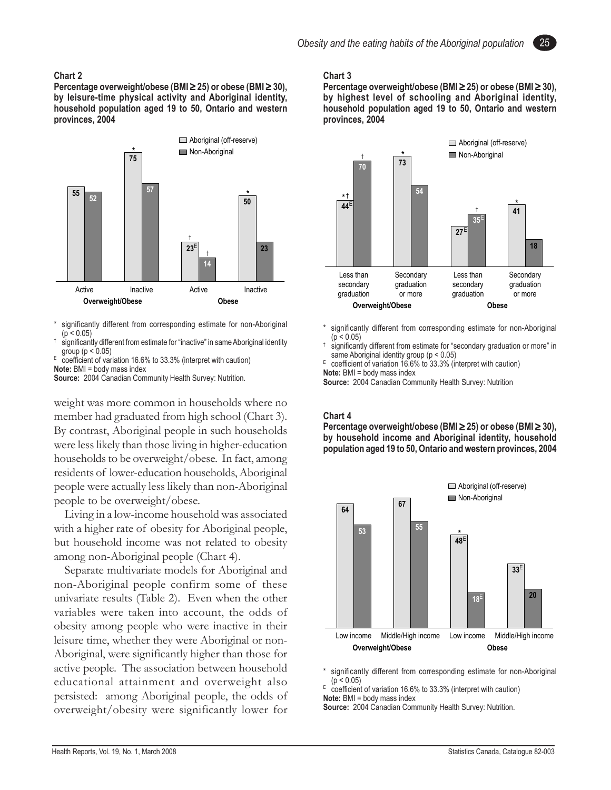#### **Chart 2**

**Percentage overweight/obese (BMI** ≥ **25) or obese (BMI** ≥ **30), by leisure-time physical activity and Aboriginal identity, household population aged 19 to 50, Ontario and western provinces, 2004**



significantly different from corresponding estimate for non-Aboriginal  $(p < 0.05)$ 

† significantly different from estimate for "inactive" in same Aboriginal identity group ( $p < 0.05$ )

 $E$  coefficient of variation 16.6% to 33.3% (interpret with caution)

**Note:** BMI = body mass index

Source: 2004 Canadian Community Health Survey: Nutrition.

weight was more common in households where no member had graduated from high school (Chart 3). By contrast, Aboriginal people in such households were less likely than those living in higher-education households to be overweight/obese. In fact, among residents of lower-education households, Aboriginal people were actually less likely than non-Aboriginal people to be overweight/obese.

Living in a low-income household was associated with a higher rate of obesity for Aboriginal people, but household income was not related to obesity among non-Aboriginal people (Chart 4).

Separate multivariate models for Aboriginal and non-Aboriginal people confirm some of these univariate results (Table 2). Even when the other variables were taken into account, the odds of obesity among people who were inactive in their leisure time, whether they were Aboriginal or non-Aboriginal, were significantly higher than those for active people. The association between household educational attainment and overweight also persisted: among Aboriginal people, the odds of overweight/obesity were significantly lower for

#### **Chart 3**

**Percentage overweight/obese (BMI** ≥ **25) or obese (BMI** ≥ **30), by highest level of schooling and Aboriginal identity, household population aged 19 to 50, Ontario and western provinces, 2004**



- significantly different from corresponding estimate for non-Aboriginal  $(p < 0.05)$
- † significantly different from estimate for "secondary graduation or more" in same Aboriginal identity group (p < 0.05)

 $E$  coefficient of variation 16.6% to 33.3% (interpret with caution) **Note:** BMI = body mass index

**Source:** 2004 Canadian Community Health Survey: Nutrition

#### **Chart 4**

**Percentage overweight/obese (BMI** ≥ **25) or obese (BMI** ≥ **30), by household income and Aboriginal identity, household population aged 19 to 50, Ontario and western provinces, 2004**



significantly different from corresponding estimate for non-Aboriginal  $(p < 0.05)$ 

 $E$  coefficient of variation 16.6% to 33.3% (interpret with caution) **Note:** BMI = body mass index

**Source:** 2004 Canadian Community Health Survey: Nutrition.

25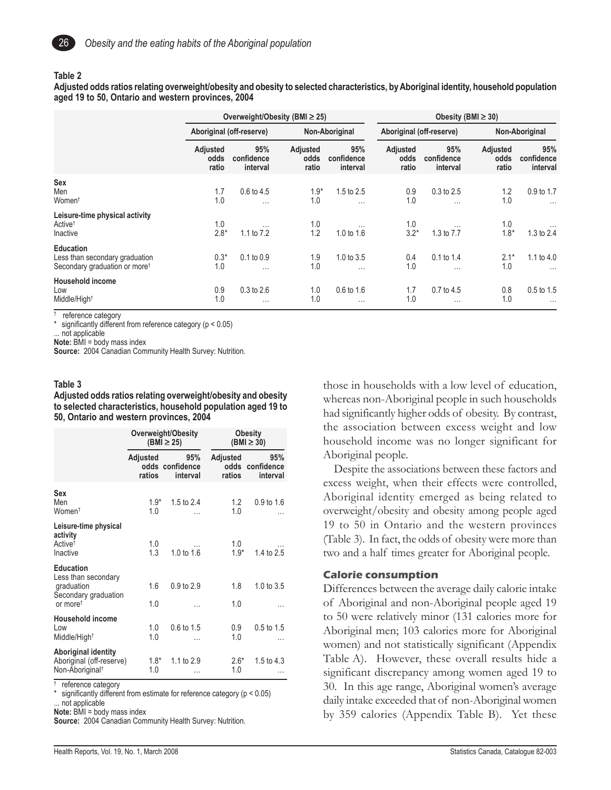

#### **Table 2**

**Adjusted odds ratios relating overweight/obesity and obesity to selected characteristics, by Aboriginal identity, household population aged 19 to 50, Ontario and western provinces, 2004**

|                                                                                                 | Overweight/Obesity (BMI $\geq$ 25) |                               |                           |                               | Obesity (BMI $\geq$ 30)   |                               |                           |                               |
|-------------------------------------------------------------------------------------------------|------------------------------------|-------------------------------|---------------------------|-------------------------------|---------------------------|-------------------------------|---------------------------|-------------------------------|
|                                                                                                 | Aboriginal (off-reserve)           |                               | Non-Aboriginal            |                               | Aboriginal (off-reserve)  |                               | Non-Aboriginal            |                               |
|                                                                                                 | Adjusted<br>odds<br>ratio          | 95%<br>confidence<br>interval | Adjusted<br>odds<br>ratio | 95%<br>confidence<br>interval | Adjusted<br>odds<br>ratio | 95%<br>confidence<br>interval | Adjusted<br>odds<br>ratio | 95%<br>confidence<br>interval |
| <b>Sex</b><br>Men<br>Women <sup>t</sup>                                                         | 1.7<br>1.0                         | 0.6 to 4.5<br>$\cdots$        | $1.9*$<br>1.0             | 1.5 to 2.5<br>$\cdots$        | 0.9<br>1.0                | 0.3 to 2.5<br>$\cdots$        | 1.2<br>1.0                | 0.9 to 1.7<br>$\cdots$        |
| Leisure-time physical activity<br>Active <sup>†</sup><br>Inactive                               | 1.0<br>$2.8*$                      | $\cdots$<br>1.1 to 7.2        | 1.0<br>1.2                | $\cdots$<br>1.0 to 1.6        | 1.0<br>$3.2*$             | $\cdots$<br>1.3 to 7.7        | 1.0<br>$1.8*$             | 1.3 to 2.4                    |
| <b>Education</b><br>Less than secondary graduation<br>Secondary graduation or more <sup>†</sup> | $0.3*$<br>1.0                      | $0.1$ to $0.9$<br>$\cdots$    | 1.9<br>1.0                | 1.0 to 3.5<br>$\cdots$        | 0.4<br>1.0                | 0.1 to 1.4<br>$\cdots$        | $2.1*$<br>1.0             | 1.1 to 4.0<br>$\cdots$        |
| <b>Household income</b><br>Low<br>Middle/High <sup>+</sup>                                      | 0.9<br>1.0                         | $0.3$ to $2.6$<br>$\cdots$    | 1.0<br>1.0                | 0.6 to 1.6<br>$\cdots$        | 1.7<br>1.0                | 0.7 to 4.5<br>$\cdots$        | 0.8<br>1.0                | 0.5 to 1.5<br>$\cdots$        |

† reference category

\* significantly different from reference category (p < 0.05)

... not applicable

**Note:** BMI = body mass index

Source: 2004 Canadian Community Health Survey: Nutrition.

#### **Table 3**

**Adjusted odds ratios relating overweight/obesity and obesity to selected characteristics, household population aged 19 to 50, Ontario and western provinces, 2004**

|                                                                                                       |                    | Overweight/Obesity<br>$(BMI \geq 25)$ |                    | <b>Obesity</b><br>$(BMI \geq 30)$  |
|-------------------------------------------------------------------------------------------------------|--------------------|---------------------------------------|--------------------|------------------------------------|
|                                                                                                       | Adjusted<br>ratios | 95%<br>odds confidence<br>interval    | Adjusted<br>ratios | 95%<br>odds confidence<br>interval |
| Sex<br>Men<br>Women <sup>t</sup>                                                                      | $1.9*$<br>1.0      | 1.5 to $2.4$                          | 1.2<br>1.0         | $0.9$ to 1.6                       |
| Leisure-time physical<br>activity<br>Active <sup>t</sup><br>Inactive                                  | 1.0<br>1.3         | 1.0 to $1.6$                          | 1.0<br>$1.9*$      | 1.4 to 2.5                         |
| <b>Education</b><br>Less than secondary<br>graduation<br>Secondary graduation<br>or more <sup>t</sup> | 1.6<br>1.0         | 0.9 to 2.9                            | 1.8<br>1.0         | 1.0 to 3.5                         |
| <b>Household income</b><br>Low<br>Middle/High <sup>t</sup>                                            | 1.0<br>1.0         | 0.6 to 1.5                            | 0.9<br>1.0         | 0.5 to 1.5                         |
| Aboriginal identity<br>Aboriginal (off-reserve)<br>Non-Aboriginal <sup>t</sup>                        | $1.8*$<br>1.0      | 1.1 to 2.9                            | $2.6*$<br>1.0      | 1.5 to 4.3                         |

† reference category

significantly different from estimate for reference category ( $p < 0.05$ ) ... not applicable

**Note:** BMI = body mass index

**Source:** 2004 Canadian Community Health Survey: Nutrition.

those in households with a low level of education, whereas non-Aboriginal people in such households had significantly higher odds of obesity. By contrast, the association between excess weight and low household income was no longer significant for Aboriginal people.

Despite the associations between these factors and excess weight, when their effects were controlled, Aboriginal identity emerged as being related to overweight/obesity and obesity among people aged 19 to 50 in Ontario and the western provinces (Table 3). In fact, the odds of obesity were more than two and a half times greater for Aboriginal people.

#### **Calorie consumption**

Differences between the average daily calorie intake of Aboriginal and non-Aboriginal people aged 19 to 50 were relatively minor (131 calories more for Aboriginal men; 103 calories more for Aboriginal women) and not statistically significant (Appendix Table A). However, these overall results hide a significant discrepancy among women aged 19 to 30. In this age range, Aboriginal women's average daily intake exceeded that of non-Aboriginal women by 359 calories (Appendix Table B). Yet these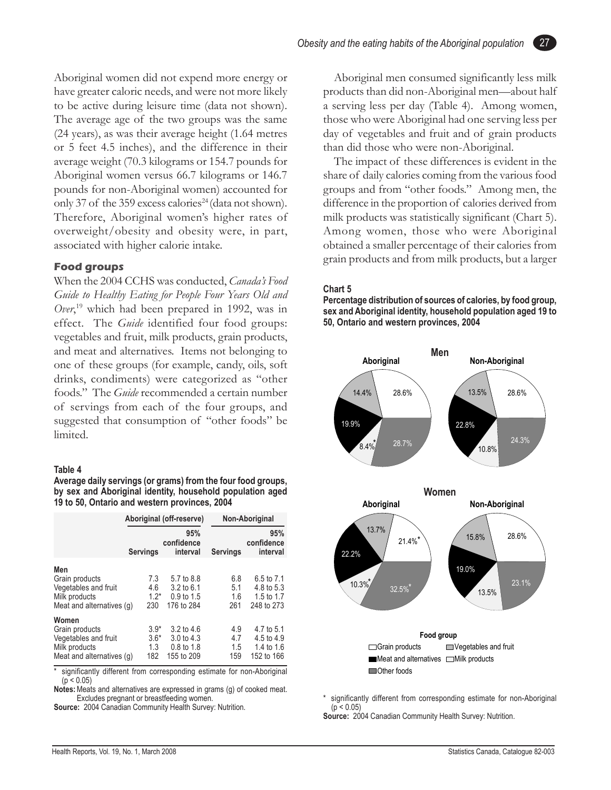Aboriginal women did not expend more energy or have greater caloric needs, and were not more likely to be active during leisure time (data not shown). The average age of the two groups was the same (24 years), as was their average height (1.64 metres or 5 feet 4.5 inches), and the difference in their average weight (70.3 kilograms or 154.7 pounds for Aboriginal women versus 66.7 kilograms or 146.7 pounds for non-Aboriginal women) accounted for only 37 of the 359 excess calories<sup>24</sup> (data not shown). Therefore, Aboriginal women's higher rates of overweight/obesity and obesity were, in part, associated with higher calorie intake.

#### **Food groups**

When the 2004 CCHS was conducted, *Canada's Food Guide to Healthy Eating for People Four Years Old and Over*, 19 which had been prepared in 1992, was in effect. The *Guide* identified four food groups: vegetables and fruit, milk products, grain products, and meat and alternatives. Items not belonging to one of these groups (for example, candy, oils, soft drinks, condiments) were categorized as "other foods." The *Guide* recommended a certain number of servings from each of the four groups, and suggested that consumption of "other foods" be limited.

#### **Table 4**

**Average daily servings (or grams) from the four food groups, by sex and Aboriginal identity, household population aged 19 to 50, Ontario and western provinces, 2004**

|                                                                                               |                                | Aboriginal (off-reserve)                                                   |                          | Non-Aboriginal                                       |  |  |
|-----------------------------------------------------------------------------------------------|--------------------------------|----------------------------------------------------------------------------|--------------------------|------------------------------------------------------|--|--|
|                                                                                               | <b>Servings</b>                | 95%<br>confidence<br>interval                                              | <b>Servings</b>          | 95%<br>confidence<br>interval                        |  |  |
| Men<br>Grain products<br>Vegetables and fruit<br>Milk products<br>Meat and alternatives (q)   | 7.3<br>4.6<br>$1.2*$<br>230    | 5.7 to 8.8<br>$3.2 \text{ to } 6.1$<br>0.9 to 1.5<br>176 to 284            | 6.8<br>5.1<br>1.6<br>261 | 6.5 to 7.1<br>4.8 to 5.3<br>1.5 to 1.7<br>248 to 273 |  |  |
| Women<br>Grain products<br>Vegetables and fruit<br>Milk products<br>Meat and alternatives (q) | $3.9*$<br>$3.6*$<br>1.3<br>182 | $3.2 \text{ to } 4.6$<br>$3.0 \text{ to } 4.3$<br>0.8 to 1.8<br>155 to 209 | 4.9<br>4.7<br>1.5<br>159 | 4.7 to 5.1<br>4.5 to 4.9<br>1.4 to 1.6<br>152 to 166 |  |  |

significantly different from corresponding estimate for non-Aboriginal  $(p < 0.05)$ 

**Notes:**Meats and alternatives are expressed in grams (g) of cooked meat. Excludes pregnant or breastfeeding women.

**Source:** 2004 Canadian Community Health Survey: Nutrition.

Aboriginal men consumed significantly less milk products than did non-Aboriginal men—about half a serving less per day (Table 4). Among women, those who were Aboriginal had one serving less per day of vegetables and fruit and of grain products than did those who were non-Aboriginal.

The impact of these differences is evident in the share of daily calories coming from the various food groups and from "other foods." Among men, the difference in the proportion of calories derived from milk products was statistically significant (Chart 5). Among women, those who were Aboriginal obtained a smaller percentage of their calories from grain products and from milk products, but a larger

#### **Chart 5**

**Percentage distribution of sources of calories, by food group, sex and Aboriginal identity, household population aged 19 to 50, Ontario and western provinces, 2004**



significantly different from corresponding estimate for non-Aboriginal  $(p < 0.05)$ 

27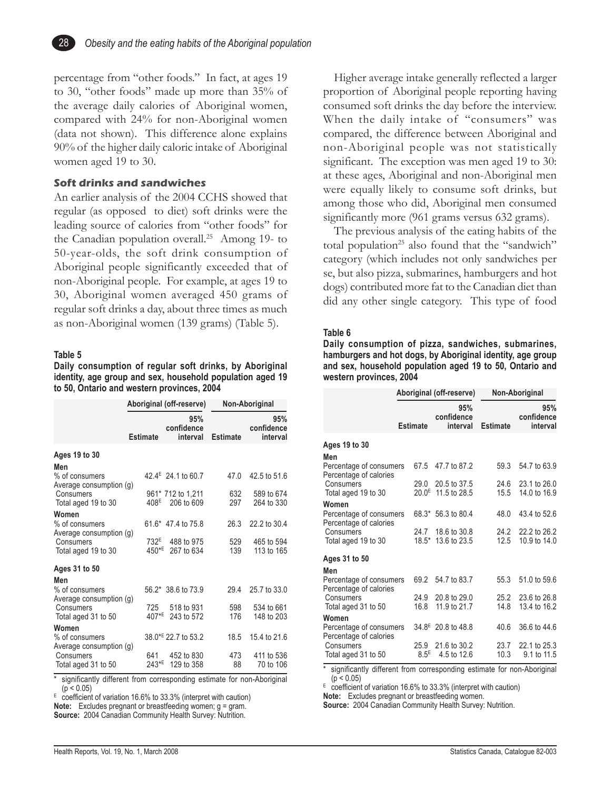

percentage from "other foods." In fact, at ages 19 to 30, "other foods" made up more than 35% of the average daily calories of Aboriginal women, compared with 24% for non-Aboriginal women (data not shown). This difference alone explains 90% of the higher daily caloric intake of Aboriginal women aged 19 to 30.

#### **Soft drinks and sandwiches**

An earlier analysis of the 2004 CCHS showed that regular (as opposed to diet) soft drinks were the leading source of calories from "other foods" for the Canadian population overall.25 Among 19- to 50-year-olds, the soft drink consumption of Aboriginal people significantly exceeded that of non-Aboriginal people. For example, at ages 19 to 30, Aboriginal women averaged 450 grams of regular soft drinks a day, about three times as much as non-Aboriginal women (139 grams) (Table 5).

#### **Table 5**

**Daily consumption of regular soft drinks, by Aboriginal identity, age group and sex, household population aged 19 to 50, Ontario and western provinces, 2004**

|                                                             |                            | Aboriginal (off-reserve)        | Non-Aboriginal  |                               |  |
|-------------------------------------------------------------|----------------------------|---------------------------------|-----------------|-------------------------------|--|
|                                                             | <b>Estimate</b>            | 95%<br>confidence<br>interval   | <b>Estimate</b> | 95%<br>confidence<br>interval |  |
| Ages 19 to 30                                               |                            |                                 |                 |                               |  |
| Men<br>% of consumers<br>Average consumption (g)            |                            | 42.4 <sup>E</sup> 24.1 to 60.7  | 47.0            | 42.5 to 51.6                  |  |
| Consumers                                                   |                            | 961* 712 to 1,211               | 632             | 589 to 674                    |  |
| Total aged 19 to 30                                         | 408 <sup>E</sup>           | 206 to 609                      | 297             | 264 to 330                    |  |
| Women<br>% of consumers<br>Average consumption (g)          |                            | 61.6* 47.4 to 75.8              | 26.3            | 22.2 to 30.4                  |  |
| Consumers<br>Total aged 19 to 30                            | 732 <sup>E</sup><br>$450*$ | 488 to 975<br>267 to 634        | 529<br>139      | 465 to 594<br>113 to 165      |  |
| Ages 31 to 50                                               |                            |                                 |                 |                               |  |
| Men                                                         |                            |                                 |                 |                               |  |
| % of consumers                                              |                            | 56.2* 38.6 to 73.9              | 29.4            | 25.7 to 33.0                  |  |
| Average consumption (g)<br>Consumers<br>Total aged 31 to 50 | 725<br>407*E               | 518 to 931<br>243 to 572        | 598<br>176      | 534 to 661<br>148 to 203      |  |
| Women<br>% of consumers                                     |                            | 38.0 <sup>*E</sup> 22.7 to 53.2 | 18.5            | 15.4 to 21.6                  |  |
| Average consumption (g)<br>Consumers<br>Total aged 31 to 50 | 641<br>243*E               | 452 to 830<br>129 to 358        | 473<br>88       | 411 to 536<br>70 to 106       |  |

significantly different from corresponding estimate for non-Aboriginal  $(p < 0.05)$ 

 $E = \frac{1}{2}$  coefficient of variation 16.6% to 33.3% (interpret with caution)

**Note:** Excludes pregnant or breastfeeding women; g = gram. **Source:** 2004 Canadian Community Health Survey: Nutrition.

Higher average intake generally reflected a larger proportion of Aboriginal people reporting having consumed soft drinks the day before the interview. When the daily intake of "consumers" was compared, the difference between Aboriginal and non-Aboriginal people was not statistically significant. The exception was men aged 19 to 30: at these ages, Aboriginal and non-Aboriginal men were equally likely to consume soft drinks, but among those who did, Aboriginal men consumed significantly more (961 grams versus 632 grams).

The previous analysis of the eating habits of the total population<sup>25</sup> also found that the "sandwich" category (which includes not only sandwiches per se, but also pizza, submarines, hamburgers and hot dogs) contributed more fat to the Canadian diet than did any other single category. This type of food

#### **Table 6**

**Daily consumption of pizza, sandwiches, submarines, hamburgers and hot dogs, by Aboriginal identity, age group and sex, household population aged 19 to 50, Ontario and western provinces, 2004**

|                                                                                                |                          | Aboriginal (off-reserve)                     | Non-Aboriginal       |                                              |  |
|------------------------------------------------------------------------------------------------|--------------------------|----------------------------------------------|----------------------|----------------------------------------------|--|
|                                                                                                | <b>Estimate</b>          | 95%<br>confidence<br>interval                | <b>Estimate</b>      | 95%<br>confidence<br>interval                |  |
| Ages 19 to 30                                                                                  |                          |                                              |                      |                                              |  |
| Men<br>Percentage of consumers<br>Percentage of calories                                       | 67.5                     | 47.7 to 87.2                                 | 59.3                 | 54.7 to 63.9                                 |  |
| Consumers<br>Total aged 19 to 30                                                               | 29.0<br>20.0E            | 20.5 to 37.5<br>11.5 to 28.5                 | 24.6<br>15.5         | 23.1 to 26.0<br>14.0 to 16.9                 |  |
| Women<br>Percentage of consumers<br>Percentage of calories<br>Consumers<br>Total aged 19 to 30 | 68.3*<br>24.7<br>$18.5*$ | 56.3 to 80.4<br>18.6 to 30.8<br>13.6 to 23.5 | 48.0<br>24.2<br>12.5 | 43.4 to 52.6<br>22.2 to 26.2<br>10.9 to 14.0 |  |
| Ages 31 to 50                                                                                  |                          |                                              |                      |                                              |  |
| Men<br>Percentage of consumers<br>Percentage of calories<br>Consumers<br>Total aged 31 to 50   | 69.2<br>24.9<br>16.8     | 54.7 to 83.7<br>20.8 to 29.0<br>11.9 to 21.7 | 55.3<br>25.2<br>14.8 | 51.0 to 59.6<br>23.6 to 26.8<br>13.4 to 16.2 |  |
| Women<br>Percentage of consumers<br>Percentage of calories                                     |                          | $34.8^{\text{E}}$ 20.8 to 48.8               | 40.6                 | 36.6 to 44.6                                 |  |
| Consumers<br>Total aged 31 to 50                                                               | 25.9<br>8.5E             | 21.6 to 30.2<br>4.5 to 12.6                  | 23.7<br>10.3         | 22.1 to 25.3<br>9.1 to 11.5                  |  |

significantly different from corresponding estimate for non-Aboriginal  $(p < 0.05)$ 

 $E_{\text{coefficient}}$  of variation 16.6% to 33.3% (interpret with caution)

**Note:** Excludes pregnant or breastfeeding women.

**Source:** 2004 Canadian Community Health Survey: Nutrition.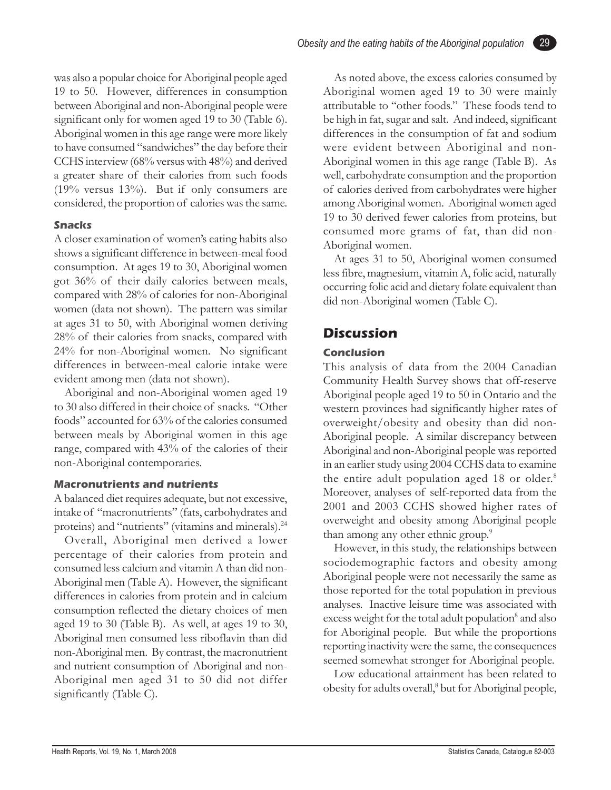was also a popular choice for Aboriginal people aged 19 to 50. However, differences in consumption between Aboriginal and non-Aboriginal people were significant only for women aged 19 to 30 (Table 6). Aboriginal women in this age range were more likely to have consumed "sandwiches" the day before their CCHS interview (68% versus with 48%) and derived a greater share of their calories from such foods (19% versus 13%). But if only consumers are considered, the proportion of calories was the same.

#### **Snacks**

A closer examination of women's eating habits also shows a significant difference in between-meal food consumption. At ages 19 to 30, Aboriginal women got 36% of their daily calories between meals, compared with 28% of calories for non-Aboriginal women (data not shown). The pattern was similar at ages 31 to 50, with Aboriginal women deriving 28% of their calories from snacks, compared with 24% for non-Aboriginal women. No significant differences in between-meal calorie intake were evident among men (data not shown).

Aboriginal and non-Aboriginal women aged 19 to 30 also differed in their choice of snacks. "Other foods" accounted for 63% of the calories consumed between meals by Aboriginal women in this age range, compared with 43% of the calories of their non-Aboriginal contemporaries.

#### **Macronutrients and nutrients**

A balanced diet requires adequate, but not excessive, intake of "macronutrients" (fats, carbohydrates and proteins) and "nutrients" (vitamins and minerals).<sup>24</sup>

Overall, Aboriginal men derived a lower percentage of their calories from protein and consumed less calcium and vitamin A than did non-Aboriginal men (Table A). However, the significant differences in calories from protein and in calcium consumption reflected the dietary choices of men aged 19 to 30 (Table B). As well, at ages 19 to 30, Aboriginal men consumed less riboflavin than did non-Aboriginal men. By contrast, the macronutrient and nutrient consumption of Aboriginal and non-Aboriginal men aged 31 to 50 did not differ significantly (Table C).

As noted above, the excess calories consumed by Aboriginal women aged 19 to 30 were mainly attributable to "other foods." These foods tend to be high in fat, sugar and salt. And indeed, significant differences in the consumption of fat and sodium were evident between Aboriginal and non-Aboriginal women in this age range (Table B). As well, carbohydrate consumption and the proportion of calories derived from carbohydrates were higher among Aboriginal women. Aboriginal women aged 19 to 30 derived fewer calories from proteins, but consumed more grams of fat, than did non-Aboriginal women.

29

At ages 31 to 50, Aboriginal women consumed less fibre, magnesium, vitamin A, folic acid, naturally occurring folic acid and dietary folate equivalent than did non-Aboriginal women (Table C).

#### **Discussion**

#### **Conclusion**

This analysis of data from the 2004 Canadian Community Health Survey shows that off-reserve Aboriginal people aged 19 to 50 in Ontario and the western provinces had significantly higher rates of overweight/obesity and obesity than did non-Aboriginal people. A similar discrepancy between Aboriginal and non-Aboriginal people was reported in an earlier study using 2004 CCHS data to examine the entire adult population aged 18 or older.<sup>8</sup> Moreover, analyses of self-reported data from the 2001 and 2003 CCHS showed higher rates of overweight and obesity among Aboriginal people than among any other ethnic group.<sup>9</sup>

However, in this study, the relationships between sociodemographic factors and obesity among Aboriginal people were not necessarily the same as those reported for the total population in previous analyses. Inactive leisure time was associated with excess weight for the total adult population<sup>8</sup> and also for Aboriginal people. But while the proportions reporting inactivity were the same, the consequences seemed somewhat stronger for Aboriginal people.

Low educational attainment has been related to obesity for adults overall,<sup>8</sup> but for Aboriginal people,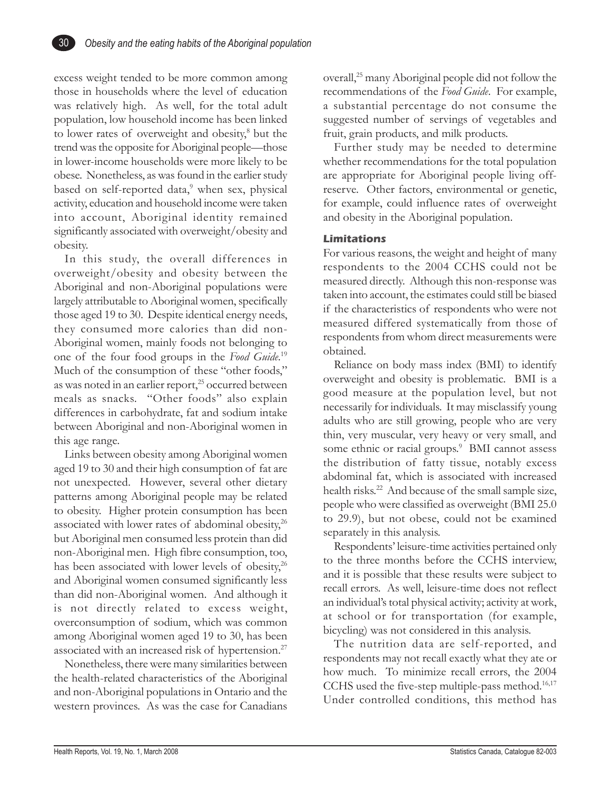

excess weight tended to be more common among those in households where the level of education was relatively high. As well, for the total adult population, low household income has been linked to lower rates of overweight and obesity,<sup>8</sup> but the trend was the opposite for Aboriginal people—those in lower-income households were more likely to be obese. Nonetheless, as was found in the earlier study based on self-reported data,<sup>9</sup> when sex, physical activity, education and household income were taken into account, Aboriginal identity remained significantly associated with overweight/obesity and obesity.

In this study, the overall differences in overweight/obesity and obesity between the Aboriginal and non-Aboriginal populations were largely attributable to Aboriginal women, specifically those aged 19 to 30. Despite identical energy needs, they consumed more calories than did non-Aboriginal women, mainly foods not belonging to one of the four food groups in the *Food Guide*. 19 Much of the consumption of these "other foods," as was noted in an earlier report,<sup>25</sup> occurred between meals as snacks. "Other foods" also explain differences in carbohydrate, fat and sodium intake between Aboriginal and non-Aboriginal women in this age range.

Links between obesity among Aboriginal women aged 19 to 30 and their high consumption of fat are not unexpected. However, several other dietary patterns among Aboriginal people may be related to obesity. Higher protein consumption has been associated with lower rates of abdominal obesity, $26$ but Aboriginal men consumed less protein than did non-Aboriginal men. High fibre consumption, too, has been associated with lower levels of obesity,<sup>26</sup> and Aboriginal women consumed significantly less than did non-Aboriginal women. And although it is not directly related to excess weight, overconsumption of sodium, which was common among Aboriginal women aged 19 to 30, has been associated with an increased risk of hypertension.27

Nonetheless, there were many similarities between the health-related characteristics of the Aboriginal and non-Aboriginal populations in Ontario and the western provinces. As was the case for Canadians

overall,25 many Aboriginal people did not follow the recommendations of the *Food Guide*. For example, a substantial percentage do not consume the suggested number of servings of vegetables and fruit, grain products, and milk products.

Further study may be needed to determine whether recommendations for the total population are appropriate for Aboriginal people living offreserve. Other factors, environmental or genetic, for example, could influence rates of overweight and obesity in the Aboriginal population.

#### **Limitations**

For various reasons, the weight and height of many respondents to the 2004 CCHS could not be measured directly. Although this non-response was taken into account, the estimates could still be biased if the characteristics of respondents who were not measured differed systematically from those of respondents from whom direct measurements were obtained.

Reliance on body mass index (BMI) to identify overweight and obesity is problematic. BMI is a good measure at the population level, but not necessarily for individuals. It may misclassify young adults who are still growing, people who are very thin, very muscular, very heavy or very small, and some ethnic or racial groups.<sup>9</sup> BMI cannot assess the distribution of fatty tissue, notably excess abdominal fat, which is associated with increased health risks.<sup>22</sup> And because of the small sample size, people who were classified as overweight (BMI 25.0 to 29.9), but not obese, could not be examined separately in this analysis.

Respondents' leisure-time activities pertained only to the three months before the CCHS interview, and it is possible that these results were subject to recall errors. As well, leisure-time does not reflect an individual's total physical activity; activity at work, at school or for transportation (for example, bicycling) was not considered in this analysis.

The nutrition data are self-reported, and respondents may not recall exactly what they ate or how much. To minimize recall errors, the 2004 CCHS used the five-step multiple-pass method. $16,17$ Under controlled conditions, this method has

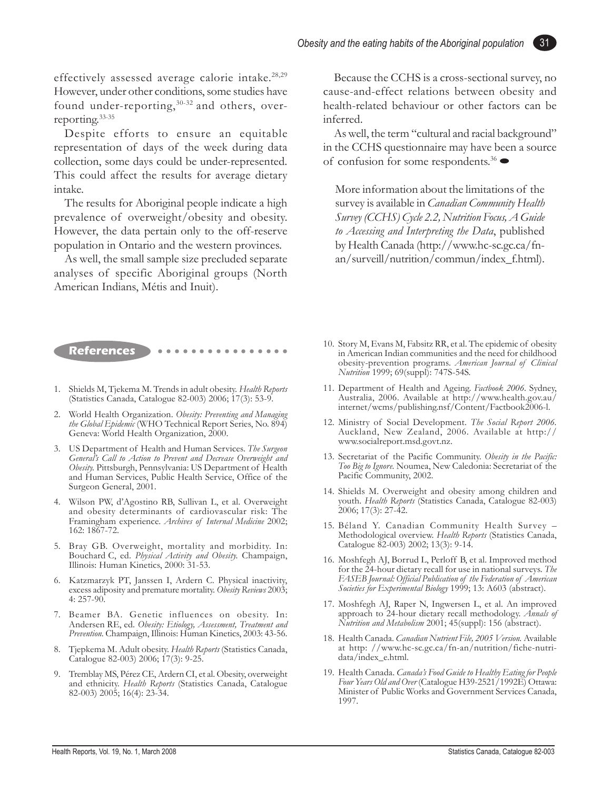effectively assessed average calorie intake.<sup>28,29</sup> However, under other conditions, some studies have found under-reporting,<sup>30-32</sup> and others, overreporting.33-35

Despite efforts to ensure an equitable representation of days of the week during data collection, some days could be under-represented. This could affect the results for average dietary intake.

The results for Aboriginal people indicate a high prevalence of overweight/obesity and obesity. However, the data pertain only to the off-reserve population in Ontario and the western provinces.

As well, the small sample size precluded separate analyses of specific Aboriginal groups (North American Indians, Métis and Inuit).

Because the CCHS is a cross-sectional survey, no cause-and-effect relations between obesity and health-related behaviour or other factors can be inferred.

31

As well, the term "cultural and racial background" in the CCHS questionnaire may have been a source of confusion for some respondents.<sup>36</sup> $\bullet$ 

More information about the limitations of the survey is available in *Canadian Community Health Survey (CCHS) Cycle 2.2, Nutrition Focus, A Guide to Accessing and Interpreting the Data*, published by Health Canada (http://www.hc-sc.gc.ca/fnan/surveill/nutrition/commun/index\_f.html).

#### **References •••••••••••••••**

- 1. Shields M, Tjekema M. Trends in adult obesity. *Health Reports* (Statistics Canada, Catalogue 82-003) 2006; 17(3): 53-9.
- 2. World Health Organization. *Obesity: Preventing and Managing the Global Epidemic* (WHO Technical Report Series, No. 894) Geneva: World Health Organization, 2000.
- 3. US Department of Health and Human Services. *The Surgeon General's Call to Action to Prevent and Decrease Overweight and Obesity.* Pittsburgh, Pennsylvania: US Department of Health and Human Services, Public Health Service, Office of the Surgeon General, 2001.
- 4. Wilson PW, d'Agostino RB, Sullivan L, et al. Overweight and obesity determinants of cardiovascular risk: The Framingham experience. *Archives of Internal Medicine* 2002; 162: 1867-72.
- 5. Bray GB. Overweight, mortality and morbidity. In: Bouchard C, ed. *Physical Activity and Obesity.* Champaign, Illinois: Human Kinetics, 2000: 31-53.
- 6. Katzmarzyk PT, Janssen I, Ardern C. Physical inactivity, excess adiposity and premature mortality. *Obesity Reviews* 2003; 4: 257-90.
- 7. Beamer BA. Genetic influences on obesity. In: Andersen RE, ed. *Obesity: Etiology, Assessment, Treatment and Prevention.* Champaign, Illinois: Human Kinetics, 2003: 43-56.
- 8. Tjepkema M. Adult obesity. *Health Reports* (Statistics Canada, Catalogue 82-003) 2006; 17(3): 9-25.
- 9. Tremblay MS, Pérez CE, Ardern CI, et al. Obesity, overweight and ethnicity. *Health Reports* (Statistics Canada, Catalogue 82-003) 2005; 16(4): 23-34.
- 10. Story M, Evans M, Fabsitz RR, et al. The epidemic of obesity in American Indian communities and the need for childhood obesity-prevention programs. *American Journal of Clinical Nutrition* 1999; 69(suppl): 747S-54S.
- 11. Department of Health and Ageing. *Factbook 2006.* Sydney, Australia, 2006. Available at http://www.health.gov.au/ internet/wcms/publishing.nsf/Content/Factbook2006-l.
- 12. Ministry of Social Development. *The Social Report 2006.* Auckland, New Zealand, 2006. Available at http:// www.socialreport.msd.govt.nz.
- 13. Secretariat of the Pacific Community. *Obesity in the Pacific: Too Big to Ignore.* Noumea, New Caledonia: Secretariat of the Pacific Community, 2002.
- 14. Shields M. Overweight and obesity among children and youth. *Health Reports* (Statistics Canada, Catalogue 82-003) 2006; 17(3): 27-42.
- 15. Béland Y. Canadian Community Health Survey Methodological overview. *Health Reports* (Statistics Canada, Catalogue 82-003) 2002; 13(3): 9-14.
- 16. Moshfegh AJ, Borrud L, Perloff B, et al. Improved method for the 24-hour dietary recall for use in national surveys. *The FASEB Journal: Official Publication of the Federation of American Societies for Experimental Biology* 1999; 13: A603 (abstract).
- 17. Moshfegh AJ, Raper N, Ingwersen L, et al. An improved approach to 24-hour dietary recall methodology. *Annals of Nutrition and Metabolism* 2001; 45(suppl): 156 (abstract).
- 18. Health Canada. *Canadian Nutrient File, 2005 Version.* Available at http: //www.hc-sc.gc.ca/fn-an/nutrition/fiche-nutridata/index\_e.html.
- 19. Health Canada. *Canada's Food Guide to Healthy Eating for People Four Years Old and Over* (Catalogue H39-2521/1992E) Ottawa: Minister of Public Works and Government Services Canada, 1997.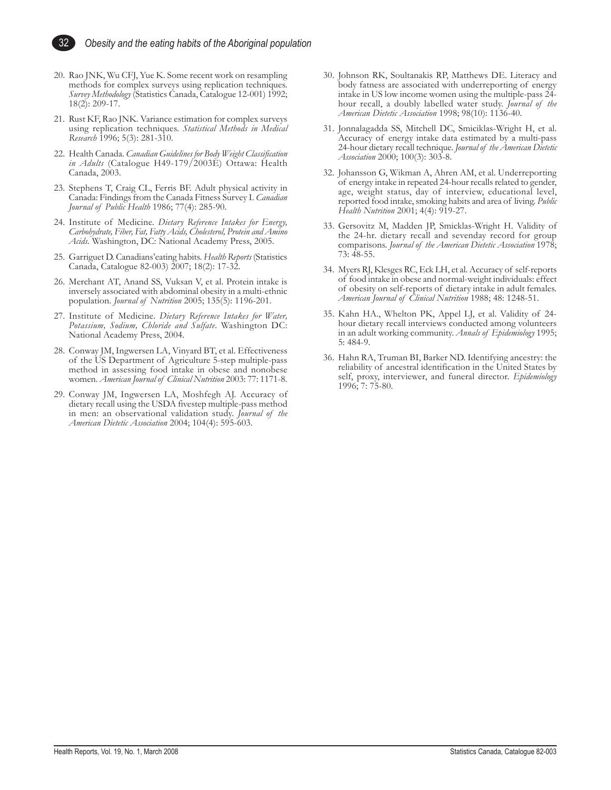

- 20. Rao JNK, Wu CFJ, Yue K. Some recent work on resampling methods for complex surveys using replication techniques. *Survey Methodology* (Statistics Canada, Catalogue 12-001) 1992; 18(2): 209-17.
- 21. Rust KF, Rao JNK. Variance estimation for complex surveys using replication techniques. *Statistical Methods in Medical Research* 1996; 5(3): 281-310.
- 22. Health Canada. *Canadian Guidelines for Body Weight Classification in Adults* (Catalogue H49-179/2003E) Ottawa: Health Canada, 2003.
- 23. Stephens T, Craig CL, Ferris BF. Adult physical activity in Canada: Findings from the Canada Fitness Survey I. *Canadian Journal of Public Health* 1986; 77(4): 285-90.
- 24. Institute of Medicine. *Dietary Reference Intakes for Energy, Carbohydrate, Fiber, Fat, Fatty Acids, Cholesterol, Protein and Amino Acids.* Washington, DC: National Academy Press, 2005.
- 25. Garriguet D. Canadians'eating habits. *Health Reports* (Statistics Canada, Catalogue 82-003) 2007; 18(2): 17-32.
- 26. Merchant AT, Anand SS, Vuksan V, et al. Protein intake is inversely associated with abdominal obesity in a multi-ethnic population. *Journal of Nutrition* 2005; 135(5): 1196-201.
- 27. Institute of Medicine. *Dietary Reference Intakes for Water, Potassium, Sodium, Chloride and Sulfate*. Washington DC: National Academy Press, 2004.
- 28. Conway JM, Ingwersen LA, Vinyard BT, et al. Effectiveness of the US Department of Agriculture 5-step multiple-pass method in assessing food intake in obese and nonobese women. *American Journal of Clinical Nutrition* 2003: 77: 1171-8.
- 29. Conway JM, Ingwersen LA, Moshfegh AJ. Accuracy of dietary recall using the USDA fivestep multiple-pass method in men: an observational validation study. *Journal of the American Dietetic Association* 2004; 104(4): 595-603.
- 30. Johnson RK, Soultanakis RP, Matthews DE. Literacy and body fatness are associated with underreporting of energy intake in US low income women using the multiple-pass 24 hour recall, a doubly labelled water study. *Journal of the American Dietetic Association* 1998; 98(10): 1136-40.
- 31. Jonnalagadda SS, Mitchell DC, Smiciklas-Wright H, et al. Accuracy of energy intake data estimated by a multi-pass 24-hour dietary recall technique. *Journal of the American Dietetic Association* 2000; 100(3): 303-8.
- 32. Johansson G, Wikman A, Ahren AM, et al. Underreporting of energy intake in repeated 24-hour recalls related to gender, age, weight status, day of interview, educational level, reported food intake, smoking habits and area of living. *Public Health Nutrition* 2001; 4(4): 919-27.
- 33. Gersovitz M, Madden JP, Smicklas-Wright H. Validity of the 24-hr. dietary recall and sevenday record for group comparisons. *Journal of the American Dietetic Association* 1978; 73: 48-55.
- 34. Myers RJ, Klesges RC, Eck LH, et al. Accuracy of self-reports of food intake in obese and normal-weight individuals: effect of obesity on self-reports of dietary intake in adult females. *American Journal of Clinical Nutrition* 1988; 48: 1248-51.
- 35. Kahn HA., Whelton PK, Appel LJ, et al. Validity of 24 hour dietary recall interviews conducted among volunteers in an adult working community. *Annals of Epidemiology* 1995; 5: 484-9.
- 36. Hahn RA, Truman BI, Barker ND. Identifying ancestry: the reliability of ancestral identification in the United States by self, proxy, interviewer, and funeral director. *Epidemiology* 1996; 7: 75-80.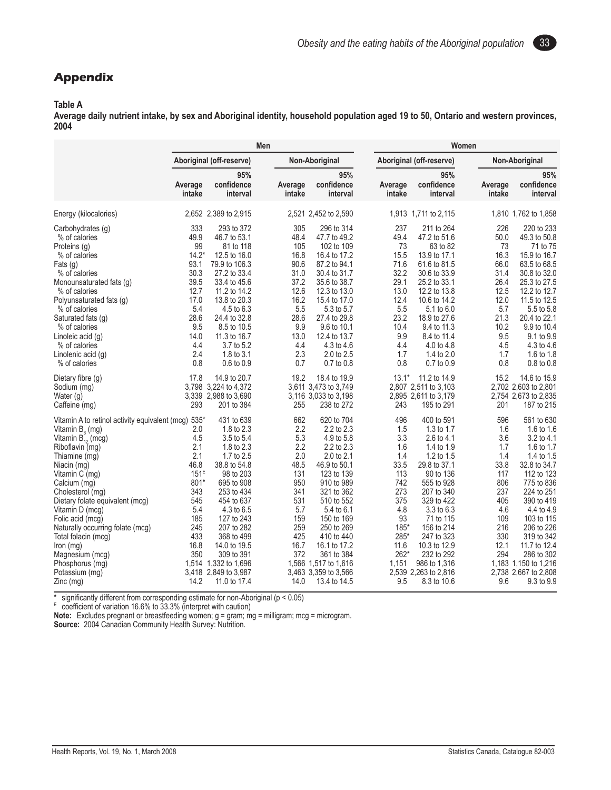33

#### **Appendix**

#### **Table A**

**Average daily nutrient intake, by sex and Aboriginal identity, household population aged 19 to 50, Ontario and western provinces, 2004**

|                                                                                                                                                                                                                                                                                                                                                                                                                                                    |                                                                                                                                      | Men                                                                                                                                                                                                                                                                                       |                                                                                                                        |                                                                                                                                                                                                                                                                                                          |                                                                                                                                  | Women                                                                                                                                                                                                                                                                                     |                                                                                                                       |                                                                                                                                                                                                                                                                                                |  |
|----------------------------------------------------------------------------------------------------------------------------------------------------------------------------------------------------------------------------------------------------------------------------------------------------------------------------------------------------------------------------------------------------------------------------------------------------|--------------------------------------------------------------------------------------------------------------------------------------|-------------------------------------------------------------------------------------------------------------------------------------------------------------------------------------------------------------------------------------------------------------------------------------------|------------------------------------------------------------------------------------------------------------------------|----------------------------------------------------------------------------------------------------------------------------------------------------------------------------------------------------------------------------------------------------------------------------------------------------------|----------------------------------------------------------------------------------------------------------------------------------|-------------------------------------------------------------------------------------------------------------------------------------------------------------------------------------------------------------------------------------------------------------------------------------------|-----------------------------------------------------------------------------------------------------------------------|------------------------------------------------------------------------------------------------------------------------------------------------------------------------------------------------------------------------------------------------------------------------------------------------|--|
|                                                                                                                                                                                                                                                                                                                                                                                                                                                    |                                                                                                                                      | Aboriginal (off-reserve)                                                                                                                                                                                                                                                                  |                                                                                                                        | Non-Aboriginal                                                                                                                                                                                                                                                                                           |                                                                                                                                  | Aboriginal (off-reserve)                                                                                                                                                                                                                                                                  |                                                                                                                       | Non-Aboriginal                                                                                                                                                                                                                                                                                 |  |
|                                                                                                                                                                                                                                                                                                                                                                                                                                                    | Average<br>intake                                                                                                                    | 95%<br>confidence<br>interval                                                                                                                                                                                                                                                             | Average<br>intake                                                                                                      | 95%<br>confidence<br>interval                                                                                                                                                                                                                                                                            | Average<br>intake                                                                                                                | 95%<br>confidence<br>interval                                                                                                                                                                                                                                                             | Average<br>intake                                                                                                     | 95%<br>confidence<br>interval                                                                                                                                                                                                                                                                  |  |
| Energy (kilocalories)                                                                                                                                                                                                                                                                                                                                                                                                                              |                                                                                                                                      | 2,652 2,389 to 2,915                                                                                                                                                                                                                                                                      |                                                                                                                        | 2,521 2,452 to 2,590                                                                                                                                                                                                                                                                                     |                                                                                                                                  | 1,913 1,711 to 2,115                                                                                                                                                                                                                                                                      |                                                                                                                       | 1,810 1,762 to 1,858                                                                                                                                                                                                                                                                           |  |
| Carbohydrates (g)<br>% of calories<br>Proteins (g)<br>% of calories<br>Fats (g)<br>% of calories<br>Monounsaturated fats (g)<br>% of calories<br>Polyunsaturated fats (g)<br>% of calories<br>Saturated fats (g)<br>% of calories<br>Linoleic acid (g)<br>% of calories<br>Linolenic acid (g)<br>% of calories                                                                                                                                     | 333<br>49.9<br>99<br>$14.2*$<br>93.1<br>30.3<br>39.5<br>12.7<br>17.0<br>5.4<br>28.6<br>9.5<br>14.0<br>4.4<br>2.4<br>0.8              | 293 to 372<br>46.7 to 53.1<br>81 to 118<br>12.5 to 16.0<br>79.9 to 106.3<br>27.2 to 33.4<br>33.4 to 45.6<br>11.2 to 14.2<br>13.8 to 20.3<br>4.5 to 6.3<br>24.4 to 32.8<br>8.5 to 10.5<br>11.3 to 16.7<br>3.7 to 5.2<br>1.8 to 3.1<br>0.6 to 0.9                                           | 305<br>48.4<br>105<br>16.8<br>90.6<br>31.0<br>37.2<br>12.6<br>16.2<br>5.5<br>28.6<br>9.9<br>13.0<br>4.4<br>2.3<br>0.7  | 296 to 314<br>47.7 to 49.2<br>102 to 109<br>16.4 to 17.2<br>87.2 to 94.1<br>30.4 to 31.7<br>35.6 to 38.7<br>12.3 to 13.0<br>15.4 to 17.0<br>5.3 to 5.7<br>27.4 to 29.8<br>9.6 to 10.1<br>12.4 to 13.7<br>4.3 to 4.6<br>2.0 to 2.5<br>0.7 to 0.8                                                          | 237<br>49.4<br>73<br>15.5<br>71.6<br>32.2<br>29.1<br>13.0<br>12.4<br>5.5<br>23.2<br>10.4<br>9.9<br>4.4<br>1.7<br>0.8             | 211 to 264<br>47.2 to 51.6<br>63 to 82<br>13.9 to 17.1<br>61.6 to 81.5<br>30.6 to 33.9<br>25.2 to 33.1<br>12.2 to 13.8<br>10.6 to 14.2<br>5.1 to 6.0<br>18.9 to 27.6<br>9.4 to 11.3<br>8.4 to 11.4<br>4.0 to 4.8<br>1.4 to 2.0<br>0.7 to 0.9                                              | 226<br>50.0<br>73<br>16.3<br>66.0<br>31.4<br>26.4<br>12.5<br>12.0<br>5.7<br>21.3<br>10.2<br>9.5<br>4.5<br>1.7<br>0.8  | 220 to 233<br>49.3 to 50.8<br>71 to 75<br>15.9 to 16.7<br>63.5 to 68.5<br>30.8 to 32.0<br>25.3 to 27.5<br>12.2 to 12.7<br>11.5 to 12.5<br>5.5 to 5.8<br>20.4 to 22.1<br>9.9 to 10.4<br>9.1 to 9.9<br>4.3 to 4.6<br>1.6 to 1.8<br>0.8 to 0.8                                                    |  |
| Dietary fibre (g)<br>Sodium (mg)<br>Water (g)<br>Caffeine (mg)                                                                                                                                                                                                                                                                                                                                                                                     | 17.8<br>293                                                                                                                          | 14.9 to 20.7<br>3,798 3,224 to 4,372<br>3,339 2,988 to 3,690<br>201 to 384                                                                                                                                                                                                                | 19.2<br>255                                                                                                            | 18.4 to 19.9<br>3,611 3,473 to 3,749<br>3,116 3,033 to 3,198<br>238 to 272                                                                                                                                                                                                                               | $13.1*$<br>243                                                                                                                   | 11.2 to 14.9<br>2,807 2,511 to 3,103<br>2,895 2,611 to 3,179<br>195 to 291                                                                                                                                                                                                                | 15.2<br>201                                                                                                           | 14.6 to 15.9<br>2,702 2,603 to 2,801<br>2,754 2,673 to 2,835<br>187 to 215                                                                                                                                                                                                                     |  |
| Vitamin A to retinol activity equivalent (mcg)<br>Vitamin $B_{\epsilon}$ (mg)<br>Vitamin $B_{12}^{\prime}$ (mcg)<br>Riboflavin (mg)<br>Thiamine (mg)<br>Niacin (mg)<br>Vitamin C (mg)<br>Calcium (mg)<br>Cholesterol (mg)<br>Dietary folate equivalent (mcg)<br>Vitamin D (mcg)<br>Folic acid (mcq)<br>Naturally occurring folate (mcg)<br>Total folacin (mcg)<br>Iron (mg)<br>Magnesium (mcg)<br>Phosphorus (mg)<br>Potassium (mg)<br>$Zinc$ (mg) | $535*$<br>2.0<br>4.5<br>2.1<br>2.1<br>46.8<br>151E<br>801*<br>343<br>545<br>5.4<br>185<br>245<br>433<br>16.8<br>350<br>1,514<br>14.2 | 431 to 639<br>1.8 to 2.3<br>3.5 to 5.4<br>1.8 to 2.3<br>1.7 to 2.5<br>38.8 to 54.8<br>98 to 203<br>695 to 908<br>253 to 434<br>454 to 637<br>4.3 to 6.5<br>127 to 243<br>207 to 282<br>368 to 499<br>14.0 to 19.5<br>309 to 391<br>1,332 to 1,696<br>3,418 2,849 to 3,987<br>11.0 to 17.4 | 662<br>2.2<br>5.3<br>2.2<br>2.0<br>48.5<br>131<br>950<br>341<br>531<br>5.7<br>159<br>259<br>425<br>16.7<br>372<br>14.0 | 620 to 704<br>$2.2$ to $2.3$<br>4.9 to 5.8<br>$2.2$ to $2.3$<br>2.0 to 2.1<br>46.9 to 50.1<br>123 to 139<br>910 to 989<br>321 to 362<br>510 to 552<br>5.4 to 6.1<br>150 to 169<br>250 to 269<br>410 to 440<br>16.1 to 17.2<br>361 to 384<br>1,566 1,517 to 1,616<br>3,463 3,359 to 3,566<br>13.4 to 14.5 | 496<br>1.5<br>3.3<br>1.6<br>1.4<br>33.5<br>113<br>742<br>273<br>375<br>4.8<br>93<br>185*<br>285*<br>11.6<br>262*<br>1,151<br>9.5 | 400 to 591<br>1.3 to 1.7<br>2.6 to $4.1$<br>1.4 to 1.9<br>1.2 to $1.5$<br>29.8 to 37.1<br>90 to 136<br>555 to 928<br>207 to 340<br>329 to 422<br>3.3 to 6.3<br>71 to 115<br>156 to 214<br>247 to 323<br>10.3 to 12.9<br>232 to 292<br>986 to 1,316<br>2,539 2,263 to 2,816<br>8.3 to 10.6 | 596<br>1.6<br>3.6<br>1.7<br>1.4<br>33.8<br>117<br>806<br>237<br>405<br>4.6<br>109<br>216<br>330<br>12.1<br>294<br>9.6 | 561 to 630<br>1.6 to 1.6<br>3.2 to 4.1<br>1.6 to 1.7<br>1.4 to 1.5<br>32.8 to 34.7<br>112 to 123<br>775 to 836<br>224 to 251<br>390 to 419<br>4.4 to 4.9<br>103 to 115<br>206 to 226<br>319 to 342<br>11.7 to 12.4<br>286 to 302<br>1,183 1,150 to 1,216<br>2,738 2,667 to 2,808<br>9.3 to 9.9 |  |

\* significantly different from corresponding estimate for non-Aboriginal (p < 0.05)

 $E_{\text{coefficient of variation}}$  16.6% to 33.3% (interpret with caution)

**Note:** Excludes pregnant or breastfeeding women; g = gram; mg = milligram; mcg = microgram.

**Source:** 2004 Canadian Community Health Survey: Nutrition.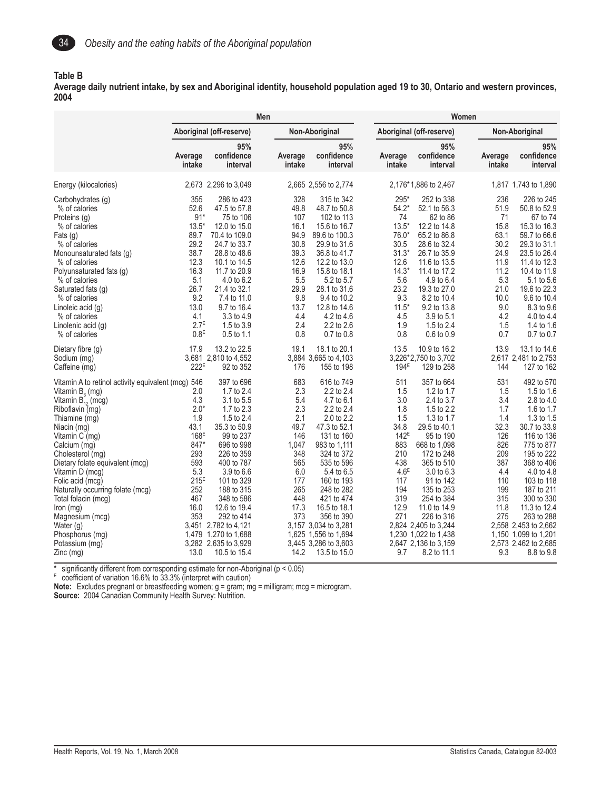

#### **Table B**

**Average daily nutrient intake, by sex and Aboriginal identity, household population aged 19 to 30, Ontario and western provinces, 2004**

|                                                                                                                                                                                                                                                                                                                                                                                                                                                              | Men                                                                                                                                                  |                                                                                                                                                                                                                                                                                                                   |                                                                                                                          |                                                                                                                                                                                                                                                                                                                            |                                                                                                                                                 | Women                                                                                                                                                                                                                                                                                                                   |                                                                                                                       |                                                                                                                                                                                                                                                                                                                        |  |
|--------------------------------------------------------------------------------------------------------------------------------------------------------------------------------------------------------------------------------------------------------------------------------------------------------------------------------------------------------------------------------------------------------------------------------------------------------------|------------------------------------------------------------------------------------------------------------------------------------------------------|-------------------------------------------------------------------------------------------------------------------------------------------------------------------------------------------------------------------------------------------------------------------------------------------------------------------|--------------------------------------------------------------------------------------------------------------------------|----------------------------------------------------------------------------------------------------------------------------------------------------------------------------------------------------------------------------------------------------------------------------------------------------------------------------|-------------------------------------------------------------------------------------------------------------------------------------------------|-------------------------------------------------------------------------------------------------------------------------------------------------------------------------------------------------------------------------------------------------------------------------------------------------------------------------|-----------------------------------------------------------------------------------------------------------------------|------------------------------------------------------------------------------------------------------------------------------------------------------------------------------------------------------------------------------------------------------------------------------------------------------------------------|--|
|                                                                                                                                                                                                                                                                                                                                                                                                                                                              |                                                                                                                                                      | Aboriginal (off-reserve)                                                                                                                                                                                                                                                                                          |                                                                                                                          | Non-Aboriginal                                                                                                                                                                                                                                                                                                             |                                                                                                                                                 | Aboriginal (off-reserve)                                                                                                                                                                                                                                                                                                |                                                                                                                       | Non-Aboriginal                                                                                                                                                                                                                                                                                                         |  |
|                                                                                                                                                                                                                                                                                                                                                                                                                                                              | Average<br>intake                                                                                                                                    | 95%<br>confidence<br>interval                                                                                                                                                                                                                                                                                     | Average<br>intake                                                                                                        | 95%<br>confidence<br>interval                                                                                                                                                                                                                                                                                              | Average<br>intake                                                                                                                               | 95%<br>confidence<br>interval                                                                                                                                                                                                                                                                                           | Average<br>intake                                                                                                     | 95%<br>confidence<br>interval                                                                                                                                                                                                                                                                                          |  |
| Energy (kilocalories)                                                                                                                                                                                                                                                                                                                                                                                                                                        |                                                                                                                                                      | 2,673 2,296 to 3,049                                                                                                                                                                                                                                                                                              |                                                                                                                          | 2,665 2,556 to 2,774                                                                                                                                                                                                                                                                                                       |                                                                                                                                                 | 2,176*1,886 to 2,467                                                                                                                                                                                                                                                                                                    |                                                                                                                       | 1,817 1,743 to 1,890                                                                                                                                                                                                                                                                                                   |  |
| Carbohydrates (g)<br>% of calories<br>Proteins (g)<br>% of calories<br>Fats (g)<br>% of calories<br>Monounsaturated fats (g)<br>% of calories<br>Polyunsaturated fats (g)<br>% of calories<br>Saturated fats (g)<br>% of calories<br>Linoleic acid (q)<br>% of calories<br>Linolenic acid (g)<br>% of calories                                                                                                                                               | 355<br>52.6<br>$91*$<br>$13.5*$<br>89.7<br>29.2<br>38.7<br>12.3<br>16.3<br>5.1<br>26.7<br>9.2<br>13.0<br>4.1<br>2.7 <sup>E</sup><br>0.8 <sup>E</sup> | 286 to 423<br>47.5 to 57.8<br>75 to 106<br>12.0 to 15.0<br>70.4 to 109.0<br>24.7 to 33.7<br>28.8 to 48.6<br>10.1 to 14.5<br>11.7 to 20.9<br>4.0 to 6.2<br>21.4 to 32.1<br>7.4 to 11.0<br>9.7 to 16.4<br>3.3 to 4.9<br>1.5 to 3.9<br>$0.5$ to 1.1                                                                  | 328<br>49.8<br>107<br>16.1<br>94.9<br>30.8<br>39.3<br>12.6<br>16.9<br>5.5<br>29.9<br>9.8<br>13.7<br>4.4<br>2.4<br>0.8    | 315 to 342<br>48.7 to 50.8<br>102 to 113<br>15.6 to 16.7<br>89.6 to 100.3<br>29.9 to 31.6<br>36.8 to 41.7<br>12.2 to 13.0<br>15.8 to 18.1<br>5.2 to 5.7<br>28.1 to 31.6<br>9.4 to 10.2<br>12.8 to 14.6<br>4.2 to 4.6<br>2.2 to 2.6<br>0.7 to 0.8                                                                           | 295*<br>$54.2*$<br>74<br>$13.5*$<br>76.0*<br>30.5<br>$31.3*$<br>12.6<br>$14.3*$<br>5.6<br>23.2<br>9.3<br>$11.5*$<br>4.5<br>1.9<br>0.8           | 252 to 338<br>52.1 to 56.3<br>62 to 86<br>12.2 to 14.8<br>65.2 to 86.8<br>28.6 to 32.4<br>26.7 to 35.9<br>11.6 to 13.5<br>11.4 to 17.2<br>4.9 to 6.4<br>19.3 to 27.0<br>8.2 to 10.4<br>9.2 to 13.8<br>3.9 to 5.1<br>1.5 to 2.4<br>$0.6 \text{ to } 0.9$                                                                 | 236<br>51.9<br>71<br>15.8<br>63.1<br>30.2<br>24.9<br>11.9<br>11.2<br>5.3<br>21.0<br>10.0<br>9.0<br>4.2<br>1.5<br>0.7  | 226 to 245<br>50.8 to 52.9<br>67 to 74<br>15.3 to 16.3<br>59.7 to 66.6<br>29.3 to 31.1<br>23.5 to 26.4<br>11.4 to 12.3<br>10.4 to 11.9<br>5.1 to 5.6<br>19.6 to 22.3<br>9.6 to 10.4<br>8.3 to 9.6<br>4.0 to 4.4<br>1.4 to 1.6<br>0.7 to 0.7                                                                            |  |
| Dietary fibre (g)<br>Sodium (mg)<br>Caffeine (mg)                                                                                                                                                                                                                                                                                                                                                                                                            | 17.9<br>222 <sup>E</sup>                                                                                                                             | 13.2 to 22.5<br>3,681 2,810 to 4,552<br>92 to 352                                                                                                                                                                                                                                                                 | 19.1<br>176                                                                                                              | 18.1 to 20.1<br>3,884 3,665 to 4,103<br>155 to 198                                                                                                                                                                                                                                                                         | 13.5<br>194 <sup>E</sup>                                                                                                                        | 10.9 to 16.2<br>3,226*2,750 to 3,702<br>129 to 258                                                                                                                                                                                                                                                                      | 13.9<br>144                                                                                                           | 13.1 to 14.6<br>2,617 2,481 to 2,753<br>127 to 162                                                                                                                                                                                                                                                                     |  |
| Vitamin A to retinol activity equivalent (mcg) 546<br>Vitamin $B_6$ (mg)<br>Vitamin $B_{12}^{\prime}$ (mcg)<br>Riboflavin (mg)<br>Thiamine (mg)<br>Niacin (mg)<br>Vitamin C (mg)<br>Calcium (mg)<br>Cholesterol (mg)<br>Dietary folate equivalent (mcg)<br>Vitamin D (mcg)<br>Folic acid (mcq)<br>Naturally occurring folate (mcg)<br>Total folacin (mcg)<br>$lron$ (mg)<br>Magnesium (mcg)<br>Water (g)<br>Phosphorus (mg)<br>Potassium (mg)<br>$Zinc$ (mg) | 2.0<br>4.3<br>$2.0*$<br>1.9<br>43.1<br>168 <sup>E</sup><br>847*<br>293<br>593<br>5.3<br>215E<br>252<br>467<br>16.0<br>353<br>3,451<br>13.0           | 397 to 696<br>1.7 to 2.4<br>3.1 to 5.5<br>1.7 to 2.3<br>1.5 to 2.4<br>35.3 to 50.9<br>99 to 237<br>696 to 998<br>226 to 359<br>400 to 787<br>3.9 to 6.6<br>101 to 329<br>188 to 315<br>348 to 586<br>12.6 to 19.4<br>292 to 414<br>2,782 to 4,121<br>1,479 1,270 to 1,688<br>3,282 2,635 to 3,929<br>10.5 to 15.4 | 683<br>2.3<br>5.4<br>2.3<br>2.1<br>49.7<br>146<br>1,047<br>348<br>565<br>6.0<br>177<br>265<br>448<br>17.3<br>373<br>14.2 | 616 to 749<br>2.2 to 2.4<br>4.7 to 6.1<br>2.2 to 2.4<br>2.0 to 2.2<br>47.3 to 52.1<br>131 to 160<br>983 to 1,111<br>324 to 372<br>535 to 596<br>5.4 to 6.5<br>160 to 193<br>248 to 282<br>421 to 474<br>16.5 to 18.1<br>356 to 390<br>3,157 3,034 to 3,281<br>1,625 1,556 to 1,694<br>3,445 3,286 to 3,603<br>13.5 to 15.0 | 511<br>1.5<br>3.0<br>1.8<br>1.5<br>34.8<br>142 <sup>E</sup><br>883<br>210<br>438<br>4.6 <sup>E</sup><br>117<br>194<br>319<br>12.9<br>271<br>9.7 | 357 to 664<br>1.2 to 1.7<br>2.4 to 3.7<br>1.5 to 2.2<br>1.3 to 1.7<br>29.5 to 40.1<br>95 to 190<br>668 to 1,098<br>172 to 248<br>365 to 510<br>3.0 to 6.3<br>91 to 142<br>135 to 253<br>254 to 384<br>11.0 to 14.9<br>226 to 316<br>2,824 2,405 to 3,244<br>1,230 1,022 to 1,438<br>2,647 2,136 to 3,159<br>8.2 to 11.1 | 531<br>1.5<br>3.4<br>1.7<br>1.4<br>32.3<br>126<br>826<br>209<br>387<br>4.4<br>110<br>199<br>315<br>11.8<br>275<br>9.3 | 492 to 570<br>1.5 to 1.6<br>2.8 to 4.0<br>1.6 to 1.7<br>1.3 to 1.5<br>30.7 to 33.9<br>116 to 136<br>775 to 877<br>195 to 222<br>368 to 406<br>4.0 to 4.8<br>103 to 118<br>187 to 211<br>300 to 330<br>11.3 to 12.4<br>263 to 288<br>2,558 2,453 to 2,662<br>1,150 1,099 to 1,201<br>2,573 2,462 to 2,685<br>8.8 to 9.8 |  |

\* significantly different from corresponding estimate for non-Aboriginal (p < 0.05)

 $E_{\text{co}}$  coefficient of variation 16.6% to 33.3% (interpret with caution)

**Note:** Excludes pregnant or breastfeeding women; g = gram; mg = milligram; mcg = microgram.

**Source:** 2004 Canadian Community Health Survey: Nutrition.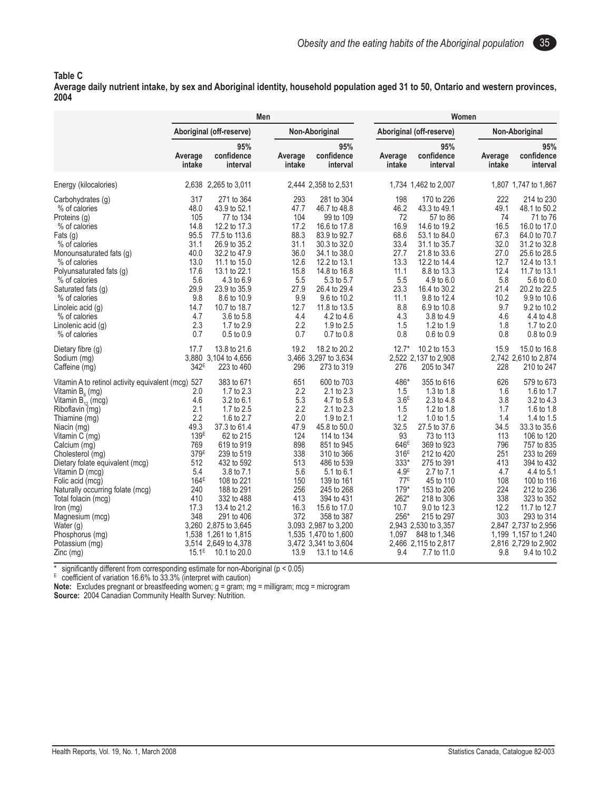#### **Table C**

**Average daily nutrient intake, by sex and Aboriginal identity, household population aged 31 to 50, Ontario and western provinces, 2004**

|                                                                                                                                                                                                                                                                                                                                                                                                                                                                 |                                                                                                                                                                         |                                                                                                                                                                                                                                                                                                                      | Men                                                                                                                    |                                                                                                                                                                                                                                                                                                                          |                                                                                                                                                                                                        | Women                                                                                                                                                                                                                                                                                                          |                                                                                                                       |                                                                                                                                                                                                                                                                                                                         |  |  |
|-----------------------------------------------------------------------------------------------------------------------------------------------------------------------------------------------------------------------------------------------------------------------------------------------------------------------------------------------------------------------------------------------------------------------------------------------------------------|-------------------------------------------------------------------------------------------------------------------------------------------------------------------------|----------------------------------------------------------------------------------------------------------------------------------------------------------------------------------------------------------------------------------------------------------------------------------------------------------------------|------------------------------------------------------------------------------------------------------------------------|--------------------------------------------------------------------------------------------------------------------------------------------------------------------------------------------------------------------------------------------------------------------------------------------------------------------------|--------------------------------------------------------------------------------------------------------------------------------------------------------------------------------------------------------|----------------------------------------------------------------------------------------------------------------------------------------------------------------------------------------------------------------------------------------------------------------------------------------------------------------|-----------------------------------------------------------------------------------------------------------------------|-------------------------------------------------------------------------------------------------------------------------------------------------------------------------------------------------------------------------------------------------------------------------------------------------------------------------|--|--|
|                                                                                                                                                                                                                                                                                                                                                                                                                                                                 |                                                                                                                                                                         | Aboriginal (off-reserve)                                                                                                                                                                                                                                                                                             |                                                                                                                        | Non-Aboriginal                                                                                                                                                                                                                                                                                                           |                                                                                                                                                                                                        | Aboriginal (off-reserve)                                                                                                                                                                                                                                                                                       |                                                                                                                       | Non-Aboriginal                                                                                                                                                                                                                                                                                                          |  |  |
|                                                                                                                                                                                                                                                                                                                                                                                                                                                                 | Average<br>intake                                                                                                                                                       | 95%<br>confidence<br>interval                                                                                                                                                                                                                                                                                        | Average<br>intake                                                                                                      | 95%<br>confidence<br>interval                                                                                                                                                                                                                                                                                            | Average<br>intake                                                                                                                                                                                      | 95%<br>confidence<br>interval                                                                                                                                                                                                                                                                                  | Average<br>intake                                                                                                     | 95%<br>confidence<br>interval                                                                                                                                                                                                                                                                                           |  |  |
| Energy (kilocalories)                                                                                                                                                                                                                                                                                                                                                                                                                                           |                                                                                                                                                                         | 2,638 2,265 to 3,011                                                                                                                                                                                                                                                                                                 |                                                                                                                        | 2,444 2,358 to 2,531                                                                                                                                                                                                                                                                                                     |                                                                                                                                                                                                        | 1,734 1,462 to 2,007                                                                                                                                                                                                                                                                                           |                                                                                                                       | 1,807 1,747 to 1,867                                                                                                                                                                                                                                                                                                    |  |  |
| Carbohydrates (q)<br>% of calories<br>Proteins (g)<br>% of calories<br>Fats (g)<br>% of calories<br>Monounsaturated fats (g)<br>% of calories<br>Polyunsaturated fats (g)<br>% of calories<br>Saturated fats (g)<br>% of calories<br>Linoleic acid (g)<br>% of calories<br>Linolenic acid (g)                                                                                                                                                                   | 317<br>48.0<br>105<br>14.8<br>95.5<br>31.1<br>40.0<br>13.0<br>17.6<br>5.6<br>29.9<br>9.8<br>14.7<br>4.7<br>2.3<br>0.7                                                   | 271 to 364<br>43.9 to 52.1<br>77 to 134<br>12.2 to 17.3<br>77.5 to 113.6<br>26.9 to 35.2<br>32.2 to 47.9<br>11.1 to 15.0<br>13.1 to 22.1<br>4.3 to 6.9<br>23.9 to 35.9<br>8.6 to 10.9<br>10.7 to 18.7<br>3.6 to 5.8<br>1.7 to 2.9                                                                                    | 293<br>47.7<br>104<br>17.2<br>88.3<br>31.1<br>36.0<br>12.6<br>15.8<br>5.5<br>27.9<br>9.9<br>12.7<br>4.4<br>2.2         | 281 to 304<br>46.7 to 48.8<br>99 to 109<br>16.6 to 17.8<br>83.9 to 92.7<br>30.3 to 32.0<br>34.1 to 38.0<br>12.2 to 13.1<br>14.8 to 16.8<br>5.3 to 5.7<br>26.4 to 29.4<br>9.6 to 10.2<br>11.8 to 13.5<br>4.2 to 4.6<br>1.9 to 2.5                                                                                         | 198<br>46.2<br>72<br>16.9<br>68.6<br>33.4<br>27.7<br>13.3<br>11.1<br>5.5<br>23.3<br>11.1<br>8.8<br>4.3<br>1.5<br>0.8                                                                                   | 170 to 226<br>43.3 to 49.1<br>57 to 86<br>14.6 to 19.2<br>53.1 to 84.0<br>31.1 to 35.7<br>21.8 to 33.6<br>12.2 to 14.4<br>8.8 to 13.3<br>4.9 to 6.0<br>16.4 to 30.2<br>9.8 to 12.4<br>6.9 to 10.8<br>3.8 to 4.9<br>1.2 to 1.9                                                                                  | 222<br>49.1<br>74<br>16.5<br>67.3<br>32.0<br>27.0<br>12.7<br>12.4<br>5.8<br>21.4<br>10.2<br>9.7<br>4.6<br>1.8         | 214 to 230<br>48.1 to 50.2<br>71 to 76<br>16.0 to 17.0<br>64.0 to 70.7<br>31.2 to 32.8<br>25.6 to 28.5<br>12.4 to 13.1<br>11.7 to 13.1<br>5.6 to 6.0<br>20.2 to 22.5<br>9.9 to 10.6<br>9.2 to 10.2<br>4.4 to 4.8<br>1.7 to 2.0                                                                                          |  |  |
| % of calories<br>Dietary fibre (g)<br>Sodium (mg)<br>Caffeine (mg)                                                                                                                                                                                                                                                                                                                                                                                              | 17.7<br>342 <sup>E</sup>                                                                                                                                                | 0.5 to 0.9<br>13.8 to 21.6<br>3,880 3,104 to 4,656<br>223 to 460                                                                                                                                                                                                                                                     | 0.7<br>19.2<br>296                                                                                                     | 0.7 to 0.8<br>18.2 to 20.2<br>3,466 3,297 to 3,634<br>273 to 319                                                                                                                                                                                                                                                         | $12.7*$<br>276                                                                                                                                                                                         | 0.6 to 0.9<br>10.2 to 15.3<br>2,522 2,137 to 2,908<br>205 to 347                                                                                                                                                                                                                                               | 0.8<br>15.9<br>228                                                                                                    | $0.8$ to $0.9$<br>15.0 to 16.8<br>2,742 2,610 to 2,874<br>210 to 247                                                                                                                                                                                                                                                    |  |  |
| Vitamin A to retinol activity equivalent (mcg)<br>Vitamin $B_{\epsilon}$ (mg)<br>Vitamin $B_{12}^{\prime}$ (mcg)<br>Riboflavin (mg)<br>Thiamine (mg)<br>Niacin (mg)<br>Vitamin C (mg)<br>Calcium (mg)<br>Cholesterol (mg)<br>Dietary folate equivalent (mcg)<br>Vitamin D (mcg)<br>Folic acid (mcg)<br>Naturally occurring folate (mcg)<br>Total folacin (mcg)<br>$lron$ (mg)<br>Magnesium (mcg)<br>Water (g)<br>Phosphorus (mg)<br>Potassium (mg)<br>Zinc (mg) | 527<br>2.0<br>4.6<br>2.1<br>2.2<br>49.3<br>139 <sup>E</sup><br>769<br>379 <sup>E</sup><br>512<br>5.4<br>164 <sup>E</sup><br>240<br>410<br>17.3<br>348<br>3.260<br>3,514 | 383 to 671<br>1.7 to 2.3<br>3.2 to 6.1<br>1.7 to 2.5<br>1.6 to 2.7<br>37.3 to 61.4<br>62 to 215<br>619 to 919<br>239 to 519<br>432 to 592<br>3.8 to 7.1<br>108 to 221<br>188 to 291<br>332 to 488<br>13.4 to 21.2<br>291 to 406<br>2,875 to 3,645<br>1,538 1,261 to 1,815<br>2,649 to 4,378<br>$15.1^E$ 10.1 to 20.0 | 651<br>2.2<br>5.3<br>2.2<br>2.0<br>47.9<br>124<br>898<br>338<br>513<br>5.6<br>150<br>256<br>413<br>16.3<br>372<br>13.9 | 600 to 703<br>2.1 to 2.3<br>4.7 to 5.8<br>2.1 to 2.3<br>1.9 to 2.1<br>45.8 to 50.0<br>114 to 134<br>851 to 945<br>310 to 366<br>486 to 539<br>5.1 to 6.1<br>139 to 161<br>245 to 268<br>394 to 431<br>15.6 to 17.0<br>358 to 387<br>3,093 2,987 to 3,200<br>1,535 1,470 to 1,600<br>3,472 3,341 to 3,604<br>13.1 to 14.6 | 486*<br>1.5<br>3.6 <sup>E</sup><br>1.5<br>1.2<br>32.5<br>93<br>646 <sup>E</sup><br>316 <sup>E</sup><br>333*<br>4.9 <sup>E</sup><br>77 <sup>E</sup><br>$179*$<br>262*<br>10.7<br>$256*$<br>1,097<br>9.4 | 355 to 616<br>1.3 to 1.8<br>2.3 to 4.8<br>1.2 to 1.8<br>1.0 to $1.5$<br>27.5 to 37.6<br>73 to 113<br>369 to 923<br>212 to 420<br>275 to 391<br>2.7 to 7.1<br>45 to 110<br>153 to 206<br>218 to 306<br>9.0 to 12.3<br>215 to 297<br>2.943 2.530 to 3.357<br>848 to 1,346<br>2,466 2,115 to 2,817<br>7.7 to 11.0 | 626<br>1.6<br>3.8<br>1.7<br>1.4<br>34.5<br>113<br>796<br>251<br>413<br>4.7<br>108<br>224<br>338<br>12.2<br>303<br>9.8 | 579 to 673<br>1.6 to 1.7<br>3.2 to 4.3<br>1.6 to 1.8<br>1.4 to 1.5<br>33.3 to 35.6<br>106 to 120<br>757 to 835<br>233 to 269<br>394 to 432<br>4.4 to 5.1<br>100 to 116<br>212 to 236<br>323 to 352<br>11.7 to 12.7<br>293 to 314<br>2,847 2,737 to 2,956<br>1,199 1,157 to 1,240<br>2,816 2,729 to 2,902<br>9.4 to 10.2 |  |  |

\* significantly different from corresponding estimate for non-Aboriginal (p < 0.05)

 $E_{\text{coefficient of variation}}$  16.6% to 33.3% (interpret with caution)

**Note:** Excludes pregnant or breastfeeding women; g = gram; mg = milligram; mcg = microgram **Source:** 2004 Canadian Community Health Survey: Nutrition.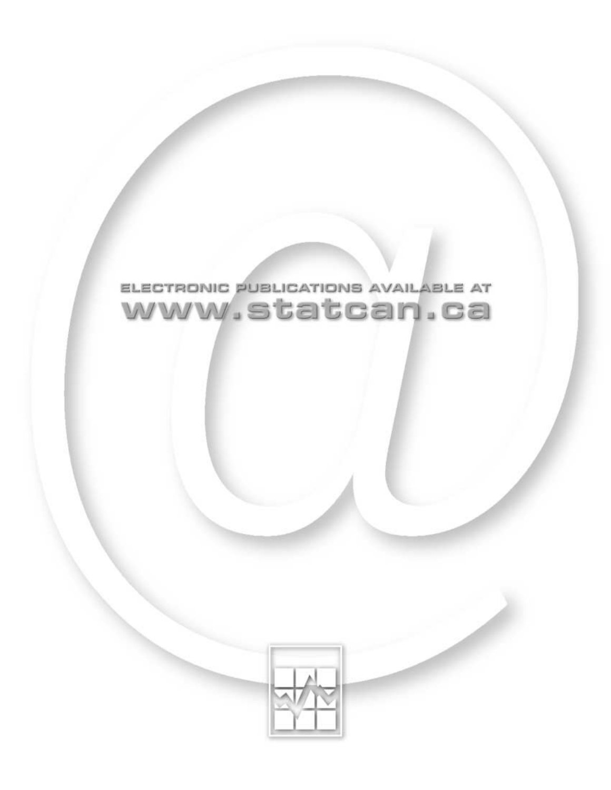

# ELECTRONIC PUBLICATIONS AVAILABLE AT www.statcan.ca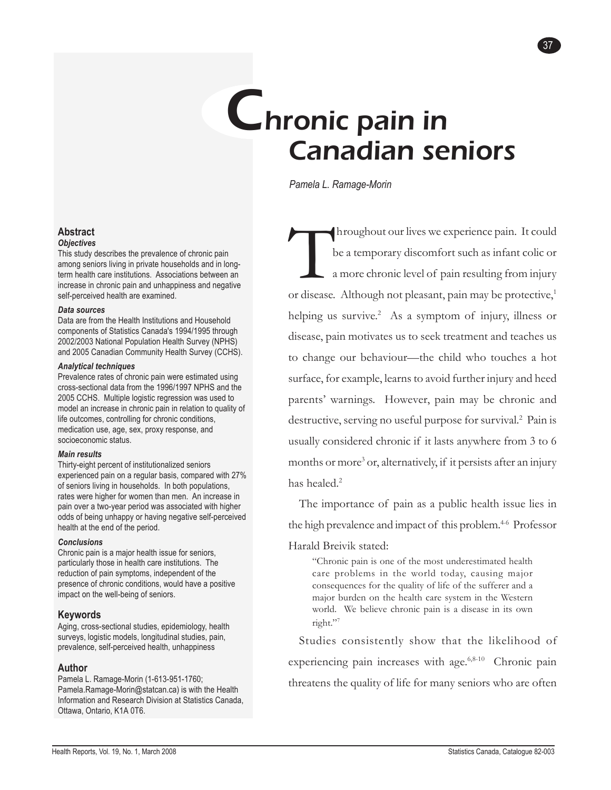# Chronic pain in Canadian seniors

*Pamela L. Ramage-Morin*

Throughout our lives we experience pain. It could<br>be a temporary discomfort such as infant colic or<br>a more chronic level of pain resulting from injury<br>or disease. Although not pleasant, pain may be protective<sup>1</sup> be a temporary discomfort such as infant colic or a more chronic level of pain resulting from injury or disease. Although not pleasant, pain may be protective,<sup>1</sup> helping us survive.<sup>2</sup> As a symptom of injury, illness or disease, pain motivates us to seek treatment and teaches us to change our behaviour—the child who touches a hot surface, for example, learns to avoid further injury and heed parents' warnings. However, pain may be chronic and destructive, serving no useful purpose for survival.<sup>2</sup> Pain is usually considered chronic if it lasts anywhere from 3 to 6 months or more<sup>3</sup> or, alternatively, if it persists after an injury has healed.<sup>2</sup>

37

The importance of pain as a public health issue lies in the high prevalence and impact of this problem.<sup>4-6</sup> Professor

#### Harald Breivik stated:

"Chronic pain is one of the most underestimated health care problems in the world today, causing major consequences for the quality of life of the sufferer and a major burden on the health care system in the Western world. We believe chronic pain is a disease in its own right."7

Studies consistently show that the likelihood of experiencing pain increases with age.<sup>6,8-10</sup> Chronic pain threatens the quality of life for many seniors who are often

#### **Abstract** *Objectives*

This study describes the prevalence of chronic pain among seniors living in private households and in longterm health care institutions. Associations between an increase in chronic pain and unhappiness and negative self-perceived health are examined.

#### *Data sources*

Data are from the Health Institutions and Household components of Statistics Canada's 1994/1995 through 2002/2003 National Population Health Survey (NPHS) and 2005 Canadian Community Health Survey (CCHS).

#### *Analytical techniques*

Prevalence rates of chronic pain were estimated using cross-sectional data from the 1996/1997 NPHS and the 2005 CCHS. Multiple logistic regression was used to model an increase in chronic pain in relation to quality of life outcomes, controlling for chronic conditions, medication use, age, sex, proxy response, and socioeconomic status.

#### *Main results*

Thirty-eight percent of institutionalized seniors experienced pain on a regular basis, compared with 27% of seniors living in households. In both populations, rates were higher for women than men. An increase in pain over a two-year period was associated with higher odds of being unhappy or having negative self-perceived health at the end of the period.

#### *Conclusions*

Chronic pain is a major health issue for seniors, particularly those in health care institutions. The reduction of pain symptoms, independent of the presence of chronic conditions, would have a positive impact on the well-being of seniors.

#### **Keywords**

Aging, cross-sectional studies, epidemiology, health surveys, logistic models, longitudinal studies, pain, prevalence, self-perceived health, unhappiness

#### **Author**

Pamela L. Ramage-Morin (1-613-951-1760; Pamela.Ramage-Morin@statcan.ca) is with the Health Information and Research Division at Statistics Canada, Ottawa, Ontario, K1A 0T6.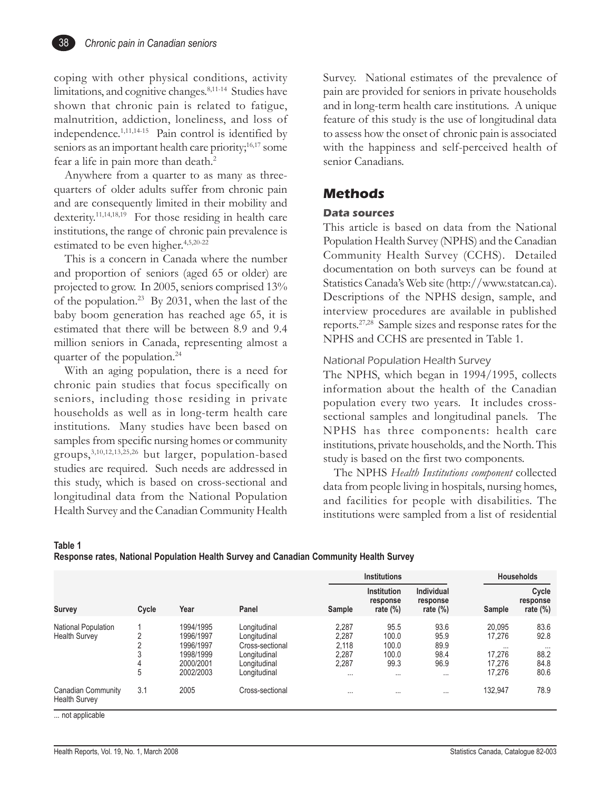coping with other physical conditions, activity limitations, and cognitive changes.<sup>8,11-14</sup> Studies have shown that chronic pain is related to fatigue, malnutrition, addiction, loneliness, and loss of independence.1,11,14-15 Pain control is identified by seniors as an important health care priority;<sup>16,17</sup> some fear a life in pain more than death.<sup>2</sup>

Anywhere from a quarter to as many as threequarters of older adults suffer from chronic pain and are consequently limited in their mobility and dexterity.<sup>11,14,18,19</sup> For those residing in health care institutions, the range of chronic pain prevalence is estimated to be even higher.<sup>4,5,20-22</sup>

This is a concern in Canada where the number and proportion of seniors (aged 65 or older) are projected to grow. In 2005, seniors comprised 13% of the population.23 By 2031, when the last of the baby boom generation has reached age 65, it is estimated that there will be between 8.9 and 9.4 million seniors in Canada, representing almost a quarter of the population.<sup>24</sup>

With an aging population, there is a need for chronic pain studies that focus specifically on seniors, including those residing in private households as well as in long-term health care institutions. Many studies have been based on samples from specific nursing homes or community groups,3,10,12,13,25,26 but larger, population-based studies are required. Such needs are addressed in this study, which is based on cross-sectional and longitudinal data from the National Population Health Survey and the Canadian Community Health Survey. National estimates of the prevalence of pain are provided for seniors in private households and in long-term health care institutions. A unique feature of this study is the use of longitudinal data to assess how the onset of chronic pain is associated with the happiness and self-perceived health of senior Canadians.

## **Methods**

#### **Data sources**

This article is based on data from the National Population Health Survey (NPHS) and the Canadian Community Health Survey (CCHS). Detailed documentation on both surveys can be found at Statistics Canada's Web site (http://www.statcan.ca). Descriptions of the NPHS design, sample, and interview procedures are available in published reports.27,28 Sample sizes and response rates for the NPHS and CCHS are presented in Table 1.

#### National Population Health Survey

The NPHS, which began in 1994/1995, collects information about the health of the Canadian population every two years. It includes crosssectional samples and longitudinal panels. The NPHS has three components: health care institutions, private households, and the North. This study is based on the first two components.

The NPHS *Health Institutions component* collected data from people living in hospitals, nursing homes, and facilities for people with disabilities. The institutions were sampled from a list of residential

**Table 1**

**Response rates, National Population Health Survey and Canadian Community Health Survey**

|                                             |                       |                                                                            |                                                                                                 |                                               | <b>Institutions</b>                                 | <b>Households</b>                                |                                                            |                                                  |
|---------------------------------------------|-----------------------|----------------------------------------------------------------------------|-------------------------------------------------------------------------------------------------|-----------------------------------------------|-----------------------------------------------------|--------------------------------------------------|------------------------------------------------------------|--------------------------------------------------|
| <b>Survey</b>                               | Cycle                 | Year                                                                       | Panel                                                                                           | Sample                                        | Institution<br>response<br>rate $(\%)$              | Individual<br>response<br>rate $(\%)$            | Sample                                                     | Cycle<br>response<br>rate $(\%)$                 |
| National Population<br><b>Health Survey</b> | ⌒<br>n<br>3<br>4<br>5 | 1994/1995<br>1996/1997<br>1996/1997<br>1998/1999<br>2000/2001<br>2002/2003 | Longitudinal<br>Longitudinal<br>Cross-sectional<br>Longitudinal<br>Longitudinal<br>Longitudinal | 2,287<br>2,287<br>2.118<br>2,287<br>2,287<br> | 95.5<br>100.0<br>100.0<br>100.0<br>99.3<br>$\cdots$ | 93.6<br>95.9<br>89.9<br>98.4<br>96.9<br>$\cdots$ | 20.095<br>17,276<br>$\cdots$<br>17.276<br>17,276<br>17,276 | 83.6<br>92.8<br>$\cdots$<br>88.2<br>84.8<br>80.6 |
| Canadian Community<br><b>Health Survey</b>  | 3.1                   | 2005                                                                       | Cross-sectional                                                                                 | $\cdots$                                      | $\cdots$                                            | $\cdots$                                         | 132,947                                                    | 78.9                                             |

... not applicable

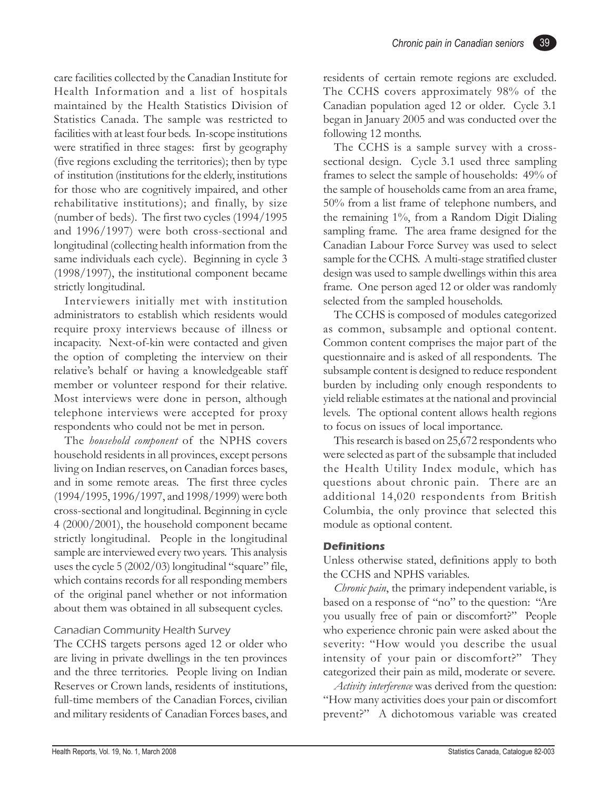care facilities collected by the Canadian Institute for Health Information and a list of hospitals maintained by the Health Statistics Division of Statistics Canada. The sample was restricted to facilities with at least four beds. In-scope institutions were stratified in three stages: first by geography (five regions excluding the territories); then by type of institution (institutions for the elderly, institutions for those who are cognitively impaired, and other rehabilitative institutions); and finally, by size (number of beds). The first two cycles (1994/1995 and 1996/1997) were both cross-sectional and longitudinal (collecting health information from the same individuals each cycle). Beginning in cycle 3 (1998/1997), the institutional component became strictly longitudinal.

Interviewers initially met with institution administrators to establish which residents would require proxy interviews because of illness or incapacity. Next-of-kin were contacted and given the option of completing the interview on their relative's behalf or having a knowledgeable staff member or volunteer respond for their relative. Most interviews were done in person, although telephone interviews were accepted for proxy respondents who could not be met in person.

The *household component* of the NPHS covers household residents in all provinces, except persons living on Indian reserves, on Canadian forces bases, and in some remote areas. The first three cycles (1994/1995, 1996/1997, and 1998/1999) were both cross-sectional and longitudinal. Beginning in cycle 4 (2000/2001), the household component became strictly longitudinal. People in the longitudinal sample are interviewed every two years. This analysis uses the cycle  $5(2002/03)$  longitudinal "square" file, which contains records for all responding members of the original panel whether or not information about them was obtained in all subsequent cycles.

#### Canadian Community Health Survey

The CCHS targets persons aged 12 or older who are living in private dwellings in the ten provinces and the three territories. People living on Indian Reserves or Crown lands, residents of institutions, full-time members of the Canadian Forces, civilian and military residents of Canadian Forces bases, and residents of certain remote regions are excluded. The CCHS covers approximately 98% of the Canadian population aged 12 or older. Cycle 3.1 began in January 2005 and was conducted over the following 12 months.

The CCHS is a sample survey with a crosssectional design. Cycle 3.1 used three sampling frames to select the sample of households: 49% of the sample of households came from an area frame, 50% from a list frame of telephone numbers, and the remaining 1%, from a Random Digit Dialing sampling frame. The area frame designed for the Canadian Labour Force Survey was used to select sample for the CCHS. A multi-stage stratified cluster design was used to sample dwellings within this area frame. One person aged 12 or older was randomly selected from the sampled households.

The CCHS is composed of modules categorized as common, subsample and optional content. Common content comprises the major part of the questionnaire and is asked of all respondents. The subsample content is designed to reduce respondent burden by including only enough respondents to yield reliable estimates at the national and provincial levels. The optional content allows health regions to focus on issues of local importance.

This research is based on 25,672 respondents who were selected as part of the subsample that included the Health Utility Index module, which has questions about chronic pain. There are an additional 14,020 respondents from British Columbia, the only province that selected this module as optional content.

#### **Definitions**

Unless otherwise stated, definitions apply to both the CCHS and NPHS variables.

*Chronic pain*, the primary independent variable, is based on a response of "no" to the question: "Are you usually free of pain or discomfort?" People who experience chronic pain were asked about the severity: "How would you describe the usual intensity of your pain or discomfort?" They categorized their pain as mild, moderate or severe.

*Activity interference* was derived from the question: "How many activities does your pain or discomfort prevent?" A dichotomous variable was created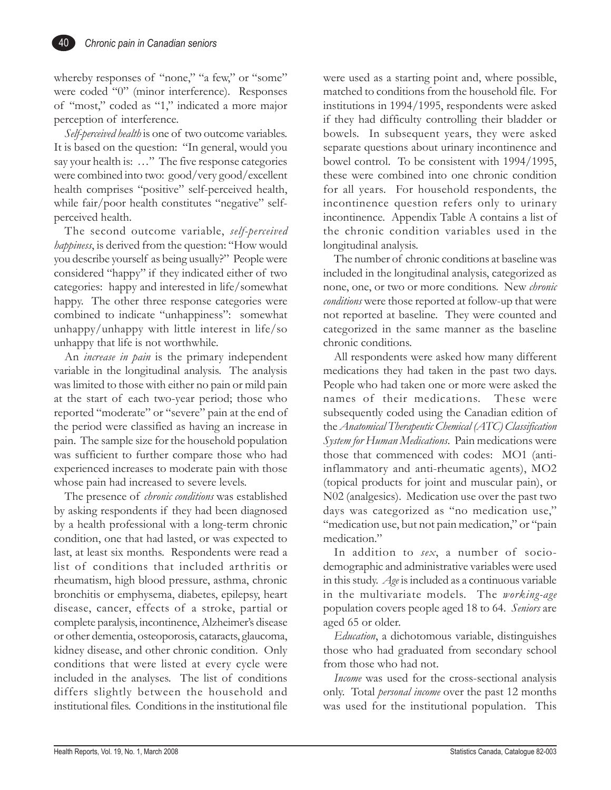whereby responses of "none," "a few," or "some" were coded "0" (minor interference). Responses of "most," coded as "1," indicated a more major perception of interference.

*Self-perceived health* is one of two outcome variables. It is based on the question: "In general, would you say your health is: ..." The five response categories were combined into two: good/very good/excellent health comprises "positive" self-perceived health, while fair/poor health constitutes "negative" selfperceived health.

The second outcome variable, *self-perceived happiness*, is derived from the question: "How would you describe yourself as being usually?" People were considered "happy" if they indicated either of two categories: happy and interested in life/somewhat happy. The other three response categories were combined to indicate "unhappiness": somewhat unhappy/unhappy with little interest in life/so unhappy that life is not worthwhile.

An *increase in pain* is the primary independent variable in the longitudinal analysis. The analysis was limited to those with either no pain or mild pain at the start of each two-year period; those who reported "moderate" or "severe" pain at the end of the period were classified as having an increase in pain. The sample size for the household population was sufficient to further compare those who had experienced increases to moderate pain with those whose pain had increased to severe levels.

The presence of *chronic conditions* was established by asking respondents if they had been diagnosed by a health professional with a long-term chronic condition, one that had lasted, or was expected to last, at least six months. Respondents were read a list of conditions that included arthritis or rheumatism, high blood pressure, asthma, chronic bronchitis or emphysema, diabetes, epilepsy, heart disease, cancer, effects of a stroke, partial or complete paralysis, incontinence, Alzheimer's disease or other dementia, osteoporosis, cataracts, glaucoma, kidney disease, and other chronic condition. Only conditions that were listed at every cycle were included in the analyses. The list of conditions differs slightly between the household and institutional files. Conditions in the institutional file were used as a starting point and, where possible, matched to conditions from the household file. For institutions in 1994/1995, respondents were asked if they had difficulty controlling their bladder or bowels. In subsequent years, they were asked separate questions about urinary incontinence and bowel control. To be consistent with 1994/1995, these were combined into one chronic condition for all years. For household respondents, the incontinence question refers only to urinary incontinence. Appendix Table A contains a list of the chronic condition variables used in the longitudinal analysis.

The number of chronic conditions at baseline was included in the longitudinal analysis, categorized as none, one, or two or more conditions. New *chronic conditions* were those reported at follow-up that were not reported at baseline. They were counted and categorized in the same manner as the baseline chronic conditions.

All respondents were asked how many different medications they had taken in the past two days. People who had taken one or more were asked the names of their medications. These were subsequently coded using the Canadian edition of the *Anatomical Therapeutic Chemical (ATC) Classification System for Human Medications*. Pain medications were those that commenced with codes: MO1 (antiinflammatory and anti-rheumatic agents), MO2 (topical products for joint and muscular pain), or N02 (analgesics). Medication use over the past two days was categorized as "no medication use," "medication use, but not pain medication," or "pain medication."

In addition to *sex*, a number of sociodemographic and administrative variables were used in this study. *Age* is included as a continuous variable in the multivariate models. The *working-age* population covers people aged 18 to 64. *Seniors* are aged 65 or older.

*Education*, a dichotomous variable, distinguishes those who had graduated from secondary school from those who had not.

*Income* was used for the cross-sectional analysis only. Total *personal income* over the past 12 months was used for the institutional population. This

40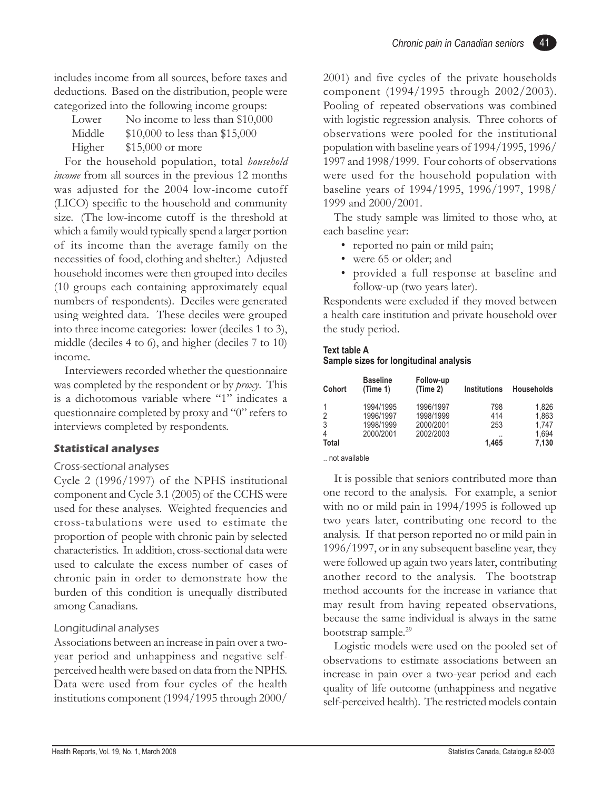includes income from all sources, before taxes and deductions. Based on the distribution, people were categorized into the following income groups:

| Lower  | No income to less than \$10,000 |
|--------|---------------------------------|
| Middle | \$10,000 to less than \$15,000  |
| Higher | $$15,000$ or more               |

For the household population, total *household income* from all sources in the previous 12 months was adjusted for the 2004 low-income cutoff (LICO) specific to the household and community size. (The low-income cutoff is the threshold at which a family would typically spend a larger portion of its income than the average family on the necessities of food, clothing and shelter.) Adjusted household incomes were then grouped into deciles (10 groups each containing approximately equal numbers of respondents). Deciles were generated using weighted data. These deciles were grouped into three income categories: lower (deciles 1 to 3), middle (deciles 4 to 6), and higher (deciles 7 to 10) income.

Interviewers recorded whether the questionnaire was completed by the respondent or by *proxy*. This is a dichotomous variable where "1" indicates a questionnaire completed by proxy and "0" refers to interviews completed by respondents.

#### **Statistical analyses**

#### Cross-sectional analyses

Cycle 2 (1996/1997) of the NPHS institutional component and Cycle 3.1 (2005) of the CCHS were used for these analyses. Weighted frequencies and cross-tabulations were used to estimate the proportion of people with chronic pain by selected characteristics. In addition, cross-sectional data were used to calculate the excess number of cases of chronic pain in order to demonstrate how the burden of this condition is unequally distributed among Canadians.

#### Longitudinal analyses

Associations between an increase in pain over a twoyear period and unhappiness and negative selfperceived health were based on data from the NPHS. Data were used from four cycles of the health institutions component (1994/1995 through 2000/ 2001) and five cycles of the private households component (1994/1995 through 2002/2003). Pooling of repeated observations was combined with logistic regression analysis. Three cohorts of observations were pooled for the institutional population with baseline years of 1994/1995, 1996/ 1997 and 1998/1999. Four cohorts of observations were used for the household population with baseline years of 1994/1995, 1996/1997, 1998/ 1999 and 2000/2001.

The study sample was limited to those who, at each baseline year:

- reported no pain or mild pain;
- were 65 or older; and
- provided a full response at baseline and follow-up (two years later).

Respondents were excluded if they moved between a health care institution and private household over the study period.

## **Text table A**

#### **Sample sizes for longitudinal analysis**

| Cohort                                   | <b>Baseline</b><br>(Time 1)                      | Follow-up<br>(Time 2)                            | <b>Institutions</b>            | <b>Households</b>                         |
|------------------------------------------|--------------------------------------------------|--------------------------------------------------|--------------------------------|-------------------------------------------|
| $\overline{2}$<br>3<br>4<br><b>Total</b> | 1994/1995<br>1996/1997<br>1998/1999<br>2000/2001 | 1996/1997<br>1998/1999<br>2000/2001<br>2002/2003 | 798<br>414<br>253<br><br>1.465 | 1.826<br>1,863<br>1.747<br>1.694<br>7,130 |

.. not available

It is possible that seniors contributed more than one record to the analysis. For example, a senior with no or mild pain in 1994/1995 is followed up two years later, contributing one record to the analysis. If that person reported no or mild pain in 1996/1997, or in any subsequent baseline year, they were followed up again two years later, contributing another record to the analysis. The bootstrap method accounts for the increase in variance that may result from having repeated observations, because the same individual is always in the same bootstrap sample. $^{29}$ 

Logistic models were used on the pooled set of observations to estimate associations between an increase in pain over a two-year period and each quality of life outcome (unhappiness and negative self-perceived health). The restricted models contain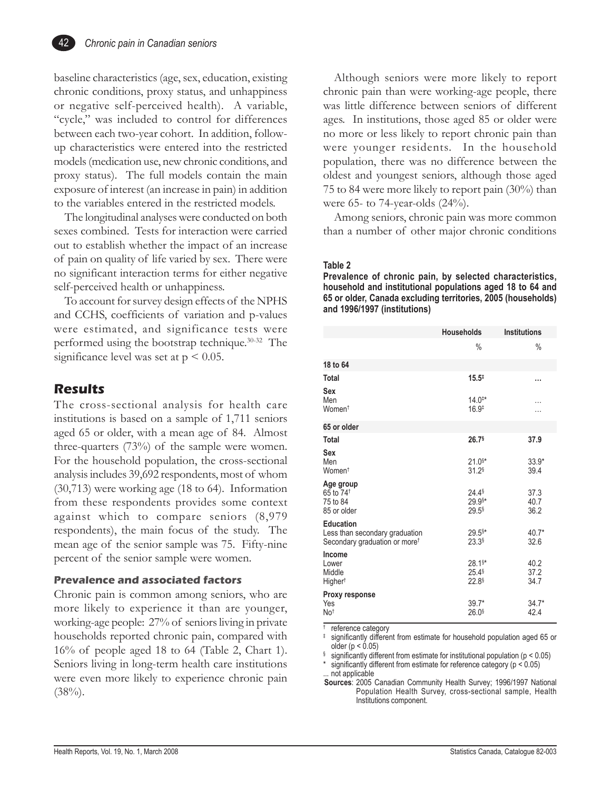baseline characteristics (age, sex, education, existing chronic conditions, proxy status, and unhappiness or negative self-perceived health). A variable, "cycle," was included to control for differences between each two-year cohort. In addition, followup characteristics were entered into the restricted models (medication use, new chronic conditions, and proxy status). The full models contain the main exposure of interest (an increase in pain) in addition to the variables entered in the restricted models.

The longitudinal analyses were conducted on both sexes combined. Tests for interaction were carried out to establish whether the impact of an increase of pain on quality of life varied by sex. There were no significant interaction terms for either negative self-perceived health or unhappiness.

To account for survey design effects of the NPHS and CCHS, coefficients of variation and p-values were estimated, and significance tests were performed using the bootstrap technique.30-32 The significance level was set at  $p < 0.05$ .

## **Results**

The cross-sectional analysis for health care institutions is based on a sample of 1,711 seniors aged 65 or older, with a mean age of 84. Almost three-quarters (73%) of the sample were women. For the household population, the cross-sectional analysis includes 39,692 respondents, most of whom (30,713) were working age (18 to 64). Information from these respondents provides some context against which to compare seniors (8,979 respondents), the main focus of the study. The mean age of the senior sample was 75. Fifty-nine percent of the senior sample were women.

#### **Prevalence and associated factors**

Chronic pain is common among seniors, who are more likely to experience it than are younger, working-age people: 27% of seniors living in private households reported chronic pain, compared with 16% of people aged 18 to 64 (Table 2, Chart 1). Seniors living in long-term health care institutions were even more likely to experience chronic pain  $(38\%)$ .

Although seniors were more likely to report chronic pain than were working-age people, there was little difference between seniors of different ages. In institutions, those aged 85 or older were no more or less likely to report chronic pain than were younger residents. In the household population, there was no difference between the oldest and youngest seniors, although those aged 75 to 84 were more likely to report pain (30%) than were 65- to 74-year-olds (24%).

Among seniors, chronic pain was more common than a number of other major chronic conditions

#### **Table 2**

**Prevalence of chronic pain, by selected characteristics, household and institutional populations aged 18 to 64 and 65 or older, Canada excluding territories, 2005 (households) and 1996/1997 (institutions)**

|                                                                                                 | <b>Households</b>                                                | <b>Institutions</b>  |
|-------------------------------------------------------------------------------------------------|------------------------------------------------------------------|----------------------|
|                                                                                                 | $\%$                                                             | $\frac{0}{0}$        |
| 18 to 64                                                                                        |                                                                  |                      |
| <b>Total</b>                                                                                    | $15.5^{\ddagger}$                                                |                      |
| Sex<br>Men                                                                                      | $14.0^{**}$                                                      |                      |
| Women <sup>t</sup>                                                                              | $16.9*$                                                          | .                    |
| 65 or older                                                                                     |                                                                  |                      |
| <b>Total</b>                                                                                    | $26.7$ <sup>§</sup>                                              | 37.9                 |
| Sex<br>Men<br>Women <sup>t</sup>                                                                | $21.0$ <sup>§*</sup><br>$31.2$ <sup>§</sup>                      | $33.9*$<br>39.4      |
| Age group<br>65 to 74 <sup>t</sup><br>75 to 84<br>85 or older                                   | 24.4\$<br>29.9§*<br>$29.5$ <sup>§</sup>                          | 37.3<br>40.7<br>36.2 |
| <b>Education</b><br>Less than secondary graduation<br>Secondary graduation or more <sup>†</sup> | $29.5$ <sup>§*</sup><br>$23.3$ <sup>§</sup>                      | $40.7*$<br>32.6      |
| Income<br>Lower<br>Middle<br>Higher <sup>t</sup>                                                | $28.1$ <sup>§*</sup><br>$25.4$ <sup>§</sup><br>22.8 <sup>§</sup> | 40.2<br>37.2<br>34.7 |
| Proxy response<br>Yes<br>No <sup>t</sup>                                                        | $39.7*$<br>$26.0$ <sup>§</sup>                                   | $34.7*$<br>42.4      |

reference category

significantly different from estimate for household population aged 65 or older ( $p < 0.05$ )

significantly different from estimate for institutional population ( $p < 0.05$ )

significantly different from estimate for reference category ( $p < 0.05$ ) ... not applicable

**Sources**: 2005 Canadian Community Health Survey; 1996/1997 National Population Health Survey, cross-sectional sample, Health Institutions component.

42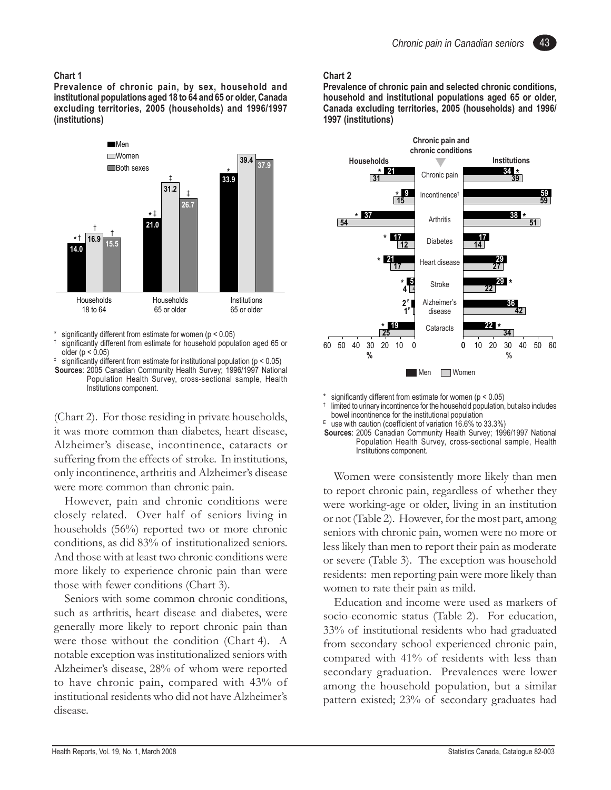#### **Chart 1**

**Prevalence of chronic pain, by sex, household and institutional populations aged 18 to 64 and 65 or older, Canada excluding territories, 2005 (households) and 1996/1997 (institutions)**



significantly different from estimate for women ( $p < 0.05$ )

 $\ddagger$  significantly different from estimate for institutional population ( $p < 0.05$ ) **Sources**: 2005 Canadian Community Health Survey; 1996/1997 National Population Health Survey, cross-sectional sample, Health Institutions component.

(Chart 2). For those residing in private households, it was more common than diabetes, heart disease, Alzheimer's disease, incontinence, cataracts or suffering from the effects of stroke. In institutions, only incontinence, arthritis and Alzheimer's disease were more common than chronic pain.

However, pain and chronic conditions were closely related. Over half of seniors living in households (56%) reported two or more chronic conditions, as did 83% of institutionalized seniors. And those with at least two chronic conditions were more likely to experience chronic pain than were those with fewer conditions (Chart 3).

Seniors with some common chronic conditions, such as arthritis, heart disease and diabetes, were generally more likely to report chronic pain than were those without the condition (Chart 4). A notable exception was institutionalized seniors with Alzheimer's disease, 28% of whom were reported to have chronic pain, compared with 43% of institutional residents who did not have Alzheimer's disease.

#### **Chart 2**

**Prevalence of chronic pain and selected chronic conditions, household and institutional populations aged 65 or older, Canada excluding territories, 2005 (households) and 1996/ 1997 (institutions)**



significantly different from estimate for women ( $p < 0.05$ ) limited to urinary incontinence for the household population, but also includes bowel incontinence for the institutional population

E use with caution (coefficient of variation  $16.6\%$  to  $33.3\%$ )

**Sources**: 2005 Canadian Community Health Survey; 1996/1997 National Population Health Survey, cross-sectional sample, Health Institutions component.

Women were consistently more likely than men to report chronic pain, regardless of whether they were working-age or older, living in an institution or not (Table 2). However, for the most part, among seniors with chronic pain, women were no more or less likely than men to report their pain as moderate or severe (Table 3). The exception was household residents: men reporting pain were more likely than women to rate their pain as mild.

Education and income were used as markers of socio-economic status (Table 2). For education, 33% of institutional residents who had graduated from secondary school experienced chronic pain, compared with 41% of residents with less than secondary graduation. Prevalences were lower among the household population, but a similar pattern existed; 23% of secondary graduates had

<sup>†</sup> significantly different from estimate for household population aged 65 or older (p < 0.05)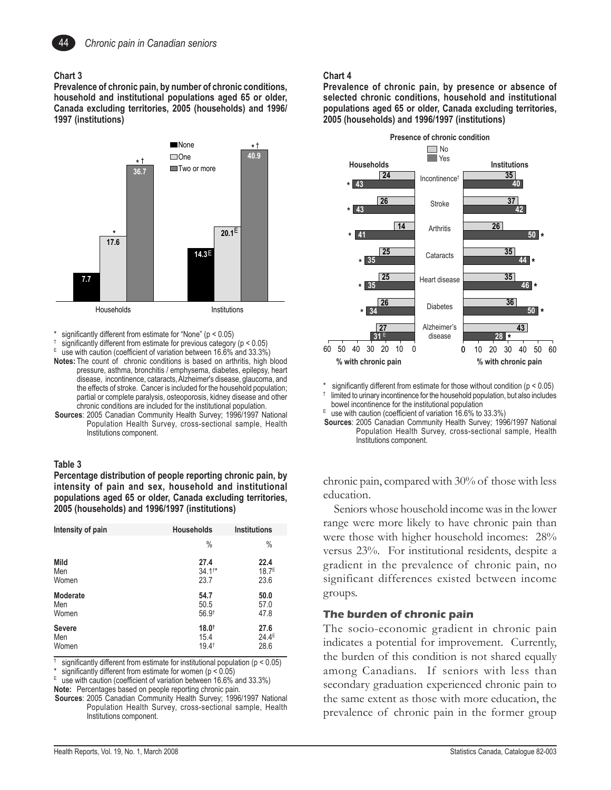

#### **Chart 3**

**Prevalence of chronic pain, by number of chronic conditions, household and institutional populations aged 65 or older, Canada excluding territories, 2005 (households) and 1996/ 1997 (institutions)**



significantly different from estimate for "None" ( $p < 0.05$ )

- significantly different from estimate for previous category ( $p < 0.05$ )
- use with caution (coefficient of variation between 16.6% and 33.3%)
- **Notes:** The count of chronic conditions is based on arthritis, high blood pressure, asthma, bronchitis / emphysema, diabetes, epilepsy, heart disease, incontinence, cataracts, Alzheimer's disease, glaucoma, and the effects of stroke. Cancer is included for the household population; partial or complete paralysis, osteoporosis, kidney disease and other chronic conditions are included for the institutional population.
- **Sources**: 2005 Canadian Community Health Survey; 1996/1997 National Population Health Survey, cross-sectional sample, Health Institutions component.

#### **Table 3**

**Percentage distribution of people reporting chronic pain, by intensity of pain and sex, household and institutional populations aged 65 or older, Canada excluding territories, 2005 (households) and 1996/1997 (institutions)**

| Intensity of pain | <b>Households</b> | <b>Institutions</b> |
|-------------------|-------------------|---------------------|
|                   | $\%$              | $\%$                |
| Mild              | 27.4              | 22.4                |
| Men               | $34.1**$          | 18.7 <sup>E</sup>   |
| Women             | 23.7              | 23.6                |
| Moderate          | 54.7              | 50.0                |
| Men               | 50.5              | 57.0                |
| Women             | $56.9^{\dagger}$  | 47.8                |
| <b>Severe</b>     | $18.0^+$          | 27.6                |
| Men               | 15.4              | $24.4^E$            |
| Women             | $19.4^{\dagger}$  | 28.6                |

significantly different from estimate for institutional population ( $p < 0.05$ )

significantly different from estimate for women ( $p < 0.05$ )

use with caution (coefficient of variation between 16.6% and 33.3%) **Note:** Percentages based on people reporting chronic pain.

**Sources**: 2005 Canadian Community Health Survey; 1996/1997 National Population Health Survey, cross-sectional sample, Health Institutions component.

#### **Chart 4**

**Prevalence of chronic pain, by presence or absence of selected chronic conditions, household and institutional populations aged 65 or older, Canada excluding territories, 2005 (households) and 1996/1997 (institutions)**



\* significantly different from estimate for those without condition  $(p < 0.05)$ <br>the hourshald population but also included

limited to urinary incontinence for the household population, but also includes bowel incontinence for the institutional population

 $E$  use with caution (coefficient of variation 16.6% to 33.3%)

**Sources**: 2005 Canadian Community Health Survey; 1996/1997 National Population Health Survey, cross-sectional sample, Health Institutions component.

chronic pain, compared with 30% of those with less education.

Seniors whose household income was in the lower range were more likely to have chronic pain than were those with higher household incomes: 28% versus 23%. For institutional residents, despite a gradient in the prevalence of chronic pain, no significant differences existed between income groups.

#### **The burden of chronic pain**

The socio-economic gradient in chronic pain indicates a potential for improvement. Currently, the burden of this condition is not shared equally among Canadians. If seniors with less than secondary graduation experienced chronic pain to the same extent as those with more education, the prevalence of chronic pain in the former group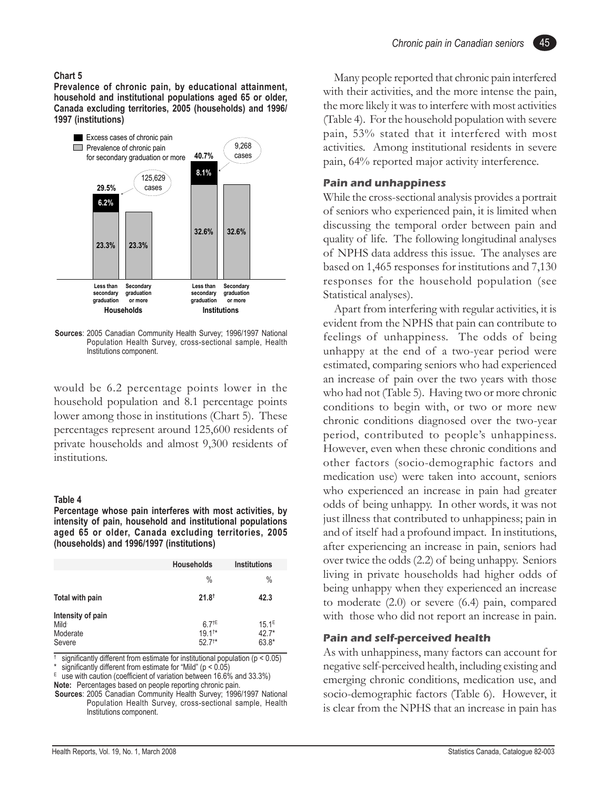#### *Chronic pain in Canadian seniors*

45

#### **Chart 5**

**Prevalence of chronic pain, by educational attainment, household and institutional populations aged 65 or older, Canada excluding territories, 2005 (households) and 1996/ 1997 (institutions)**



**Sources**: 2005 Canadian Community Health Survey; 1996/1997 National Population Health Survey, cross-sectional sample, Health Institutions component.

would be 6.2 percentage points lower in the household population and 8.1 percentage points lower among those in institutions (Chart 5). These percentages represent around 125,600 residents of private households and almost 9,300 residents of institutions.

#### **Table 4**

**Percentage whose pain interferes with most activities, by intensity of pain, household and institutional populations aged 65 or older, Canada excluding territories, 2005 (households) and 1996/1997 (institutions)**

|                                                 | <b>Households</b>                        | <b>Institutions</b>                   |
|-------------------------------------------------|------------------------------------------|---------------------------------------|
|                                                 | $\frac{0}{0}$                            | %                                     |
| Total with pain                                 | $21.8^+$                                 | 42.3                                  |
| Intensity of pain<br>Mild<br>Moderate<br>Severe | $6.7^{+5}$<br>$19.1^{+*}$<br>$52.7^{**}$ | 15.1 <sup>E</sup><br>$42.7*$<br>63.8* |

significantly different from estimate for institutional population ( $p < 0.05$ )

\* significantly different from estimate for "Mild"  $(p < 0.05)$ <br> $E = \text{UCD}$  with on the (equipment of veriorities between 16.6%)

use with caution (coefficient of variation between 16.6% and 33.3%)

**Note:** Percentages based on people reporting chronic pain.

**Sources**: 2005 Canadian Community Health Survey; 1996/1997 National Population Health Survey, cross-sectional sample, Health Institutions component.

Many people reported that chronic pain interfered with their activities, and the more intense the pain, the more likely it was to interfere with most activities (Table 4). For the household population with severe pain, 53% stated that it interfered with most activities. Among institutional residents in severe pain, 64% reported major activity interference.

#### **Pain and unhappiness**

While the cross-sectional analysis provides a portrait of seniors who experienced pain, it is limited when discussing the temporal order between pain and quality of life. The following longitudinal analyses of NPHS data address this issue. The analyses are based on 1,465 responses for institutions and 7,130 responses for the household population (see Statistical analyses).

Apart from interfering with regular activities, it is evident from the NPHS that pain can contribute to feelings of unhappiness. The odds of being unhappy at the end of a two-year period were estimated, comparing seniors who had experienced an increase of pain over the two years with those who had not (Table 5). Having two or more chronic conditions to begin with, or two or more new chronic conditions diagnosed over the two-year period, contributed to people's unhappiness. However, even when these chronic conditions and other factors (socio-demographic factors and medication use) were taken into account, seniors who experienced an increase in pain had greater odds of being unhappy. In other words, it was not just illness that contributed to unhappiness; pain in and of itself had a profound impact. In institutions, after experiencing an increase in pain, seniors had over twice the odds (2.2) of being unhappy. Seniors living in private households had higher odds of being unhappy when they experienced an increase to moderate (2.0) or severe (6.4) pain, compared with those who did not report an increase in pain.

#### **Pain and self-perceived health**

As with unhappiness, many factors can account for negative self-perceived health, including existing and emerging chronic conditions, medication use, and socio-demographic factors (Table 6). However, it is clear from the NPHS that an increase in pain has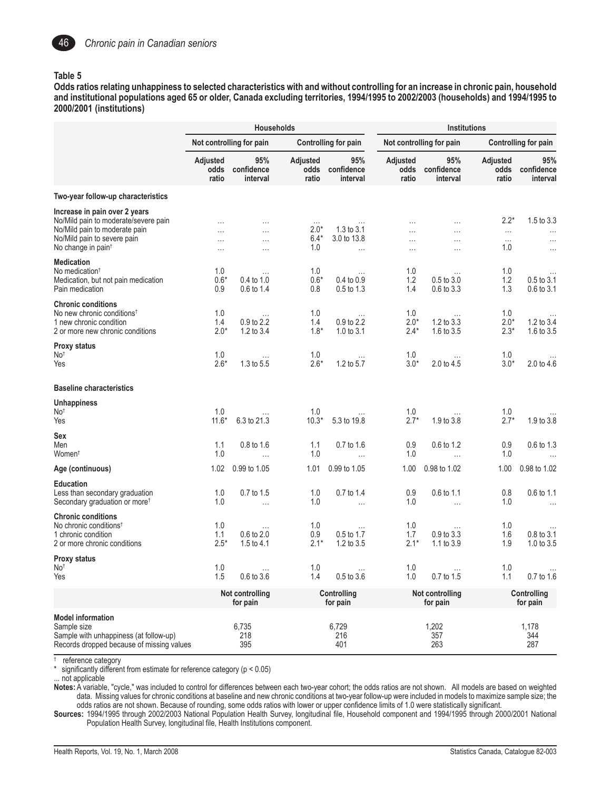

#### **Table 5**

**Odds ratios relating unhappiness to selected characteristics with and without controlling for an increase in chronic pain, household and institutional populations aged 65 or older, Canada excluding territories, 1994/1995 to 2002/2003 (households) and 1994/1995 to 2000/2001 (institutions)**

|                                                                                                                                                                         |                                  | <b>Households</b>                    |                                     |                                       | <b>Institutions</b>            |                               |                                       |                                                |
|-------------------------------------------------------------------------------------------------------------------------------------------------------------------------|----------------------------------|--------------------------------------|-------------------------------------|---------------------------------------|--------------------------------|-------------------------------|---------------------------------------|------------------------------------------------|
|                                                                                                                                                                         |                                  | Not controlling for pain             |                                     | <b>Controlling for pain</b>           |                                | Not controlling for pain      |                                       | <b>Controlling for pain</b>                    |
|                                                                                                                                                                         | Adjusted<br>odds<br>ratio        | 95%<br>confidence<br>interval        | Adjusted<br>odds<br>ratio           | 95%<br>confidence<br>interval         | Adjusted<br>odds<br>ratio      | 95%<br>confidence<br>interval | Adjusted<br>odds<br>ratio             | 95%<br>confidence<br>interval                  |
| Two-year follow-up characteristics                                                                                                                                      |                                  |                                      |                                     |                                       |                                |                               |                                       |                                                |
| Increase in pain over 2 years<br>No/Mild pain to moderate/severe pain<br>No/Mild pain to moderate pain<br>No/Mild pain to severe pain<br>No change in pain <sup>t</sup> | $\cdots$<br>$\cdots$<br>$\cdots$ | .<br>.<br>.<br>$\cdots$              | $\cdots$<br>$2.0*$<br>$6.4*$<br>1.0 | 1.3 to 3.1<br>3.0 to 13.8<br>$\cdots$ | $\cdots$<br>.<br>.<br>$\cdots$ | .<br>.<br>.<br>.              | $2.2*$<br>$\cdots$<br>$\cdots$<br>1.0 | 1.5 to 3.3<br>$\cdots$<br>$\cdots$<br>$\cdots$ |
| <b>Medication</b><br>No medication <sup>†</sup><br>Medication, but not pain medication<br>Pain medication                                                               | 1.0<br>$0.6*$<br>0.9             | 0.4 to 1.0<br>$0.6 \text{ to } 1.4$  | 1.0<br>$0.6*$<br>0.8                | 0.4 to 0.9<br>0.5 to 1.3              | 1.0<br>1.2<br>1.4              | 0.5 to 3.0<br>0.6 to 3.3      | 1.0<br>1.2<br>1.3                     | $0.5$ to $3.1$<br>$0.6 \text{ to } 3.1$        |
| <b>Chronic conditions</b><br>No new chronic conditions <sup>t</sup><br>1 new chronic condition<br>2 or more new chronic conditions                                      | 1.0<br>1.4<br>$2.0*$             | $\cdots$<br>0.9 to 2.2<br>1.2 to 3.4 | 1.0<br>1.4<br>$1.8*$                | $\cdots$<br>0.9 to 2.2<br>1.0 to 3.1  | 1.0<br>$2.0*$<br>$2.4*$        | 1.2 to 3.3<br>1.6 to 3.5      | 1.0<br>$2.0*$<br>$2.3*$               | 1.2 to 3.4<br>1.6 to 3.5                       |
| <b>Proxy status</b><br>No <sup>t</sup><br>Yes                                                                                                                           | 1.0<br>$2.6*$                    | 1.3 to 5.5                           | 1.0<br>$2.6*$                       | 1.2 to 5.7                            | 1.0<br>$3.0*$                  | 2.0 to 4.5                    | 1.0<br>$3.0*$                         | 2.0 to 4.6                                     |
| <b>Baseline characteristics</b>                                                                                                                                         |                                  |                                      |                                     |                                       |                                |                               |                                       |                                                |
| <b>Unhappiness</b><br>No <sup>t</sup><br>Yes                                                                                                                            | 1.0<br>$11.6*$                   | 6.3 to 21.3                          | 1.0<br>$10.3*$                      | 5.3 to 19.8                           | 1.0<br>$2.7*$                  | 1.9 to 3.8                    | 1.0<br>$2.7*$                         | 1.9 to 3.8                                     |
| <b>Sex</b><br>Men<br>Women†                                                                                                                                             | 1.1<br>1.0                       | 0.8 to 1.6<br>$\cdots$               | 1.1<br>1.0                          | 0.7 to 1.6<br>$\ldots$                | 0.9<br>1.0                     | 0.6 to 1.2<br>$\cdots$        | 0.9<br>1.0                            | 0.6 to 1.3<br>$\cdots$                         |
| Age (continuous)                                                                                                                                                        | 1.02                             | 0.99 to 1.05                         | 1.01                                | 0.99 to 1.05                          | 1.00                           | 0.98 to 1.02                  | 1.00                                  | 0.98 to 1.02                                   |
| <b>Education</b><br>Less than secondary graduation<br>Secondary graduation or more <sup>t</sup>                                                                         | 1.0<br>1.0                       | 0.7 to 1.5<br>$\ldots$               | 1.0<br>1.0                          | 0.7 to 1.4<br>$\ldots$                | 0.9<br>1.0                     | 0.6 to 1.1<br>$\cdots$        | 0.8<br>1.0                            | 0.6 to 1.1<br>$\cdots$                         |
| <b>Chronic conditions</b><br>No chronic conditions <sup>†</sup><br>1 chronic condition<br>2 or more chronic conditions                                                  | 1.0<br>1.1<br>$2.5*$             | 0.6 to 2.0<br>1.5 to $4.1$           | 1.0<br>0.9<br>$2.1*$                | 0.5 to 1.7<br>1.2 to 3.5              | 1.0<br>1.7<br>$2.1*$           | 0.9 to 3.3<br>1.1 to 3.9      | 1.0<br>1.6<br>1.9                     | 0.8 to 3.1<br>1.0 to $3.5$                     |
| <b>Proxy status</b><br>No <sup>†</sup><br>Yes                                                                                                                           | 1.0<br>1.5                       | $\cdots$<br>0.6 to 3.6               | 1.0<br>1.4                          | 0.5 to 3.6                            | 1.0<br>1.0                     | $\cdots$<br>0.7 to 1.5        | 1.0<br>1.1                            | $\cdots$<br>0.7 to 1.6                         |
|                                                                                                                                                                         |                                  | Not controlling<br>for pain          |                                     | Controlling<br>for pain               |                                | Not controlling<br>for pain   |                                       | Controlling<br>for pain                        |
| <b>Model information</b><br>Sample size<br>Sample with unhappiness (at follow-up)<br>Records dropped because of missing values                                          |                                  | 6,735<br>218<br>395                  |                                     | 6,729<br>216<br>401                   |                                | 1,202<br>357<br>263           |                                       | 1,178<br>344<br>287                            |

† reference category

significantly different from estimate for reference category ( $p < 0.05$ )

not applicable

**Notes:** A variable, "cycle," was included to control for differences between each two-year cohort; the odds ratios are not shown. All models are based on weighted data. Missing values for chronic conditions at baseline and new chronic conditions at two-year follow-up were included in models to maximize sample size; the odds ratios are not shown. Because of rounding, some odds ratios with lower or upper confidence limits of 1.0 were statistically significant.

**Sources:** 1994/1995 through 2002/2003 National Population Health Survey, longitudinal file, Household component and 1994/1995 through 2000/2001 National Population Health Survey, longitudinal file, Health Institutions component.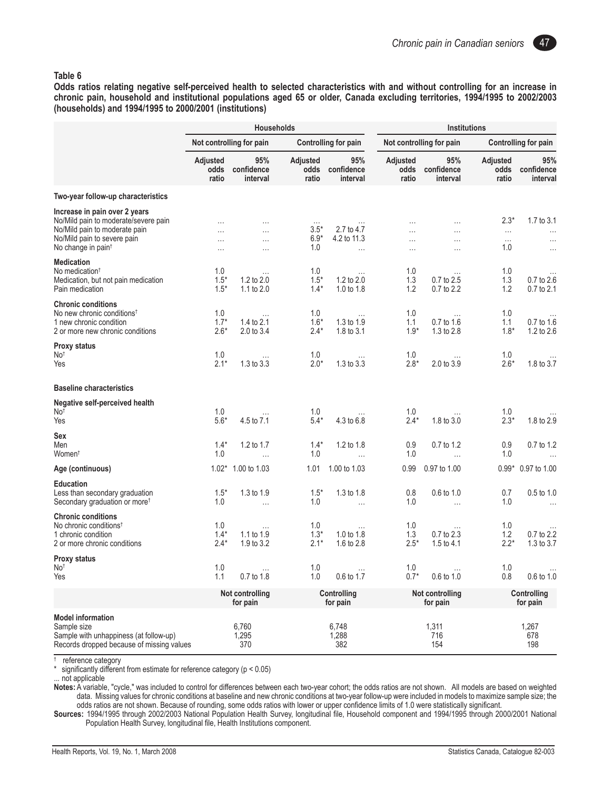#### **Table 6**

**Odds ratios relating negative self-perceived health to selected characteristics with and without controlling for an increase in chronic pain, household and institutional populations aged 65 or older, Canada excluding territories, 1994/1995 to 2002/2003 (households) and 1994/1995 to 2000/2001 (institutions)**

|                                                                                                                                                                         |                                  | <b>Households</b>                            |                                     |                                       | <b>Institutions</b>       |                               |                                       |                                                |
|-------------------------------------------------------------------------------------------------------------------------------------------------------------------------|----------------------------------|----------------------------------------------|-------------------------------------|---------------------------------------|---------------------------|-------------------------------|---------------------------------------|------------------------------------------------|
|                                                                                                                                                                         |                                  | Not controlling for pain                     |                                     | <b>Controlling for pain</b>           |                           | Not controlling for pain      |                                       | <b>Controlling for pain</b>                    |
|                                                                                                                                                                         | Adjusted<br>odds<br>ratio        | 95%<br>confidence<br>interval                | Adjusted<br>odds<br>ratio           | 95%<br>confidence<br>interval         | Adjusted<br>odds<br>ratio | 95%<br>confidence<br>interval | Adjusted<br>odds<br>ratio             | 95%<br>confidence<br>interval                  |
| Two-year follow-up characteristics                                                                                                                                      |                                  |                                              |                                     |                                       |                           |                               |                                       |                                                |
| Increase in pain over 2 years<br>No/Mild pain to moderate/severe pain<br>No/Mild pain to moderate pain<br>No/Mild pain to severe pain<br>No change in pain <sup>t</sup> | $\cdots$<br>$\cdots$<br>$\cdots$ | $\cdots$<br>$\cdots$<br>$\cdots$<br>$\cdots$ | $\cdots$<br>$3.5*$<br>$6.9*$<br>1.0 | 2.7 to 4.7<br>4.2 to 11.3<br>$\ldots$ | .<br>.<br>.<br>$\cdots$   | .<br>$\cdots$<br>.<br>.       | $2.3*$<br>$\ldots$<br>$\cdots$<br>1.0 | 1.7 to 3.1<br>$\cdots$<br>$\cdots$<br>$\cdots$ |
| <b>Medication</b><br>No medication <sup>†</sup><br>Medication, but not pain medication<br>Pain medication                                                               | 1.0<br>$1.5*$<br>$1.5*$          | 1.2 to 2.0<br>1.1 to 2.0                     | 1.0<br>$1.5*$<br>$1.4*$             | 1.2 to 2.0<br>1.0 to $1.8$            | 1.0<br>1.3<br>1.2         | 0.7 to 2.5<br>0.7 to 2.2      | 1.0<br>1.3<br>1.2                     | 0.7 to 2.6<br>0.7 to 2.1                       |
| <b>Chronic conditions</b><br>No new chronic conditions <sup>t</sup><br>1 new chronic condition<br>2 or more new chronic conditions                                      | 1.0<br>$1.7*$<br>$2.6*$          | $\cdots$<br>1.4 to 2.1<br>2.0 to 3.4         | 1.0<br>$1.6*$<br>$2.4*$             | 1.3 to 1.9<br>1.8 to 3.1              | 1.0<br>1.1<br>$1.9*$      | 0.7 to 1.6<br>1.3 to 2.8      | 1.0<br>1.1<br>$1.8*$                  | 0.7 to 1.6<br>1.2 to 2.6                       |
| <b>Proxy status</b><br>No <sup>†</sup><br>Yes                                                                                                                           | 1.0<br>$2.1*$                    | 1.3 to 3.3                                   | 1.0<br>$2.0*$                       | 1.3 to 3.3                            | 1.0<br>$2.8*$             | 2.0 to 3.9                    | 1.0<br>$2.6*$                         | 1.8 to 3.7                                     |
| <b>Baseline characteristics</b>                                                                                                                                         |                                  |                                              |                                     |                                       |                           |                               |                                       |                                                |
| Negative self-perceived health<br>No <sup>†</sup><br>Yes                                                                                                                | 1.0<br>$5.6*$                    | 4.5 to 7.1                                   | 1.0<br>$5.4*$                       | 4.3 to 6.8                            | 1.0<br>$2.4*$             | 1.8 to 3.0                    | 1.0<br>$2.3*$                         | 1.8 to 2.9                                     |
| Sex<br>Men<br>Women <sup>t</sup>                                                                                                                                        | $1.4*$<br>1.0                    | 1.2 to 1.7<br>$\cdots$                       | $1.4*$<br>1.0                       | 1.2 to 1.8<br>$\ldots$                | 0.9<br>1.0                | 0.7 to 1.2<br>.               | 0.9<br>1.0                            | 0.7 to 1.2<br>$\cdots$                         |
| Age (continuous)                                                                                                                                                        | $1.02*$                          | 1.00 to 1.03                                 | 1.01                                | 1.00 to 1.03                          | 0.99                      | 0.97 to 1.00                  |                                       | 0.99* 0.97 to 1.00                             |
| <b>Education</b><br>Less than secondary graduation<br>Secondary graduation or more <sup>†</sup>                                                                         | $1.5*$<br>1.0                    | 1.3 to 1.9<br>$\ldots$                       | $1.5*$<br>1.0                       | 1.3 to 1.8<br>$\cdots$                | 0.8<br>1.0                | 0.6 to 1.0<br>$\cdots$        | 0.7<br>1.0                            | 0.5 to 1.0<br>$\cdots$                         |
| <b>Chronic conditions</b><br>No chronic conditions <sup>†</sup><br>1 chronic condition<br>2 or more chronic conditions                                                  | 1.0<br>$1.4*$<br>$2.4*$          | $\cdots$<br>1.1 to 1.9<br>1.9 to $3.2$       | 1.0<br>$1.3*$<br>$2.1*$             | 1.0 to 1.8<br>1.6 to 2.8              | 1.0<br>1.3<br>$2.5*$      | 0.7 to 2.3<br>1.5 to $4.1$    | 1.0<br>1.2<br>$2.2*$                  | 0.7 to 2.2<br>1.3 to 3.7                       |
| <b>Proxy status</b><br>No <sup>†</sup><br>Yes                                                                                                                           | 1.0<br>1.1                       | $\sim$ $\sim$<br>0.7 to 1.8                  | 1.0<br>1.0                          | 0.6 to 1.7                            | 1.0<br>$0.7*$             | 0.6 to 1.0                    | 1.0<br>0.8                            | $\cdots$<br>0.6 to 1.0                         |
|                                                                                                                                                                         |                                  | Not controlling<br>for pain                  |                                     | Controlling<br>for pain               |                           | Not controlling<br>for pain   |                                       | Controlling<br>for pain                        |
| <b>Model information</b><br>Sample size<br>Sample with unhappiness (at follow-up)<br>Records dropped because of missing values                                          |                                  | 6,760<br>1,295<br>370                        |                                     | 6,748<br>1,288<br>382                 |                           | 1,311<br>716<br>154           |                                       | 1,267<br>678<br>198                            |

† reference category

significantly different from estimate for reference category ( $p < 0.05$ )

not applicable

**Notes:** A variable, "cycle," was included to control for differences between each two-year cohort; the odds ratios are not shown. All models are based on weighted data. Missing values for chronic conditions at baseline and new chronic conditions at two-year follow-up were included in models to maximize sample size; the odds ratios are not shown. Because of rounding, some odds ratios with lower or upper confidence limits of 1.0 were statistically significant.

**Sources:** 1994/1995 through 2002/2003 National Population Health Survey, longitudinal file, Household component and 1994/1995 through 2000/2001 National Population Health Survey, longitudinal file, Health Institutions component.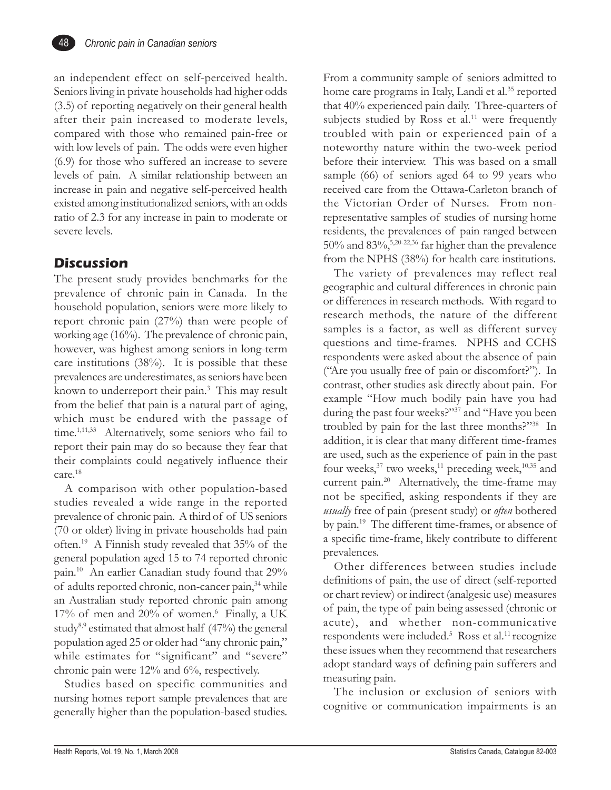

an independent effect on self-perceived health. Seniors living in private households had higher odds (3.5) of reporting negatively on their general health after their pain increased to moderate levels, compared with those who remained pain-free or with low levels of pain. The odds were even higher (6.9) for those who suffered an increase to severe levels of pain. A similar relationship between an increase in pain and negative self-perceived health existed among institutionalized seniors, with an odds ratio of 2.3 for any increase in pain to moderate or severe levels.

### **Discussion**

The present study provides benchmarks for the prevalence of chronic pain in Canada. In the household population, seniors were more likely to report chronic pain (27%) than were people of working age (16%). The prevalence of chronic pain, however, was highest among seniors in long-term care institutions (38%). It is possible that these prevalences are underestimates, as seniors have been known to underreport their pain.3 This may result from the belief that pain is a natural part of aging, which must be endured with the passage of time.<sup>1,11,33</sup> Alternatively, some seniors who fail to report their pain may do so because they fear that their complaints could negatively influence their care.18

A comparison with other population-based studies revealed a wide range in the reported prevalence of chronic pain. A third of of US seniors (70 or older) living in private households had pain often.19 A Finnish study revealed that 35% of the general population aged 15 to 74 reported chronic pain.10 An earlier Canadian study found that 29% of adults reported chronic, non-cancer pain,<sup>34</sup> while an Australian study reported chronic pain among 17% of men and 20% of women.<sup>6</sup> Finally, a UK study<sup>8,9</sup> estimated that almost half  $(47%)$  the general population aged 25 or older had "any chronic pain," while estimates for "significant" and "severe" chronic pain were 12% and 6%, respectively.

Studies based on specific communities and nursing homes report sample prevalences that are generally higher than the population-based studies.

From a community sample of seniors admitted to home care programs in Italy, Landi et al.<sup>35</sup> reported that 40% experienced pain daily. Three-quarters of subjects studied by Ross et al.<sup>11</sup> were frequently troubled with pain or experienced pain of a noteworthy nature within the two-week period before their interview. This was based on a small sample (66) of seniors aged 64 to 99 years who received care from the Ottawa-Carleton branch of the Victorian Order of Nurses. From nonrepresentative samples of studies of nursing home residents, the prevalences of pain ranged between  $50\%$  and  $83\%$ ,<sup>5,20-22,36</sup> far higher than the prevalence from the NPHS (38%) for health care institutions.

The variety of prevalences may reflect real geographic and cultural differences in chronic pain or differences in research methods. With regard to research methods, the nature of the different samples is a factor, as well as different survey questions and time-frames. NPHS and CCHS respondents were asked about the absence of pain ("Are you usually free of pain or discomfort?"). In contrast, other studies ask directly about pain. For example "How much bodily pain have you had during the past four weeks?"37 and "Have you been troubled by pain for the last three months?"38 In addition, it is clear that many different time-frames are used, such as the experience of pain in the past four weeks, $37$  two weeks, $11$  preceding week, $10,35$  and current pain.<sup>20</sup> Alternatively, the time-frame may not be specified, asking respondents if they are *usually* free of pain (present study) or *often* bothered by pain.19 The different time-frames, or absence of a specific time-frame, likely contribute to different prevalences.

Other differences between studies include definitions of pain, the use of direct (self-reported or chart review) or indirect (analgesic use) measures of pain, the type of pain being assessed (chronic or acute), and whether non-communicative respondents were included.<sup>5</sup> Ross et al.<sup>11</sup> recognize these issues when they recommend that researchers adopt standard ways of defining pain sufferers and measuring pain.

The inclusion or exclusion of seniors with cognitive or communication impairments is an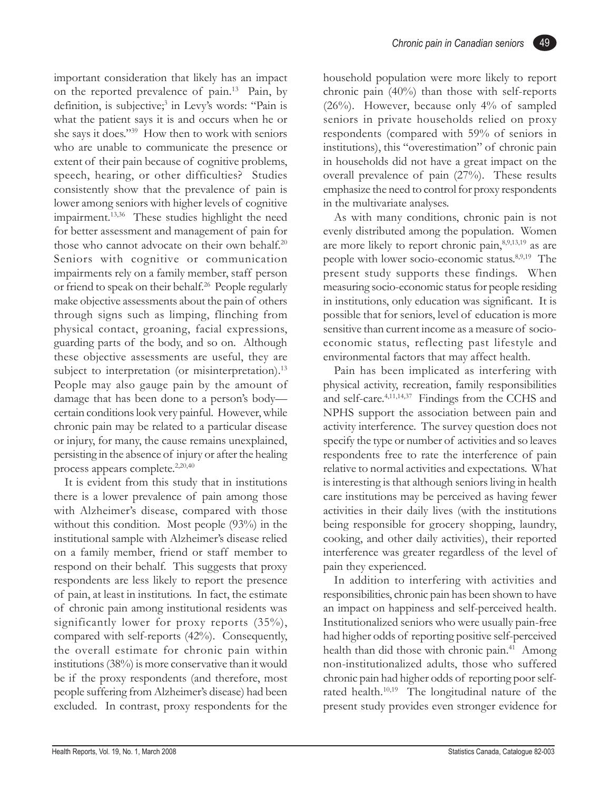important consideration that likely has an impact on the reported prevalence of pain.13 Pain, by definition, is subjective;<sup>3</sup> in Levy's words: "Pain is what the patient says it is and occurs when he or she says it does."39 How then to work with seniors who are unable to communicate the presence or extent of their pain because of cognitive problems, speech, hearing, or other difficulties? Studies consistently show that the prevalence of pain is lower among seniors with higher levels of cognitive impairment.<sup>13,36</sup> These studies highlight the need for better assessment and management of pain for those who cannot advocate on their own behalf.<sup>20</sup> Seniors with cognitive or communication impairments rely on a family member, staff person or friend to speak on their behalf.<sup>26</sup> People regularly make objective assessments about the pain of others through signs such as limping, flinching from physical contact, groaning, facial expressions, guarding parts of the body, and so on. Although these objective assessments are useful, they are subject to interpretation (or misinterpretation).<sup>13</sup> People may also gauge pain by the amount of damage that has been done to a person's body certain conditions look very painful. However, while chronic pain may be related to a particular disease or injury, for many, the cause remains unexplained, persisting in the absence of injury or after the healing process appears complete.<sup>2,20,40</sup>

It is evident from this study that in institutions there is a lower prevalence of pain among those with Alzheimer's disease, compared with those without this condition. Most people (93%) in the institutional sample with Alzheimer's disease relied on a family member, friend or staff member to respond on their behalf. This suggests that proxy respondents are less likely to report the presence of pain, at least in institutions. In fact, the estimate of chronic pain among institutional residents was significantly lower for proxy reports  $(35\%)$ , compared with self-reports (42%). Consequently, the overall estimate for chronic pain within institutions (38%) is more conservative than it would be if the proxy respondents (and therefore, most people suffering from Alzheimer's disease) had been excluded. In contrast, proxy respondents for the household population were more likely to report chronic pain (40%) than those with self-reports  $(26\%)$ . However, because only  $4\%$  of sampled seniors in private households relied on proxy respondents (compared with 59% of seniors in institutions), this "overestimation" of chronic pain in households did not have a great impact on the overall prevalence of pain (27%). These results emphasize the need to control for proxy respondents in the multivariate analyses.

As with many conditions, chronic pain is not evenly distributed among the population. Women are more likely to report chronic pain,<sup>8,9,13,19</sup> as are people with lower socio-economic status.8,9,19 The present study supports these findings. When measuring socio-economic status for people residing in institutions, only education was significant. It is possible that for seniors, level of education is more sensitive than current income as a measure of socioeconomic status, reflecting past lifestyle and environmental factors that may affect health.

Pain has been implicated as interfering with physical activity, recreation, family responsibilities and self-care.4,11,14,37 Findings from the CCHS and NPHS support the association between pain and activity interference. The survey question does not specify the type or number of activities and so leaves respondents free to rate the interference of pain relative to normal activities and expectations. What is interesting is that although seniors living in health care institutions may be perceived as having fewer activities in their daily lives (with the institutions being responsible for grocery shopping, laundry, cooking, and other daily activities), their reported interference was greater regardless of the level of pain they experienced.

In addition to interfering with activities and responsibilities, chronic pain has been shown to have an impact on happiness and self-perceived health. Institutionalized seniors who were usually pain-free had higher odds of reporting positive self-perceived health than did those with chronic pain.<sup>41</sup> Among non-institutionalized adults, those who suffered chronic pain had higher odds of reporting poor selfrated health.<sup>10,19</sup> The longitudinal nature of the present study provides even stronger evidence for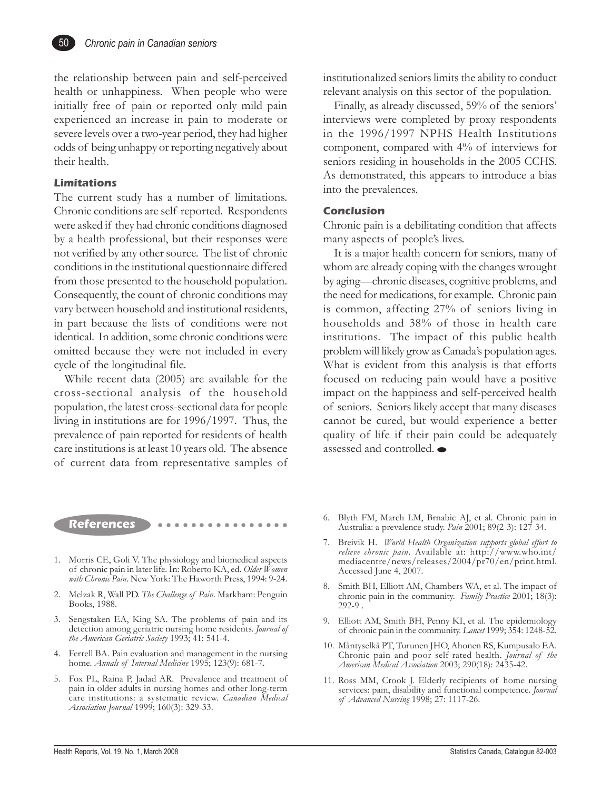

the relationship between pain and self-perceived health or unhappiness. When people who were initially free of pain or reported only mild pain experienced an increase in pain to moderate or severe levels over a two-year period, they had higher odds of being unhappy or reporting negatively about their health.

#### **Limitations**

The current study has a number of limitations. Chronic conditions are self-reported. Respondents were asked if they had chronic conditions diagnosed by a health professional, but their responses were not verified by any other source. The list of chronic conditions in the institutional questionnaire differed from those presented to the household population. Consequently, the count of chronic conditions may vary between household and institutional residents, in part because the lists of conditions were not identical. In addition, some chronic conditions were omitted because they were not included in every cycle of the longitudinal file.

While recent data (2005) are available for the cross-sectional analysis of the household population, the latest cross-sectional data for people living in institutions are for 1996/1997. Thus, the prevalence of pain reported for residents of health care institutions is at least 10 years old. The absence of current data from representative samples of institutionalized seniors limits the ability to conduct relevant analysis on this sector of the population.

Finally, as already discussed, 59% of the seniors' interviews were completed by proxy respondents in the 1996/1997 NPHS Health Institutions component, compared with 4% of interviews for seniors residing in households in the 2005 CCHS. As demonstrated, this appears to introduce a bias into the prevalences.

#### **Conclusion**

Chronic pain is a debilitating condition that affects many aspects of people's lives.

It is a major health concern for seniors, many of whom are already coping with the changes wrought by aging—chronic diseases, cognitive problems, and the need for medications, for example. Chronic pain is common, affecting 27% of seniors living in households and 38% of those in health care institutions. The impact of this public health problem will likely grow as Canada's population ages. What is evident from this analysis is that efforts focused on reducing pain would have a positive impact on the happiness and self-perceived health of seniors. Seniors likely accept that many diseases cannot be cured, but would experience a better quality of life if their pain could be adequately assessed and controlled.

**References** ○○○○○○○○○○○○○○○○

- 1. Morris CE, Goli V. The physiology and biomedical aspects of chronic pain in later life. In: Roberto KA, ed. *Older Women with Chronic Pain*. New York: The Haworth Press, 1994: 9-24.
- 2. Melzak R, Wall PD. *The Challenge of Pain*. Markham: Penguin Books, 1988.
- 3. Sengstaken EA, King SA. The problems of pain and its detection among geriatric nursing home residents. *Journal of the American Geriatric Society* 1993; 41: 541-4.
- 4. Ferrell BA. Pain evaluation and management in the nursing home. *Annals of Internal Medicine* 1995; 123(9): 681-7.
- 5. Fox PL, Raina P, Jadad AR. Prevalence and treatment of pain in older adults in nursing homes and other long-term care institutions: a systematic review. *Canadian Medical Association Journal* 1999; 160(3): 329-33.
- 6. Blyth FM, March LM, Brnabic AJ, et al. Chronic pain in Australia: a prevalence study. *Pain* 2001; 89(2-3): 127-34.
- 7. Breivik H. *World Health Organization supports global effort to relieve chronic pain*. Available at: http://www.who.int/ mediacentre/news/releases/2004/pr70/en/print.html. Accessed June 4, 2007.
- 8. Smith BH, Elliott AM, Chambers WA, et al. The impact of chronic pain in the community. *Family Practice* 2001; 18(3): 292-9 .
- 9. Elliott AM, Smith BH, Penny KI, et al. The epidemiology of chronic pain in the community. *Lancet* 1999; 354: 1248-52.
- 10. Mäntyselkä PT, Turunen JHO, Ahonen RS, Kumpusalo EA. Chronic pain and poor self-rated health. *Journal of the American Medical Association* 2003; 290(18): 2435-42.
- 11. Ross MM, Crook J. Elderly recipients of home nursing services: pain, disability and functional competence. *Journal of Advanced Nursing* 1998; 27: 1117-26.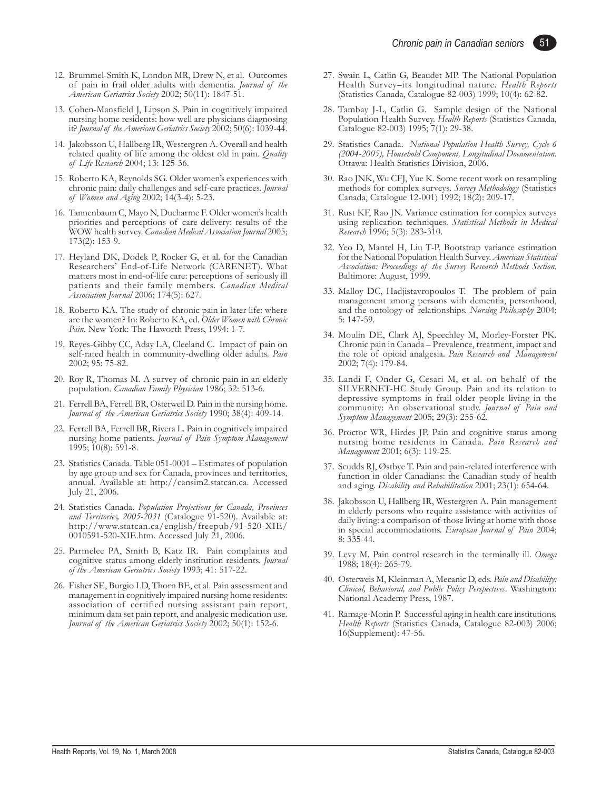- 12. Brummel-Smith K, London MR, Drew N, et al. Outcomes of pain in frail older adults with dementia. *Journal of the American Geriatrics Society* 2002; 50(11): 1847-51.
- 13. Cohen-Mansfield J, Lipson S. Pain in cognitively impaired nursing home residents: how well are physicians diagnosing it? *Journal of the American Geriatrics Society* 2002; 50(6): 1039-44.
- 14. Jakobsson U, Hallberg IR, Westergren A. Overall and health related quality of life among the oldest old in pain. *Quality of Life Research* 2004; 13: 125-36.
- 15. Roberto KA, Reynolds SG. Older women's experiences with chronic pain: daily challenges and self-care practices. *Journal of Women and Aging* 2002; 14(3-4): 5-23.
- 16. Tannenbaum C, Mayo N, Ducharme F. Older women's health priorities and perceptions of care delivery: results of the WOW health survey. *Canadian Medical Association Journal* 2005; 173(2): 153-9.
- 17. Heyland DK, Dodek P, Rocker G, et al. for the Canadian Researchers' End-of-Life Network (CARENET). What matters most in end-of-life care: perceptions of seriously ill patients and their family members. *Canadian Medical Association Journal* 2006; 174(5): 627.
- 18. Roberto KA. The study of chronic pain in later life: where are the women? In: Roberto KA, ed. *Older Women with Chronic Pain*. New York: The Haworth Press, 1994: 1-7.
- 19. Reyes-Gibby CC, Aday LA, Cleeland C. Impact of pain on self-rated health in community-dwelling older adults. *Pain* 2002; 95: 75-82.
- 20. Roy R, Thomas M. A survey of chronic pain in an elderly population. *Canadian Family Physician* 1986; 32: 513-6.
- 21. Ferrell BA, Ferrell BR, Osterweil D. Pain in the nursing home. *Journal of the American Geriatrics Society* 1990; 38(4): 409-14.
- 22. Ferrell BA, Ferrell BR, Rivera L. Pain in cognitively impaired nursing home patients. *Journal of Pain Symptom Management* 1995; 10(8): 591-8.
- 23. Statistics Canada. Table 051-0001 Estimates of population by age group and sex for Canada, provinces and territories, annual. Available at: http://cansim2.statcan.ca. Accessed July 21, 2006.
- 24. Statistics Canada. *Population Projections for Canada, Provinces and Territories, 2005-2031* (Catalogue 91-520). Available at: http://www.statcan.ca/english/freepub/91-520-XIE/ 0010591-520-XIE.htm. Accessed July 21, 2006.
- 25. Parmelee PA, Smith B, Katz IR. Pain complaints and cognitive status among elderly institution residents. *Journal of the American Geriatrics Society* 1993; 41: 517-22.
- 26. Fisher SE, Burgio LD, Thorn BE, et al. Pain assessment and management in cognitively impaired nursing home residents: association of certified nursing assistant pain report, minimum data set pain report, and analgesic medication use. *Journal of the American Geriatrics Society* 2002; 50(1): 152-6.
- 27. Swain L, Catlin G, Beaudet MP. The National Population Health Survey–its longitudinal nature. *Health Reports* (Statistics Canada, Catalogue 82-003) 1999; 10(4): 62-82.
- 28. Tambay J-L, Catlin G. Sample design of the National Population Health Survey. *Health Reports* (Statistics Canada, Catalogue 82-003) 1995; 7(1): 29-38.
- 29. Statistics Canada. *National Population Health Survey, Cycle 6 (2004-2005), Household Component, Longitudinal Documentation.* Ottawa: Health Statistics Division, 2006.
- 30. Rao JNK, Wu CFJ, Yue K. Some recent work on resampling methods for complex surveys. *Survey Methodology* (Statistics Canada, Catalogue 12-001) 1992; 18(2): 209-17.
- 31. Rust KF, Rao JN. Variance estimation for complex surveys using replication techniques. *Statistical Methods in Medical Research* 1996; 5(3): 283-310.
- 32. Yeo D, Mantel H, Liu T-P. Bootstrap variance estimation for the National Population Health Survey. *American Statistical Association: Proceedings of the Survey Research Methods Section.* Baltimore: August, 1999.
- 33. Malloy DC, Hadjistavropoulos T. The problem of pain management among persons with dementia, personhood, and the ontology of relationships. *Nursing Philosophy* 2004; 5: 147-59.
- 34. Moulin DE, Clark AJ, Speechley M, Morley-Forster PK. Chronic pain in Canada – Prevalence, treatment, impact and the role of opioid analgesia. *Pain Research and Management* 2002; 7(4): 179-84.
- 35. Landi F, Onder G, Cesari M, et al. on behalf of the SILVERNET-HC Study Group. Pain and its relation to depressive symptoms in frail older people living in the community: An observational study. *Journal of Pain and Symptom Management* 2005; 29(3): 255-62.
- 36. Proctor WR, Hirdes JP. Pain and cognitive status among nursing home residents in Canada. *Pain Research and Management* 2001; 6(3): 119-25.
- 37. Scudds RJ, Østbye T. Pain and pain-related interference with function in older Canadians: the Canadian study of health and aging. *Disability and Rehabilitation* 2001; 23(1): 654-64.
- 38. Jakobsson U, Hallberg IR, Westergren A. Pain management in elderly persons who require assistance with activities of daily living: a comparison of those living at home with those in special accommodations. *European Journal of Pain* 2004; 8: 335-44.
- 39. Levy M. Pain control research in the terminally ill. *Omega* 1988; 18(4): 265-79.
- 40. Osterweis M, Kleinman A, Mecanic D, eds. *Pain and Disability: Clinical, Behavioral, and Public Policy Perspectives*. Washington: National Academy Press, 1987.
- 41. Ramage-Morin P. Successful aging in health care institutions. *Health Reports* (Statistics Canada, Catalogue 82-003) 2006; 16(Supplement): 47-56.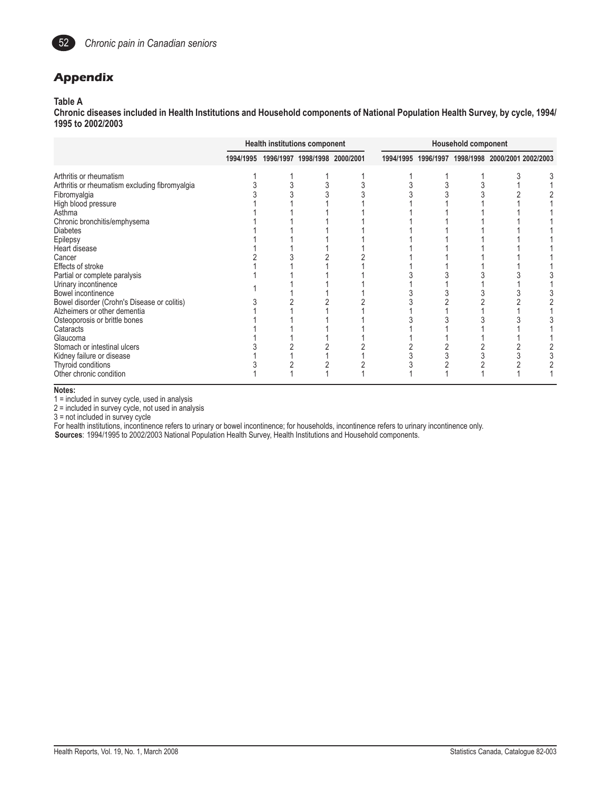

## **Appendix**

#### **Table A**

**Chronic diseases included in Health Institutions and Household components of National Population Health Survey, by cycle, 1994/ 1995 to 2002/2003**

|                                                | <b>Health institutions component</b> |  |                                         |  | <b>Household component</b>                        |  |  |  |
|------------------------------------------------|--------------------------------------|--|-----------------------------------------|--|---------------------------------------------------|--|--|--|
|                                                |                                      |  | 1994/1995 1996/1997 1998/1998 2000/2001 |  | 1994/1995 1996/1997 1998/1998 2000/2001 2002/2003 |  |  |  |
| Arthritis or rheumatism                        |                                      |  |                                         |  |                                                   |  |  |  |
| Arthritis or rheumatism excluding fibromyalgia |                                      |  |                                         |  |                                                   |  |  |  |
| Fibromyalgia                                   |                                      |  |                                         |  |                                                   |  |  |  |
| High blood pressure                            |                                      |  |                                         |  |                                                   |  |  |  |
| Asthma                                         |                                      |  |                                         |  |                                                   |  |  |  |
| Chronic bronchitis/emphysema                   |                                      |  |                                         |  |                                                   |  |  |  |
| <b>Diabetes</b>                                |                                      |  |                                         |  |                                                   |  |  |  |
| Epilepsy                                       |                                      |  |                                         |  |                                                   |  |  |  |
| Heart disease                                  |                                      |  |                                         |  |                                                   |  |  |  |
| Cancer                                         |                                      |  |                                         |  |                                                   |  |  |  |
| Effects of stroke                              |                                      |  |                                         |  |                                                   |  |  |  |
| Partial or complete paralysis                  |                                      |  |                                         |  |                                                   |  |  |  |
| Urinary incontinence                           |                                      |  |                                         |  |                                                   |  |  |  |
| Bowel incontinence                             |                                      |  |                                         |  |                                                   |  |  |  |
| Bowel disorder (Crohn's Disease or colitis)    |                                      |  |                                         |  |                                                   |  |  |  |
| Alzheimers or other dementia                   |                                      |  |                                         |  |                                                   |  |  |  |
| Osteoporosis or brittle bones                  |                                      |  |                                         |  |                                                   |  |  |  |
| Cataracts                                      |                                      |  |                                         |  |                                                   |  |  |  |
| Glaucoma                                       |                                      |  |                                         |  |                                                   |  |  |  |
| Stomach or intestinal ulcers                   |                                      |  |                                         |  |                                                   |  |  |  |
| Kidney failure or disease                      |                                      |  |                                         |  |                                                   |  |  |  |
| Thyroid conditions                             |                                      |  |                                         |  |                                                   |  |  |  |
| Other chronic condition                        |                                      |  |                                         |  |                                                   |  |  |  |

**Notes:**

1 = included in survey cycle, used in analysis

2 = included in survey cycle, not used in analysis

3 = not included in survey cycle

For health institutions, incontinence refers to urinary or bowel incontinence; for households, incontinence refers to urinary incontinence only.

**Sources**: 1994/1995 to 2002/2003 National Population Health Survey, Health Institutions and Household components.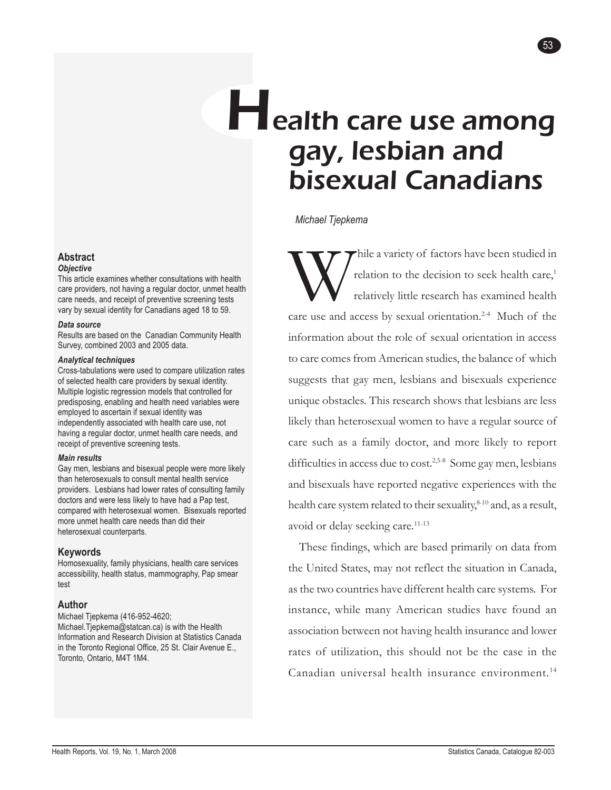# Health care use among gay, lesbian and bisexual Canadians

*Michael Tjepkema*

Thile a variety of factors have been studied in<br>relation to the decision to seek health care,<sup>1</sup><br>relatively little research has examined health relation to the decision to seek health care,<sup>1</sup> relatively little research has examined health care use and access by sexual orientation.<sup>2-4</sup> Much of the information about the role of sexual orientation in access to care comes from American studies, the balance of which suggests that gay men, lesbians and bisexuals experience unique obstacles. This research shows that lesbians are less likely than heterosexual women to have a regular source of care such as a family doctor, and more likely to report difficulties in access due to cost.<sup>2,5-8</sup> Some gay men, lesbians and bisexuals have reported negative experiences with the health care system related to their sexuality, $8-10$  and, as a result, avoid or delay seeking care.<sup>11-13</sup>

These findings, which are based primarily on data from the United States, may not reflect the situation in Canada, as the two countries have different health care systems. For instance, while many American studies have found an association between not having health insurance and lower rates of utilization, this should not be the case in the Canadian universal health insurance environment.<sup>14</sup>

#### **Abstract**

#### *Objective*

This article examines whether consultations with health care providers, not having a regular doctor, unmet health care needs, and receipt of preventive screening tests vary by sexual identity for Canadians aged 18 to 59.

#### *Data source*

Results are based on the Canadian Community Health Survey, combined 2003 and 2005 data.

#### *Analytical techniques*

Cross-tabulations were used to compare utilization rates of selected health care providers by sexual identity. Multiple logistic regression models that controlled for predisposing, enabling and health need variables were employed to ascertain if sexual identity was independently associated with health care use, not having a regular doctor, unmet health care needs, and receipt of preventive screening tests.

#### *Main results*

Gay men, lesbians and bisexual people were more likely than heterosexuals to consult mental health service providers. Lesbians had lower rates of consulting family doctors and were less likely to have had a Pap test, compared with heterosexual women. Bisexuals reported more unmet health care needs than did their heterosexual counterparts.

#### **Keywords**

Homosexuality, family physicians, health care services accessibility, health status, mammography, Pap smear test

#### **Author**

Michael Tjepkema (416-952-4620; Michael.Tjepkema@statcan.ca) is with the Health Information and Research Division at Statistics Canada in the Toronto Regional Office, 25 St. Clair Avenue E., Toronto, Ontario, M4T 1M4.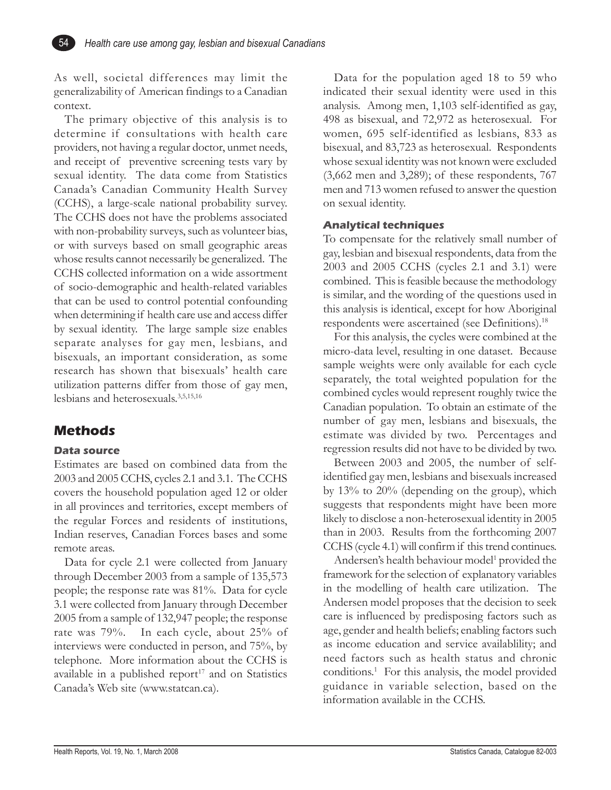As well, societal differences may limit the generalizability of American findings to a Canadian context.

The primary objective of this analysis is to determine if consultations with health care providers, not having a regular doctor, unmet needs, and receipt of preventive screening tests vary by sexual identity. The data come from Statistics Canada's Canadian Community Health Survey (CCHS), a large-scale national probability survey. The CCHS does not have the problems associated with non-probability surveys, such as volunteer bias, or with surveys based on small geographic areas whose results cannot necessarily be generalized. The CCHS collected information on a wide assortment of socio-demographic and health-related variables that can be used to control potential confounding when determining if health care use and access differ by sexual identity. The large sample size enables separate analyses for gay men, lesbians, and bisexuals, an important consideration, as some research has shown that bisexuals' health care utilization patterns differ from those of gay men, lesbians and heterosexuals.3,5,15,16

## **Methods**

54

#### **Data source**

Estimates are based on combined data from the 2003 and 2005 CCHS, cycles 2.1 and 3.1. The CCHS covers the household population aged 12 or older in all provinces and territories, except members of the regular Forces and residents of institutions, Indian reserves, Canadian Forces bases and some remote areas.

Data for cycle 2.1 were collected from January through December 2003 from a sample of 135,573 people; the response rate was 81%. Data for cycle 3.1 were collected from January through December 2005 from a sample of 132,947 people; the response rate was 79%. In each cycle, about 25% of interviews were conducted in person, and 75%, by telephone. More information about the CCHS is available in a published report $17$  and on Statistics Canada's Web site (www.statcan.ca).

Data for the population aged 18 to 59 who indicated their sexual identity were used in this analysis. Among men, 1,103 self-identified as gay, 498 as bisexual, and 72,972 as heterosexual. For women, 695 self-identified as lesbians, 833 as bisexual, and 83,723 as heterosexual. Respondents whose sexual identity was not known were excluded (3,662 men and 3,289); of these respondents, 767 men and 713 women refused to answer the question on sexual identity.

#### **Analytical techniques**

To compensate for the relatively small number of gay, lesbian and bisexual respondents, data from the 2003 and 2005 CCHS (cycles 2.1 and 3.1) were combined. This is feasible because the methodology is similar, and the wording of the questions used in this analysis is identical, except for how Aboriginal respondents were ascertained (see Definitions).<sup>18</sup>

For this analysis, the cycles were combined at the micro-data level, resulting in one dataset. Because sample weights were only available for each cycle separately, the total weighted population for the combined cycles would represent roughly twice the Canadian population. To obtain an estimate of the number of gay men, lesbians and bisexuals, the estimate was divided by two. Percentages and regression results did not have to be divided by two.

Between 2003 and 2005, the number of selfidentified gay men, lesbians and bisexuals increased by 13% to 20% (depending on the group), which suggests that respondents might have been more likely to disclose a non-heterosexual identity in 2005 than in 2003. Results from the forthcoming 2007 CCHS (cycle 4.1) will confirm if this trend continues.

Andersen's health behaviour model<sup>1</sup> provided the framework for the selection of explanatory variables in the modelling of health care utilization. The Andersen model proposes that the decision to seek care is influenced by predisposing factors such as age, gender and health beliefs; enabling factors such as income education and service availablility; and need factors such as health status and chronic conditions.1 For this analysis, the model provided guidance in variable selection, based on the information available in the CCHS.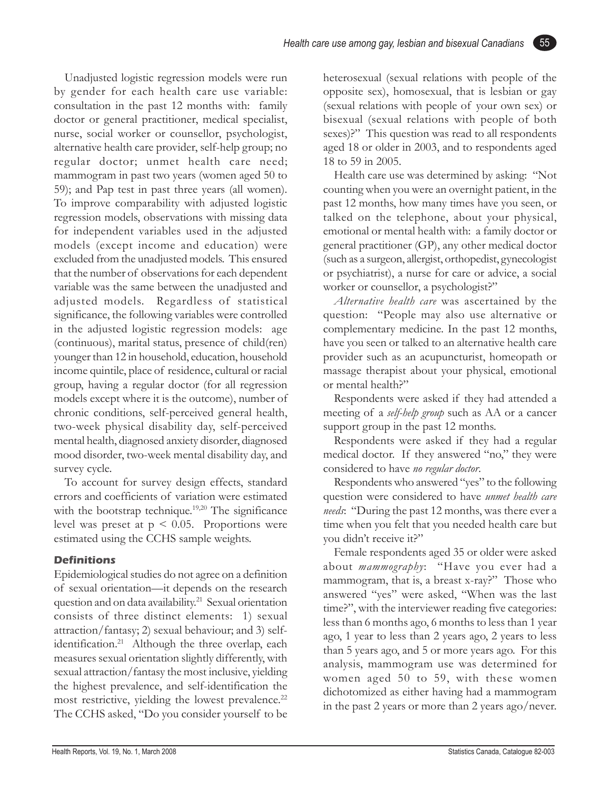Unadjusted logistic regression models were run by gender for each health care use variable: consultation in the past 12 months with: family doctor or general practitioner, medical specialist, nurse, social worker or counsellor, psychologist, alternative health care provider, self-help group; no regular doctor; unmet health care need; mammogram in past two years (women aged 50 to 59); and Pap test in past three years (all women). To improve comparability with adjusted logistic regression models, observations with missing data for independent variables used in the adjusted models (except income and education) were excluded from the unadjusted models. This ensured that the number of observations for each dependent variable was the same between the unadjusted and adjusted models. Regardless of statistical significance, the following variables were controlled in the adjusted logistic regression models: age (continuous), marital status, presence of child(ren) younger than 12 in household, education, household income quintile, place of residence, cultural or racial group, having a regular doctor (for all regression models except where it is the outcome), number of chronic conditions, self-perceived general health, two-week physical disability day, self-perceived mental health, diagnosed anxiety disorder, diagnosed mood disorder, two-week mental disability day, and survey cycle.

To account for survey design effects, standard errors and coefficients of variation were estimated with the bootstrap technique.<sup>19,20</sup> The significance level was preset at  $p \leq 0.05$ . Proportions were estimated using the CCHS sample weights.

#### **Definitions**

Epidemiological studies do not agree on a definition of sexual orientation—it depends on the research question and on data availability.<sup>21</sup> Sexual orientation consists of three distinct elements: 1) sexual attraction/fantasy; 2) sexual behaviour; and 3) selfidentification.<sup>21</sup> Although the three overlap, each measures sexual orientation slightly differently, with sexual attraction/fantasy the most inclusive, yielding the highest prevalence, and self-identification the most restrictive, yielding the lowest prevalence.<sup>22</sup> The CCHS asked, "Do you consider yourself to be heterosexual (sexual relations with people of the opposite sex), homosexual, that is lesbian or gay (sexual relations with people of your own sex) or bisexual (sexual relations with people of both sexes)?" This question was read to all respondents aged 18 or older in 2003, and to respondents aged 18 to 59 in 2005.

55

Health care use was determined by asking: "Not counting when you were an overnight patient, in the past 12 months, how many times have you seen, or talked on the telephone, about your physical, emotional or mental health with: a family doctor or general practitioner (GP), any other medical doctor (such as a surgeon, allergist, orthopedist, gynecologist or psychiatrist), a nurse for care or advice, a social worker or counsellor, a psychologist?"

*Alternative health care* was ascertained by the question: "People may also use alternative or complementary medicine. In the past 12 months, have you seen or talked to an alternative health care provider such as an acupuncturist, homeopath or massage therapist about your physical, emotional or mental health?"

Respondents were asked if they had attended a meeting of a *self-help group* such as AA or a cancer support group in the past 12 months.

Respondents were asked if they had a regular medical doctor. If they answered "no," they were considered to have *no regular doctor*.

Respondents who answered "yes" to the following question were considered to have *unmet health care needs*: "During the past 12 months, was there ever a time when you felt that you needed health care but you didn't receive it?"

Female respondents aged 35 or older were asked about *mammography*: "Have you ever had a mammogram, that is, a breast x-ray?" Those who answered "yes" were asked, "When was the last time?", with the interviewer reading five categories: less than 6 months ago, 6 months to less than 1 year ago, 1 year to less than 2 years ago, 2 years to less than 5 years ago, and 5 or more years ago. For this analysis, mammogram use was determined for women aged 50 to 59, with these women dichotomized as either having had a mammogram in the past 2 years or more than 2 years ago/never.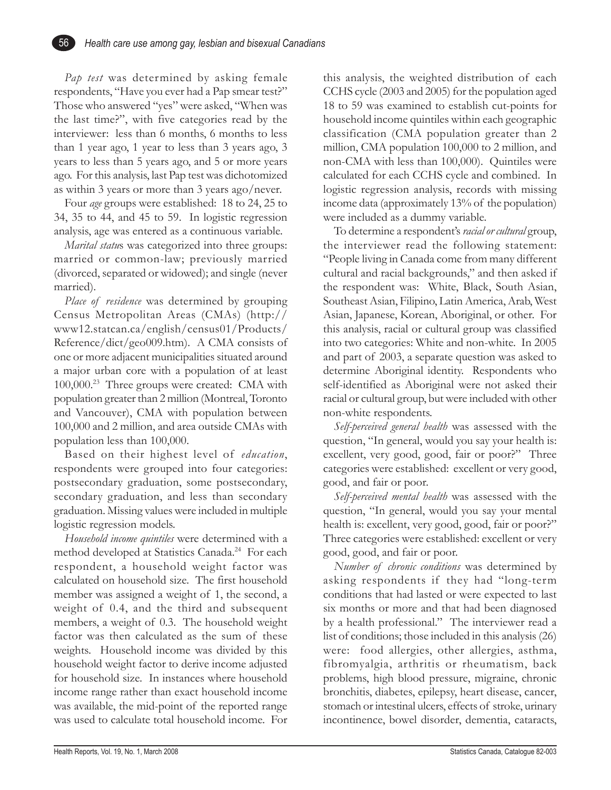*Pap test* was determined by asking female respondents, "Have you ever had a Pap smear test?" Those who answered "yes" were asked, "When was the last time?", with five categories read by the interviewer: less than 6 months, 6 months to less than 1 year ago, 1 year to less than 3 years ago, 3 years to less than 5 years ago, and 5 or more years ago. For this analysis, last Pap test was dichotomized as within 3 years or more than 3 years ago/never.

56

Four *age* groups were established: 18 to 24, 25 to 34, 35 to 44, and 45 to 59. In logistic regression analysis, age was entered as a continuous variable.

*Marital statu*s was categorized into three groups: married or common-law; previously married (divorced, separated or widowed); and single (never married).

*Place of residence* was determined by grouping Census Metropolitan Areas (CMAs) (http:// www12.statcan.ca/english/census01/Products/ Reference/dict/geo009.htm). A CMA consists of one or more adjacent municipalities situated around a major urban core with a population of at least 100,000.23 Three groups were created: CMA with population greater than 2 million (Montreal, Toronto and Vancouver), CMA with population between 100,000 and 2 million, and area outside CMAs with population less than 100,000.

Based on their highest level of *education*, respondents were grouped into four categories: postsecondary graduation, some postsecondary, secondary graduation, and less than secondary graduation. Missing values were included in multiple logistic regression models.

*Household income quintiles* were determined with a method developed at Statistics Canada.<sup>24</sup> For each respondent, a household weight factor was calculated on household size. The first household member was assigned a weight of 1, the second, a weight of 0.4, and the third and subsequent members, a weight of 0.3. The household weight factor was then calculated as the sum of these weights. Household income was divided by this household weight factor to derive income adjusted for household size. In instances where household income range rather than exact household income was available, the mid-point of the reported range was used to calculate total household income. For

this analysis, the weighted distribution of each CCHS cycle (2003 and 2005) for the population aged 18 to 59 was examined to establish cut-points for household income quintiles within each geographic classification (CMA population greater than 2 million, CMA population 100,000 to 2 million, and non-CMA with less than 100,000). Quintiles were calculated for each CCHS cycle and combined. In logistic regression analysis, records with missing income data (approximately 13% of the population) were included as a dummy variable.

To determine a respondent's *racial or cultural* group, the interviewer read the following statement: "People living in Canada come from many different cultural and racial backgrounds," and then asked if the respondent was: White, Black, South Asian, Southeast Asian, Filipino, Latin America, Arab, West Asian, Japanese, Korean, Aboriginal, or other. For this analysis, racial or cultural group was classified into two categories: White and non-white. In 2005 and part of 2003, a separate question was asked to determine Aboriginal identity. Respondents who self-identified as Aboriginal were not asked their racial or cultural group, but were included with other non-white respondents.

*Self-perceived general health* was assessed with the question, "In general, would you say your health is: excellent, very good, good, fair or poor?" Three categories were established: excellent or very good, good, and fair or poor.

*Self-perceived mental health* was assessed with the question, "In general, would you say your mental health is: excellent, very good, good, fair or poor?" Three categories were established: excellent or very good, good, and fair or poor.

*Number of chronic conditions* was determined by asking respondents if they had "long-term conditions that had lasted or were expected to last six months or more and that had been diagnosed by a health professional." The interviewer read a list of conditions; those included in this analysis (26) were: food allergies, other allergies, asthma, fibromyalgia, arthritis or rheumatism, back problems, high blood pressure, migraine, chronic bronchitis, diabetes, epilepsy, heart disease, cancer, stomach or intestinal ulcers, effects of stroke, urinary incontinence, bowel disorder, dementia, cataracts,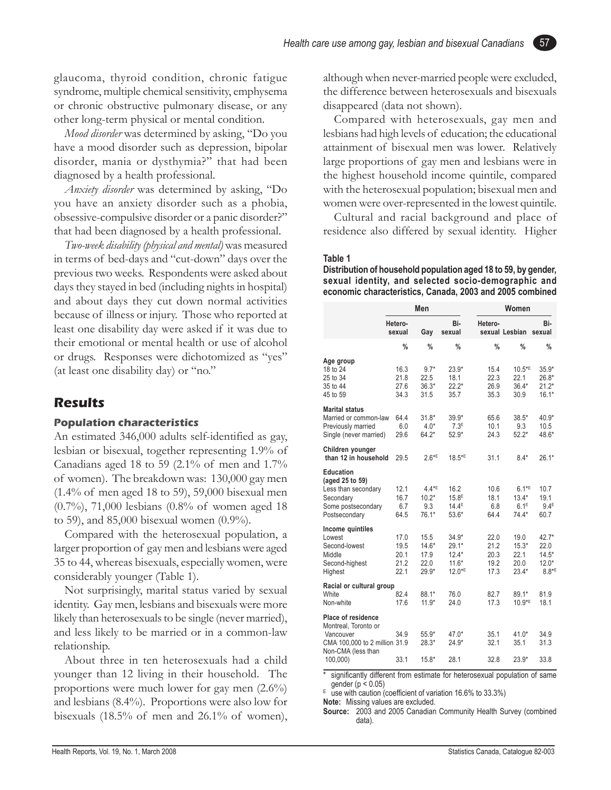glaucoma, thyroid condition, chronic fatigue syndrome, multiple chemical sensitivity, emphysema or chronic obstructive pulmonary disease, or any other long-term physical or mental condition.

*Mood disorder* was determined by asking, "Do you have a mood disorder such as depression, bipolar disorder, mania or dysthymia?" that had been diagnosed by a health professional.

*Anxiety disorder* was determined by asking, "Do you have an anxiety disorder such as a phobia, obsessive-compulsive disorder or a panic disorder?" that had been diagnosed by a health professional.

*Two-week disability (physical and mental)* was measured in terms of bed-days and "cut-down" days over the previous two weeks. Respondents were asked about days they stayed in bed (including nights in hospital) and about days they cut down normal activities because of illness or injury. Those who reported at least one disability day were asked if it was due to their emotional or mental health or use of alcohol or drugs. Responses were dichotomized as "yes" (at least one disability day) or "no."

## **Results**

#### **Population characteristics**

An estimated 346,000 adults self-identified as gay, lesbian or bisexual, together representing 1.9% of Canadians aged 18 to 59 (2.1% of men and  $1.7\%$ of women). The breakdown was: 130,000 gay men (1.4% of men aged 18 to 59), 59,000 bisexual men (0.7%), 71,000 lesbians (0.8% of women aged 18 to 59), and 85,000 bisexual women (0.9%).

Compared with the heterosexual population, a larger proportion of gay men and lesbians were aged 35 to 44, whereas bisexuals, especially women, were considerably younger (Table 1).

Not surprisingly, marital status varied by sexual identity. Gay men, lesbians and bisexuals were more likely than heterosexuals to be single (never married), and less likely to be married or in a common-law relationship.

About three in ten heterosexuals had a child younger than 12 living in their household. The proportions were much lower for gay men (2.6%) and lesbians (8.4%). Proportions were also low for bisexuals (18.5% of men and 26.1% of women), although when never-married people were excluded, the difference between heterosexuals and bisexuals disappeared (data not shown).

Compared with heterosexuals, gay men and lesbians had high levels of education; the educational attainment of bisexual men was lower. Relatively large proportions of gay men and lesbians were in the highest household income quintile, compared with the heterosexual population; bisexual men and women were over-represented in the lowest quintile.

Cultural and racial background and place of residence also differed by sexual identity. Higher

#### **Table 1**

**Distribution of household population aged 18 to 59, by gender, sexual identity, and selected socio-demographic and economic characteristics, Canada, 2003 and 2005 combined**

|                                                                                                                            |                                      | Men                                        |                                                                  |                                      | Women                                             |                                                              |  |  |  |
|----------------------------------------------------------------------------------------------------------------------------|--------------------------------------|--------------------------------------------|------------------------------------------------------------------|--------------------------------------|---------------------------------------------------|--------------------------------------------------------------|--|--|--|
|                                                                                                                            | Hetero-<br>sexual                    | Gay                                        | Bi-<br>sexual                                                    | Hetero-                              | sexual Lesbian                                    | Bi-<br>sexual                                                |  |  |  |
|                                                                                                                            | $\frac{0}{0}$                        | %                                          | $\frac{0}{0}$                                                    | $\frac{0}{0}$                        | $\frac{0}{0}$                                     | $\frac{9}{6}$                                                |  |  |  |
| Age group<br>18 to 24<br>25 to 34<br>35 to 44<br>45 to 59                                                                  | 16.3<br>21.8<br>27.6<br>34.3         | $9.7*$<br>22.5<br>$36.3*$<br>31.5          | $23.9*$<br>18.1<br>$22.2*$<br>35.7                               | 15.4<br>22.3<br>26.9<br>35.3         | $10.5*E$<br>22.1<br>$36.4*$<br>30.9               | $35.9*$<br>$26.8*$<br>$21.2*$<br>$16.1*$                     |  |  |  |
| <b>Marital status</b><br>Married or common-law<br>Previously married<br>Single (never married)                             | 64.4<br>6.0<br>29.6                  | $31.8*$<br>$4.0*$<br>$64.2*$               | $39.9*$<br>7.3 <sup>E</sup><br>$52.9*$                           | 65.6<br>10.1<br>24.3                 | $38.5*$<br>9.3<br>$52.2*$                         | $40.9*$<br>10.5<br>48.6*                                     |  |  |  |
| Children younger<br>than 12 in household                                                                                   | 29.5                                 | $2.6*$ <sup>E</sup>                        | $18.5*$ <sup>E</sup>                                             | 31.1                                 | $8.4*$                                            | $26.1*$                                                      |  |  |  |
| Education<br>(aged 25 to 59)<br>Less than secondary<br>Secondary<br>Some postsecondary<br>Postsecondary                    | 12.1<br>16.7<br>6.7<br>64.5          | $4.4*$ E<br>$10.2*$<br>9.3<br>$76.1*$      | 16.2<br>15.8 <sup>E</sup><br>14.4 <sup>E</sup><br>$53.6*$        | 10.6<br>18.1<br>6.8<br>64.4          | $6.1*$ <sup>E</sup><br>$13.4*$<br>6.1E<br>$74.4*$ | 10.7<br>19.1<br>9.4E<br>60.7                                 |  |  |  |
| Income quintiles<br>Lowest<br>Second-lowest<br>Middle<br>Second-highest<br>Highest                                         | 17.0<br>19.5<br>20.1<br>21.2<br>22.1 | 15.5<br>$14.6*$<br>17.9<br>22.0<br>$29.9*$ | $34.9*$<br>$29.1*$<br>$12.4*$<br>$11.6*$<br>$12.0*$ <sup>E</sup> | 22.0<br>21.2<br>20.3<br>19.2<br>17.3 | 19.0<br>$15.3*$<br>22.1<br>20.0<br>$23.4*$        | $42.7*$<br>22.0<br>$14.5*$<br>$12.0*$<br>$8.8*$ <sup>E</sup> |  |  |  |
| Racial or cultural group<br>White<br>Non-white                                                                             | 82.4<br>17.6                         | 88.1*<br>$11.9*$                           | 76.0<br>24.0                                                     | 82.7<br>17.3                         | $89.1*$<br>$10.9*E$                               | 81.9<br>18.1                                                 |  |  |  |
| Place of residence<br>Montreal, Toronto or<br>Vancouver<br>CMA 100,000 to 2 million 31.9<br>Non-CMA (less than<br>100,000) | 34.9<br>33.1                         | $55.9*$<br>$28.3*$<br>$15.8*$              | $47.0*$<br>$24.9*$<br>28.1                                       | 35.1<br>32.1<br>32.8                 | $41.0*$<br>35.1<br>$23.9*$                        | 34.9<br>31.3<br>33.8                                         |  |  |  |

significantly different from estimate for heterosexual population of same gender ( $p < 0.05$ )

 $E$  use with caution (coefficient of variation 16.6% to 33.3%)

**Note:** Missing values are excluded.

**Source:** 2003 and 2005 Canadian Community Health Survey (combined data).

57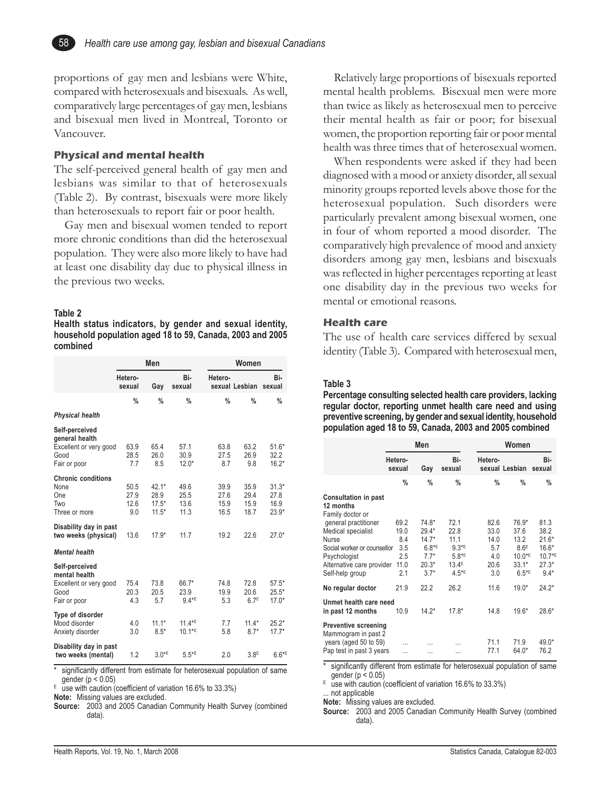proportions of gay men and lesbians were White, compared with heterosexuals and bisexuals. As well, comparatively large percentages of gay men, lesbians and bisexual men lived in Montreal, Toronto or Vancouver.

#### **Physical and mental health**

The self-perceived general health of gay men and lesbians was similar to that of heterosexuals (Table 2). By contrast, bisexuals were more likely than heterosexuals to report fair or poor health.

Gay men and bisexual women tended to report more chronic conditions than did the heterosexual population. They were also more likely to have had at least one disability day due to physical illness in the previous two weeks.

#### **Table 2**

58

**Health status indicators, by gender and sexual identity, household population aged 18 to 59, Canada, 2003 and 2005 combined**

|                                                                                   |                             | Men                                   |                              |                              | Women                            |                                    |  |  |  |
|-----------------------------------------------------------------------------------|-----------------------------|---------------------------------------|------------------------------|------------------------------|----------------------------------|------------------------------------|--|--|--|
|                                                                                   | Hetero-<br>sexual           | Gay                                   | Bi-<br>sexual                | Hetero-                      | sexual Lesbian                   | Bi-<br>sexual                      |  |  |  |
|                                                                                   | $\frac{0}{0}$               | $\%$                                  | $\frac{0}{0}$                | $\frac{0}{0}$                | $\frac{0}{0}$                    | $\%$                               |  |  |  |
| <b>Physical health</b>                                                            |                             |                                       |                              |                              |                                  |                                    |  |  |  |
| Self-perceived<br>general health<br>Excellent or very good<br>Good                | 63.9<br>28.5                | 65.4<br>26.0                          | 57.1<br>30.9                 | 63.8<br>27.5                 | 63.2<br>26.9                     | $51.6*$<br>32.2                    |  |  |  |
| Fair or poor                                                                      | 7.7                         | 8.5                                   | $12.0*$                      | 8.7                          | 9.8                              | $16.2*$                            |  |  |  |
| <b>Chronic conditions</b><br>None<br>One<br>Two<br>Three or more                  | 50.5<br>27.9<br>12.6<br>9.0 | $42.1*$<br>28.9<br>$17.5*$<br>$11.5*$ | 49.6<br>25.5<br>13.6<br>11.3 | 39.9<br>27.6<br>15.9<br>16.5 | 35.9<br>29.4<br>15.9<br>18.7     | $31.3*$<br>27.8<br>16.9<br>$23.9*$ |  |  |  |
| Disability day in past<br>two weeks (physical)                                    | 13.6                        | $17.9*$                               | 11.7                         | 19.2                         | 22.6                             | $27.0*$                            |  |  |  |
| <b>Mental health</b>                                                              |                             |                                       |                              |                              |                                  |                                    |  |  |  |
| Self-perceived<br>mental health<br>Excellent or very good<br>Good<br>Fair or poor | 75.4<br>20.3<br>4.3         | 73.8<br>20.5<br>5.7                   | 66.7*<br>23.9<br>$9.4*$      | 74.8<br>19.9<br>5.3          | 72.8<br>20.6<br>6.7 <sup>E</sup> | $57.5*$<br>$25.5*$<br>$17.0*$      |  |  |  |
| Type of disorder<br>Mood disorder<br>Anxiety disorder                             | 4.0<br>3.0                  | $11.1*$<br>$8.5*$                     | $11.4*$ E<br>$10.1*$ E       | 7.7<br>5.8                   | $11.4*$<br>$8.7*$                | $25.2*$<br>$17.7*$                 |  |  |  |
| Disability day in past<br>two weeks (mental)                                      | 1.2                         | $3.0*$ E                              | $5.5*$ <sup>E</sup>          | 2.0                          | 3.8 <sup>E</sup>                 | $6.6*$ <sup>E</sup>                |  |  |  |

significantly different from estimate for heterosexual population of same gender ( $p < 0.05$ )

 $E$  use with caution (coefficient of variation 16.6% to 33.3%)

**Note:** Missing values are excluded.

**Source:** 2003 and 2005 Canadian Community Health Survey (combined data).

Relatively large proportions of bisexuals reported mental health problems. Bisexual men were more than twice as likely as heterosexual men to perceive their mental health as fair or poor; for bisexual women, the proportion reporting fair or poor mental health was three times that of heterosexual women.

When respondents were asked if they had been diagnosed with a mood or anxiety disorder, all sexual minority groups reported levels above those for the heterosexual population. Such disorders were particularly prevalent among bisexual women, one in four of whom reported a mood disorder. The comparatively high prevalence of mood and anxiety disorders among gay men, lesbians and bisexuals was reflected in higher percentages reporting at least one disability day in the previous two weeks for mental or emotional reasons.

#### **Health care**

The use of health care services differed by sexual identity (Table 3). Compared with heterosexual men,

#### **Table 3**

**Percentage consulting selected health care providers, lacking regular doctor, reporting unmet health care need and using preventive screening, by gender and sexual identity, household population aged 18 to 59, Canada, 2003 and 2005 combined**

|                                                                                                                                                    | Men                                              |                                                                         |                                                                                          |                                                   | Women                                                                        |                                                                                 |  |
|----------------------------------------------------------------------------------------------------------------------------------------------------|--------------------------------------------------|-------------------------------------------------------------------------|------------------------------------------------------------------------------------------|---------------------------------------------------|------------------------------------------------------------------------------|---------------------------------------------------------------------------------|--|
|                                                                                                                                                    | Hetero-<br>sexual                                | Gay                                                                     | Bi-<br>sexual                                                                            | Hetero-                                           | sexual Lesbian                                                               | Bi-<br>sexual                                                                   |  |
|                                                                                                                                                    | $\%$                                             | $\%$                                                                    | $\%$                                                                                     | $\%$                                              | $\frac{0}{0}$                                                                | %                                                                               |  |
| <b>Consultation in past</b><br>12 months<br>Family doctor or                                                                                       |                                                  |                                                                         |                                                                                          |                                                   |                                                                              |                                                                                 |  |
| general practitioner<br>Medical specialist<br>Nurse<br>Social worker or counsellor<br>Psychologist<br>Alternative care provider<br>Self-help group | 69.2<br>19.0<br>8.4<br>3.5<br>2.5<br>11.0<br>2.1 | $74.8*$<br>$29.4*$<br>$14.7*$<br>$6.8*E$<br>$7.7*$<br>$20.3*$<br>$3.7*$ | 72.1<br>22.8<br>11.1<br>$9.3*$ E<br>$5.8*$ <sup>E</sup><br>13.4 <sup>E</sup><br>$4.5*$ E | 82.6<br>33.0<br>14.0<br>5.7<br>4.0<br>20.6<br>3.0 | 76.9*<br>37.6<br>13.2<br>8.6E<br>$10.0*$ <sup>E</sup><br>$33.1*$<br>$6.5*$ E | 81.3<br>38.2<br>$21.6*$<br>$16.6*$<br>$10.7*$ <sup>E</sup><br>$27.3*$<br>$9.4*$ |  |
| No regular doctor                                                                                                                                  | 21.9                                             | 22.2                                                                    | 26.2                                                                                     | 11.6                                              | $19.0*$                                                                      | $24.2*$                                                                         |  |
| Unmet health care need<br>in past 12 months                                                                                                        | 10.9                                             | $14.2*$                                                                 | $17.8*$                                                                                  | 14.8                                              | $19.6*$                                                                      | $28.6*$                                                                         |  |
| <b>Preventive screening</b><br>Mammogram in past 2<br>years (aged 50 to 59)<br>Pap test in past 3 years                                            | .                                                |                                                                         | .                                                                                        | 71.1<br>77.1                                      | 71.9<br>$64.0*$                                                              | 49.0*<br>76.2                                                                   |  |

significantly different from estimate for heterosexual population of same gender (p < 0.05)

 $E$  use with caution (coefficient of variation 16.6% to 33.3%) ... not applicable

**Note:** Missing values are excluded.

**Source:** 2003 and 2005 Canadian Community Health Survey (combined data).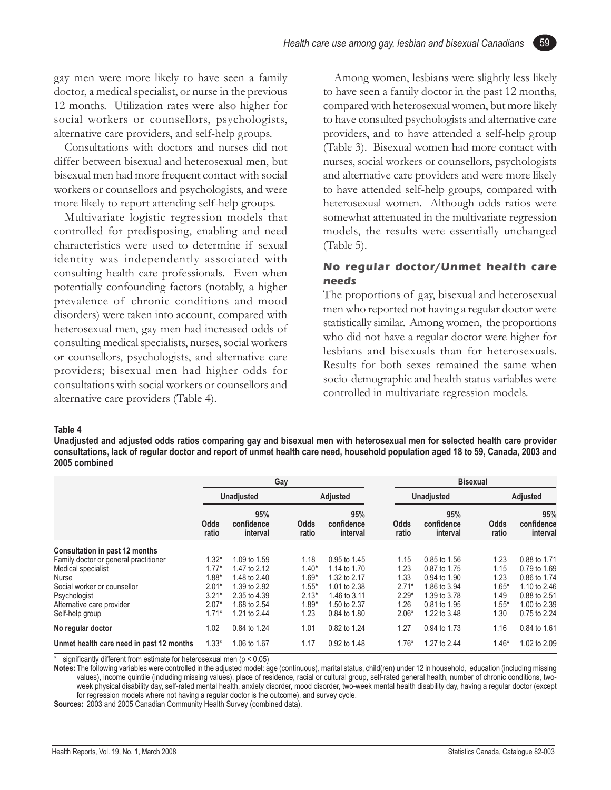gay men were more likely to have seen a family doctor, a medical specialist, or nurse in the previous 12 months. Utilization rates were also higher for social workers or counsellors, psychologists, alternative care providers, and self-help groups.

Consultations with doctors and nurses did not differ between bisexual and heterosexual men, but bisexual men had more frequent contact with social workers or counsellors and psychologists, and were more likely to report attending self-help groups.

Multivariate logistic regression models that controlled for predisposing, enabling and need characteristics were used to determine if sexual identity was independently associated with consulting health care professionals. Even when potentially confounding factors (notably, a higher prevalence of chronic conditions and mood disorders) were taken into account, compared with heterosexual men, gay men had increased odds of consulting medical specialists, nurses, social workers or counsellors, psychologists, and alternative care providers; bisexual men had higher odds for consultations with social workers or counsellors and alternative care providers (Table 4).

Among women, lesbians were slightly less likely to have seen a family doctor in the past 12 months, compared with heterosexual women, but more likely to have consulted psychologists and alternative care providers, and to have attended a self-help group (Table 3). Bisexual women had more contact with nurses, social workers or counsellors, psychologists and alternative care providers and were more likely to have attended self-help groups, compared with heterosexual women. Although odds ratios were somewhat attenuated in the multivariate regression models, the results were essentially unchanged (Table 5).

59

#### **No regular doctor/Unmet health care needs**

The proportions of gay, bisexual and heterosexual men who reported not having a regular doctor were statistically similar. Among women, the proportions who did not have a regular doctor were higher for lesbians and bisexuals than for heterosexuals. Results for both sexes remained the same when socio-demographic and health status variables were controlled in multivariate regression models.

#### **Table 4**

**Unadjusted and adjusted odds ratios comparing gay and bisexual men with heterosexual men for selected health care provider consultations, lack of regular doctor and report of unmet health care need, household population aged 18 to 59, Canada, 2003 and 2005 combined**

|                                          | Gay               |                               |               | <b>Bisexual</b>               |               |                               |               |                               |  |
|------------------------------------------|-------------------|-------------------------------|---------------|-------------------------------|---------------|-------------------------------|---------------|-------------------------------|--|
|                                          | <b>Unadjusted</b> |                               |               | <b>Adjusted</b>               |               | <b>Unadjusted</b>             |               | <b>Adjusted</b>               |  |
|                                          | Odds<br>ratio     | 95%<br>confidence<br>interval | Odds<br>ratio | 95%<br>confidence<br>interval | Odds<br>ratio | 95%<br>confidence<br>interval | Odds<br>ratio | 95%<br>confidence<br>interval |  |
| Consultation in past 12 months           |                   |                               |               |                               |               |                               |               |                               |  |
| Family doctor or general practitioner    | $1.32*$           | 1.09 to 1.59                  | 1.18          | 0.95 to 1.45                  | 1.15          | 0.85 to 1.56                  | 1.23          | 0.88 to 1.71                  |  |
| Medical specialist                       | $1.77*$           | 1.47 to 2.12                  | $1.40*$       | 1.14 to 1.70                  | 1.23          | 0.87 to 1.75                  | 1.15          | 0.79 to 1.69                  |  |
| <b>Nurse</b>                             | $1.88*$           | 1.48 to 2.40                  | $1.69*$       | 1.32 to 2.17                  | 1.33          | 0.94 to 1.90                  | 1.23          | 0.86 to 1.74                  |  |
| Social worker or counsellor              | $2.01*$           | 1.39 to 2.92                  | $1.55*$       | 1.01 to 2.38                  | $2.71*$       | 1.86 to 3.94                  | $1.65*$       | 1.10 to 2.46                  |  |
| Psychologist                             | $3.21*$           | 2.35 to 4.39                  | $2.13*$       | 1.46 to 3.11                  | $2.29*$       | 1.39 to 3.78                  | 1.49          | 0.88 to 2.51                  |  |
| Alternative care provider                | $2.07*$           | 1.68 to 2.54                  | $1.89*$       | 1.50 to 2.37                  | 1.26          | 0.81 to 1.95                  | $1.55*$       | 1.00 to 2.39                  |  |
| Self-help group                          | $1.71*$           | 1.21 to 2.44                  | 1.23          | 0.84 to 1.80                  | $2.06*$       | 1.22 to 3.48                  | 1.30          | 0.75 to 2.24                  |  |
| No regular doctor                        | 1.02              | 0.84 to 1.24                  | 1.01          | 0.82 to 1.24                  | 1.27          | 0.94 to 1.73                  | 1.16          | 0.84 to 1.61                  |  |
| Unmet health care need in past 12 months | $1.33*$           | 1.06 to 1.67                  | 1.17          | 0.92 to 1.48                  | $1.76*$       | 1.27 to 2.44                  | $1.46*$       | 1.02 to 2.09                  |  |

significantly different from estimate for heterosexual men ( $p < 0.05$ )

**Notes:** The following variables were controlled in the adjusted model: age (continuous), marital status, child(ren) under 12 in household, education (including missing values), income quintile (including missing values), place of residence, racial or cultural group, self-rated general health, number of chronic conditions, twoweek physical disability day, self-rated mental health, anxiety disorder, mood disorder, two-week mental health disability day, having a regular doctor (except for regression models where not having a regular doctor is the outcome), and survey cycle.

**Sources:** 2003 and 2005 Canadian Community Health Survey (combined data).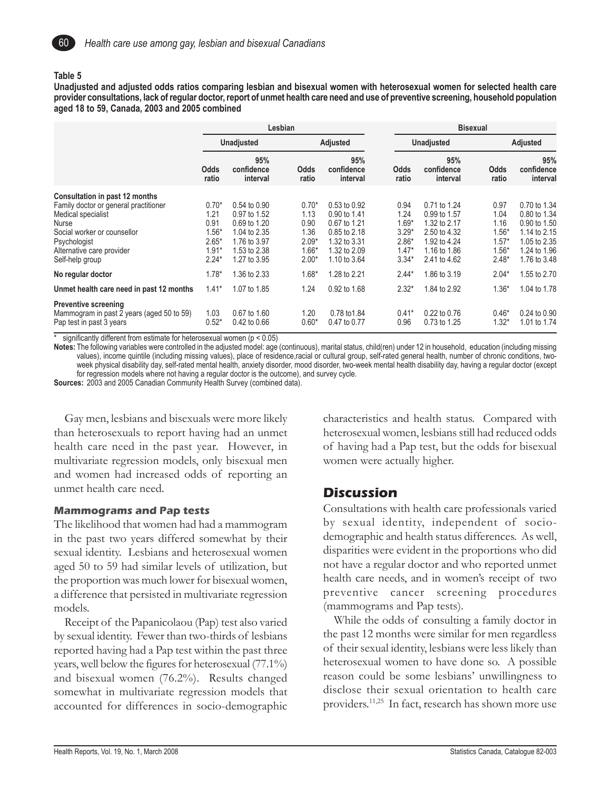

#### **Table 5**

**Unadjusted and adjusted odds ratios comparing lesbian and bisexual women with heterosexual women for selected health care provider consultations, lack of regular doctor, report of unmet health care need and use of preventive screening, household population aged 18 to 59, Canada, 2003 and 2005 combined**

|                                                                                                                                                                                                              | Lesbian                                                             |                                                                                                              |                                                                  |                                                                                                              | <b>Bisexual</b> |                                                                     |                                                                                                              |                                                                  |                                                                                                              |  |
|--------------------------------------------------------------------------------------------------------------------------------------------------------------------------------------------------------------|---------------------------------------------------------------------|--------------------------------------------------------------------------------------------------------------|------------------------------------------------------------------|--------------------------------------------------------------------------------------------------------------|-----------------|---------------------------------------------------------------------|--------------------------------------------------------------------------------------------------------------|------------------------------------------------------------------|--------------------------------------------------------------------------------------------------------------|--|
|                                                                                                                                                                                                              | <b>Unadjusted</b>                                                   |                                                                                                              |                                                                  | Adjusted                                                                                                     |                 | <b>Unadjusted</b>                                                   |                                                                                                              |                                                                  | Adjusted                                                                                                     |  |
|                                                                                                                                                                                                              | <b>Odds</b><br>ratio                                                | 95%<br>confidence<br>interval                                                                                | Odds<br>ratio                                                    | 95%<br>confidence<br>interval                                                                                |                 | <b>Odds</b><br>ratio                                                | 95%<br>confidence<br>interval                                                                                | <b>Odds</b><br>ratio                                             | 95%<br>confidence<br>interval                                                                                |  |
| Consultation in past 12 months<br>Family doctor or general practitioner<br>Medical specialist<br><b>Nurse</b><br>Social worker or counsellor<br>Psychologist<br>Alternative care provider<br>Self-help group | $0.70*$<br>1.21<br>0.91<br>$1.56*$<br>$2.65*$<br>$1.91*$<br>$2.24*$ | 0.54 to 0.90<br>0.97 to 1.52<br>0.69 to 1.20<br>1.04 to 2.35<br>1.76 to 3.97<br>1.53 to 2.38<br>1.27 to 3.95 | $0.70*$<br>1.13<br>0.90<br>1.36<br>$2.09*$<br>$1.66*$<br>$2.00*$ | 0.53 to 0.92<br>0.90 to 1.41<br>0.67 to 1.21<br>0.85 to 2.18<br>1.32 to 3.31<br>1.32 to 2.09<br>1.10 to 3.64 |                 | 0.94<br>1.24<br>$1.69*$<br>$3.29*$<br>$2.86*$<br>$1.47*$<br>$3.34*$ | 0.71 to 1.24<br>0.99 to 1.57<br>1.32 to 2.17<br>2.50 to 4.32<br>1.92 to 4.24<br>1.16 to 1.86<br>2.41 to 4.62 | 0.97<br>1.04<br>1.16<br>$1.56*$<br>$1.57*$<br>$1.56*$<br>$2.48*$ | 0.70 to 1.34<br>0.80 to 1.34<br>0.90 to 1.50<br>1.14 to 2.15<br>1.05 to 2.35<br>1.24 to 1.96<br>1.76 to 3.48 |  |
| No regular doctor                                                                                                                                                                                            | $1.78*$                                                             | 1.36 to 2.33                                                                                                 | $1.68*$                                                          | 1.28 to 2.21                                                                                                 |                 | $2.44*$                                                             | 1.86 to 3.19                                                                                                 | $2.04*$                                                          | 1.55 to 2.70                                                                                                 |  |
| Unmet health care need in past 12 months                                                                                                                                                                     | $1.41*$                                                             | 1.07 to 1.85                                                                                                 | 1.24                                                             | 0.92 to 1.68                                                                                                 |                 | $2.32*$                                                             | 1.84 to 2.92                                                                                                 | $1.36*$                                                          | 1.04 to 1.78                                                                                                 |  |
| <b>Preventive screening</b><br>Mammogram in past 2 years (aged 50 to 59)<br>Pap test in past 3 years                                                                                                         | 1.03<br>$0.52*$                                                     | 0.67 to 1.60<br>0.42 to 0.66                                                                                 | 1.20<br>$0.60*$                                                  | 0.78 to 1.84<br>0.47 to 0.77                                                                                 |                 | $0.41*$<br>0.96                                                     | 0.22 to 0.76<br>0.73 to 1.25                                                                                 | $0.46*$<br>$1.32*$                                               | 0.24 to 0.90<br>1.01 to 1.74                                                                                 |  |

significantly different from estimate for heterosexual women ( $p < 0.05$ )

**Notes:** The following variables were controlled in the adjusted model: age (continuous), marital status, child(ren) under 12 in household, education (including missing values), income quintile (including missing values), place of residence,racial or cultural group, self-rated general health, number of chronic conditions, twoweek physical disability day, self-rated mental health, anxiety disorder, mood disorder, two-week mental health disability day, having a regular doctor (except for regression models where not having a regular doctor is the outcome), and survey cycle.

**Sources:** 2003 and 2005 Canadian Community Health Survey (combined data).

Gay men, lesbians and bisexuals were more likely than heterosexuals to report having had an unmet health care need in the past year. However, in multivariate regression models, only bisexual men and women had increased odds of reporting an unmet health care need.

#### **Mammograms and Pap tests**

The likelihood that women had had a mammogram in the past two years differed somewhat by their sexual identity. Lesbians and heterosexual women aged 50 to 59 had similar levels of utilization, but the proportion was much lower for bisexual women, a difference that persisted in multivariate regression models.

Receipt of the Papanicolaou (Pap) test also varied by sexual identity. Fewer than two-thirds of lesbians reported having had a Pap test within the past three years, well below the figures for heterosexual (77.1%) and bisexual women (76.2%). Results changed somewhat in multivariate regression models that accounted for differences in socio-demographic

characteristics and health status. Compared with heterosexual women, lesbians still had reduced odds of having had a Pap test, but the odds for bisexual women were actually higher.

#### **Discussion**

Consultations with health care professionals varied by sexual identity, independent of sociodemographic and health status differences. As well, disparities were evident in the proportions who did not have a regular doctor and who reported unmet health care needs, and in women's receipt of two preventive cancer screening procedures (mammograms and Pap tests).

While the odds of consulting a family doctor in the past 12 months were similar for men regardless of their sexual identity, lesbians were less likely than heterosexual women to have done so. A possible reason could be some lesbians' unwillingness to disclose their sexual orientation to health care providers.11,25 In fact, research has shown more use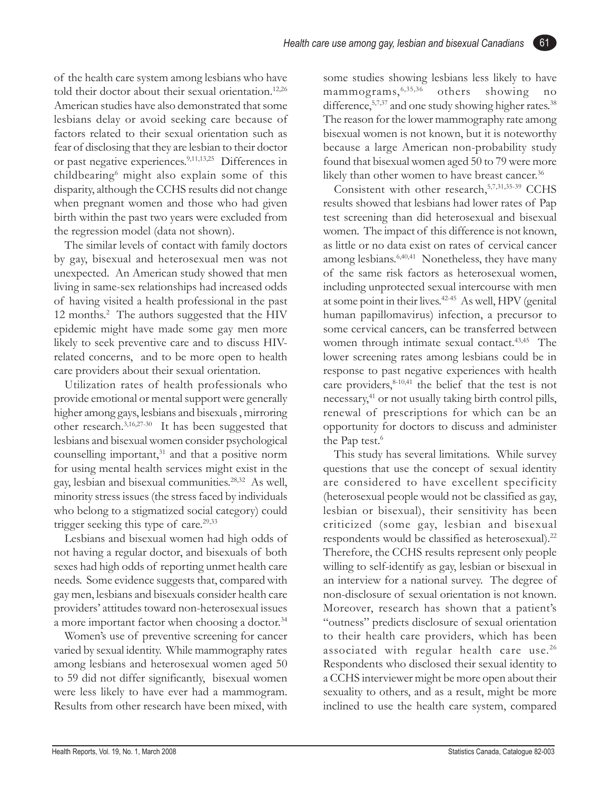of the health care system among lesbians who have told their doctor about their sexual orientation.<sup>12,26</sup> American studies have also demonstrated that some lesbians delay or avoid seeking care because of factors related to their sexual orientation such as fear of disclosing that they are lesbian to their doctor or past negative experiences.9,11,13,25 Differences in childbearing6 might also explain some of this disparity, although the CCHS results did not change when pregnant women and those who had given birth within the past two years were excluded from the regression model (data not shown).

The similar levels of contact with family doctors by gay, bisexual and heterosexual men was not unexpected. An American study showed that men living in same-sex relationships had increased odds of having visited a health professional in the past 12 months.<sup>2</sup> The authors suggested that the HIV epidemic might have made some gay men more likely to seek preventive care and to discuss HIVrelated concerns, and to be more open to health care providers about their sexual orientation.

Utilization rates of health professionals who provide emotional or mental support were generally higher among gays, lesbians and bisexuals , mirroring other research.3,16,27-30 It has been suggested that lesbians and bisexual women consider psychological counselling important, $31$  and that a positive norm for using mental health services might exist in the gay, lesbian and bisexual communities.28,32 As well, minority stress issues (the stress faced by individuals who belong to a stigmatized social category) could trigger seeking this type of care. $29,33$ 

Lesbians and bisexual women had high odds of not having a regular doctor, and bisexuals of both sexes had high odds of reporting unmet health care needs. Some evidence suggests that, compared with gay men, lesbians and bisexuals consider health care providers' attitudes toward non-heterosexual issues a more important factor when choosing a doctor.<sup>34</sup>

Women's use of preventive screening for cancer varied by sexual identity. While mammography rates among lesbians and heterosexual women aged 50 to 59 did not differ significantly, bisexual women were less likely to have ever had a mammogram. Results from other research have been mixed, with some studies showing lesbians less likely to have mammograms,6,35,36 others showing no difference,  $57,37$  and one study showing higher rates.<sup>38</sup> The reason for the lower mammography rate among bisexual women is not known, but it is noteworthy because a large American non-probability study found that bisexual women aged 50 to 79 were more likely than other women to have breast cancer.<sup>36</sup>

61

Consistent with other research, 5,7,31,35-39 CCHS results showed that lesbians had lower rates of Pap test screening than did heterosexual and bisexual women. The impact of this difference is not known, as little or no data exist on rates of cervical cancer among lesbians.6,40,41 Nonetheless, they have many of the same risk factors as heterosexual women, including unprotected sexual intercourse with men at some point in their lives.<sup>42-45</sup> As well, HPV (genital human papillomavirus) infection, a precursor to some cervical cancers, can be transferred between women through intimate sexual contact.<sup>43,45</sup> The lower screening rates among lesbians could be in response to past negative experiences with health care providers,<sup>8-10,41</sup> the belief that the test is not necessary,<sup>41</sup> or not usually taking birth control pills, renewal of prescriptions for which can be an opportunity for doctors to discuss and administer the Pap test.<sup>6</sup>

This study has several limitations. While survey questions that use the concept of sexual identity are considered to have excellent specificity (heterosexual people would not be classified as gay, lesbian or bisexual), their sensitivity has been criticized (some gay, lesbian and bisexual respondents would be classified as heterosexual).<sup>22</sup> Therefore, the CCHS results represent only people willing to self-identify as gay, lesbian or bisexual in an interview for a national survey. The degree of non-disclosure of sexual orientation is not known. Moreover, research has shown that a patient's "outness" predicts disclosure of sexual orientation to their health care providers, which has been associated with regular health care use.<sup>26</sup> Respondents who disclosed their sexual identity to a CCHS interviewer might be more open about their sexuality to others, and as a result, might be more inclined to use the health care system, compared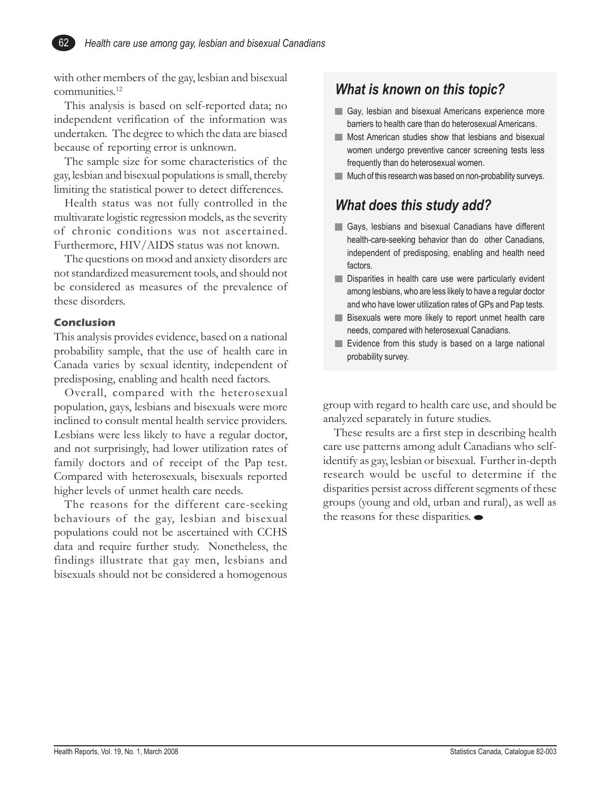with other members of the gay, lesbian and bisexual communities.12

This analysis is based on self-reported data; no independent verification of the information was undertaken. The degree to which the data are biased because of reporting error is unknown.

The sample size for some characteristics of the gay, lesbian and bisexual populations is small, thereby limiting the statistical power to detect differences.

Health status was not fully controlled in the multivarate logistic regression models, as the severity of chronic conditions was not ascertained. Furthermore, HIV/AIDS status was not known.

The questions on mood and anxiety disorders are not standardized measurement tools, and should not be considered as measures of the prevalence of these disorders.

#### **Conclusion**

This analysis provides evidence, based on a national probability sample, that the use of health care in Canada varies by sexual identity, independent of predisposing, enabling and health need factors.

Overall, compared with the heterosexual population, gays, lesbians and bisexuals were more inclined to consult mental health service providers. Lesbians were less likely to have a regular doctor, and not surprisingly, had lower utilization rates of family doctors and of receipt of the Pap test. Compared with heterosexuals, bisexuals reported higher levels of unmet health care needs.

The reasons for the different care-seeking behaviours of the gay, lesbian and bisexual populations could not be ascertained with CCHS data and require further study. Nonetheless, the findings illustrate that gay men, lesbians and bisexuals should not be considered a homogenous

## *What is known on this topic?*

- Gay, lesbian and bisexual Americans experience more barriers to health care than do heterosexual Americans.
- **Most American studies show that lesbians and bisexual** women undergo preventive cancer screening tests less frequently than do heterosexual women.
- **Much of this research was based on non-probability surveys.**

## *What does this study add?*

- Gays, lesbians and bisexual Canadians have different health-care-seeking behavior than do other Canadians, independent of predisposing, enabling and health need factors.
- Disparities in health care use were particularly evident among lesbians, who are less likely to have a regular doctor and who have lower utilization rates of GPs and Pap tests.
- **Bisexuals were more likely to report unmet health care** needs, compared with heterosexual Canadians.
- $\blacksquare$  Evidence from this study is based on a large national probability survey.

group with regard to health care use, and should be analyzed separately in future studies.

These results are a first step in describing health care use patterns among adult Canadians who selfidentify as gay, lesbian or bisexual. Further in-depth research would be useful to determine if the disparities persist across different segments of these groups (young and old, urban and rural), as well as the reasons for these disparities.  $\bullet$ 

Health Reports, Vol. 19, No. 1, March 2008 Statistics Canada, Catalogue 82-003

62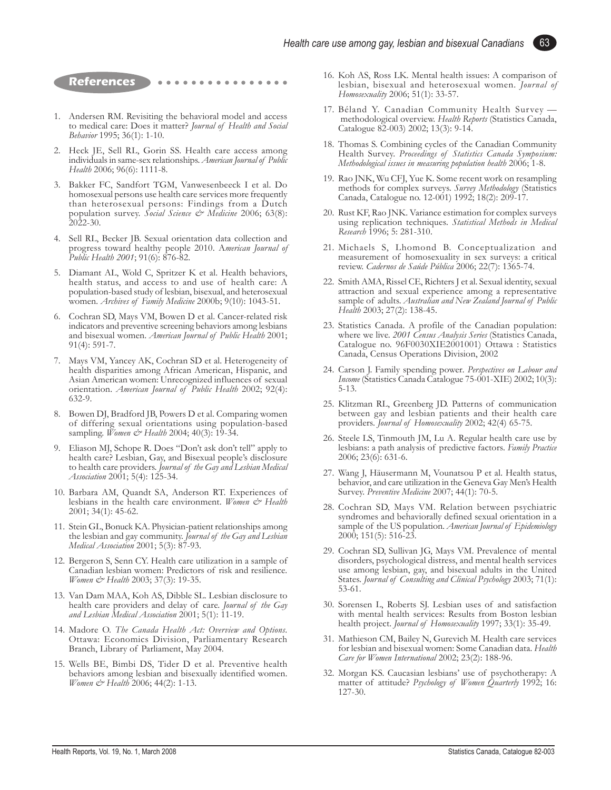**References** ○○○○○

- 1. Andersen RM. Revisiting the behavioral model and access to medical care: Does it matter? *Journal of Health and Social Behavior* 1995; 36(1): 1-10.
- 2. Heck JE, Sell RL, Gorin SS. Health care access among individuals in same-sex relationships. *American Journal of Public Health* 2006; 96(6): 1111-8.
- 3. Bakker FC, Sandfort TGM, Vanwesenbeeck I et al. Do homosexual persons use health care services more frequently than heterosexual persons: Findings from a Dutch population survey. *Social Science & Medicine* 2006; 63(8): 2022-30.
- 4. Sell RL, Becker JB. Sexual orientation data collection and progress toward healthy people 2010. A*merican Journal of Public Health 2001*; 91(6): 876-82.
- 5. Diamant AL, Wold C, Spritzer K et al. Health behaviors, health status, and access to and use of health care: A population-based study of lesbian, bisexual, and heterosexual women*. Archives of Family Medicine* 2000b; 9(10): 1043-51.
- 6. Cochran SD, Mays VM, Bowen D et al. Cancer-related risk indicators and preventive screening behaviors among lesbians and bisexual women. *American Journal of Public Health* 2001; 91(4): 591-7.
- 7. Mays VM, Yancey AK, Cochran SD et al. Heterogeneity of health disparities among African American, Hispanic, and Asian American women: Unrecognized influences of sexual orientation. *American Journal of Public Health* 2002; 92(4): 632-9.
- 8. Bowen DJ, Bradford JB, Powers D et al. Comparing women of differing sexual orientations using population-based sampling. *Women & Health* 2004; 40(3): 19-34.
- 9. Eliason MJ, Schope R. Does "Don't ask don't tell" apply to health care? Lesbian, Gay, and Bisexual people's disclosure to health care providers. *Journal of the Gay and Lesbian Medical Association* 2001; 5(4): 125-34.
- 10. Barbara AM, Quandt SA, Anderson RT. Experiences of lesbians in the health care environment. *Women & Health* 2001; 34(1): 45-62.
- 11. Stein GL, Bonuck KA. Physician-patient relationships among the lesbian and gay community. *Journal of the Gay and Lesbian Medical Association* 2001; 5(3): 87-93.
- 12. Bergeron S, Senn CY. Health care utilization in a sample of Canadian lesbian women: Predictors of risk and resilience. *Women & Health* 2003; 37(3): 19-35.
- 13. Van Dam MAA, Koh AS, Dibble SL. Lesbian disclosure to health care providers and delay of care. *Journal of the Gay and Lesbian Medical Association* 2001; 5(1): 11-19.
- 14. Madore O. *The Canada Health Act: Overview and Options*. Ottawa: Economics Division, Parliamentary Research Branch, Library of Parliament, May 2004.
- 15. Wells BE, Bimbi DS, Tider D et al. Preventive health behaviors among lesbian and bisexually identified women. *Women & Health* 2006; 44(2): 1-13.

16. Koh AS, Ross LK. Mental health issues: A comparison of lesbian, bisexual and heterosexual women. *Journal of Homosexuality* 2006; 51(1): 33-57.

63

- 17. Béland Y. Canadian Community Health Survey methodological overview. *Health Reports* (Statistics Canada, Catalogue 82-003) 2002; 13(3): 9-14.
- 18. Thomas S. Combining cycles of the Canadian Community Health Survey. *Proceedings of Statistics Canada Symposium: Methodological issues in measuring population health* 2006; 1-8.
- 19. Rao JNK, Wu CFJ, Yue K. Some recent work on resampling methods for complex surveys. *Survey Methodology* (Statistics Canada, Catalogue no. 12-001) 1992; 18(2): 209-17.
- 20. Rust KF, Rao JNK. Variance estimation for complex surveys using replication techniques. *Statistical Methods in Medical Research* 1996; 5: 281-310.
- 21. Michaels S, Lhomond B. Conceptualization and measurement of homosexuality in sex surveys: a critical review. *Cadernos de Saúde Pública* 2006; 22(7): 1365-74.
- 22. Smith AMA, Rissel CE, Richters J et al. Sexual identity, sexual attraction and sexual experience among a representative sample of adults. *Australian and New Zealand Journal of Public Health* 2003; 27(2): 138-45.
- 23. Statistics Canada. A profile of the Canadian population: where we live. *2001 Census Analysis Series* (Statistics Canada, Catalogue no. 96F0030XIE2001001) Ottawa : Statistics Canada, Census Operations Division, 2002
- 24. Carson J. Family spending power*. Perspectives on Labour and Income* (Statistics Canada Catalogue 75-001-XIE) 2002; 10(3): 5-13.
- 25. Klitzman RL, Greenberg JD. Patterns of communication between gay and lesbian patients and their health care providers. *Journal of Homosexuality* 2002; 42(4) 65-75.
- 26. Steele LS, Tinmouth JM, Lu A. Regular health care use by lesbians: a path analysis of predictive factors. *Family Practice* 2006; 23(6): 631-6.
- 27. Wang J, Häusermann M, Vounatsou P et al. Health status, behavior, and care utilization in the Geneva Gay Men's Health Survey. *Preventive Medicine* 2007; 44(1): 70-5.
- 28. Cochran SD, Mays VM. Relation between psychiatric syndromes and behaviorally defined sexual orientation in a sample of the US population. *American Journal of Epidemiology* 2000; 151(5): 516-23.
- 29. Cochran SD, Sullivan JG, Mays VM. Prevalence of mental disorders, psychological distress, and mental health services use among lesbian, gay, and bisexual adults in the United States. *Journal of Consulting and Clinical Psychology* 2003; 71(1): 53-61.
- 30. Sorensen L, Roberts SJ. Lesbian uses of and satisfaction with mental health services: Results from Boston lesbian health project. *Journal of Homosexuality* 1997; 33(1): 35-49.
- 31. Mathieson CM, Bailey N, Gurevich M. Health care services for lesbian and bisexual women: Some Canadian data. *Health Care for Women International* 2002; 23(2): 188-96.
- 32. Morgan KS. Caucasian lesbians' use of psychotherapy: A matter of attitude? *Psychology of Women Quarterly* 1992; 16: 127-30.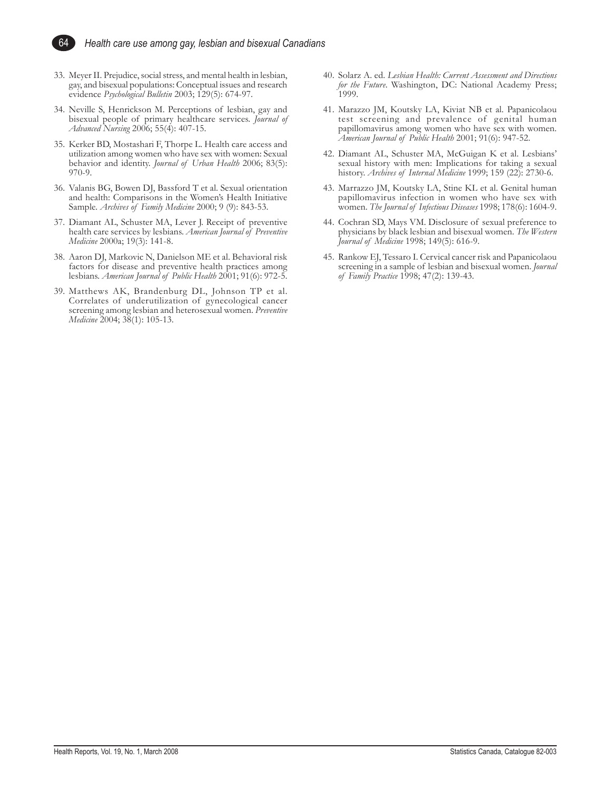

- 33. Meyer II. Prejudice, social stress, and mental health in lesbian, gay, and bisexual populations: Conceptual issues and research evidence *Psychological Bulletin* 2003; 129(5): 674-97.
- 34. Neville S, Henrickson M. Perceptions of lesbian, gay and bisexual people of primary healthcare services. *Journal of Advanced Nursing* 2006; 55(4): 407-15.
- 35. Kerker BD, Mostashari F, Thorpe L. Health care access and utilization among women who have sex with women: Sexual behavior and identity. *Journal of Urban Health* 2006; 83(5): 970-9.
- 36. Valanis BG, Bowen DJ, Bassford T et al. Sexual orientation and health: Comparisons in the Women's Health Initiative Sample. *Archives of Family Medicine* 2000; 9 (9): 843-53.
- 37. Diamant AL, Schuster MA, Lever J. Receipt of preventive health care services by lesbians. *American Journal of Preventive Medicine* 2000a; 19(3): 141-8.
- 38. Aaron DJ, Markovic N, Danielson ME et al. Behavioral risk factors for disease and preventive health practices among lesbians. *American Journal of Public Health* 2001; 91(6): 972-5.
- 39. Matthews AK, Brandenburg DL, Johnson TP et al. Correlates of underutilization of gynecological cancer screening among lesbian and heterosexual women. *Preventive Medicine* 2004; 38(1): 105-13.
- 40. Solarz A. ed. *Lesbian Health: Current Assessment and Directions for the Future*. Washington, DC: National Academy Press; 1999.
- 41. Marazzo JM, Koutsky LA, Kiviat NB et al. Papanicolaou test screening and prevalence of genital human papillomavirus among women who have sex with women. *American Journal of Public Health* 2001; 91(6): 947-52.
- 42. Diamant AL, Schuster MA, McGuigan K et al. Lesbians' sexual history with men: Implications for taking a sexual history. *Archives of Internal Medicine* 1999; 159 (22): 2730-6.
- 43. Marrazzo JM, Koutsky LA, Stine KL et al. Genital human papillomavirus infection in women who have sex with women. *The Journal of Infectious Diseases* 1998; 178(6): 1604-9.
- 44. Cochran SD, Mays VM. Disclosure of sexual preference to physicians by black lesbian and bisexual women. *The Western Journal of Medicine* 1998; 149(5): 616-9.
- 45. Rankow EJ, Tessaro I. Cervical cancer risk and Papanicolaou screening in a sample of lesbian and bisexual women. *Journal of Family Practice* 1998; 47(2): 139-43.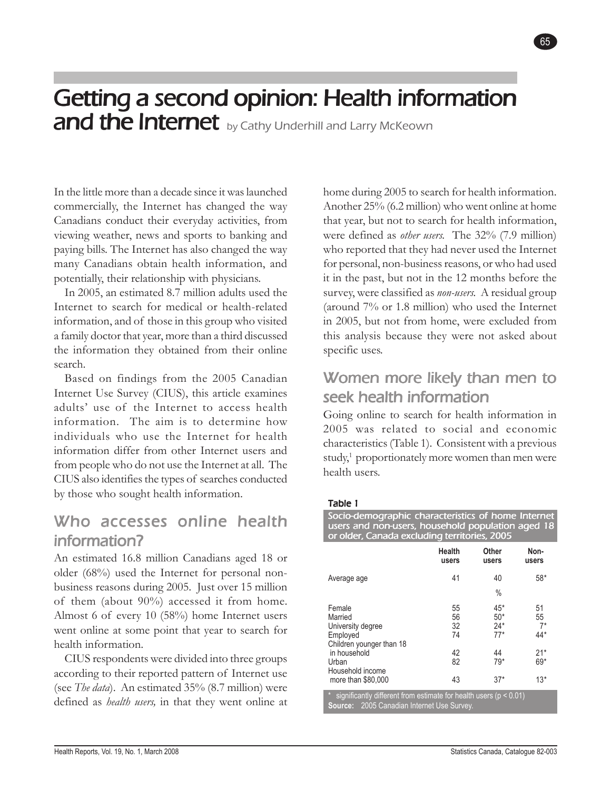# Getting a second opinion: Health information and the Internet by Cathy Underhill and Larry McKeown

In the little more than a decade since it was launched commercially, the Internet has changed the way Canadians conduct their everyday activities, from viewing weather, news and sports to banking and paying bills. The Internet has also changed the way many Canadians obtain health information, and potentially, their relationship with physicians.

In 2005, an estimated 8.7 million adults used the Internet to search for medical or health-related information, and of those in this group who visited a family doctor that year, more than a third discussed the information they obtained from their online search.

Based on findings from the 2005 Canadian Internet Use Survey (CIUS), this article examines adults' use of the Internet to access health information. The aim is to determine how individuals who use the Internet for health information differ from other Internet users and from people who do not use the Internet at all. The CIUS also identifies the types of searches conducted by those who sought health information.

## Who accesses online health information?

An estimated 16.8 million Canadians aged 18 or older (68%) used the Internet for personal nonbusiness reasons during 2005. Just over 15 million of them (about 90%) accessed it from home. Almost 6 of every 10 (58%) home Internet users went online at some point that year to search for health information.

CIUS respondents were divided into three groups according to their reported pattern of Internet use (see *The data*). An estimated 35% (8.7 million) were defined as *health users,* in that they went online at home during 2005 to search for health information. Another 25% (6.2 million) who went online at home that year, but not to search for health information, were defined as *other users.* The 32% (7.9 million) who reported that they had never used the Internet for personal, non-business reasons, or who had used it in the past, but not in the 12 months before the survey, were classified as *non-users.* A residual group (around 7% or 1.8 million) who used the Internet in 2005, but not from home, were excluded from this analysis because they were not asked about specific uses.

*Getting a second opinion: Health information and the Internet* 65

## Women more likely than men to seek health information

Going online to search for health information in 2005 was related to social and economic characteristics (Table 1). Consistent with a previous study, $1$  proportionately more women than men were health users.

#### Table 1

Socio-demographic characteristics of home Internet users and non-users, household population aged 18 or older, Canada excluding territories, 2005

|                                                                                             | Health<br>users      | Other<br>users                   | Non-<br>users           |
|---------------------------------------------------------------------------------------------|----------------------|----------------------------------|-------------------------|
| Average age                                                                                 | 41                   | 40<br>$\%$                       | 58*                     |
| Female<br>Married<br>University degree<br>Employed                                          | 55<br>56<br>32<br>74 | $45*$<br>$50*$<br>$24*$<br>$77*$ | 51<br>55<br>$7*$<br>44* |
| Children younger than 18<br>in household<br>Urban<br>Household income<br>more than \$80,000 | 42<br>82<br>43       | 44<br>$79*$<br>$37*$             | $21*$<br>69*<br>$13*$   |
| significantly different from estimate for health users ( $p < 0.01$ )                       |                      |                                  |                         |

**Source:** 2005 Canadian Internet Use Survey.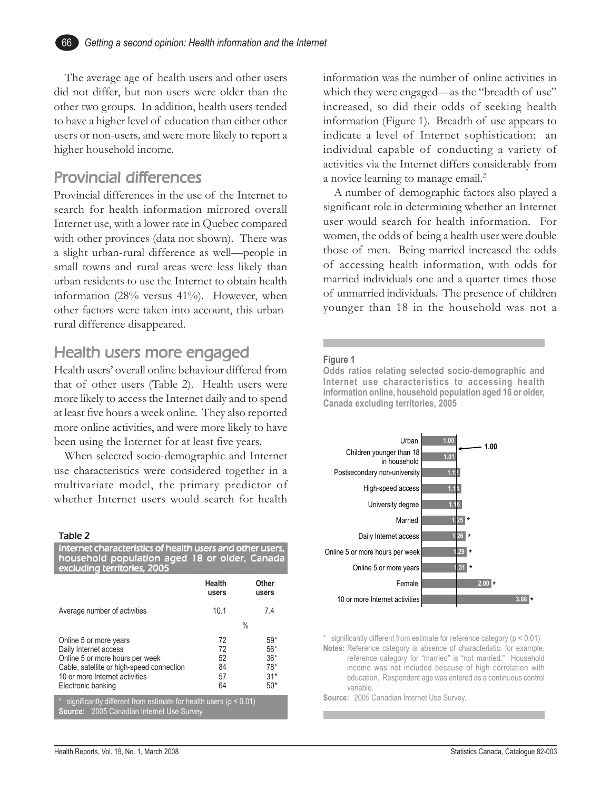The average age of health users and other users did not differ, but non-users were older than the other two groups. In addition, health users tended to have a higher level of education than either other users or non-users*,* and were more likely to report a higher household income.

## **Provincial differences**

Provincial differences in the use of the Internet to search for health information mirrored overall Internet use, with a lower rate in Quebec compared with other provinces (data not shown). There was a slight urban-rural difference as well—people in small towns and rural areas were less likely than urban residents to use the Internet to obtain health information (28% versus 41%). However, when other factors were taken into account, this urbanrural difference disappeared.

## Health users more engaged

Health users' overall online behaviour differed from that of other users (Table 2). Health users were more likely to access the Internet daily and to spend at least five hours a week online. They also reported more online activities, and were more likely to have been using the Internet for at least five years.

When selected socio-demographic and Internet use characteristics were considered together in a multivariate model, the primary predictor of whether Internet users would search for health

#### Table 2

| Internet characteristics of health users and other users,<br>household population aged 18 or older, Canada |                                                                             |
|------------------------------------------------------------------------------------------------------------|-----------------------------------------------------------------------------|
| Health<br>users                                                                                            | Other<br>users                                                              |
| 10.1                                                                                                       | 74                                                                          |
|                                                                                                            | $\%$                                                                        |
| 72<br>72<br>52<br>84<br>57<br>64                                                                           | $59*$<br>$56*$<br>$36*$<br>$78*$<br>$31*$<br>$50*$                          |
|                                                                                                            | $*$ oignificantly different from estimate for boolth users (n $\geq 0.01$ ) |

\* significantly different from estimate for health users ( $p < 0.01$ ) **Source:** 2005 Canadian Internet Use Survey.

information was the number of online activities in which they were engaged—as the "breadth of use" increased, so did their odds of seeking health information (Figure 1). Breadth of use appears to indicate a level of Internet sophistication: an individual capable of conducting a variety of activities via the Internet differs considerably from a novice learning to manage email.<sup>2</sup>

A number of demographic factors also played a significant role in determining whether an Internet user would search for health information. For women, the odds of being a health user were double those of men. Being married increased the odds of accessing health information, with odds for married individuals one and a quarter times those of unmarried individuals. The presence of children younger than 18 in the household was not a

#### **Figure 1**

**Odds ratios relating selected socio-demographic and Internet use characteristics to accessing health information online, household population aged 18 or older, Canada excluding territories, 2005**



 $*$  significantly different from estimate for reference category ( $p < 0.01$ ) **Notes:** Reference category is absence of characteristic; for example, reference category for "married" is "not married." Household income was not included because of high correlation with education. Respondent age was entered as a continuous control variable.

**Source:** 2005 Canadian Internet Use Survey.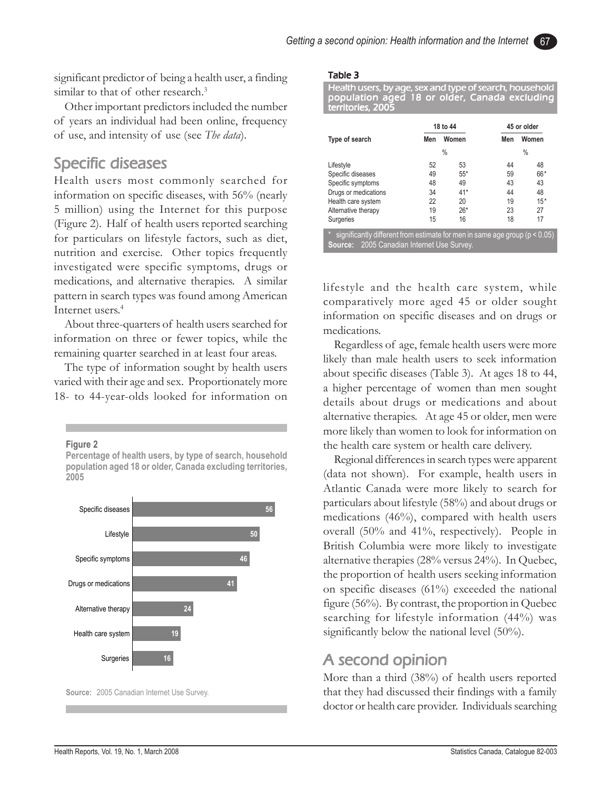significant predictor of being a health user, a finding similar to that of other research.<sup>3</sup>

Other important predictors included the number of years an individual had been online, frequency of use, and intensity of use (see *The data*).

## Specific diseases

Health users most commonly searched for information on specific diseases, with 56% (nearly 5 million) using the Internet for this purpose (Figure 2). Half of health users reported searching for particulars on lifestyle factors, such as diet, nutrition and exercise. Other topics frequently investigated were specific symptoms, drugs or medications, and alternative therapies. A similar pattern in search types was found among American Internet users.<sup>4</sup>

About three-quarters of health users searched for information on three or fewer topics, while the remaining quarter searched in at least four areas.

The type of information sought by health users varied with their age and sex. Proportionately more 18- to 44-year-olds looked for information on

**Figure 2**

**Percentage of health users, by type of search, household population aged 18 or older, Canada excluding territories, 2005**



**Source:** 2005 Canadian Internet Use Survey.

#### Table 3

Health users, by age, sex and type of search, household population aged 18 or older, Canada excluding territories, 2005

|                                                                                                                                            |              | 18 to 44 | 45 or older |       |  |  |
|--------------------------------------------------------------------------------------------------------------------------------------------|--------------|----------|-------------|-------|--|--|
| Type of search                                                                                                                             | Women<br>Men |          | Men         | Women |  |  |
|                                                                                                                                            |              | $\%$     |             | %     |  |  |
| Lifestyle                                                                                                                                  | 52           | 53       | 44          | 48    |  |  |
| Specific diseases                                                                                                                          | 49           | $55*$    | 59          | 66*   |  |  |
| Specific symptoms                                                                                                                          | 48           | 49       | 43          | 43    |  |  |
| Drugs or medications                                                                                                                       | 34           | $41*$    | 44          | 48    |  |  |
| Health care system                                                                                                                         | 22           | 20       | 19          | $15*$ |  |  |
| Alternative therapy                                                                                                                        | 19           | $26*$    | 23          | 27    |  |  |
| Surgeries                                                                                                                                  | 15           | 16       | 18          | 17    |  |  |
| $\star$<br>significantly different from estimate for men in same age group ( $p < 0.05$ )<br>2005 Canadian Internet Use Survey.<br>Source: |              |          |             |       |  |  |

lifestyle and the health care system, while comparatively more aged 45 or older sought information on specific diseases and on drugs or medications.

Regardless of age, female health users were more likely than male health users to seek information about specific diseases (Table 3). At ages 18 to 44, a higher percentage of women than men sought details about drugs or medications and about alternative therapies. At age 45 or older, men were more likely than women to look for information on the health care system or health care delivery.

Regional differences in search types were apparent (data not shown). For example, health users in Atlantic Canada were more likely to search for particulars about lifestyle (58%) and about drugs or medications (46%), compared with health users overall (50% and 41%, respectively). People in British Columbia were more likely to investigate alternative therapies (28% versus 24%). In Quebec, the proportion of health users seeking information on specific diseases (61%) exceeded the national figure (56%). By contrast, the proportion in Quebec searching for lifestyle information (44%) was significantly below the national level (50%).

## A second opinion

More than a third (38%) of health users reported that they had discussed their findings with a family doctor or health care provider. Individuals searching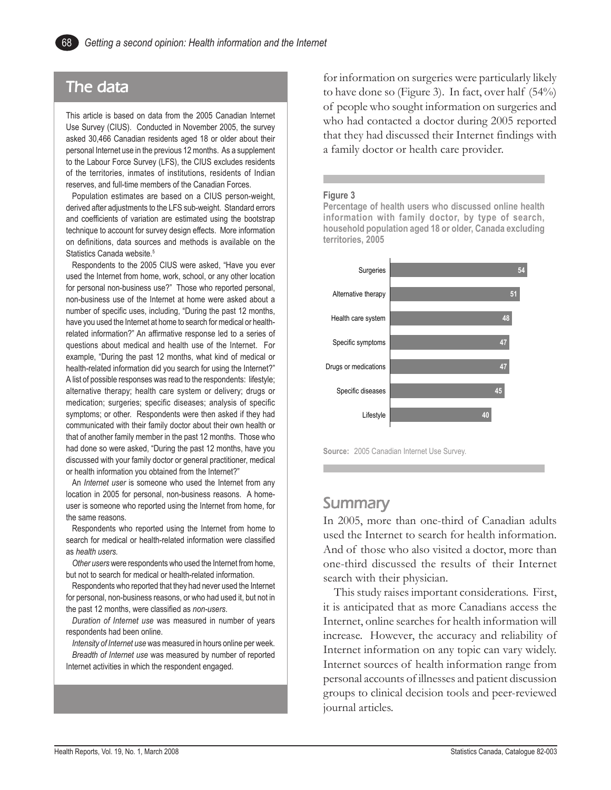## The data

This article is based on data from the 2005 Canadian Internet Use Survey (CIUS). Conducted in November 2005, the survey asked 30,466 Canadian residents aged 18 or older about their personal Internet use in the previous 12 months. As a supplement to the Labour Force Survey (LFS), the CIUS excludes residents of the territories, inmates of institutions, residents of Indian reserves, and full-time members of the Canadian Forces.

Population estimates are based on a CIUS person-weight, derived after adjustments to the LFS sub-weight. Standard errors and coefficients of variation are estimated using the bootstrap technique to account for survey design effects. More information on definitions, data sources and methods is available on the Statistics Canada website.<sup>5</sup>

Respondents to the 2005 CIUS were asked, "Have you ever used the Internet from home, work, school, or any other location for personal non-business use?" Those who reported personal, non-business use of the Internet at home were asked about a number of specific uses, including, "During the past 12 months, have you used the Internet at home to search for medical or healthrelated information?" An affirmative response led to a series of questions about medical and health use of the Internet. For example, "During the past 12 months, what kind of medical or health-related information did you search for using the Internet?" A list of possible responses was read to the respondents: lifestyle; alternative therapy; health care system or delivery; drugs or medication; surgeries; specific diseases; analysis of specific symptoms; or other. Respondents were then asked if they had communicated with their family doctor about their own health or that of another family member in the past 12 months. Those who had done so were asked, "During the past 12 months, have you discussed with your family doctor or general practitioner, medical or health information you obtained from the Internet?"

An *Internet user* is someone who used the Internet from any location in 2005 for personal, non-business reasons. A homeuser is someone who reported using the Internet from home, for the same reasons.

Respondents who reported using the Internet from home to search for medical or health-related information were classified as *health users.*

*Other users* were respondents who used the Internet from home, but not to search for medical or health-related information.

Respondents who reported that they had never used the Internet for personal, non-business reasons, or who had used it, but not in the past 12 months, were classified as *non-users*.

*Duration of Internet use* was measured in number of years respondents had been online.

*Intensity of Internet use* was measured in hours online per week. *Breadth of Internet use* was measured by number of reported Internet activities in which the respondent engaged.

for information on surgeries were particularly likely to have done so (Figure 3). In fact, over half (54%) of people who sought information on surgeries and who had contacted a doctor during 2005 reported that they had discussed their Internet findings with a family doctor or health care provider.

#### **Figure 3**

**Percentage of health users who discussed online health information with family doctor, by type of search, household population aged 18 or older, Canada excluding territories, 2005**



**Source:** 2005 Canadian Internet Use Survey.

## Summary

In 2005, more than one-third of Canadian adults used the Internet to search for health information. And of those who also visited a doctor, more than one-third discussed the results of their Internet search with their physician.

This study raises important considerations. First, it is anticipated that as more Canadians access the Internet, online searches for health information will increase. However, the accuracy and reliability of Internet information on any topic can vary widely. Internet sources of health information range from personal accounts of illnesses and patient discussion groups to clinical decision tools and peer-reviewed journal articles.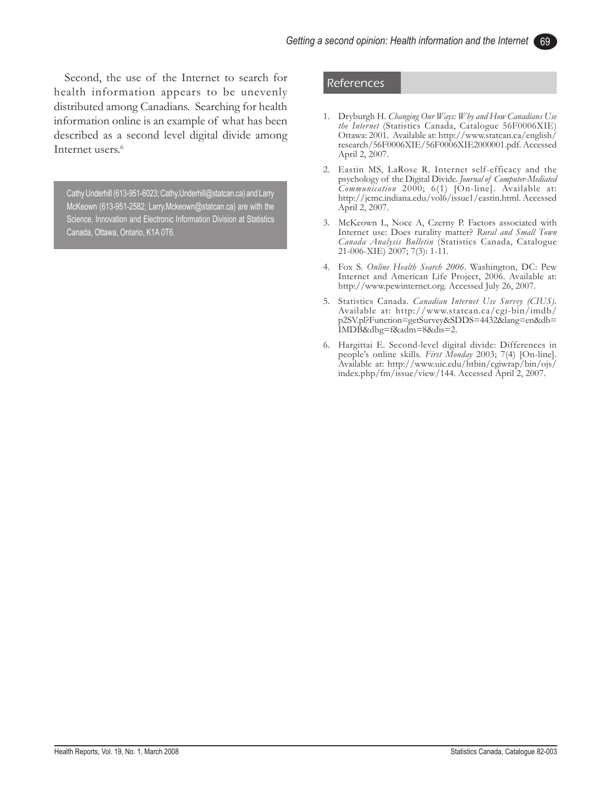Second, the use of the Internet to search for health information appears to be unevenly distributed among Canadians. Searching for health information online is an example of what has been described as a second level digital divide among Internet users.<sup>6</sup>

Cathy Underhill (613-951-6023; Cathy.Underhill@statcan.ca) and Larry McKeown (613-951-2582; Larry.Mckeown@statcan.ca) are with the Science, Innovation and Electronic Information Division at Statistics Canada, Ottawa, Ontario, K1A 0T6.

#### References

- 1. Dryburgh H. *Changing Our Ways: Why and How Canadians Use the Internet* (Statistics Canada, Catalogue 56F0006XIE) Ottawa: 2001. Available at: http://www.statcan.ca/english/ research/56F0006XIE/56F0006XIE2000001.pdf. Accessed April 2, 2007.
- 2. Eastin MS, LaRose R. Internet self-efficacy and the psychology of the Digital Divide. *Journal of Computer-Mediated Communication* 2000; 6(1) [On-line]. Available at: http://jcmc.indiana.edu/vol6/issue1/eastin.html. Accessed April 2, 2007.
- 3. McKeown L, Noce A, Czerny P. Factors associated with Internet use: Does rurality matter? *Rural and Small Town Canada Analysis Bulletin* (Statistics Canada, Catalogue 21-006-XIE) 2007; 7(3): 1-11.
- 4. Fox S. *Online Health Search 2006*. Washington, DC: Pew Internet and American Life Project, 2006. Available at: http://www.pewinternet.org. Accessed July 26, 2007.
- 5. Statistics Canada. *Canadian Internet Use Survey (CIUS).* Available at: http://www.statcan.ca/cgi-bin/imdb/ p2SV.pl?Function=getSurvey&SDDS=4432&lang=en&db= IMDB&dbg=f&adm=8&dis=2.
- 6. Hargittai E. Second-level digital divide: Differences in people's online skills. *First Monday* 2003; 7(4) [On-line]. Available at: http://www.uic.edu/htbin/cgiwrap/bin/ojs/ index.php/fm/issue/view/144. Accessed April 2, 2007.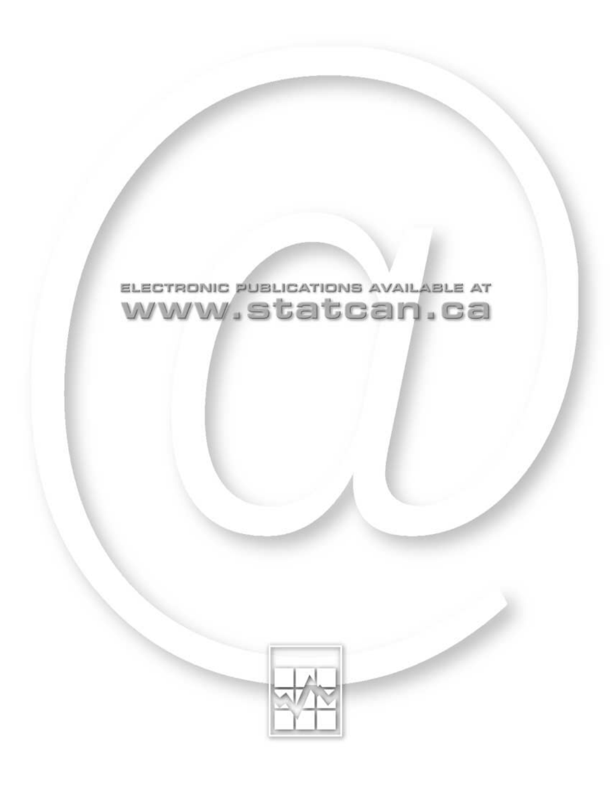

# ELECTRONIC PUBLICATIONS AVAILABLE AT www.statcan.ca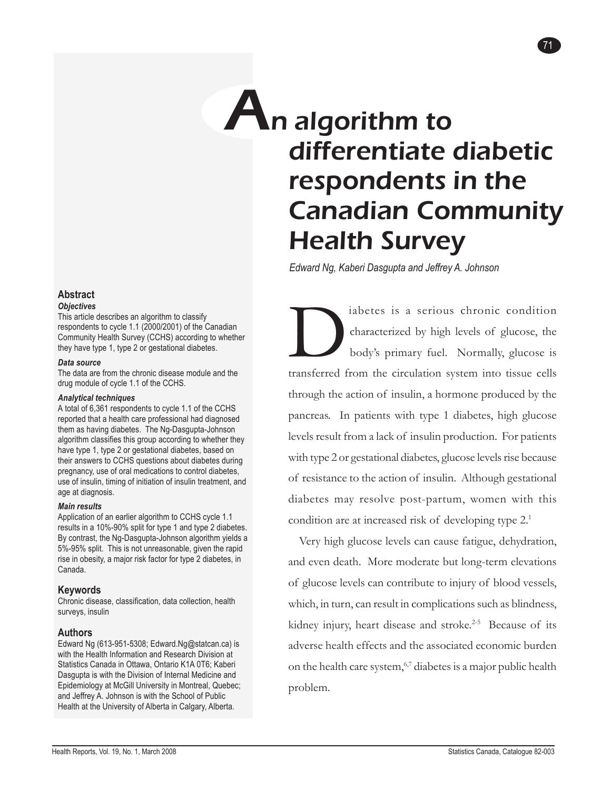# An algorithm to differentiate diabetic respondents in the Canadian Community Health Survey

71

*Edward Ng, Kaberi Dasgupta and Jeffrey A. Johnson*

iabetes is a serious chronic condition<br>characterized by high levels of glucose, the<br>body's primary fuel. Normally, glucose is<br>transferred from the circulation system into tissue cells characterized by high levels of glucose, the body's primary fuel. Normally, glucose is transferred from the circulation system into tissue cells through the action of insulin, a hormone produced by the pancreas. In patients with type 1 diabetes, high glucose levels result from a lack of insulin production. For patients with type 2 or gestational diabetes, glucose levels rise because of resistance to the action of insulin. Although gestational diabetes may resolve post-partum, women with this condition are at increased risk of developing type 2.<sup>1</sup>

Very high glucose levels can cause fatigue, dehydration, and even death. More moderate but long-term elevations of glucose levels can contribute to injury of blood vessels, which, in turn, can result in complications such as blindness, kidney injury, heart disease and stroke.<sup>2-5</sup> Because of its adverse health effects and the associated economic burden on the health care system,<sup>6,7</sup> diabetes is a major public health problem.

#### **Abstract** *Objectives*

This article describes an algorithm to classify respondents to cycle 1.1 (2000/2001) of the Canadian Community Health Survey (CCHS) according to whether they have type 1, type 2 or gestational diabetes.

### *Data source*

The data are from the chronic disease module and the drug module of cycle 1.1 of the CCHS.

### *Analytical techniques*

A total of 6,361 respondents to cycle 1.1 of the CCHS reported that a health care professional had diagnosed them as having diabetes. The Ng-Dasgupta-Johnson algorithm classifies this group according to whether they have type 1, type 2 or gestational diabetes, based on their answers to CCHS questions about diabetes during pregnancy, use of oral medications to control diabetes, use of insulin, timing of initiation of insulin treatment, and age at diagnosis.

### *Main results*

Application of an earlier algorithm to CCHS cycle 1.1 results in a 10%-90% split for type 1 and type 2 diabetes. By contrast, the Ng-Dasgupta-Johnson algorithm yields a 5%-95% split. This is not unreasonable, given the rapid rise in obesity, a major risk factor for type 2 diabetes, in Canada.

### **Keywords**

Chronic disease, classification, data collection, health surveys, insulin

### **Authors**

Edward Ng (613-951-5308; Edward.Ng@statcan.ca) is with the Health Information and Research Division at Statistics Canada in Ottawa, Ontario K1A 0T6; Kaberi Dasgupta is with the Division of Internal Medicine and Epidemiology at McGill University in Montreal, Quebec; and Jeffrey A. Johnson is with the School of Public Health at the University of Alberta in Calgary, Alberta.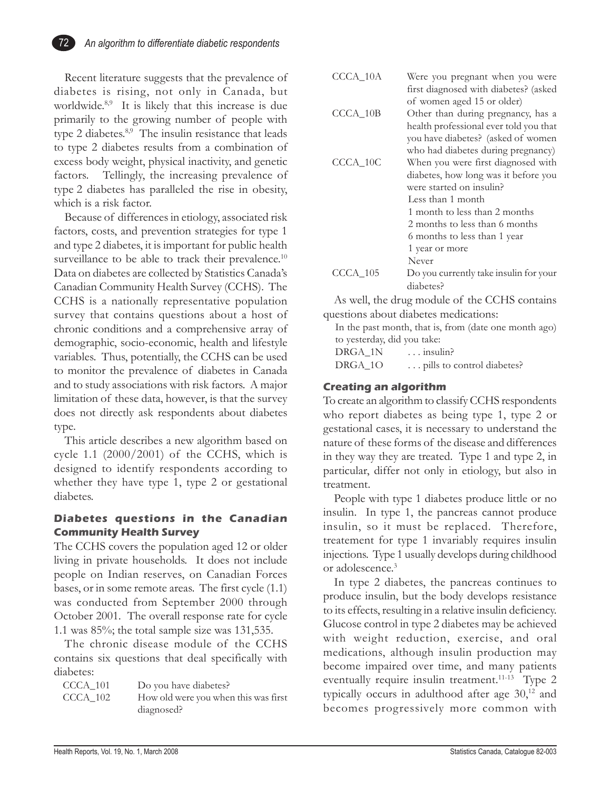

Recent literature suggests that the prevalence of diabetes is rising, not only in Canada, but worldwide.<sup>8,9</sup> It is likely that this increase is due primarily to the growing number of people with type 2 diabetes.<sup>8,9</sup> The insulin resistance that leads to type 2 diabetes results from a combination of excess body weight, physical inactivity, and genetic factors. Tellingly, the increasing prevalence of type 2 diabetes has paralleled the rise in obesity, which is a risk factor.

Because of differences in etiology, associated risk factors, costs, and prevention strategies for type 1 and type 2 diabetes, it is important for public health surveillance to be able to track their prevalence.<sup>10</sup> Data on diabetes are collected by Statistics Canada's Canadian Community Health Survey (CCHS). The CCHS is a nationally representative population survey that contains questions about a host of chronic conditions and a comprehensive array of demographic, socio-economic, health and lifestyle variables. Thus, potentially, the CCHS can be used to monitor the prevalence of diabetes in Canada and to study associations with risk factors. A major limitation of these data, however, is that the survey does not directly ask respondents about diabetes type.

This article describes a new algorithm based on cycle 1.1 (2000/2001) of the CCHS, which is designed to identify respondents according to whether they have type 1, type 2 or gestational diabetes.

### **Diabetes questions in the Canadian Community Health Survey**

The CCHS covers the population aged 12 or older living in private households. It does not include people on Indian reserves, on Canadian Forces bases, or in some remote areas. The first cycle (1.1) was conducted from September 2000 through October 2001. The overall response rate for cycle 1.1 was 85%; the total sample size was 131,535.

The chronic disease module of the CCHS contains six questions that deal specifically with diabetes:

| CCCA 101 | Do you have diabetes?                |
|----------|--------------------------------------|
| CCCA 102 | How old were you when this was first |
|          | diagnosed?                           |

| $CCCA$ _10A | Were you pregnant when you were<br>first diagnosed with diabetes? (asked<br>of women aged 15 or older) |
|-------------|--------------------------------------------------------------------------------------------------------|
| $CCCA_10B$  | Other than during pregnancy, has a                                                                     |
|             | health professional ever told you that                                                                 |
|             | you have diabetes? (asked of women                                                                     |
|             | who had diabetes during pregnancy)                                                                     |
| CCCA 10C    | When you were first diagnosed with                                                                     |
|             | diabetes, how long was it before you                                                                   |
|             | were started on insulin?                                                                               |
|             | Less than 1 month                                                                                      |
|             | 1 month to less than 2 months                                                                          |
|             | 2 months to less than 6 months                                                                         |
|             | 6 months to less than 1 year                                                                           |
|             | 1 year or more                                                                                         |
|             | Never                                                                                                  |
| $CCCA_105$  | Do you currently take insulin for your                                                                 |
|             | diabetes?                                                                                              |
|             |                                                                                                        |

As well, the drug module of the CCHS contains questions about diabetes medications:

In the past month, that is, from (date one month ago) to yesterday, did you take: DRGA\_1N ... insulin? DRGA\_1O ... pills to control diabetes?

### **Creating an algorithm**

To create an algorithm to classify CCHS respondents who report diabetes as being type 1, type 2 or gestational cases, it is necessary to understand the nature of these forms of the disease and differences in they way they are treated. Type 1 and type 2, in particular, differ not only in etiology, but also in treatment.

People with type 1 diabetes produce little or no insulin. In type 1, the pancreas cannot produce insulin, so it must be replaced. Therefore, treatement for type 1 invariably requires insulin injections. Type 1 usually develops during childhood or adolescence.3

In type 2 diabetes, the pancreas continues to produce insulin, but the body develops resistance to its effects, resulting in a relative insulin deficiency. Glucose control in type 2 diabetes may be achieved with weight reduction, exercise, and oral medications, although insulin production may become impaired over time, and many patients eventually require insulin treatment.<sup>11-13</sup> Type 2 typically occurs in adulthood after age  $30<sup>12</sup>$  and becomes progressively more common with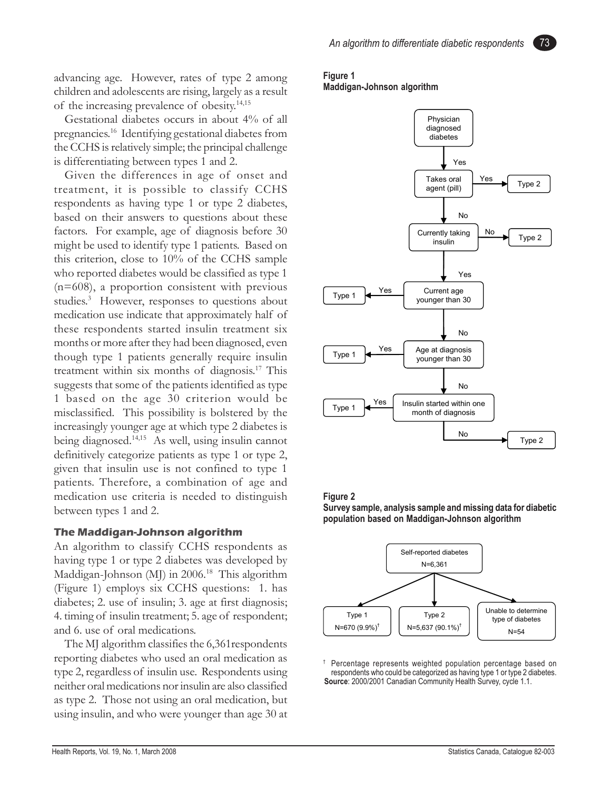advancing age. However, rates of type 2 among children and adolescents are rising, largely as a result of the increasing prevalence of obesity.14,15

Gestational diabetes occurs in about 4% of all pregnancies.16 Identifying gestational diabetes from the CCHS is relatively simple; the principal challenge is differentiating between types 1 and 2.

Given the differences in age of onset and treatment, it is possible to classify CCHS respondents as having type 1 or type 2 diabetes, based on their answers to questions about these factors. For example, age of diagnosis before 30 might be used to identify type 1 patients. Based on this criterion, close to 10% of the CCHS sample who reported diabetes would be classified as type 1 (n=608), a proportion consistent with previous studies.<sup>3</sup> However, responses to questions about medication use indicate that approximately half of these respondents started insulin treatment six months or more after they had been diagnosed, even though type 1 patients generally require insulin treatment within six months of diagnosis.17 This suggests that some of the patients identified as type 1 based on the age 30 criterion would be misclassified. This possibility is bolstered by the increasingly younger age at which type 2 diabetes is being diagnosed.14,15 As well, using insulin cannot definitively categorize patients as type 1 or type 2, given that insulin use is not confined to type 1 patients. Therefore, a combination of age and medication use criteria is needed to distinguish between types 1 and 2.

### **The Maddigan-Johnson algorithm**

An algorithm to classify CCHS respondents as having type 1 or type 2 diabetes was developed by Maddigan-Johnson (MJ) in 2006.<sup>18</sup> This algorithm (Figure 1) employs six CCHS questions: 1. has diabetes; 2. use of insulin; 3. age at first diagnosis; 4. timing of insulin treatment; 5. age of respondent; and 6. use of oral medications.

The MJ algorithm classifies the 6,361respondents reporting diabetes who used an oral medication as type 2, regardless of insulin use. Respondents using neither oral medications nor insulin are also classified as type 2. Those not using an oral medication, but using insulin, and who were younger than age 30 at

### **Figure 1 Maddigan-Johnson algorithm**



### **Figure 2**





Percentage represents weighted population percentage based on respondents who could be categorized as having type 1 or type 2 diabetes. **Source**: 2000/2001 Canadian Community Health Survey, cycle 1.1.

73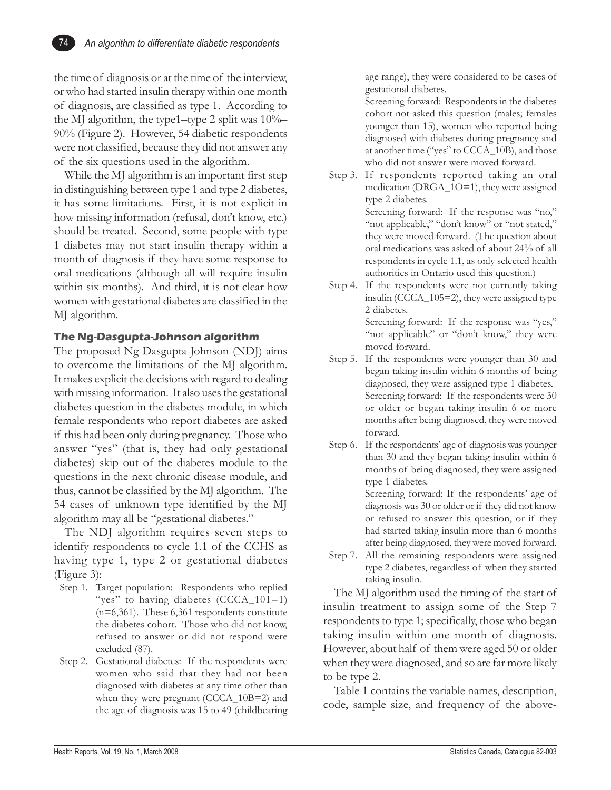the time of diagnosis or at the time of the interview, or who had started insulin therapy within one month of diagnosis, are classified as type 1. According to the MJ algorithm, the type1–type 2 split was 10%– 90% (Figure 2). However, 54 diabetic respondents were not classified, because they did not answer any of the six questions used in the algorithm.

While the MJ algorithm is an important first step in distinguishing between type 1 and type 2 diabetes, it has some limitations. First, it is not explicit in how missing information (refusal, don't know, etc.) should be treated. Second, some people with type 1 diabetes may not start insulin therapy within a month of diagnosis if they have some response to oral medications (although all will require insulin within six months). And third, it is not clear how women with gestational diabetes are classified in the MJ algorithm.

### **The Ng-Dasgupta-Johnson algorithm**

The proposed Ng-Dasgupta-Johnson (NDJ) aims to overcome the limitations of the MJ algorithm. It makes explicit the decisions with regard to dealing with missing information. It also uses the gestational diabetes question in the diabetes module, in which female respondents who report diabetes are asked if this had been only during pregnancy. Those who answer "yes" (that is, they had only gestational diabetes) skip out of the diabetes module to the questions in the next chronic disease module, and thus, cannot be classified by the MJ algorithm. The 54 cases of unknown type identified by the MJ algorithm may all be "gestational diabetes."

The NDJ algorithm requires seven steps to identify respondents to cycle 1.1 of the CCHS as having type 1, type 2 or gestational diabetes (Figure 3):

- Step 1. Target population: Respondents who replied "yes" to having diabetes (CCCA\_101=1) (n=6,361). These 6,361 respondents constitute the diabetes cohort. Those who did not know, refused to answer or did not respond were excluded (87).
- Step 2. Gestational diabetes: If the respondents were women who said that they had not been diagnosed with diabetes at any time other than when they were pregnant (CCCA\_10B=2) and the age of diagnosis was 15 to 49 (childbearing

age range), they were considered to be cases of gestational diabetes.

Screening forward: Respondents in the diabetes cohort not asked this question (males; females younger than 15), women who reported being diagnosed with diabetes during pregnancy and at another time ("yes" to CCCA\_10B), and those who did not answer were moved forward.

- Step 3. If respondents reported taking an oral medication (DRGA\_1O=1), they were assigned type 2 diabetes. Screening forward: If the response was "no," "not applicable," "don't know" or "not stated," they were moved forward. (The question about oral medications was asked of about 24% of all respondents in cycle 1.1, as only selected health authorities in Ontario used this question.)
- Step 4. If the respondents were not currently taking insulin (CCCA\_105=2), they were assigned type 2 diabetes. Screening forward: If the response was "yes," "not applicable" or "don't know," they were
- moved forward. Step 5. If the respondents were younger than 30 and began taking insulin within 6 months of being diagnosed, they were assigned type 1 diabetes. Screening forward: If the respondents were 30 or older or began taking insulin 6 or more months after being diagnosed, they were moved forward.
- Step 6. If the respondents' age of diagnosis was younger than 30 and they began taking insulin within 6 months of being diagnosed, they were assigned type 1 diabetes. Screening forward: If the respondents' age of diagnosis was 30 or older or if they did not know or refused to answer this question, or if they had started taking insulin more than 6 months
- after being diagnosed, they were moved forward. Step 7. All the remaining respondents were assigned type 2 diabetes, regardless of when they started taking insulin.

The MJ algorithm used the timing of the start of insulin treatment to assign some of the Step 7 respondents to type 1; specifically, those who began taking insulin within one month of diagnosis. However, about half of them were aged 50 or older when they were diagnosed, and so are far more likely to be type 2.

Table 1 contains the variable names, description, code, sample size, and frequency of the above-

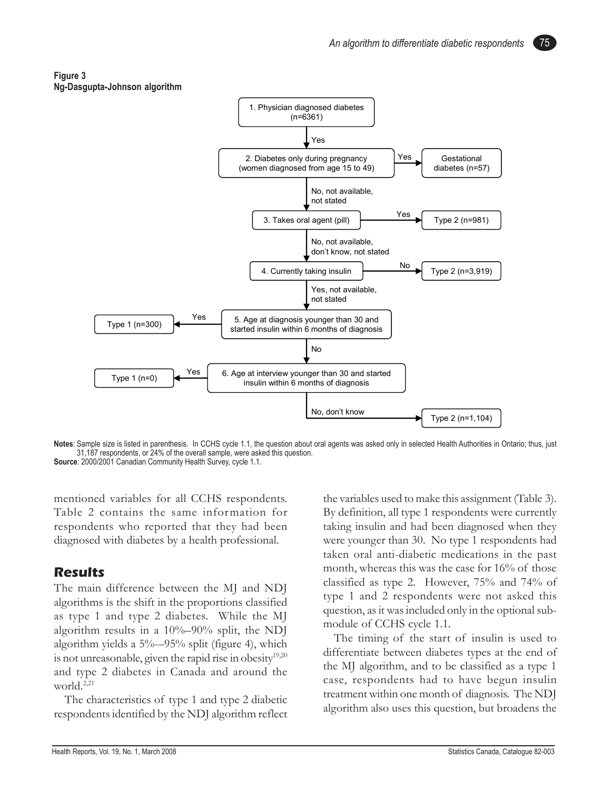### **Figure 3 Ng-Dasgupta-Johnson algorithm**



**Notes**: Sample size is listed in parenthesis. In CCHS cycle 1.1, the question about oral agents was asked only in selected Health Authorities in Ontario; thus, just 31,187 respondents, or 24% of the overall sample, were asked this question. **Source**: 2000/2001 Canadian Community Health Survey, cycle 1.1.

mentioned variables for all CCHS respondents. Table 2 contains the same information for respondents who reported that they had been diagnosed with diabetes by a health professional.

## **Results**

The main difference between the MJ and NDJ algorithms is the shift in the proportions classified as type 1 and type 2 diabetes. While the MJ algorithm results in a 10%–90% split, the NDJ algorithm yields a  $5\%$ -95% split (figure 4), which is not unreasonable, given the rapid rise in obesity $19,20$ and type 2 diabetes in Canada and around the world.<sup>2,21</sup>

The characteristics of type 1 and type 2 diabetic respondents identified by the NDJ algorithm reflect the variables used to make this assignment (Table 3). By definition, all type 1 respondents were currently taking insulin and had been diagnosed when they were younger than 30. No type 1 respondents had taken oral anti-diabetic medications in the past month, whereas this was the case for 16% of those classified as type 2. However, 75% and 74% of type 1 and 2 respondents were not asked this question, as it was included only in the optional submodule of CCHS cycle 1.1.

The timing of the start of insulin is used to differentiate between diabetes types at the end of the MJ algorithm, and to be classified as a type 1 case, respondents had to have begun insulin treatment within one month of diagnosis. The NDJ algorithm also uses this question, but broadens the

75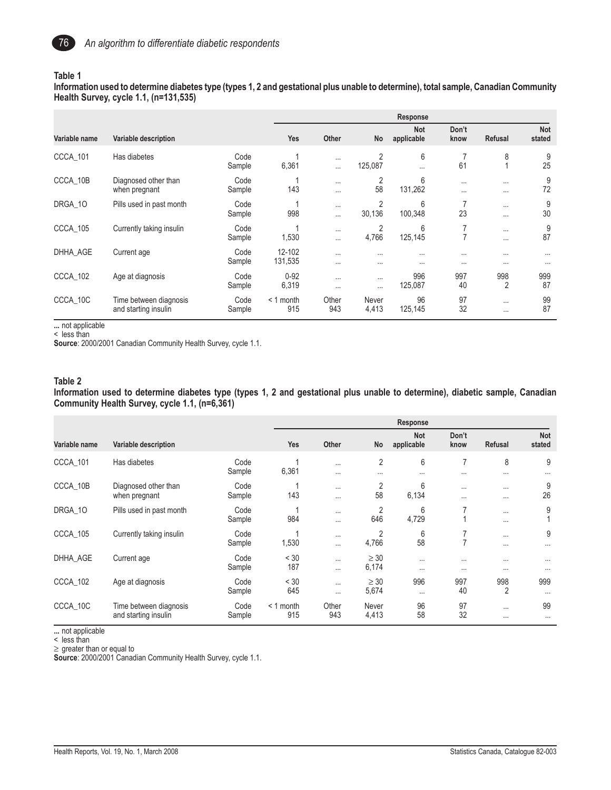

#### **Table 1**

**Information used to determine diabetes type (types 1, 2 and gestational plus unable to determine), total sample, Canadian Community Health Survey, cycle 1.1, (n=131,535)**

|               |                                                |                | Response           |                      |                           |                          |                      |                       |                      |
|---------------|------------------------------------------------|----------------|--------------------|----------------------|---------------------------|--------------------------|----------------------|-----------------------|----------------------|
| Variable name | Variable description                           |                | <b>Yes</b>         | <b>Other</b>         | No                        | <b>Not</b><br>applicable | Don't<br>know        | <b>Refusal</b>        | <b>Not</b><br>stated |
| CCCA_101      | Has diabetes                                   | Code<br>Sample | 6,361              | $\cdots$<br>$\cdots$ | $\overline{2}$<br>125,087 | 6<br>$\cdots$            | 61                   | 8                     | 9<br>25              |
| CCCA_10B      | Diagnosed other than<br>when pregnant          | Code<br>Sample | 143                | $\cdots$<br>$\cdots$ | 2<br>58                   | 6<br>131,262             | $\cdots$<br>$\cdots$ | $\cdots$<br>$\cdots$  | 9<br>72              |
| DRGA_10       | Pills used in past month                       | Code<br>Sample | 998                | $\cdots$<br>$\cdots$ | 2<br>30,136               | 6<br>100,348             | 23                   | $\cdots$<br>$\cdots$  | 9<br>30              |
| CCCA_105      | Currently taking insulin                       | Code<br>Sample | 1,530              | $\cdots$<br>$\cdots$ | 2<br>4,766                | 6<br>125,145             | $\overline{7}$       | $\cdots$<br>$\cdots$  | 9<br>87              |
| DHHA_AGE      | Current age                                    | Code<br>Sample | 12-102<br>131,535  | $\cdots$<br>$\cdots$ | $\cdots$<br>$\cdots$      | $\cdots$<br>$\cdots$     | $\cdots$<br>$\cdots$ | $\cdots$<br>$\cdots$  | $\cdots$<br>$\cdots$ |
| CCCA_102      | Age at diagnosis                               | Code<br>Sample | $0 - 92$<br>6,319  | $\cdots$<br>$\cdots$ | $\cdots$<br>$\cdots$      | 996<br>125,087           | 997<br>40            | 998<br>$\overline{2}$ | 999<br>87            |
| CCCA_10C      | Time between diagnosis<br>and starting insulin | Code<br>Sample | $< 1$ month<br>915 | Other<br>943         | Never<br>4,413            | 96<br>125,145            | 97<br>32             | $\cdots$<br>$\cdots$  | 99<br>87             |

**...** not applicable

< less than

**Source**: 2000/2001 Canadian Community Health Survey, cycle 1.1.

#### **Table 2**

**Information used to determine diabetes type (types 1, 2 and gestational plus unable to determine), diabetic sample, Canadian Community Health Survey, cycle 1.1, (n=6,361)**

|               |                                                |                |                    | Response             |                            |                          |                            |                       |                      |
|---------------|------------------------------------------------|----------------|--------------------|----------------------|----------------------------|--------------------------|----------------------------|-----------------------|----------------------|
| Variable name | Variable description                           |                | Yes                | Other                | No                         | <b>Not</b><br>applicable | Don't<br>know              | Refusal               | Not<br>stated        |
| CCCA 101      | Has diabetes                                   | Code<br>Sample | 6,361              | $\cdots$<br>$\cdots$ | $\overline{2}$<br>$\cdots$ | 6<br>$\cdots$            | $\overline{7}$<br>$\cdots$ | 8<br>$\cdots$         | 9<br>$\cdots$        |
| CCCA_10B      | Diagnosed other than<br>when pregnant          | Code<br>Sample | 143                | $\cdots$<br>$\cdots$ | 2<br>58                    | 6<br>6,134               | $\cdots$<br>$\cdots$       | $\cdots$<br>$\cdots$  | 9<br>26              |
| DRGA 10       | Pills used in past month                       | Code<br>Sample | 984                | $\cdots$<br>$\cdots$ | 2<br>646                   | 6<br>4,729               | 7                          | $\cdots$<br>$\cdots$  | 9                    |
| CCCA 105      | Currently taking insulin                       | Code<br>Sample | 1,530              | $\cdots$<br>$\cdots$ | 2<br>4,766                 | 6<br>58                  | ⇁<br>7                     | $\cdots$<br>$\cdots$  | 9<br>$\cdots$        |
| DHHA AGE      | Current age                                    | Code<br>Sample | < 30<br>187        | $\cdots$<br>$\cdots$ | $\geq 30$<br>6,174         | $\cdots$<br>$\cdots$     | $\cdots$<br>$\cdots$       | $\cdots$<br>$\cdots$  | $\cdots$<br>$\cdots$ |
| CCCA_102      | Age at diagnosis                               | Code<br>Sample | < 30<br>645        | $\cdots$<br>$\cdots$ | $\geq 30$<br>5,674         | 996<br>$\cdots$          | 997<br>40                  | 998<br>$\overline{2}$ | 999<br>$\cdots$      |
| CCCA 10C      | Time between diagnosis<br>and starting insulin | Code<br>Sample | $< 1$ month<br>915 | Other<br>943         | Never<br>4,413             | 96<br>58                 | 97<br>32                   | $\cdots$<br>$\cdots$  | 99<br>$\cdots$       |

**...** not applicable

< less than

≥ greater than or equal to

**Source**: 2000/2001 Canadian Community Health Survey, cycle 1.1.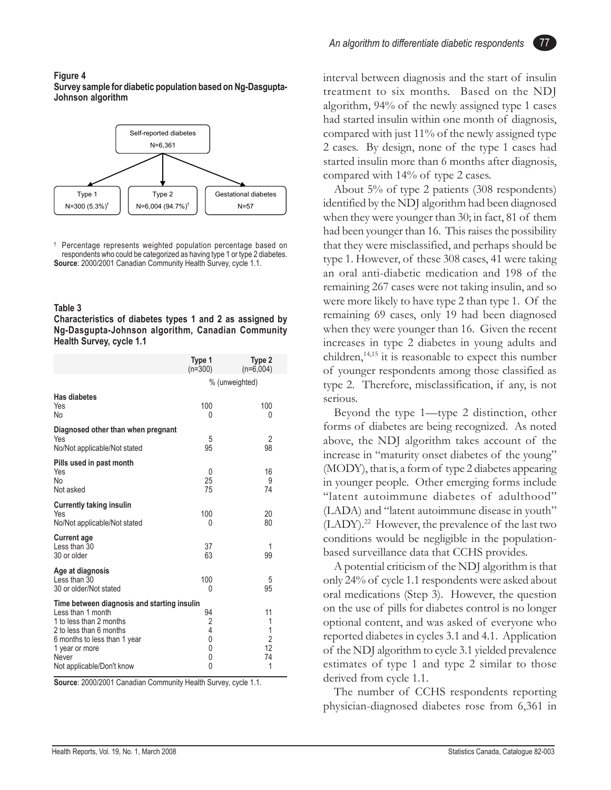### **Figure 4 Survey sample for diabetic population based on Ng-Dasgupta-Johnson algorithm**



† Percentage represents weighted population percentage based on respondents who could be categorized as having type 1 or type 2 diabetes. **Source**: 2000/2001 Canadian Community Health Survey, cycle 1.1.

### **Table 3**

**Characteristics of diabetes types 1 and 2 as assigned by Ng-Dasgupta-Johnson algorithm, Canadian Community Health Survey, cycle 1.1**

|                                                                                                                                                                                                                | Type 1<br>$(n=300)$                                    | Type 2<br>$(n=6,004)$                           |  |  |
|----------------------------------------------------------------------------------------------------------------------------------------------------------------------------------------------------------------|--------------------------------------------------------|-------------------------------------------------|--|--|
|                                                                                                                                                                                                                | % (unweighted)                                         |                                                 |  |  |
| <b>Has diabetes</b><br>Yes<br>No                                                                                                                                                                               | 100<br>0                                               | 100<br>0                                        |  |  |
| Diagnosed other than when pregnant<br>Yes<br>No/Not applicable/Not stated                                                                                                                                      | 5<br>95                                                | $\overline{2}$<br>98                            |  |  |
| Pills used in past month<br>Yes<br>No<br>Not asked                                                                                                                                                             | 0<br>25<br>75                                          | 16<br>9<br>74                                   |  |  |
| <b>Currently taking insulin</b><br>Yes<br>No/Not applicable/Not stated                                                                                                                                         | 100<br>0                                               | 20<br>80                                        |  |  |
| <b>Current age</b><br>Less than 30<br>30 or older                                                                                                                                                              | 37<br>63                                               | 1<br>99                                         |  |  |
| Age at diagnosis<br>Less than 30<br>30 or older/Not stated                                                                                                                                                     | 100<br>0                                               | 5<br>95                                         |  |  |
| Time between diagnosis and starting insulin<br>Less than 1 month<br>1 to less than 2 months<br>2 to less than 6 months<br>6 months to less than 1 year<br>1 year or more<br>Never<br>Not applicable/Don't know | 94<br>2<br>4<br>$\mathbf{0}$<br>$\mathbf{0}$<br>0<br>0 | 11<br>1<br>1<br>$\overline{2}$<br>12<br>74<br>1 |  |  |

**Source**: 2000/2001 Canadian Community Health Survey, cycle 1.1.

interval between diagnosis and the start of insulin treatment to six months.Based on the NDJ algorithm, 94% of the newly assigned type 1 cases had started insulin within one month of diagnosis, compared with just 11% of the newly assigned type 2 cases. By design, none of the type 1 cases had started insulin more than 6 months after diagnosis, compared with 14% of type 2 cases.

77

About 5% of type 2 patients (308 respondents) identified by the NDJ algorithm had been diagnosed when they were younger than 30; in fact, 81 of them had been younger than 16. This raises the possibility that they were misclassified, and perhaps should be type 1. However, of these 308 cases, 41 were taking an oral anti-diabetic medication and 198 of the remaining 267 cases were not taking insulin, and so were more likely to have type 2 than type 1. Of the remaining 69 cases, only 19 had been diagnosed when they were younger than 16. Given the recent increases in type 2 diabetes in young adults and children, $14,15$  it is reasonable to expect this number of younger respondents among those classified as type 2. Therefore, misclassification, if any, is not serious.

Beyond the type 1—type 2 distinction, other forms of diabetes are being recognized. As noted above, the NDJ algorithm takes account of the increase in "maturity onset diabetes of the young" (MODY), that is, a form of type 2 diabetes appearing in younger people. Other emerging forms include "latent autoimmune diabetes of adulthood" (LADA) and "latent autoimmune disease in youth" (LADY).<sup>22</sup> However, the prevalence of the last two conditions would be negligible in the populationbased surveillance data that CCHS provides.

A potential criticism of the NDJ algorithm is that only 24% of cycle 1.1 respondents were asked about oral medications (Step 3). However, the question on the use of pills for diabetes control is no longer optional content, and was asked of everyone who reported diabetes in cycles 3.1 and 4.1. Application of the NDJ algorithm to cycle 3.1 yielded prevalence estimates of type 1 and type 2 similar to those derived from cycle 1.1.

The number of CCHS respondents reporting physician-diagnosed diabetes rose from 6,361 in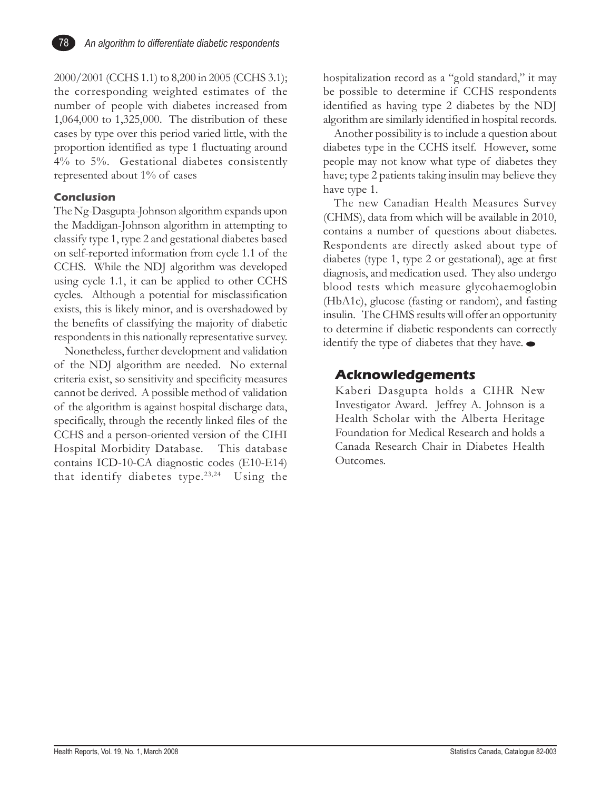

2000/2001 (CCHS 1.1) to 8,200 in 2005 (CCHS 3.1); the corresponding weighted estimates of the number of people with diabetes increased from 1,064,000 to 1,325,000. The distribution of these cases by type over this period varied little, with the proportion identified as type 1 fluctuating around 4% to 5%. Gestational diabetes consistently represented about 1% of cases

### **Conclusion**

The Ng-Dasgupta-Johnson algorithm expands upon the Maddigan-Johnson algorithm in attempting to classify type 1, type 2 and gestational diabetes based on self-reported information from cycle 1.1 of the CCHS. While the NDJ algorithm was developed using cycle 1.1, it can be applied to other CCHS cycles. Although a potential for misclassification exists, this is likely minor, and is overshadowed by the benefits of classifying the majority of diabetic respondents in this nationally representative survey.

Nonetheless, further development and validation of the NDJ algorithm are needed. No external criteria exist, so sensitivity and specificity measures cannot be derived. A possible method of validation of the algorithm is against hospital discharge data, specifically, through the recently linked files of the CCHS and a person-oriented version of the CIHI Hospital Morbidity Database. This database contains ICD-10-CA diagnostic codes (E10-E14) that identify diabetes type.<sup>23,24</sup> Using the

hospitalization record as a "gold standard," it may be possible to determine if CCHS respondents identified as having type 2 diabetes by the NDJ algorithm are similarly identified in hospital records.

Another possibility is to include a question about diabetes type in the CCHS itself. However, some people may not know what type of diabetes they have; type 2 patients taking insulin may believe they have type 1.

The new Canadian Health Measures Survey (CHMS), data from which will be available in 2010, contains a number of questions about diabetes. Respondents are directly asked about type of diabetes (type 1, type 2 or gestational), age at first diagnosis, and medication used. They also undergo blood tests which measure glycohaemoglobin (HbA1c), glucose (fasting or random), and fasting insulin. The CHMS results will offer an opportunity to determine if diabetic respondents can correctly identify the type of diabetes that they have.

## **Acknowledgements**

Kaberi Dasgupta holds a CIHR New Investigator Award. Jeffrey A. Johnson is a Health Scholar with the Alberta Heritage Foundation for Medical Research and holds a Canada Research Chair in Diabetes Health Outcomes.